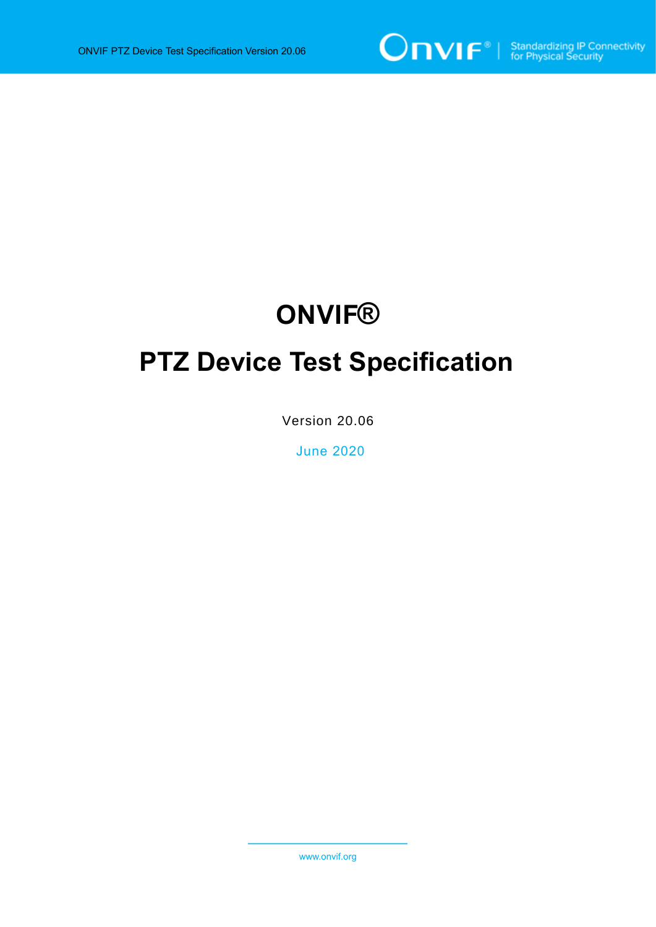

# **ONVIF®**

# **PTZ Device Test Specification**

Version 20.06

June 2020

www.onvif.org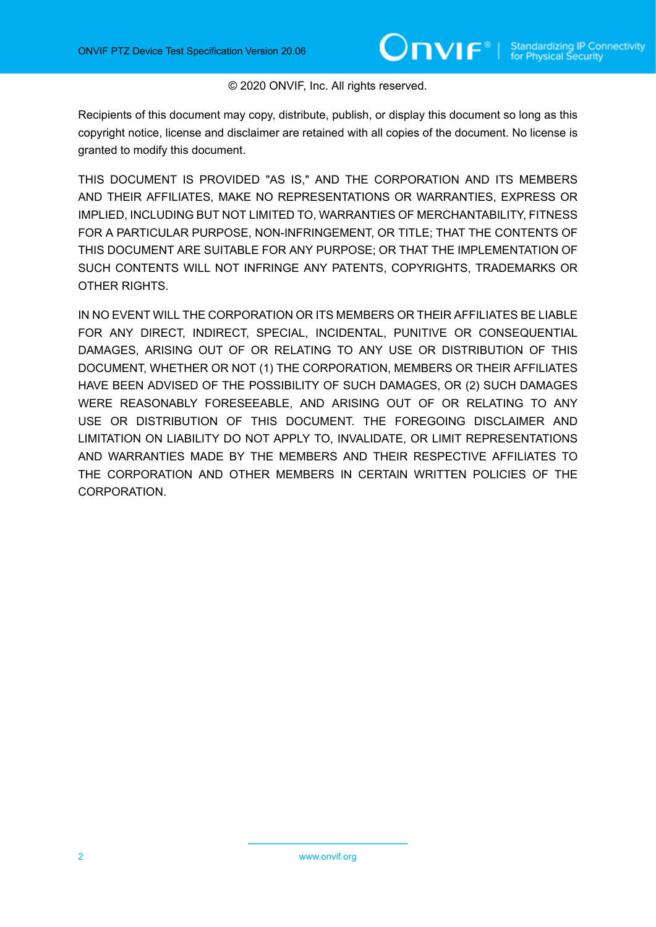#### © 2020 ONVIF, Inc. All rights reserved.

Recipients of this document may copy, distribute, publish, or display this document so long as this copyright notice, license and disclaimer are retained with all copies of the document. No license is granted to modify this document.

THIS DOCUMENT IS PROVIDED "AS IS," AND THE CORPORATION AND ITS MEMBERS AND THEIR AFFILIATES, MAKE NO REPRESENTATIONS OR WARRANTIES, EXPRESS OR IMPLIED, INCLUDING BUT NOT LIMITED TO, WARRANTIES OF MERCHANTABILITY, FITNESS FOR A PARTICULAR PURPOSE, NON-INFRINGEMENT, OR TITLE; THAT THE CONTENTS OF THIS DOCUMENT ARE SUITABLE FOR ANY PURPOSE; OR THAT THE IMPLEMENTATION OF SUCH CONTENTS WILL NOT INFRINGE ANY PATENTS, COPYRIGHTS, TRADEMARKS OR OTHER RIGHTS.

IN NO EVENT WILL THE CORPORATION OR ITS MEMBERS OR THEIR AFFILIATES BE LIABLE FOR ANY DIRECT, INDIRECT, SPECIAL, INCIDENTAL, PUNITIVE OR CONSEQUENTIAL DAMAGES, ARISING OUT OF OR RELATING TO ANY USE OR DISTRIBUTION OF THIS DOCUMENT, WHETHER OR NOT (1) THE CORPORATION, MEMBERS OR THEIR AFFILIATES HAVE BEEN ADVISED OF THE POSSIBILITY OF SUCH DAMAGES, OR (2) SUCH DAMAGES WERE REASONABLY FORESEEABLE, AND ARISING OUT OF OR RELATING TO ANY USE OR DISTRIBUTION OF THIS DOCUMENT. THE FOREGOING DISCLAIMER AND LIMITATION ON LIABILITY DO NOT APPLY TO, INVALIDATE, OR LIMIT REPRESENTATIONS AND WARRANTIES MADE BY THE MEMBERS AND THEIR RESPECTIVE AFFILIATES TO THE CORPORATION AND OTHER MEMBERS IN CERTAIN WRITTEN POLICIES OF THE CORPORATION.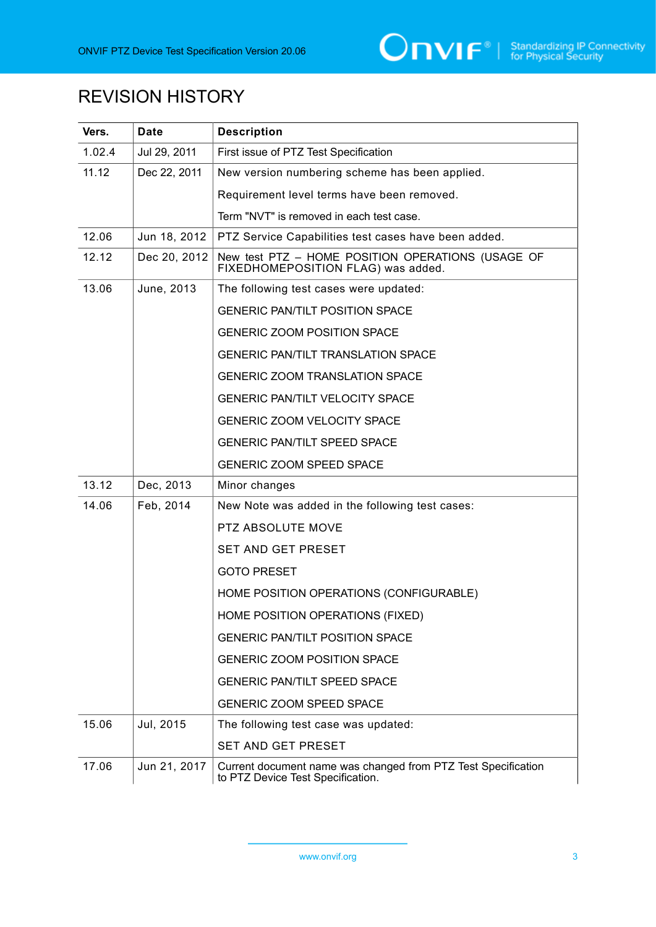# REVISION HISTORY

| Vers.  | <b>Date</b>  | <b>Description</b>                                                                                 |  |
|--------|--------------|----------------------------------------------------------------------------------------------------|--|
| 1.02.4 | Jul 29, 2011 | First issue of PTZ Test Specification                                                              |  |
| 11.12  | Dec 22, 2011 | New version numbering scheme has been applied.                                                     |  |
|        |              | Requirement level terms have been removed.                                                         |  |
|        |              | Term "NVT" is removed in each test case.                                                           |  |
| 12.06  | Jun 18, 2012 | PTZ Service Capabilities test cases have been added.                                               |  |
| 12.12  | Dec 20, 2012 | New test PTZ - HOME POSITION OPERATIONS (USAGE OF FIXEDHOMEPOSITION FLAG) was added.               |  |
| 13.06  | June, 2013   | The following test cases were updated:                                                             |  |
|        |              | <b>GENERIC PAN/TILT POSITION SPACE</b>                                                             |  |
|        |              | <b>GENERIC ZOOM POSITION SPACE</b>                                                                 |  |
|        |              | <b>GENERIC PAN/TILT TRANSLATION SPACE</b>                                                          |  |
|        |              | <b>GENERIC ZOOM TRANSLATION SPACE</b>                                                              |  |
|        |              | <b>GENERIC PAN/TILT VELOCITY SPACE</b>                                                             |  |
|        |              | GENERIC ZOOM VELOCITY SPACE                                                                        |  |
|        |              | <b>GENERIC PAN/TILT SPEED SPACE</b>                                                                |  |
|        |              | <b>GENERIC ZOOM SPEED SPACE</b>                                                                    |  |
| 13.12  | Dec, 2013    | Minor changes                                                                                      |  |
| 14.06  | Feb, 2014    | New Note was added in the following test cases:                                                    |  |
|        |              | PTZ ABSOLUTE MOVE                                                                                  |  |
|        |              | SET AND GET PRESET                                                                                 |  |
|        |              | <b>GOTO PRESET</b>                                                                                 |  |
|        |              | HOME POSITION OPERATIONS (CONFIGURABLE)                                                            |  |
|        |              | HOME POSITION OPERATIONS (FIXED)                                                                   |  |
|        |              | <b>GENERIC PAN/TILT POSITION SPACE</b>                                                             |  |
|        |              | <b>GENERIC ZOOM POSITION SPACE</b>                                                                 |  |
|        |              | <b>GENERIC PAN/TILT SPEED SPACE</b>                                                                |  |
|        |              | <b>GENERIC ZOOM SPEED SPACE</b>                                                                    |  |
| 15.06  | Jul, 2015    | The following test case was updated:                                                               |  |
|        |              | SET AND GET PRESET                                                                                 |  |
| 17.06  | Jun 21, 2017 | Current document name was changed from PTZ Test Specification<br>to PTZ Device Test Specification. |  |

www.onvif.org 3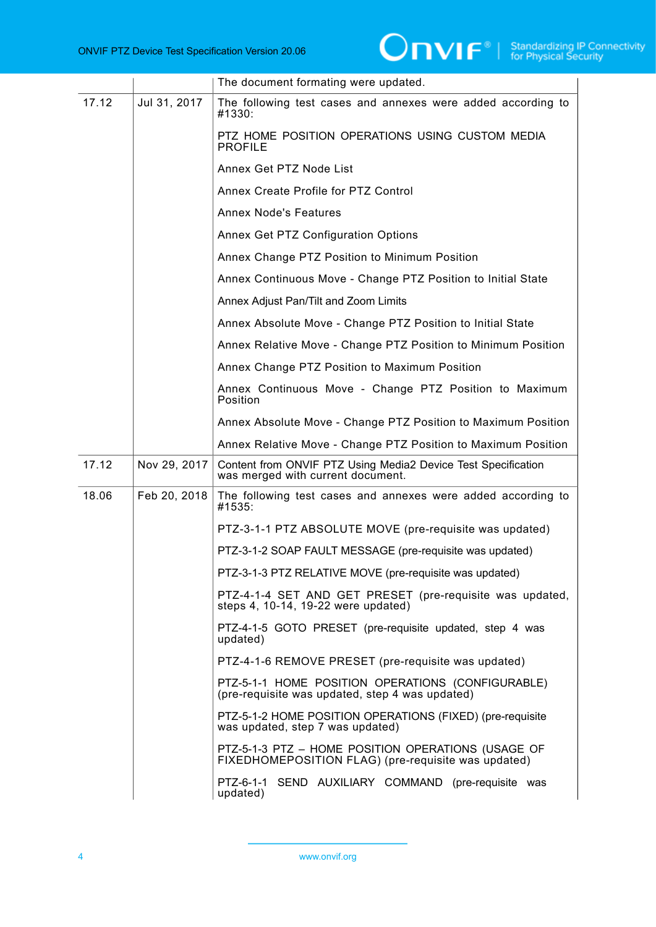|       |              | The document formating were updated.                                                                      |
|-------|--------------|-----------------------------------------------------------------------------------------------------------|
| 17.12 | Jul 31, 2017 | The following test cases and annexes were added according to<br>#1330:                                    |
|       |              | PTZ HOME POSITION OPERATIONS USING CUSTOM MEDIA<br><b>PROFILE</b>                                         |
|       |              | Annex Get PTZ Node List                                                                                   |
|       |              | Annex Create Profile for PTZ Control                                                                      |
|       |              | <b>Annex Node's Features</b>                                                                              |
|       |              | Annex Get PTZ Configuration Options                                                                       |
|       |              | Annex Change PTZ Position to Minimum Position                                                             |
|       |              | Annex Continuous Move - Change PTZ Position to Initial State                                              |
|       |              | Annex Adjust Pan/Tilt and Zoom Limits                                                                     |
|       |              | Annex Absolute Move - Change PTZ Position to Initial State                                                |
|       |              | Annex Relative Move - Change PTZ Position to Minimum Position                                             |
|       |              | Annex Change PTZ Position to Maximum Position                                                             |
|       |              | Annex Continuous Move - Change PTZ Position to Maximum<br>Position                                        |
|       |              | Annex Absolute Move - Change PTZ Position to Maximum Position                                             |
|       |              | Annex Relative Move - Change PTZ Position to Maximum Position                                             |
| 17.12 | Nov 29, 2017 | Content from ONVIF PTZ Using Media2 Device Test Specification<br>was merged with current document.        |
| 18.06 | Feb 20, 2018 | The following test cases and annexes were added according to<br>#1535:                                    |
|       |              | PTZ-3-1-1 PTZ ABSOLUTE MOVE (pre-requisite was updated)                                                   |
|       |              | PTZ-3-1-2 SOAP FAULT MESSAGE (pre-requisite was updated)                                                  |
|       |              | PTZ-3-1-3 PTZ RELATIVE MOVE (pre-requisite was updated)                                                   |
|       |              | PTZ-4-1-4 SET AND GET PRESET (pre-requisite was updated,<br>steps 4, 10-14, 19-22 were updated)           |
|       |              | PTZ-4-1-5 GOTO PRESET (pre-requisite updated, step 4 was<br>updated)                                      |
|       |              | PTZ-4-1-6 REMOVE PRESET (pre-requisite was updated)                                                       |
|       |              | PTZ-5-1-1 HOME POSITION OPERATIONS (CONFIGURABLE)<br>(pre-requisite was updated, step 4 was updated)      |
|       |              | PTZ-5-1-2 HOME POSITION OPERATIONS (FIXED) (pre-requisite<br>was updated, step 7 was updated)             |
|       |              | PTZ-5-1-3 PTZ - HOME POSITION OPERATIONS (USAGE OF<br>FIXEDHOMEPOSITION FLAG) (pre-requisite was updated) |
|       |              | PTZ-6-1-1 SEND AUXILIARY COMMAND (pre-requisite was<br>updated)                                           |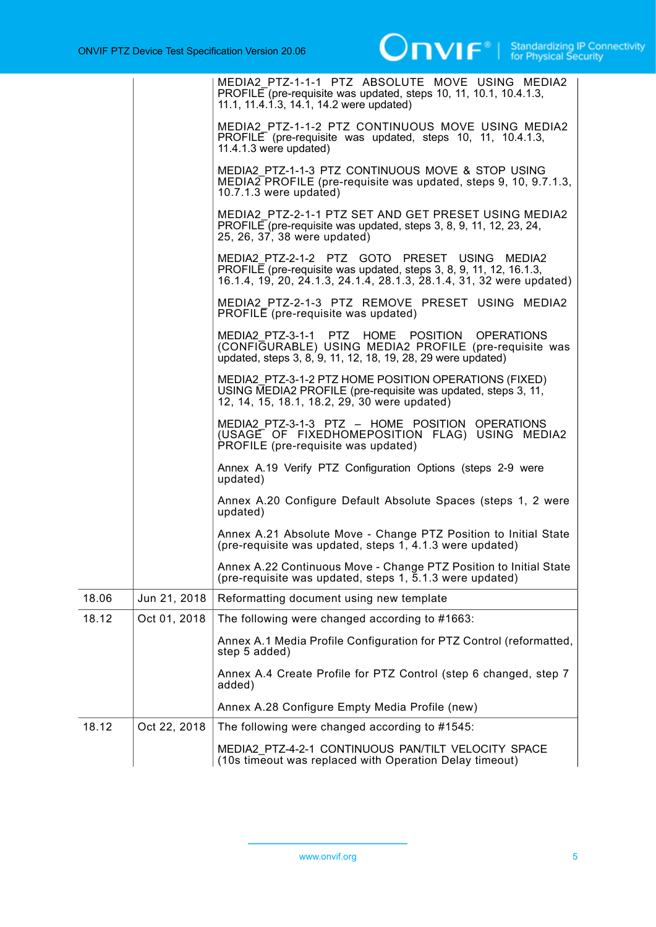|       |              | MEDIA2 PTZ-1-1-1 PTZ ABSOLUTE MOVE USING MEDIA2<br>PROFILE (pre-requisite was updated, steps 10, 11, 10.1, 10.4.1.3,<br>11.1, 11.4.1.3, 14.1, 14.2 were updated)                            |
|-------|--------------|---------------------------------------------------------------------------------------------------------------------------------------------------------------------------------------------|
|       |              | MEDIA2 PTZ-1-1-2 PTZ CONTINUOUS MOVE USING MEDIA2<br>PROFILE (pre-requisite was updated, steps 10, 11, 10.4.1.3,<br>$11.4.1.3$ were updated)                                                |
|       |              | MEDIA2 PTZ-1-1-3 PTZ CONTINUOUS MOVE & STOP USING<br>MEDIA2 PROFILE (pre-requisite was updated, steps 9, 10, 9.7.1.3,<br>$10.7.1.3$ were updated)                                           |
|       |              | MEDIA2 PTZ-2-1-1 PTZ SET AND GET PRESET USING MEDIA2<br>PROFILE (pre-requisite was updated, steps 3, 8, 9, 11, 12, 23, 24,<br>25, 26, 37, 38 were updated)                                  |
|       |              | MEDIA2 PTZ-2-1-2 PTZ GOTO PRESET USING MEDIA2<br>PROFILE (pre-requisite was updated, steps 3, 8, 9, 11, 12, 16.1.3,<br>16.1.4, 19, 20, 24.1.3, 24.1.4, 28.1.3, 28.1.4, 31, 32 were updated) |
|       |              | MEDIA2 PTZ-2-1-3 PTZ REMOVE PRESET USING MEDIA2<br>PROFILE (pre-requisite was updated)                                                                                                      |
|       |              | MEDIA2 PTZ-3-1-1 PTZ HOME POSITION OPERATIONS<br>(CONFIGURABLE) USING MEDIA2 PROFILE (pre-requisite was<br>updated, steps 3, 8, 9, 11, 12, 18, 19, 28, 29 were updated)                     |
|       |              | MEDIA2 PTZ-3-1-2 PTZ HOME POSITION OPERATIONS (FIXED)<br>USING MEDIA2 PROFILE (pre-requisite was updated, steps 3, 11,<br>12, 14, 15, 18.1, 18.2, 29, 30 were updated)                      |
|       |              | MEDIA2 PTZ-3-1-3 PTZ - HOME POSITION OPERATIONS<br>(USAGE OF FIXEDHOMEPOSITION FLAG) USING MEDIA2<br>PROFILE (pre-requisite was updated)                                                    |
|       |              | Annex A.19 Verify PTZ Configuration Options (steps 2-9 were<br>updated)                                                                                                                     |
|       |              | Annex A.20 Configure Default Absolute Spaces (steps 1, 2 were<br>updated)                                                                                                                   |
|       |              | Annex A.21 Absolute Move - Change PTZ Position to Initial State<br>(pre-requisite was updated, steps 1, 4.1.3 were updated)                                                                 |
|       |              | Annex A.22 Continuous Move - Change PTZ Position to Initial State<br>(pre-requisite was updated, steps $1, 5.1.3$ were updated)                                                             |
| 18.06 | Jun 21, 2018 | Reformatting document using new template                                                                                                                                                    |
| 18.12 | Oct 01, 2018 | The following were changed according to #1663:                                                                                                                                              |
|       |              | Annex A.1 Media Profile Configuration for PTZ Control (reformatted,<br>step 5 added)                                                                                                        |
|       |              | Annex A.4 Create Profile for PTZ Control (step 6 changed, step 7<br>added)                                                                                                                  |
|       |              | Annex A.28 Configure Empty Media Profile (new)                                                                                                                                              |
| 18.12 | Oct 22, 2018 | The following were changed according to #1545:                                                                                                                                              |
|       |              | MEDIA2 PTZ-4-2-1 CONTINUOUS PAN/TILT VELOCITY SPACE<br>(10s timeout was replaced with Operation Delay timeout)                                                                              |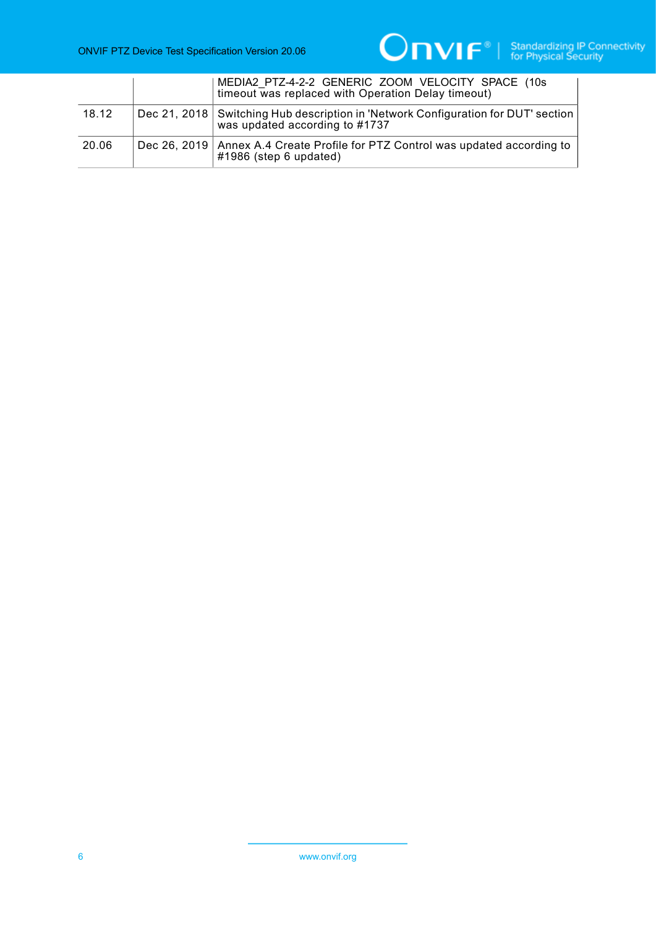

|       | MEDIA2 PTZ-4-2-2 GENERIC ZOOM VELOCITY SPACE (10s)<br>timeout was replaced with Operation Delay timeout)                |
|-------|-------------------------------------------------------------------------------------------------------------------------|
| 18.12 | Dec 21, 2018   Switching Hub description in 'Network Configuration for DUT' section  <br>was updated according to #1737 |
| 20.06 | Dec 26, 2019   Annex A.4 Create Profile for PTZ Control was updated according to  <br>#1986 (step 6 updated)            |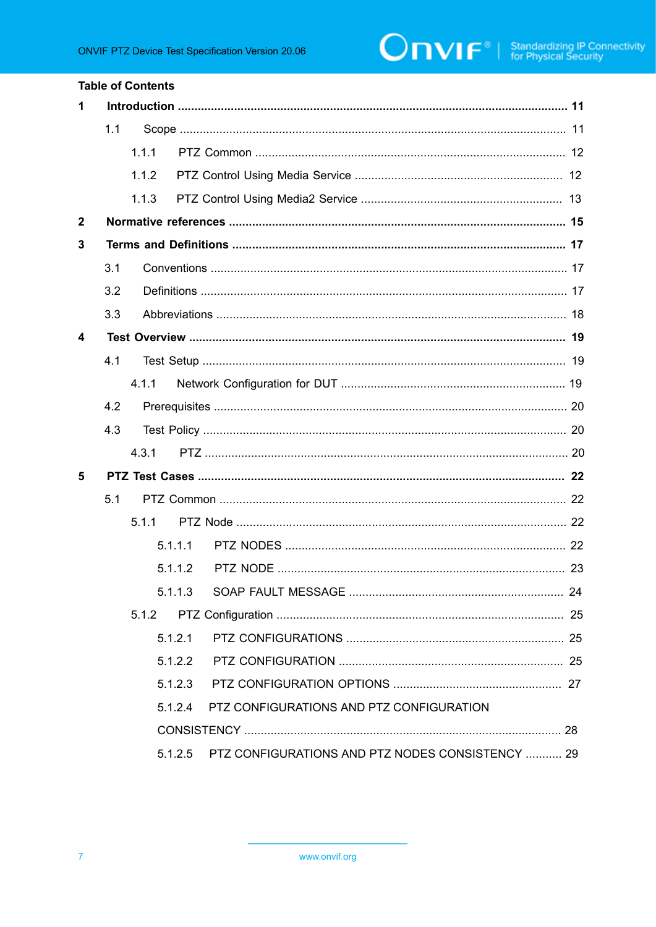|              |     | <b>Table of Contents</b> |         |                                                  |  |
|--------------|-----|--------------------------|---------|--------------------------------------------------|--|
| 1            |     |                          |         |                                                  |  |
|              | 1.1 |                          |         |                                                  |  |
|              |     | 1.1.1                    |         |                                                  |  |
|              |     | 1.1.2                    |         |                                                  |  |
|              |     | 1.1.3                    |         |                                                  |  |
| $\mathbf{2}$ |     |                          |         |                                                  |  |
| 3            |     |                          |         |                                                  |  |
|              | 3.1 |                          |         |                                                  |  |
|              | 3.2 |                          |         |                                                  |  |
|              | 3.3 |                          |         |                                                  |  |
| 4            |     |                          |         |                                                  |  |
|              | 4.1 |                          |         |                                                  |  |
|              |     | 4.1.1                    |         |                                                  |  |
|              | 4.2 |                          |         |                                                  |  |
|              | 4.3 |                          |         |                                                  |  |
|              |     | 4.3.1                    |         |                                                  |  |
| 5            |     |                          |         |                                                  |  |
|              | 5.1 |                          |         |                                                  |  |
|              |     | 5.1.1                    |         |                                                  |  |
|              |     |                          | 5.1.1.1 |                                                  |  |
|              |     |                          |         |                                                  |  |
|              |     |                          | 5.1.1.3 |                                                  |  |
|              |     | 5.1.2                    |         |                                                  |  |
|              |     |                          | 5.1.2.1 |                                                  |  |
|              |     |                          | 5.1.2.2 |                                                  |  |
|              |     |                          | 5.1.2.3 |                                                  |  |
|              |     |                          | 5.1.2.4 | PTZ CONFIGURATIONS AND PTZ CONFIGURATION         |  |
|              |     |                          |         |                                                  |  |
|              |     |                          | 5.1.2.5 | PTZ CONFIGURATIONS AND PTZ NODES CONSISTENCY  29 |  |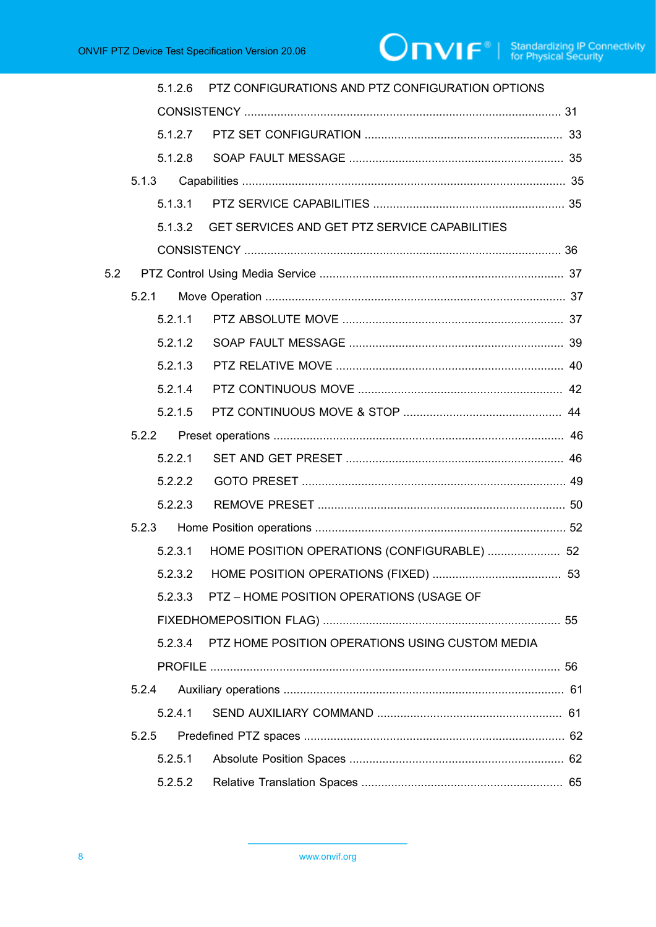|     | 5.1.2.6 | PTZ CONFIGURATIONS AND PTZ CONFIGURATION OPTIONS |  |
|-----|---------|--------------------------------------------------|--|
|     |         |                                                  |  |
|     | 5.1.2.7 |                                                  |  |
|     | 5.1.2.8 |                                                  |  |
|     |         |                                                  |  |
|     |         |                                                  |  |
|     | 5132    | GET SERVICES AND GET PTZ SERVICE CAPABILITIES    |  |
|     |         |                                                  |  |
| 5.2 |         |                                                  |  |
|     |         |                                                  |  |
|     | 5.2.1.1 |                                                  |  |
|     | 5.2.1.2 |                                                  |  |
|     | 5.2.1.3 |                                                  |  |
|     | 5.2.1.4 |                                                  |  |
|     | 5.2.1.5 |                                                  |  |
|     | 5.2.2   |                                                  |  |
|     | 5.2.2.1 |                                                  |  |
|     | 5.2.2.2 |                                                  |  |
|     | 5.2.2.3 |                                                  |  |
|     |         |                                                  |  |
|     | 5.2.3.1 | HOME POSITION OPERATIONS (CONFIGURABLE)  52      |  |
|     |         |                                                  |  |
|     | 5.2.3.3 | PTZ - HOME POSITION OPERATIONS (USAGE OF         |  |
|     |         |                                                  |  |
|     | 5.2.3.4 | PTZ HOME POSITION OPERATIONS USING CUSTOM MEDIA  |  |
|     |         |                                                  |  |
|     | 5.2.4   |                                                  |  |
|     | 5.2.4.1 |                                                  |  |
|     | 5.2.5   |                                                  |  |
|     | 5.2.5.1 |                                                  |  |
|     | 5.2.5.2 |                                                  |  |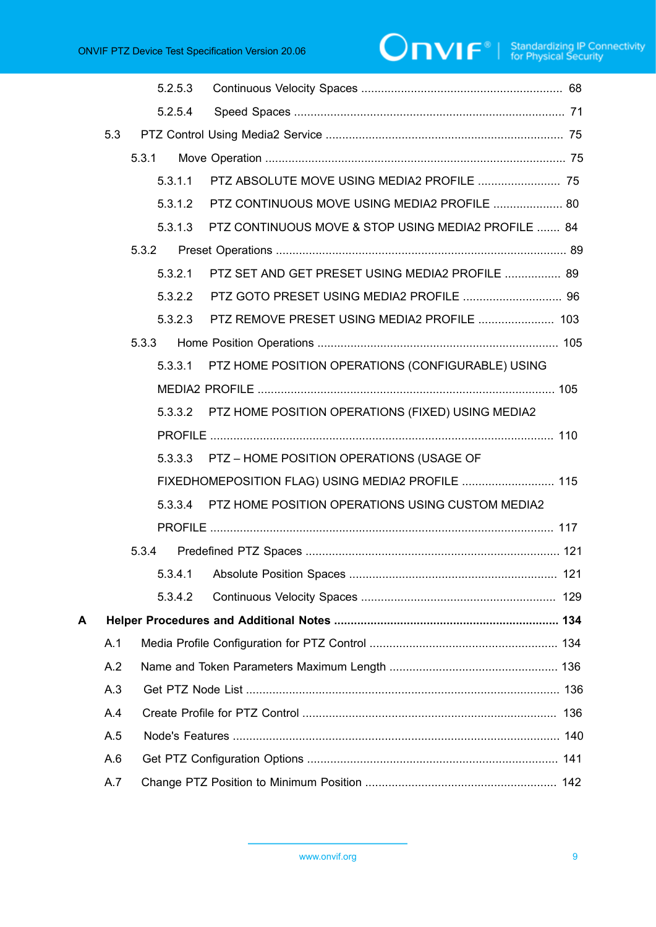# 

|     | 5.2.5.3 |                                                     |                                                                                                                                                            |
|-----|---------|-----------------------------------------------------|------------------------------------------------------------------------------------------------------------------------------------------------------------|
|     | 5.2.5.4 |                                                     |                                                                                                                                                            |
| 5.3 |         |                                                     |                                                                                                                                                            |
|     | 5.3.1   |                                                     |                                                                                                                                                            |
|     | 5.3.1.1 | PTZ ABSOLUTE MOVE USING MEDIA2 PROFILE  75          |                                                                                                                                                            |
|     | 5.3.1.2 | PTZ CONTINUOUS MOVE USING MEDIA2 PROFILE  80        |                                                                                                                                                            |
|     | 5.3.1.3 | PTZ CONTINUOUS MOVE & STOP USING MEDIA2 PROFILE  84 |                                                                                                                                                            |
|     | 5.3.2   |                                                     |                                                                                                                                                            |
|     | 5.3.2.1 | PTZ SET AND GET PRESET USING MEDIA2 PROFILE  89     |                                                                                                                                                            |
|     | 5.3.2.2 |                                                     |                                                                                                                                                            |
|     | 5.3.2.3 | PTZ REMOVE PRESET USING MEDIA2 PROFILE  103         |                                                                                                                                                            |
|     | 5.3.3   |                                                     |                                                                                                                                                            |
|     | 5.3.3.1 | PTZ HOME POSITION OPERATIONS (CONFIGURABLE) USING   |                                                                                                                                                            |
|     |         |                                                     |                                                                                                                                                            |
|     | 5.3.3.2 |                                                     |                                                                                                                                                            |
|     |         |                                                     |                                                                                                                                                            |
|     |         |                                                     |                                                                                                                                                            |
|     |         |                                                     |                                                                                                                                                            |
|     | 5.3.3.4 | PTZ HOME POSITION OPERATIONS USING CUSTOM MEDIA2    |                                                                                                                                                            |
|     |         |                                                     |                                                                                                                                                            |
|     | 5.3.4   |                                                     |                                                                                                                                                            |
|     |         |                                                     |                                                                                                                                                            |
|     | 5.3.4.2 |                                                     |                                                                                                                                                            |
|     |         |                                                     |                                                                                                                                                            |
| A.1 |         |                                                     |                                                                                                                                                            |
| A.2 |         |                                                     |                                                                                                                                                            |
| A.3 |         |                                                     |                                                                                                                                                            |
| A.4 |         |                                                     |                                                                                                                                                            |
| A.5 |         |                                                     |                                                                                                                                                            |
| A.6 |         |                                                     |                                                                                                                                                            |
| A.7 |         |                                                     |                                                                                                                                                            |
|     |         |                                                     | PTZ HOME POSITION OPERATIONS (FIXED) USING MEDIA2<br>5.3.3.3 PTZ - HOME POSITION OPERATIONS (USAGE OF<br>FIXEDHOMEPOSITION FLAG) USING MEDIA2 PROFILE  115 |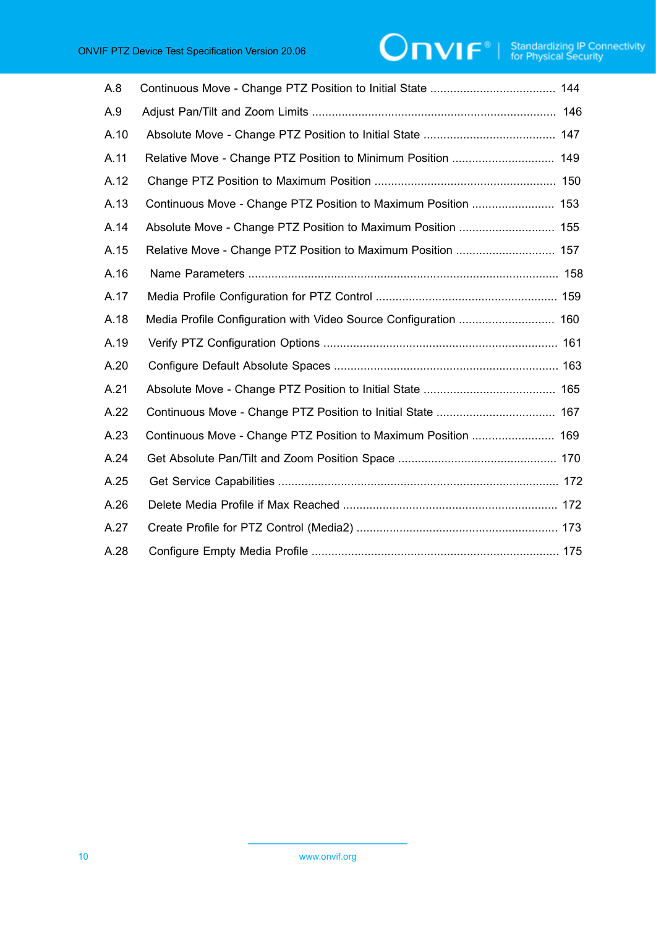# **ONIF**<sup>®</sup> | Standardizing IP Connectivity

| A.8  |                                                                |
|------|----------------------------------------------------------------|
| A.9  |                                                                |
| A.10 |                                                                |
| A.11 | Relative Move - Change PTZ Position to Minimum Position  149   |
| A.12 |                                                                |
| A.13 | Continuous Move - Change PTZ Position to Maximum Position  153 |
| A.14 | Absolute Move - Change PTZ Position to Maximum Position  155   |
| A.15 |                                                                |
| A.16 |                                                                |
| A.17 |                                                                |
| A.18 |                                                                |
| A.19 |                                                                |
| A.20 |                                                                |
| A.21 |                                                                |
| A.22 |                                                                |
| A.23 | Continuous Move - Change PTZ Position to Maximum Position  169 |
| A.24 |                                                                |
| A.25 |                                                                |
| A.26 |                                                                |
| A.27 |                                                                |
| A.28 |                                                                |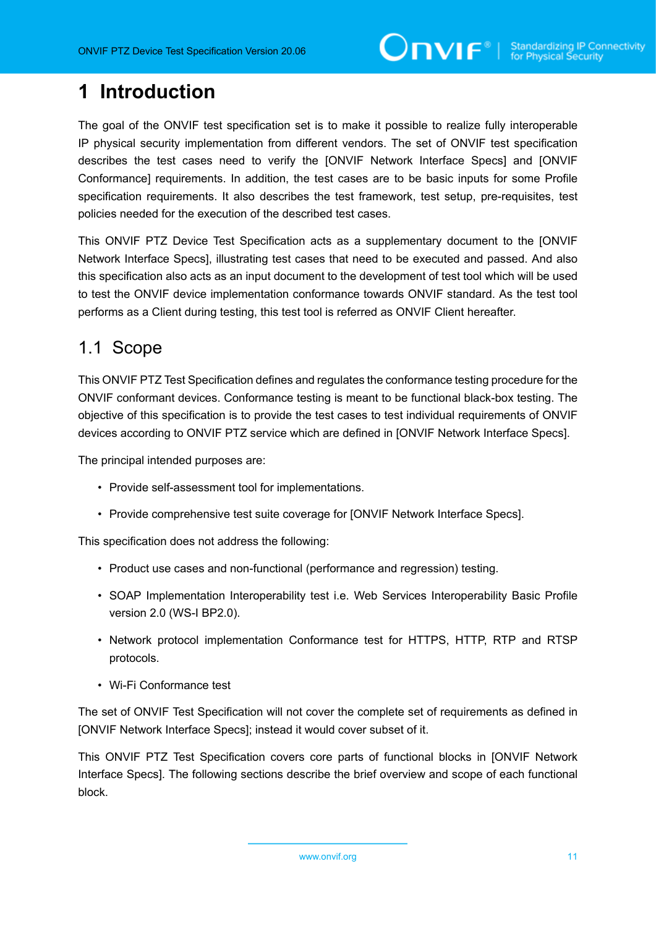# <span id="page-10-0"></span>**1 Introduction**

The goal of the ONVIF test specification set is to make it possible to realize fully interoperable IP physical security implementation from different vendors. The set of ONVIF test specification describes the test cases need to verify the [ONVIF Network Interface Specs] and [ONVIF Conformance] requirements. In addition, the test cases are to be basic inputs for some Profile specification requirements. It also describes the test framework, test setup, pre-requisites, test policies needed for the execution of the described test cases.

This ONVIF PTZ Device Test Specification acts as a supplementary document to the [ONVIF Network Interface Specs], illustrating test cases that need to be executed and passed. And also this specification also acts as an input document to the development of test tool which will be used to test the ONVIF device implementation conformance towards ONVIF standard. As the test tool performs as a Client during testing, this test tool is referred as ONVIF Client hereafter.

# <span id="page-10-1"></span>1.1 Scope

This ONVIF PTZ Test Specification defines and regulates the conformance testing procedure for the ONVIF conformant devices. Conformance testing is meant to be functional black-box testing. The objective of this specification is to provide the test cases to test individual requirements of ONVIF devices according to ONVIF PTZ service which are defined in [ONVIF Network Interface Specs].

The principal intended purposes are:

- Provide self-assessment tool for implementations.
- Provide comprehensive test suite coverage for [ONVIF Network Interface Specs].

This specification does not address the following:

- Product use cases and non-functional (performance and regression) testing.
- SOAP Implementation Interoperability test i.e. Web Services Interoperability Basic Profile version 2.0 (WS-I BP2.0).
- Network protocol implementation Conformance test for HTTPS, HTTP, RTP and RTSP protocols.
- Wi-Fi Conformance test

The set of ONVIF Test Specification will not cover the complete set of requirements as defined in [ONVIF Network Interface Specs]; instead it would cover subset of it.

This ONVIF PTZ Test Specification covers core parts of functional blocks in [ONVIF Network Interface Specs]. The following sections describe the brief overview and scope of each functional block.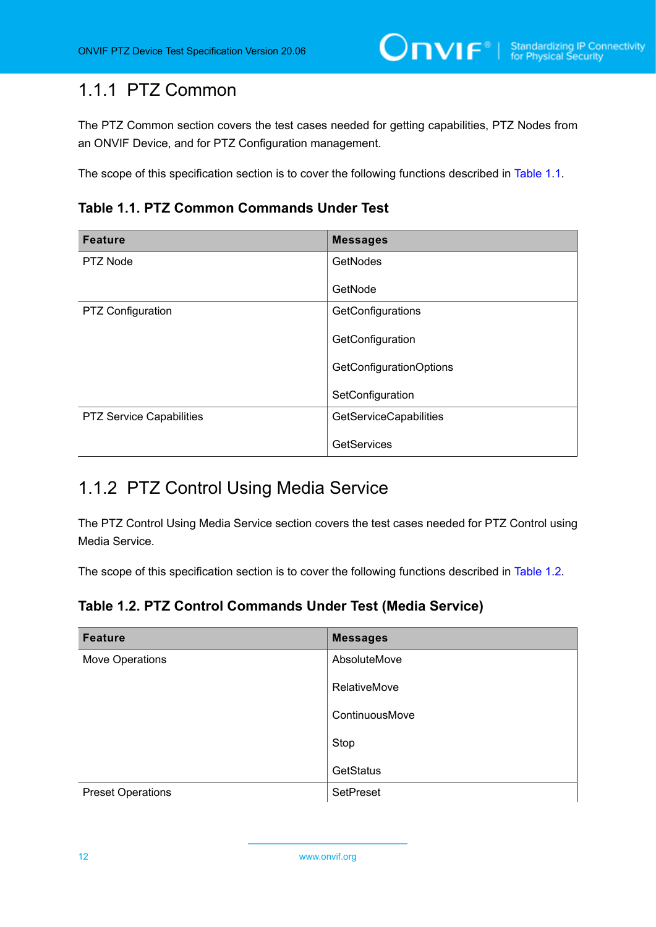## <span id="page-11-0"></span>1.1.1 PTZ Common

The PTZ Common section covers the test cases needed for getting capabilities, PTZ Nodes from an ONVIF Device, and for PTZ Configuration management.

<span id="page-11-2"></span>The scope of this specification section is to cover the following functions described in [Table](#page-11-2) 1.1.

**Table 1.1. PTZ Common Commands Under Test**

| <b>Feature</b>                  | <b>Messages</b>                |
|---------------------------------|--------------------------------|
| PTZ Node                        | <b>GetNodes</b>                |
|                                 | GetNode                        |
| PTZ Configuration               | GetConfigurations              |
|                                 | GetConfiguration               |
|                                 | <b>GetConfigurationOptions</b> |
|                                 | SetConfiguration               |
| <b>PTZ Service Capabilities</b> | <b>GetServiceCapabilities</b>  |
|                                 | <b>GetServices</b>             |

## <span id="page-11-1"></span>1.1.2 PTZ Control Using Media Service

The PTZ Control Using Media Service section covers the test cases needed for PTZ Control using Media Service.

<span id="page-11-3"></span>The scope of this specification section is to cover the following functions described in [Table](#page-11-3) 1.2.

**Table 1.2. PTZ Control Commands Under Test (Media Service)**

| <b>Feature</b>           | <b>Messages</b> |
|--------------------------|-----------------|
| Move Operations          | AbsoluteMove    |
|                          | RelativeMove    |
|                          | ContinuousMove  |
|                          | Stop            |
|                          | GetStatus       |
| <b>Preset Operations</b> | SetPreset       |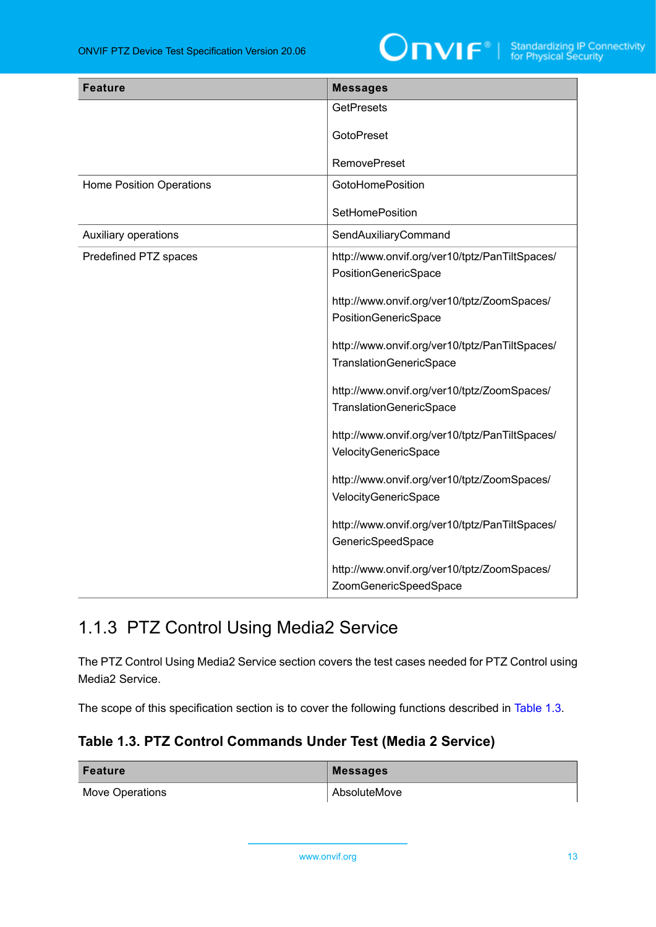

| <b>Feature</b>                  | <b>Messages</b>                                                           |
|---------------------------------|---------------------------------------------------------------------------|
|                                 | <b>GetPresets</b>                                                         |
|                                 | <b>GotoPreset</b>                                                         |
|                                 | <b>RemovePreset</b>                                                       |
| <b>Home Position Operations</b> | <b>GotoHomePosition</b>                                                   |
|                                 | <b>SetHomePosition</b>                                                    |
| Auxiliary operations            | SendAuxiliaryCommand                                                      |
| Predefined PTZ spaces           | http://www.onvif.org/ver10/tptz/PanTiltSpaces/<br>PositionGenericSpace    |
|                                 | http://www.onvif.org/ver10/tptz/ZoomSpaces/<br>PositionGenericSpace       |
|                                 | http://www.onvif.org/ver10/tptz/PanTiltSpaces/<br>TranslationGenericSpace |
|                                 | http://www.onvif.org/ver10/tptz/ZoomSpaces/<br>TranslationGenericSpace    |
|                                 | http://www.onvif.org/ver10/tptz/PanTiltSpaces/<br>VelocityGenericSpace    |
|                                 | http://www.onvif.org/ver10/tptz/ZoomSpaces/<br>VelocityGenericSpace       |
|                                 | http://www.onvif.org/ver10/tptz/PanTiltSpaces/<br>GenericSpeedSpace       |
|                                 | http://www.onvif.org/ver10/tptz/ZoomSpaces/<br>ZoomGenericSpeedSpace      |

# <span id="page-12-0"></span>1.1.3 PTZ Control Using Media2 Service

The PTZ Control Using Media2 Service section covers the test cases needed for PTZ Control using Media2 Service.

<span id="page-12-1"></span>The scope of this specification section is to cover the following functions described in [Table](#page-12-1) 1.3.

### **Table 1.3. PTZ Control Commands Under Test (Media 2 Service)**

| Feature         | Messages     |
|-----------------|--------------|
| Move Operations | AbsoluteMove |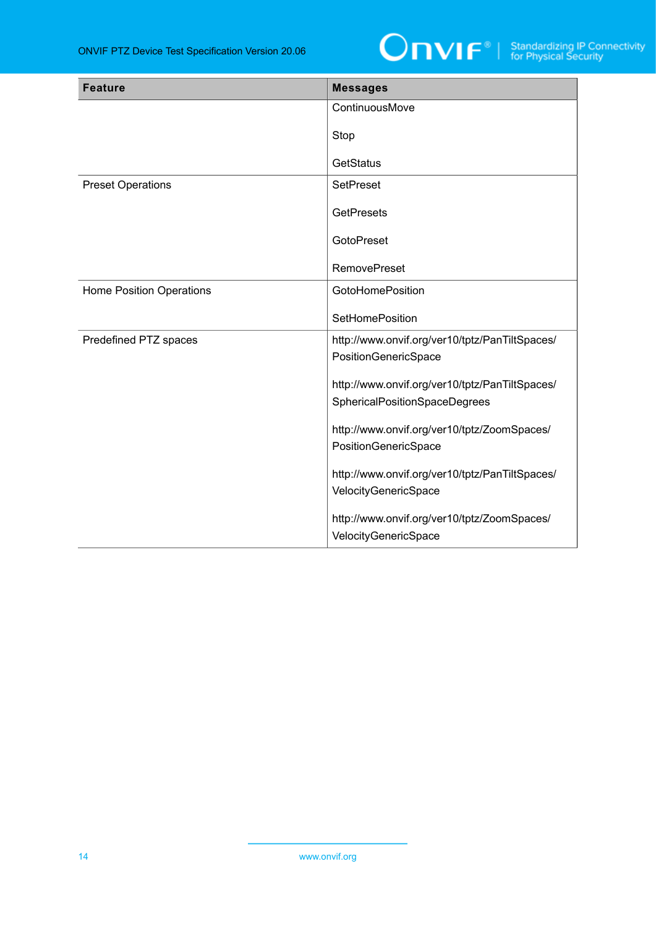

| <b>Feature</b>                  | <b>Messages</b>                                                     |
|---------------------------------|---------------------------------------------------------------------|
|                                 | ContinuousMove                                                      |
|                                 | Stop                                                                |
|                                 | <b>GetStatus</b>                                                    |
| <b>Preset Operations</b>        | <b>SetPreset</b>                                                    |
|                                 | <b>GetPresets</b>                                                   |
|                                 | <b>GotoPreset</b>                                                   |
|                                 | <b>RemovePreset</b>                                                 |
| <b>Home Position Operations</b> | <b>GotoHomePosition</b>                                             |
|                                 | <b>SetHomePosition</b>                                              |
| Predefined PTZ spaces           | http://www.onvif.org/ver10/tptz/PanTiltSpaces/                      |
|                                 | PositionGenericSpace                                                |
|                                 | http://www.onvif.org/ver10/tptz/PanTiltSpaces/                      |
|                                 | SphericalPositionSpaceDegrees                                       |
|                                 | http://www.onvif.org/ver10/tptz/ZoomSpaces/                         |
|                                 | PositionGenericSpace                                                |
|                                 | http://www.onvif.org/ver10/tptz/PanTiltSpaces/                      |
|                                 | VelocityGenericSpace                                                |
|                                 | http://www.onvif.org/ver10/tptz/ZoomSpaces/<br>VelocityGenericSpace |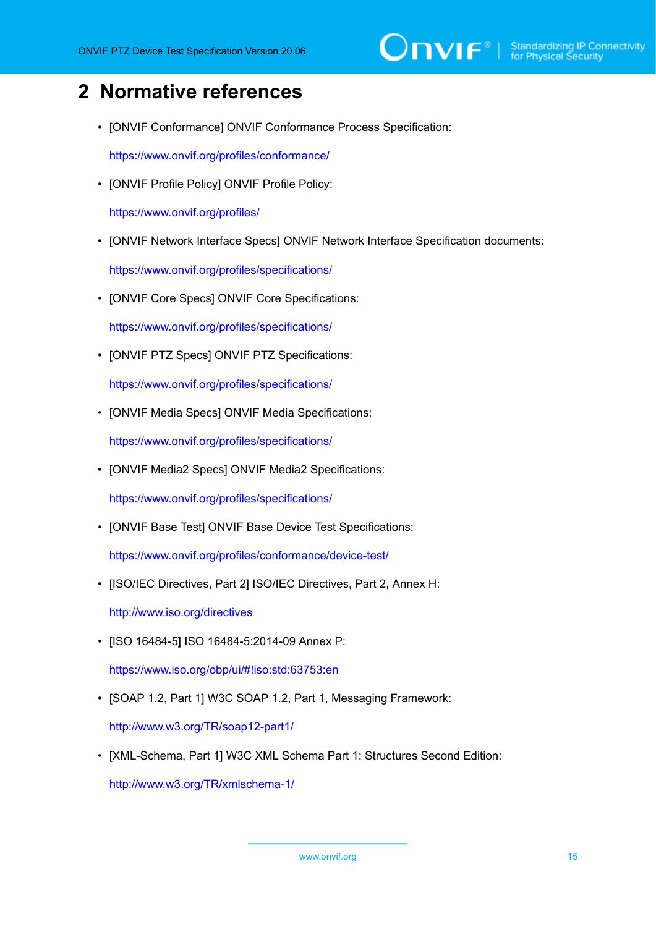# <span id="page-14-0"></span>**2 Normative references**

• [ONVIF Conformance] ONVIF Conformance Process Specification:

<https://www.onvif.org/profiles/conformance/>

• [ONVIF Profile Policy] ONVIF Profile Policy:

<https://www.onvif.org/profiles/>

• [ONVIF Network Interface Specs] ONVIF Network Interface Specification documents:

<https://www.onvif.org/profiles/specifications/>

• [ONVIF Core Specs] ONVIF Core Specifications:

<https://www.onvif.org/profiles/specifications/>

• [ONVIF PTZ Specs] ONVIF PTZ Specifications:

<https://www.onvif.org/profiles/specifications/>

• [ONVIF Media Specs] ONVIF Media Specifications:

<https://www.onvif.org/profiles/specifications/>

• [ONVIF Media2 Specs] ONVIF Media2 Specifications:

<https://www.onvif.org/profiles/specifications/>

• [ONVIF Base Test] ONVIF Base Device Test Specifications:

<https://www.onvif.org/profiles/conformance/device-test/>

• [ISO/IEC Directives, Part 2] ISO/IEC Directives, Part 2, Annex H:

<http://www.iso.org/directives>

• [ISO 16484-5] ISO 16484-5:2014-09 Annex P:

<https://www.iso.org/obp/ui/#!iso:std:63753:en>

• [SOAP 1.2, Part 1] W3C SOAP 1.2, Part 1, Messaging Framework:

<http://www.w3.org/TR/soap12-part1/>

• [XML-Schema, Part 1] W3C XML Schema Part 1: Structures Second Edition:

<http://www.w3.org/TR/xmlschema-1/>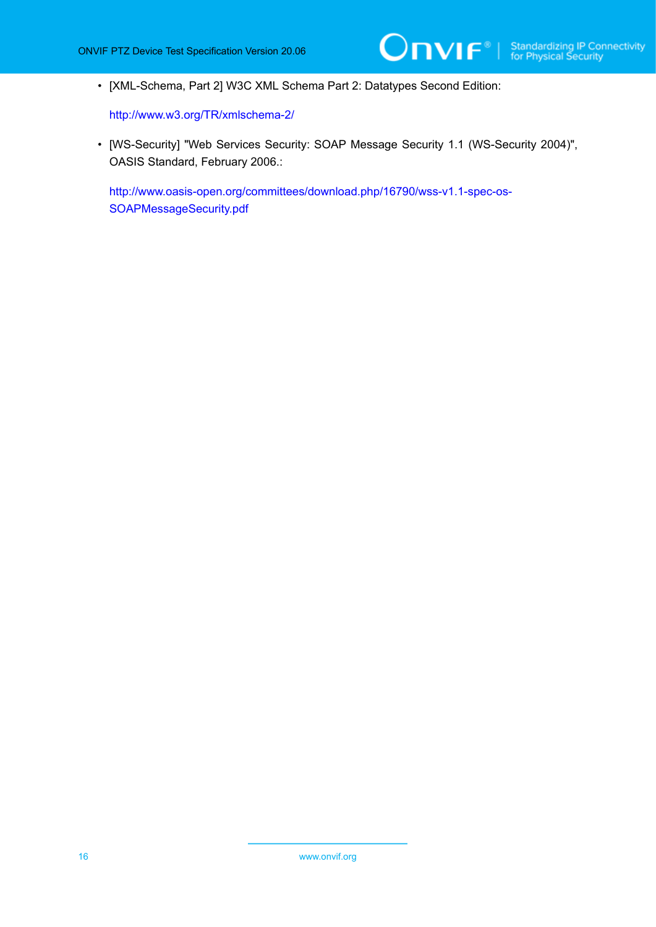• [XML-Schema, Part 2] W3C XML Schema Part 2: Datatypes Second Edition:

<http://www.w3.org/TR/xmlschema-2/>

• [WS-Security] "Web Services Security: SOAP Message Security 1.1 (WS-Security 2004)", OASIS Standard, February 2006.:

[http://www.oasis-open.org/committees/download.php/16790/wss-v1.1-spec-os-](http://www.oasis-open.org/committees/download.php/16790/wss-v1.1-spec-os-SOAPMessageSecurity.pdf)[SOAPMessageSecurity.pdf](http://www.oasis-open.org/committees/download.php/16790/wss-v1.1-spec-os-SOAPMessageSecurity.pdf)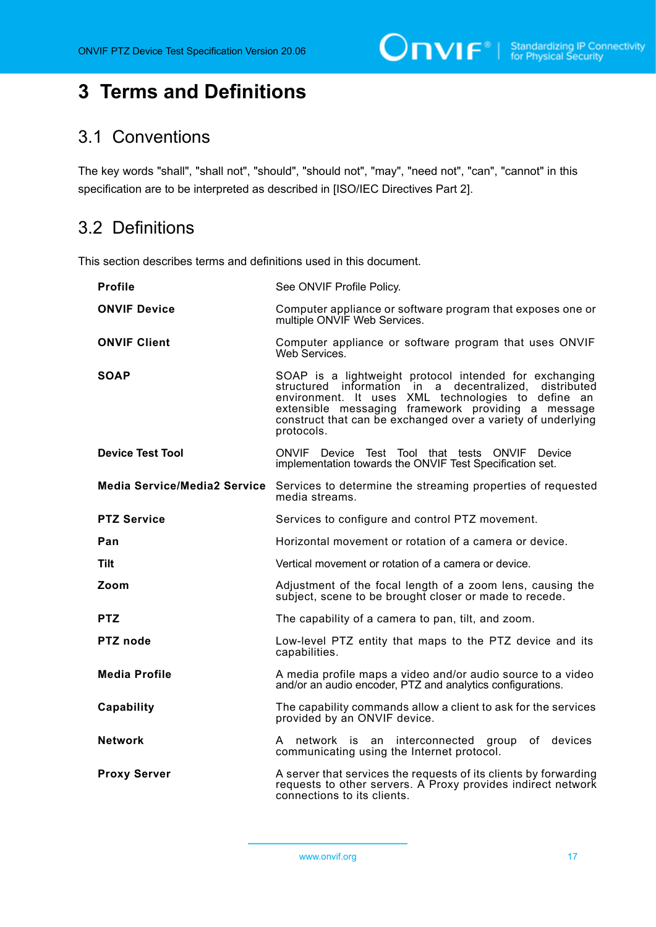# <span id="page-16-0"></span>**3 Terms and Definitions**

## <span id="page-16-1"></span>3.1 Conventions

The key words "shall", "shall not", "should", "should not", "may", "need not", "can", "cannot" in this specification are to be interpreted as described in [ISO/IEC Directives Part 2].

# <span id="page-16-2"></span>3.2 Definitions

This section describes terms and definitions used in this document.

| <b>Profile</b>                      | See ONVIF Profile Policy.                                                                                                                                                                                                                                                                                     |
|-------------------------------------|---------------------------------------------------------------------------------------------------------------------------------------------------------------------------------------------------------------------------------------------------------------------------------------------------------------|
| <b>ONVIF Device</b>                 | Computer appliance or software program that exposes one or<br>multiple ONVIF Web Services.                                                                                                                                                                                                                    |
| <b>ONVIF Client</b>                 | Computer appliance or software program that uses ONVIF<br>Web Services.                                                                                                                                                                                                                                       |
| <b>SOAP</b>                         | SOAP is a lightweight protocol intended for exchanging<br>structured information in a decentralized,<br>distributed<br>environment. It uses XML technologies to define an<br>extensible messaging framework providing a message<br>construct that can be exchanged over a variety of underlying<br>protocols. |
| <b>Device Test Tool</b>             | ONVIF Device Test Tool that tests<br><b>ONVIF</b><br>Device<br>implementation towards the ONVIF Test Specification set.                                                                                                                                                                                       |
| <b>Media Service/Media2 Service</b> | Services to determine the streaming properties of requested<br>media streams.                                                                                                                                                                                                                                 |
| <b>PTZ Service</b>                  | Services to configure and control PTZ movement.                                                                                                                                                                                                                                                               |
| Pan                                 | Horizontal movement or rotation of a camera or device.                                                                                                                                                                                                                                                        |
| Tilt                                | Vertical movement or rotation of a camera or device.                                                                                                                                                                                                                                                          |
| Zoom                                | Adjustment of the focal length of a zoom lens, causing the<br>subject, scene to be brought closer or made to recede.                                                                                                                                                                                          |
| <b>PTZ</b>                          | The capability of a camera to pan, tilt, and zoom.                                                                                                                                                                                                                                                            |
| <b>PTZ</b> node                     | Low-level PTZ entity that maps to the PTZ device and its<br>capabilities.                                                                                                                                                                                                                                     |
| <b>Media Profile</b>                | A media profile maps a video and/or audio source to a video<br>and/or an audio encoder, PTZ and analytics configurations.                                                                                                                                                                                     |
| Capability                          | The capability commands allow a client to ask for the services<br>provided by an ONVIF device.                                                                                                                                                                                                                |
| <b>Network</b>                      | A network is an interconnected group of devices<br>communicating using the Internet protocol.                                                                                                                                                                                                                 |
| <b>Proxy Server</b>                 | A server that services the requests of its clients by forwarding<br>requests to other servers. A Proxy provides indirect network<br>connections to its clients.                                                                                                                                               |

www.onvif.org 17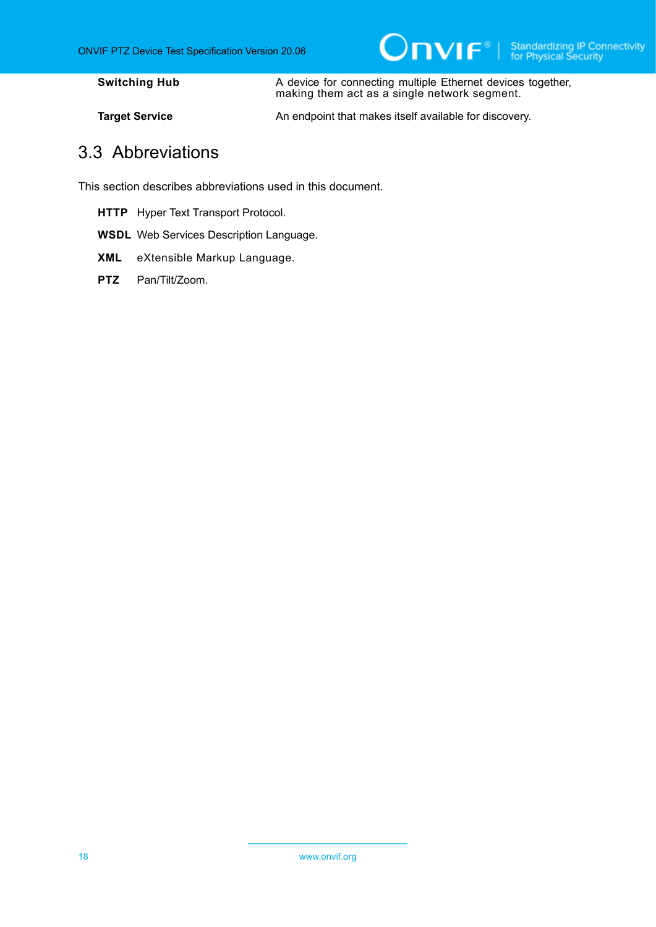**Switching Hub A** device for connecting multiple Ethernet devices together, making them act as a single network segment.

<span id="page-17-0"></span>

**Target Service** An endpoint that makes itself available for discovery.

### 3.3 Abbreviations

This section describes abbreviations used in this document.

- **HTTP** Hyper Text Transport Protocol.
- **WSDL** Web Services Description Language.
- **XML** eXtensible Markup Language.
- PTZ Pan/Tilt/Zoom.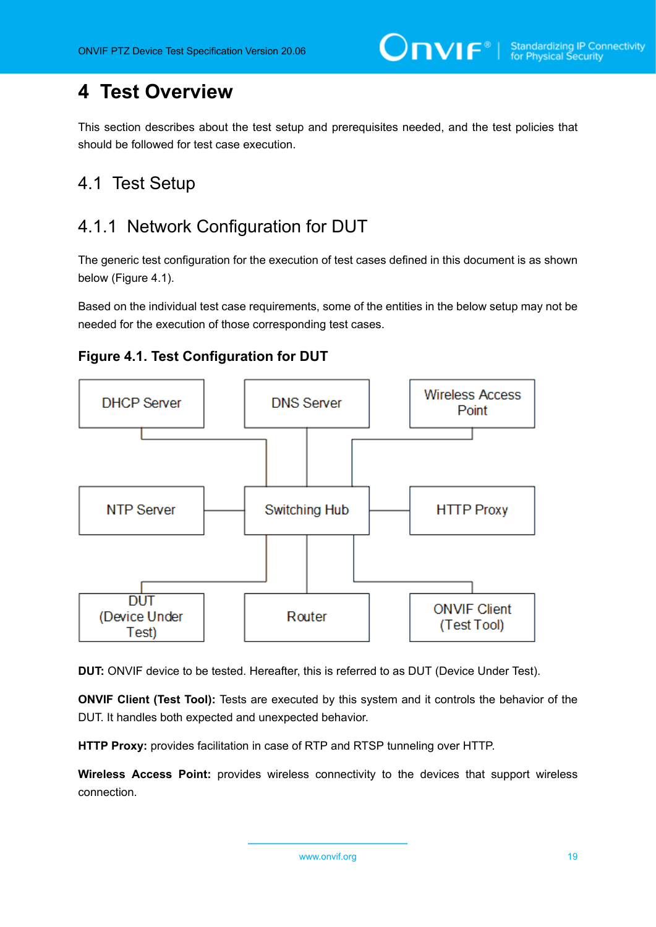# <span id="page-18-0"></span>**4 Test Overview**

This section describes about the test setup and prerequisites needed, and the test policies that should be followed for test case execution.

# <span id="page-18-1"></span>4.1 Test Setup

# <span id="page-18-2"></span>4.1.1 Network Configuration for DUT

The generic test configuration for the execution of test cases defined in this document is as shown below (Figure 4.1).

Based on the individual test case requirements, some of the entities in the below setup may not be needed for the execution of those corresponding test cases.





**DUT:** ONVIF device to be tested. Hereafter, this is referred to as DUT (Device Under Test).

**ONVIF Client (Test Tool):** Tests are executed by this system and it controls the behavior of the DUT. It handles both expected and unexpected behavior.

**HTTP Proxy:** provides facilitation in case of RTP and RTSP tunneling over HTTP.

**Wireless Access Point:** provides wireless connectivity to the devices that support wireless connection.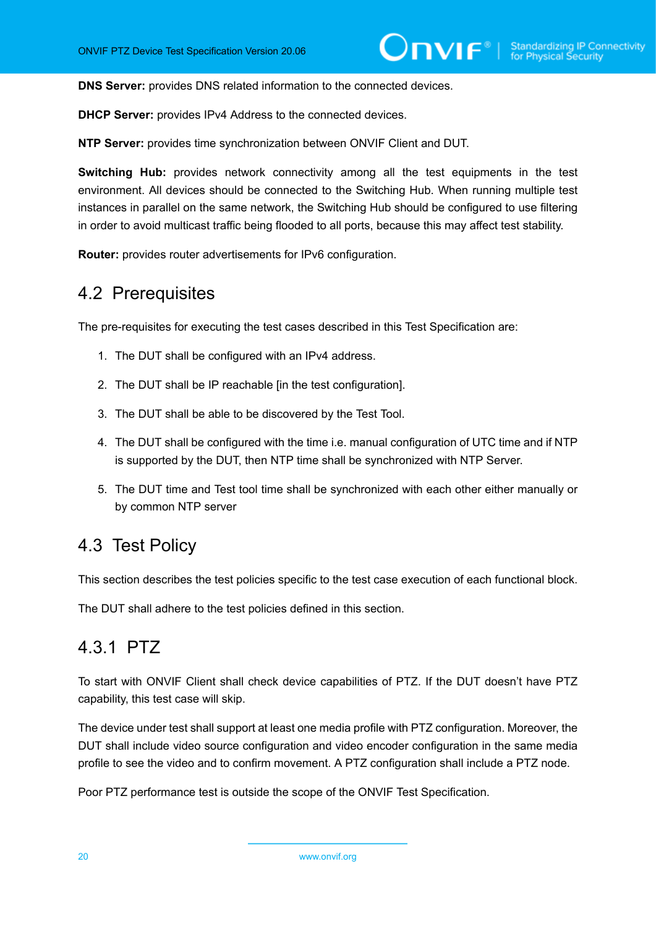**DNS Server:** provides DNS related information to the connected devices.

**DHCP Server:** provides IPv4 Address to the connected devices.

**NTP Server:** provides time synchronization between ONVIF Client and DUT.

**Switching Hub:** provides network connectivity among all the test equipments in the test environment. All devices should be connected to the Switching Hub. When running multiple test instances in parallel on the same network, the Switching Hub should be configured to use filtering in order to avoid multicast traffic being flooded to all ports, because this may affect test stability.

<span id="page-19-0"></span>**Router:** provides router advertisements for IPv6 configuration.

### 4.2 Prerequisites

The pre-requisites for executing the test cases described in this Test Specification are:

- 1. The DUT shall be configured with an IPv4 address.
- 2. The DUT shall be IP reachable [in the test configuration].
- 3. The DUT shall be able to be discovered by the Test Tool.
- 4. The DUT shall be configured with the time i.e. manual configuration of UTC time and if NTP is supported by the DUT, then NTP time shall be synchronized with NTP Server.
- 5. The DUT time and Test tool time shall be synchronized with each other either manually or by common NTP server

### <span id="page-19-1"></span>4.3 Test Policy

This section describes the test policies specific to the test case execution of each functional block.

<span id="page-19-2"></span>The DUT shall adhere to the test policies defined in this section.

## 4.3.1 PTZ

To start with ONVIF Client shall check device capabilities of PTZ. If the DUT doesn't have PTZ capability, this test case will skip.

The device under test shall support at least one media profile with PTZ configuration. Moreover, the DUT shall include video source configuration and video encoder configuration in the same media profile to see the video and to confirm movement. A PTZ configuration shall include a PTZ node.

Poor PTZ performance test is outside the scope of the ONVIF Test Specification.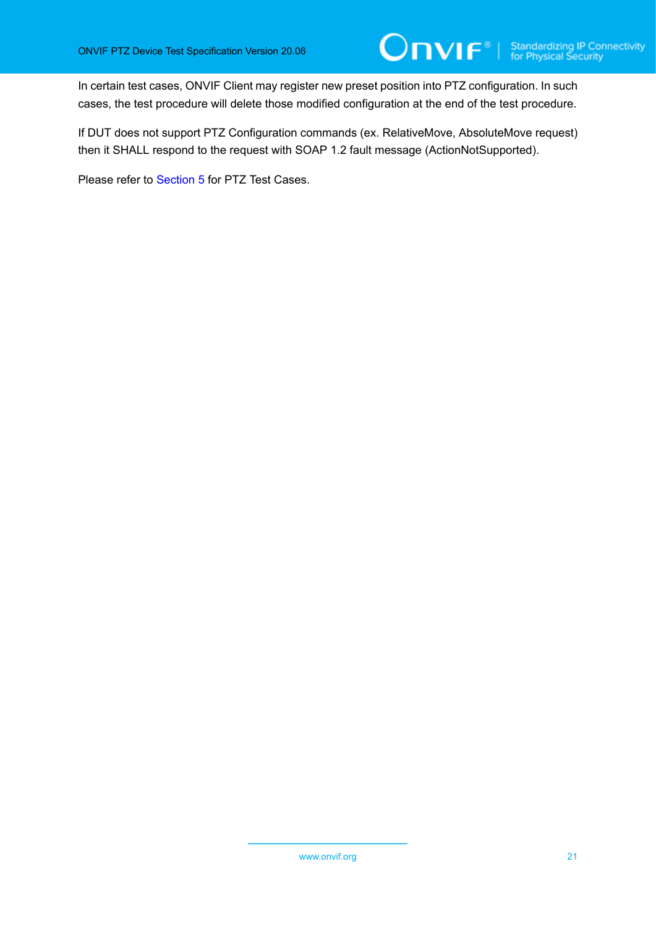In certain test cases, ONVIF Client may register new preset position into PTZ configuration. In such cases, the test procedure will delete those modified configuration at the end of the test procedure.

If DUT does not support PTZ Configuration commands (ex. RelativeMove, AbsoluteMove request) then it SHALL respond to the request with SOAP 1.2 fault message (ActionNotSupported).

Please refer to [Section 5](#page-21-0) for PTZ Test Cases.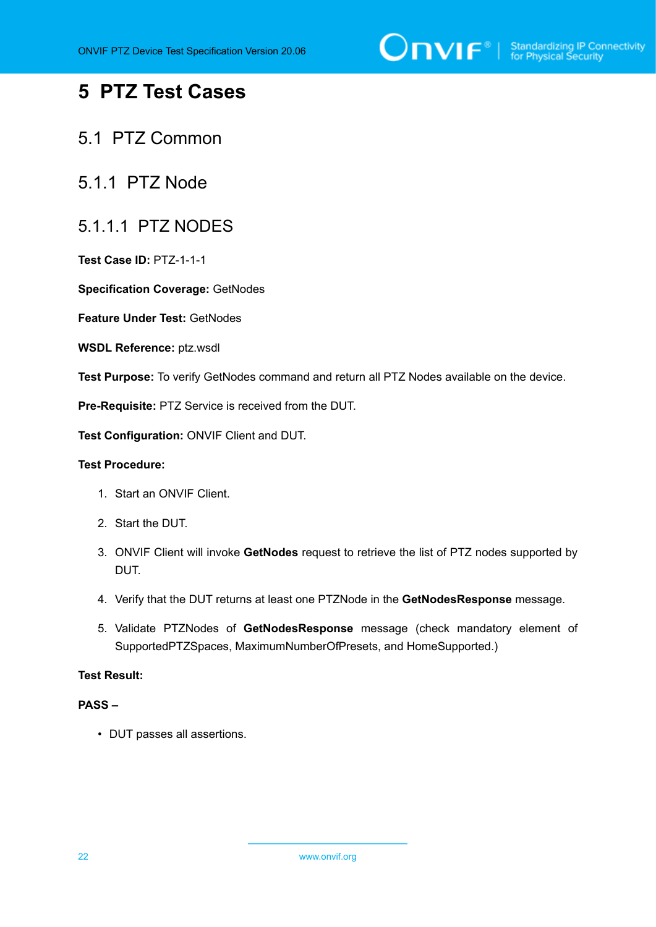

# <span id="page-21-0"></span>**5 PTZ Test Cases**

### <span id="page-21-1"></span>5.1 PTZ Common

### <span id="page-21-2"></span>5.1.1 PTZ Node

### <span id="page-21-3"></span>5.1.1.1 PTZ NODES

**Test Case ID:** PTZ-1-1-1

**Specification Coverage:** GetNodes

**Feature Under Test:** GetNodes

**WSDL Reference:** ptz.wsdl

**Test Purpose:** To verify GetNodes command and return all PTZ Nodes available on the device.

**Pre-Requisite:** PTZ Service is received from the DUT.

**Test Configuration:** ONVIF Client and DUT.

#### **Test Procedure:**

- 1. Start an ONVIF Client.
- 2. Start the DUT.
- 3. ONVIF Client will invoke **GetNodes** request to retrieve the list of PTZ nodes supported by DUT.
- 4. Verify that the DUT returns at least one PTZNode in the **GetNodesResponse** message.
- 5. Validate PTZNodes of **GetNodesResponse** message (check mandatory element of SupportedPTZSpaces, MaximumNumberOfPresets, and HomeSupported.)

#### **Test Result:**

#### **PASS –**

• DUT passes all assertions.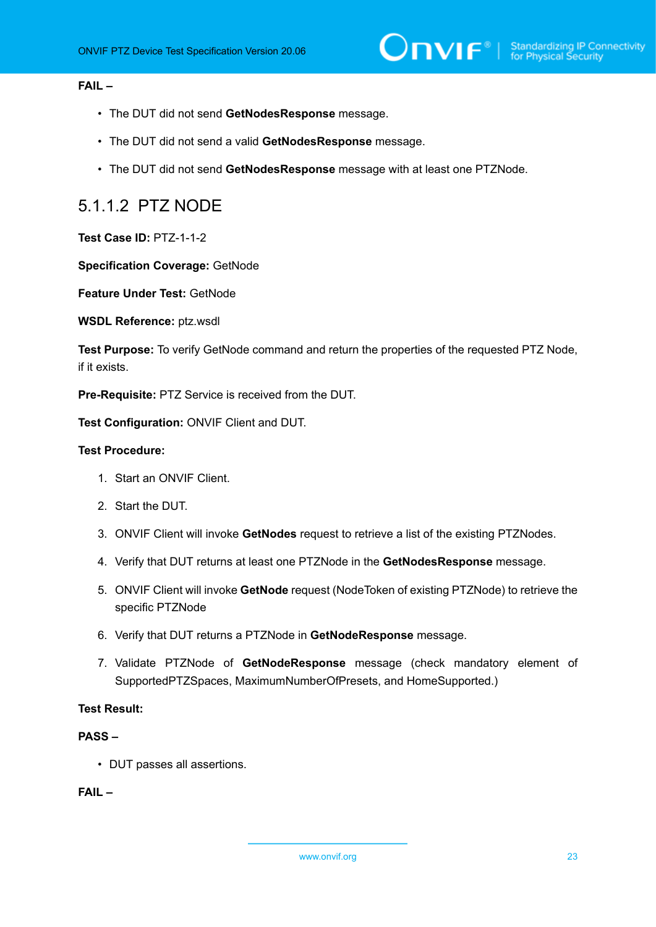#### **FAIL –**

- The DUT did not send **GetNodesResponse** message.
- The DUT did not send a valid **GetNodesResponse** message.
- The DUT did not send **GetNodesResponse** message with at least one PTZNode.

### <span id="page-22-0"></span>5.1.1.2 PTZ NODE

**Test Case ID:** PTZ-1-1-2

**Specification Coverage:** GetNode

**Feature Under Test:** GetNode

**WSDL Reference:** ptz.wsdl

**Test Purpose:** To verify GetNode command and return the properties of the requested PTZ Node, if it exists.

**Pre-Requisite:** PTZ Service is received from the DUT.

**Test Configuration:** ONVIF Client and DUT.

#### **Test Procedure:**

- 1. Start an ONVIF Client.
- 2. Start the DUT.
- 3. ONVIF Client will invoke **GetNodes** request to retrieve a list of the existing PTZNodes.
- 4. Verify that DUT returns at least one PTZNode in the **GetNodesResponse** message.
- 5. ONVIF Client will invoke **GetNode** request (NodeToken of existing PTZNode) to retrieve the specific PTZNode
- 6. Verify that DUT returns a PTZNode in **GetNodeResponse** message.
- 7. Validate PTZNode of **GetNodeResponse** message (check mandatory element of SupportedPTZSpaces, MaximumNumberOfPresets, and HomeSupported.)

#### **Test Result:**

#### **PASS –**

• DUT passes all assertions.

**FAIL –**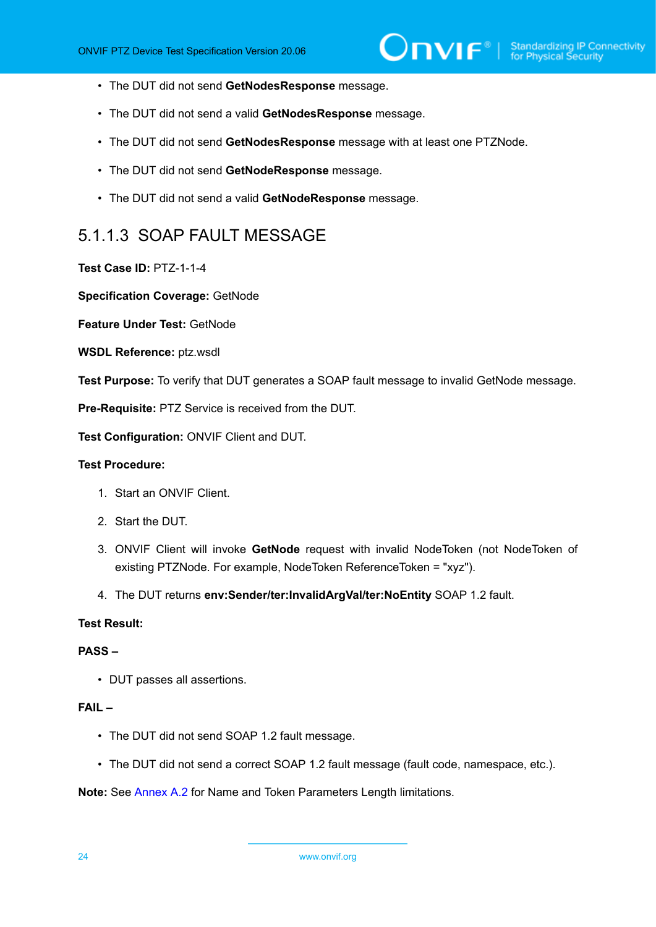- The DUT did not send **GetNodesResponse** message.
- The DUT did not send a valid **GetNodesResponse** message.
- The DUT did not send **GetNodesResponse** message with at least one PTZNode.
- The DUT did not send **GetNodeResponse** message.
- The DUT did not send a valid **GetNodeResponse** message.

### <span id="page-23-0"></span>5.1.1.3 SOAP FAULT MESSAGE

#### **Test Case ID:** PTZ-1-1-4

**Specification Coverage:** GetNode

**Feature Under Test:** GetNode

**WSDL Reference:** ptz.wsdl

**Test Purpose:** To verify that DUT generates a SOAP fault message to invalid GetNode message.

**Pre-Requisite:** PTZ Service is received from the DUT.

**Test Configuration:** ONVIF Client and DUT.

#### **Test Procedure:**

- 1. Start an ONVIF Client.
- 2. Start the DUT.
- 3. ONVIF Client will invoke **GetNode** request with invalid NodeToken (not NodeToken of existing PTZNode. For example, NodeToken ReferenceToken = "xyz").
- 4. The DUT returns **env:Sender/ter:InvalidArgVal/ter:NoEntity** SOAP 1.2 fault.

#### **Test Result:**

#### **PASS –**

• DUT passes all assertions.

#### **FAIL –**

- The DUT did not send SOAP 1.2 fault message.
- The DUT did not send a correct SOAP 1.2 fault message (fault code, namespace, etc.).

**Note:** See [Annex A.2](#page-135-0) for Name and Token Parameters Length limitations.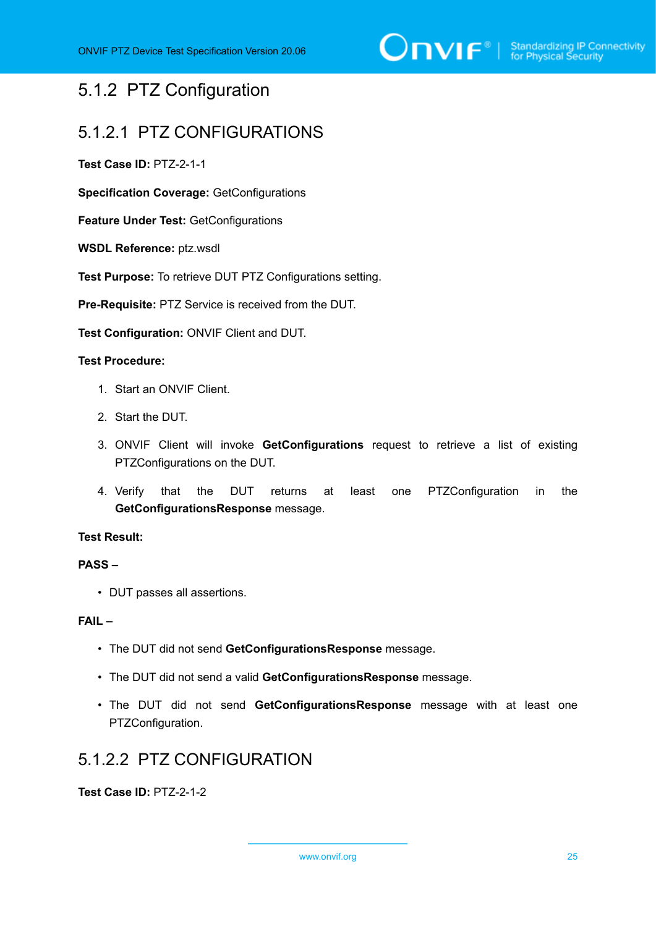## <span id="page-24-0"></span>5.1.2 PTZ Configuration

### <span id="page-24-1"></span>5.1.2.1 PTZ CONFIGURATIONS

**Test Case ID:** PTZ-2-1-1

**Specification Coverage:** GetConfigurations

**Feature Under Test:** GetConfigurations

**WSDL Reference:** ptz.wsdl

**Test Purpose:** To retrieve DUT PTZ Configurations setting.

**Pre-Requisite:** PTZ Service is received from the DUT.

**Test Configuration:** ONVIF Client and DUT.

#### **Test Procedure:**

- 1. Start an ONVIF Client.
- 2. Start the DUT.
- 3. ONVIF Client will invoke **GetConfigurations** request to retrieve a list of existing PTZConfigurations on the DUT.
- 4. Verify that the DUT returns at least one PTZConfiguration in the **GetConfigurationsResponse** message.

#### **Test Result:**

#### **PASS –**

• DUT passes all assertions.

#### **FAIL –**

- The DUT did not send **GetConfigurationsResponse** message.
- The DUT did not send a valid **GetConfigurationsResponse** message.
- The DUT did not send **GetConfigurationsResponse** message with at least one PTZConfiguration.

### <span id="page-24-2"></span>5.1.2.2 PTZ CONFIGURATION

**Test Case ID:** PTZ-2-1-2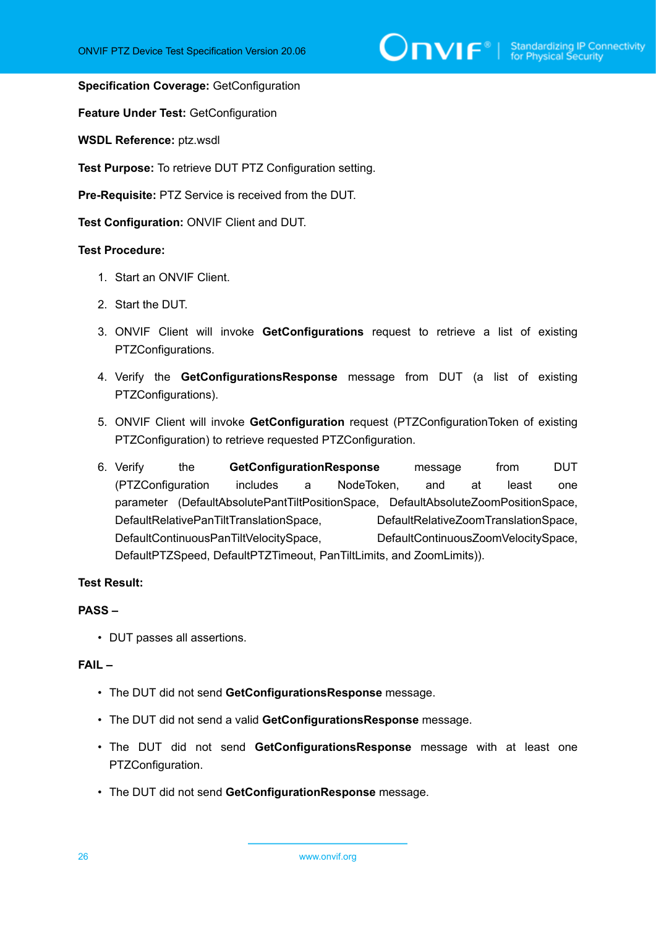$\sum_{\text{IVIF}^\text{\tiny\textcircled{\tiny{N}}}}$  | Standardizing IP Connectivity

#### **Specification Coverage:** GetConfiguration

**Feature Under Test:** GetConfiguration

**WSDL Reference:** ptz.wsdl

**Test Purpose:** To retrieve DUT PTZ Configuration setting.

**Pre-Requisite:** PTZ Service is received from the DUT.

**Test Configuration:** ONVIF Client and DUT.

#### **Test Procedure:**

- 1. Start an ONVIF Client.
- 2. Start the DUT.
- 3. ONVIF Client will invoke **GetConfigurations** request to retrieve a list of existing PTZConfigurations.
- 4. Verify the **GetConfigurationsResponse** message from DUT (a list of existing PTZConfigurations).
- 5. ONVIF Client will invoke **GetConfiguration** request (PTZConfigurationToken of existing PTZConfiguration) to retrieve requested PTZConfiguration.
- 6. Verify the **GetConfigurationResponse** message from DUT (PTZConfiguration includes a NodeToken, and at least one parameter (DefaultAbsolutePantTiltPositionSpace, DefaultAbsoluteZoomPositionSpace, DefaultRelativePanTiltTranslationSpace, DefaultRelativeZoomTranslationSpace, DefaultContinuousPanTiltVelocitySpace, DefaultContinuousZoomVelocitySpace, DefaultPTZSpeed, DefaultPTZTimeout, PanTiltLimits, and ZoomLimits)).

#### **Test Result:**

#### **PASS –**

• DUT passes all assertions.

#### **FAIL –**

- The DUT did not send **GetConfigurationsResponse** message.
- The DUT did not send a valid **GetConfigurationsResponse** message.
- The DUT did not send **GetConfigurationsResponse** message with at least one PTZConfiguration.
- The DUT did not send **GetConfigurationResponse** message.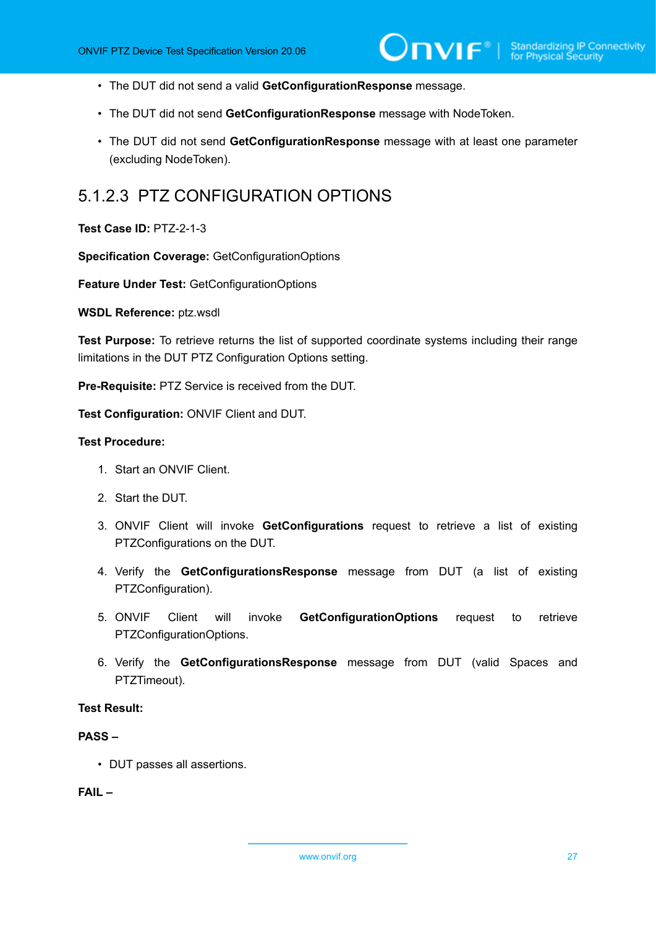- The DUT did not send a valid **GetConfigurationResponse** message.
- The DUT did not send **GetConfigurationResponse** message with NodeToken.
- The DUT did not send **GetConfigurationResponse** message with at least one parameter (excluding NodeToken).

### <span id="page-26-0"></span>5.1.2.3 PTZ CONFIGURATION OPTIONS

#### **Test Case ID:** PTZ-2-1-3

**Specification Coverage:** GetConfigurationOptions

**Feature Under Test:** GetConfigurationOptions

**WSDL Reference:** ptz.wsdl

**Test Purpose:** To retrieve returns the list of supported coordinate systems including their range limitations in the DUT PTZ Configuration Options setting.

**Pre-Requisite:** PTZ Service is received from the DUT.

**Test Configuration:** ONVIF Client and DUT.

#### **Test Procedure:**

- 1. Start an ONVIF Client.
- 2. Start the DUT.
- 3. ONVIF Client will invoke **GetConfigurations** request to retrieve a list of existing PTZConfigurations on the DUT.
- 4. Verify the **GetConfigurationsResponse** message from DUT (a list of existing PTZConfiguration).
- 5. ONVIF Client will invoke **GetConfigurationOptions** request to retrieve PTZConfigurationOptions.
- 6. Verify the **GetConfigurationsResponse** message from DUT (valid Spaces and PTZTimeout).

#### **Test Result:**

#### **PASS –**

• DUT passes all assertions.

**FAIL –**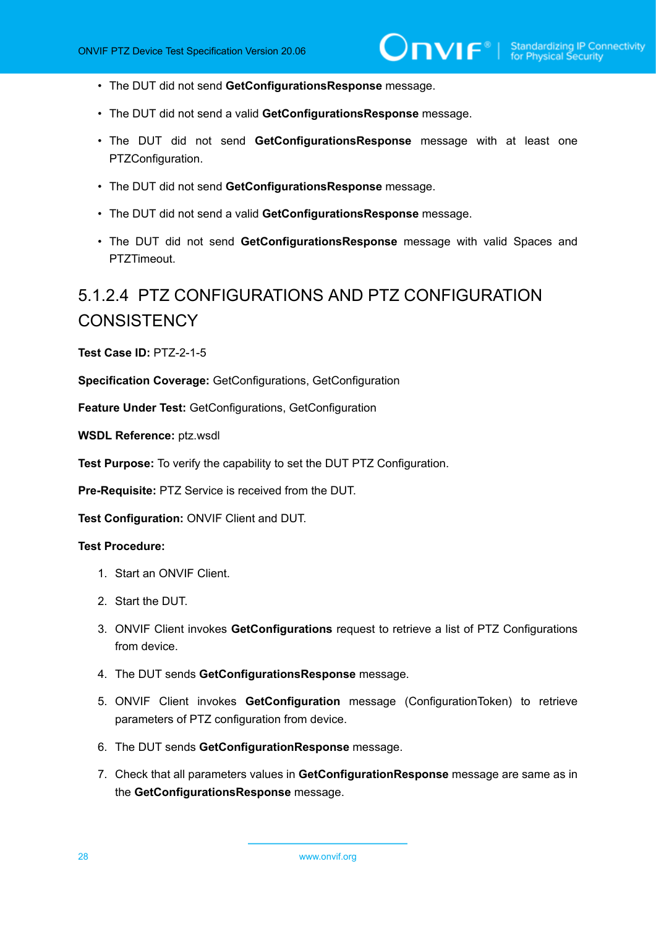- The DUT did not send **GetConfigurationsResponse** message.
- The DUT did not send a valid **GetConfigurationsResponse** message.
- The DUT did not send **GetConfigurationsResponse** message with at least one PTZConfiguration.
- The DUT did not send **GetConfigurationsResponse** message.
- The DUT did not send a valid **GetConfigurationsResponse** message.
- The DUT did not send **GetConfigurationsResponse** message with valid Spaces and PTZTimeout.

# <span id="page-27-0"></span>5.1.2.4 PTZ CONFIGURATIONS AND PTZ CONFIGURATION **CONSISTENCY**

**Test Case ID:** PTZ-2-1-5

**Specification Coverage:** GetConfigurations, GetConfiguration

**Feature Under Test:** GetConfigurations, GetConfiguration

**WSDL Reference:** ptz.wsdl

**Test Purpose:** To verify the capability to set the DUT PTZ Configuration.

**Pre-Requisite:** PTZ Service is received from the DUT.

**Test Configuration:** ONVIF Client and DUT.

#### **Test Procedure:**

- 1. Start an ONVIF Client.
- 2. Start the DUT.
- 3. ONVIF Client invokes **GetConfigurations** request to retrieve a list of PTZ Configurations from device.
- 4. The DUT sends **GetConfigurationsResponse** message.
- 5. ONVIF Client invokes **GetConfiguration** message (ConfigurationToken) to retrieve parameters of PTZ configuration from device.
- 6. The DUT sends **GetConfigurationResponse** message.
- 7. Check that all parameters values in **GetConfigurationResponse** message are same as in the **GetConfigurationsResponse** message.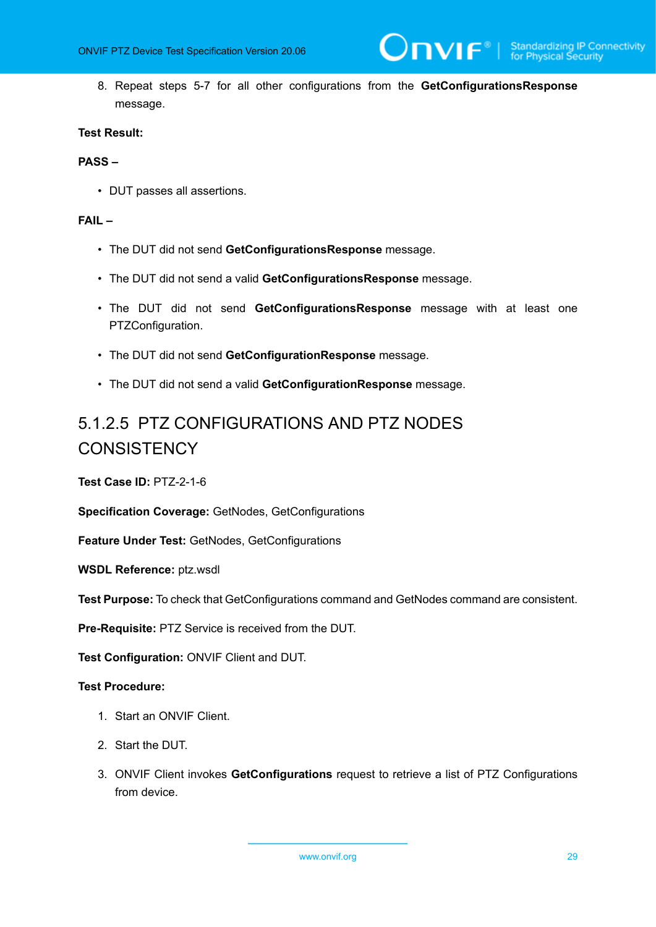8. Repeat steps 5-7 for all other configurations from the **GetConfigurationsResponse** message.

#### **Test Result:**

#### **PASS –**

• DUT passes all assertions.

#### **FAIL –**

- The DUT did not send **GetConfigurationsResponse** message.
- The DUT did not send a valid **GetConfigurationsResponse** message.
- The DUT did not send **GetConfigurationsResponse** message with at least one PTZConfiguration.
- The DUT did not send **GetConfigurationResponse** message.
- The DUT did not send a valid **GetConfigurationResponse** message.

# <span id="page-28-0"></span>5.1.2.5 PTZ CONFIGURATIONS AND PTZ NODES **CONSISTENCY**

**Test Case ID:** PTZ-2-1-6

**Specification Coverage:** GetNodes, GetConfigurations

**Feature Under Test:** GetNodes, GetConfigurations

**WSDL Reference:** ptz.wsdl

**Test Purpose:** To check that GetConfigurations command and GetNodes command are consistent.

**Pre-Requisite:** PTZ Service is received from the DUT.

**Test Configuration:** ONVIF Client and DUT.

#### **Test Procedure:**

- 1. Start an ONVIF Client.
- 2. Start the DUT.
- 3. ONVIF Client invokes **GetConfigurations** request to retrieve a list of PTZ Configurations from device.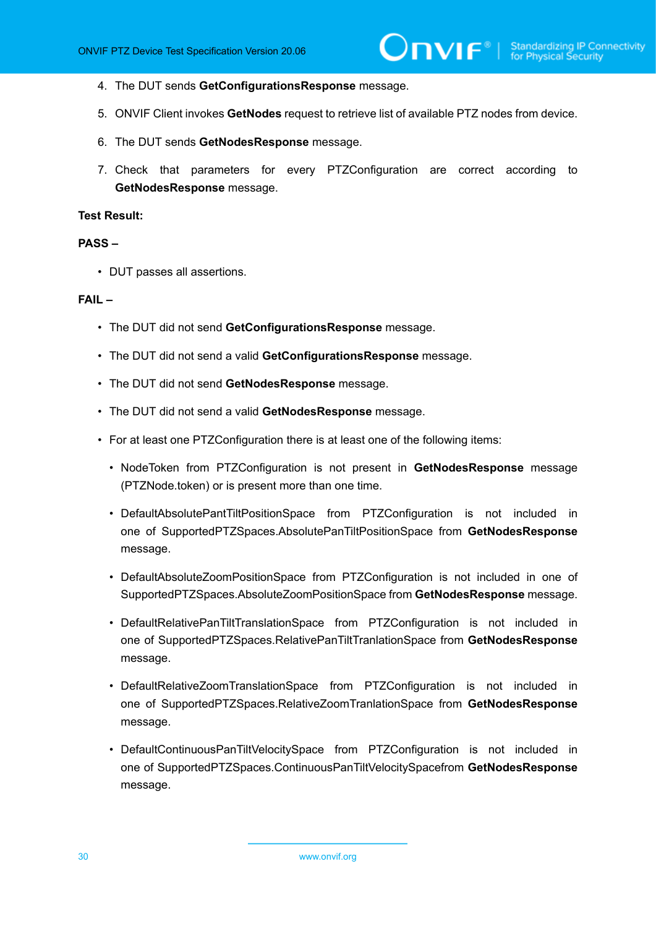- 4. The DUT sends **GetConfigurationsResponse** message.
- 5. ONVIF Client invokes **GetNodes** request to retrieve list of available PTZ nodes from device.
- 6. The DUT sends **GetNodesResponse** message.
- 7. Check that parameters for every PTZConfiguration are correct according to **GetNodesResponse** message.

#### **Test Result:**

#### **PASS –**

• DUT passes all assertions.

#### **FAIL –**

- The DUT did not send **GetConfigurationsResponse** message.
- The DUT did not send a valid **GetConfigurationsResponse** message.
- The DUT did not send **GetNodesResponse** message.
- The DUT did not send a valid **GetNodesResponse** message.
- For at least one PTZConfiguration there is at least one of the following items:
	- NodeToken from PTZConfiguration is not present in **GetNodesResponse** message (PTZNode.token) or is present more than one time.
	- DefaultAbsolutePantTiltPositionSpace from PTZConfiguration is not included in one of SupportedPTZSpaces.AbsolutePanTiltPositionSpace from **GetNodesResponse** message.
	- DefaultAbsoluteZoomPositionSpace from PTZConfiguration is not included in one of SupportedPTZSpaces.AbsoluteZoomPositionSpace from **GetNodesResponse** message.
	- DefaultRelativePanTiltTranslationSpace from PTZConfiguration is not included in one of SupportedPTZSpaces.RelativePanTiltTranlationSpace from **GetNodesResponse** message.
	- DefaultRelativeZoomTranslationSpace from PTZConfiguration is not included in one of SupportedPTZSpaces.RelativeZoomTranlationSpace from **GetNodesResponse** message.
	- DefaultContinuousPanTiltVelocitySpace from PTZConfiguration is not included in one of SupportedPTZSpaces.ContinuousPanTiltVelocitySpacefrom **GetNodesResponse** message.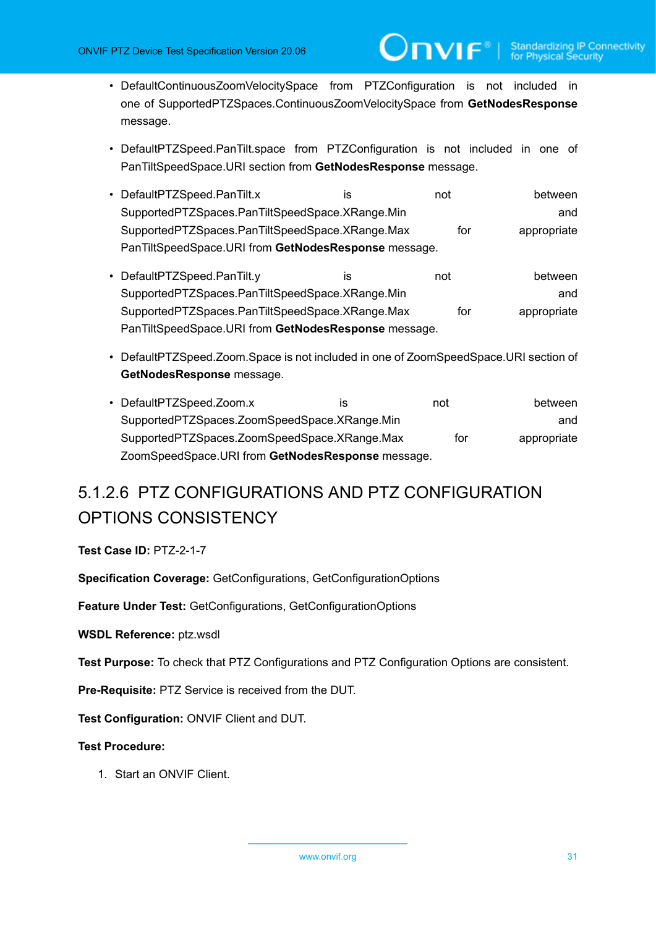• DefaultContinuousZoomVelocitySpace from PTZConfiguration is not included in one of SupportedPTZSpaces.ContinuousZoomVelocitySpace from **GetNodesResponse** message.

 $\mathsf{D}\mathbf{n}\mathsf{V}\mathsf{I}\mathsf{F}^\ast$  .

- DefaultPTZSpeed.PanTilt.space from PTZConfiguration is not included in one of PanTiltSpeedSpace.URI section from **GetNodesResponse** message.
- DefaultPTZSpeed.PanTilt.x is is not between SupportedPTZSpaces.PanTiltSpeedSpace.XRange.Min and SupportedPTZSpaces.PanTiltSpeedSpace.XRange.Max for appropriate PanTiltSpeedSpace.URI from **GetNodesResponse** message.
- DefaultPTZSpeed.PanTilt.y is is not between SupportedPTZSpaces.PanTiltSpeedSpace.XRange.Min and and SupportedPTZSpaces.PanTiltSpeedSpace.XRange.Max for appropriate PanTiltSpeedSpace.URI from **GetNodesResponse** message.
- DefaultPTZSpeed.Zoom.Space is not included in one of ZoomSpeedSpace.URI section of **GetNodesResponse** message.
- DefaultPTZSpeed.Zoom.x is is not between SupportedPTZSpaces.ZoomSpeedSpace.XRange.Min and SupportedPTZSpaces.ZoomSpeedSpace.XRange.Max for appropriate ZoomSpeedSpace.URI from **GetNodesResponse** message.

# <span id="page-30-0"></span>5.1.2.6 PTZ CONFIGURATIONS AND PTZ CONFIGURATION OPTIONS CONSISTENCY

**Test Case ID:** PTZ-2-1-7

**Specification Coverage:** GetConfigurations, GetConfigurationOptions

**Feature Under Test:** GetConfigurations, GetConfigurationOptions

**WSDL Reference:** ptz.wsdl

**Test Purpose:** To check that PTZ Configurations and PTZ Configuration Options are consistent.

**Pre-Requisite:** PTZ Service is received from the DUT.

**Test Configuration:** ONVIF Client and DUT.

#### **Test Procedure:**

1. Start an ONVIF Client.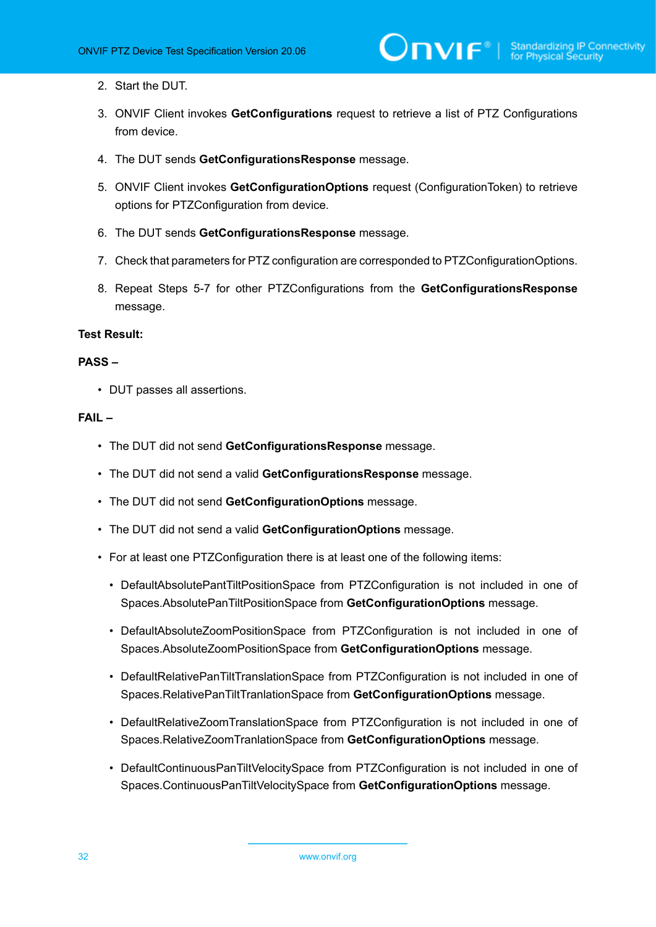- 2. Start the DUT.
- 3. ONVIF Client invokes **GetConfigurations** request to retrieve a list of PTZ Configurations from device.
- 4. The DUT sends **GetConfigurationsResponse** message.
- 5. ONVIF Client invokes **GetConfigurationOptions** request (ConfigurationToken) to retrieve options for PTZConfiguration from device.
- 6. The DUT sends **GetConfigurationsResponse** message.
- 7. Check that parameters for PTZ configuration are corresponded to PTZConfigurationOptions.
- 8. Repeat Steps 5-7 for other PTZConfigurations from the **GetConfigurationsResponse** message.

#### **Test Result:**

#### **PASS –**

• DUT passes all assertions.

#### **FAIL –**

- The DUT did not send **GetConfigurationsResponse** message.
- The DUT did not send a valid **GetConfigurationsResponse** message.
- The DUT did not send **GetConfigurationOptions** message.
- The DUT did not send a valid **GetConfigurationOptions** message.
- For at least one PTZConfiguration there is at least one of the following items:
	- DefaultAbsolutePantTiltPositionSpace from PTZConfiguration is not included in one of Spaces.AbsolutePanTiltPositionSpace from **GetConfigurationOptions** message.
	- DefaultAbsoluteZoomPositionSpace from PTZConfiguration is not included in one of Spaces.AbsoluteZoomPositionSpace from **GetConfigurationOptions** message.
	- DefaultRelativePanTiltTranslationSpace from PTZConfiguration is not included in one of Spaces.RelativePanTiltTranlationSpace from **GetConfigurationOptions** message.
	- DefaultRelativeZoomTranslationSpace from PTZConfiguration is not included in one of Spaces.RelativeZoomTranlationSpace from **GetConfigurationOptions** message.
	- DefaultContinuousPanTiltVelocitySpace from PTZConfiguration is not included in one of Spaces.ContinuousPanTiltVelocitySpace from **GetConfigurationOptions** message.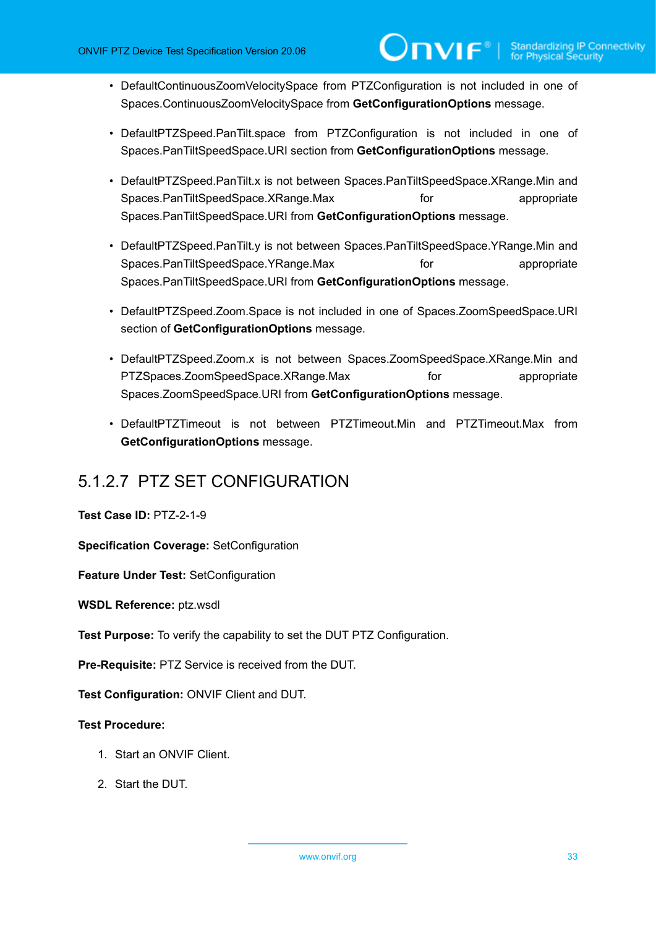- DefaultContinuousZoomVelocitySpace from PTZConfiguration is not included in one of Spaces.ContinuousZoomVelocitySpace from **GetConfigurationOptions** message.
- DefaultPTZSpeed.PanTilt.space from PTZConfiguration is not included in one of Spaces.PanTiltSpeedSpace.URI section from **GetConfigurationOptions** message.
- DefaultPTZSpeed.PanTilt.x is not between Spaces.PanTiltSpeedSpace.XRange.Min and Spaces.PanTiltSpeedSpace.XRange.Max for for appropriate Spaces.PanTiltSpeedSpace.URI from **GetConfigurationOptions** message.
- DefaultPTZSpeed.PanTilt.y is not between Spaces.PanTiltSpeedSpace.YRange.Min and Spaces.PanTiltSpeedSpace.YRange.Max for for appropriate Spaces.PanTiltSpeedSpace.URI from **GetConfigurationOptions** message.
- DefaultPTZSpeed.Zoom.Space is not included in one of Spaces.ZoomSpeedSpace.URI section of **GetConfigurationOptions** message.
- DefaultPTZSpeed.Zoom.x is not between Spaces.ZoomSpeedSpace.XRange.Min and PTZSpaces.ZoomSpeedSpace.XRange.Max for the appropriate Spaces.ZoomSpeedSpace.URI from **GetConfigurationOptions** message.
- DefaultPTZTimeout is not between PTZTimeout.Min and PTZTimeout.Max from **GetConfigurationOptions** message.

### <span id="page-32-0"></span>5.1.2.7 PTZ SET CONFIGURATION

#### **Test Case ID:** PTZ-2-1-9

**Specification Coverage:** SetConfiguration

**Feature Under Test:** SetConfiguration

**WSDL Reference:** ptz.wsdl

**Test Purpose:** To verify the capability to set the DUT PTZ Configuration.

**Pre-Requisite:** PTZ Service is received from the DUT.

**Test Configuration:** ONVIF Client and DUT.

#### **Test Procedure:**

- 1. Start an ONVIF Client.
- 2. Start the DUT.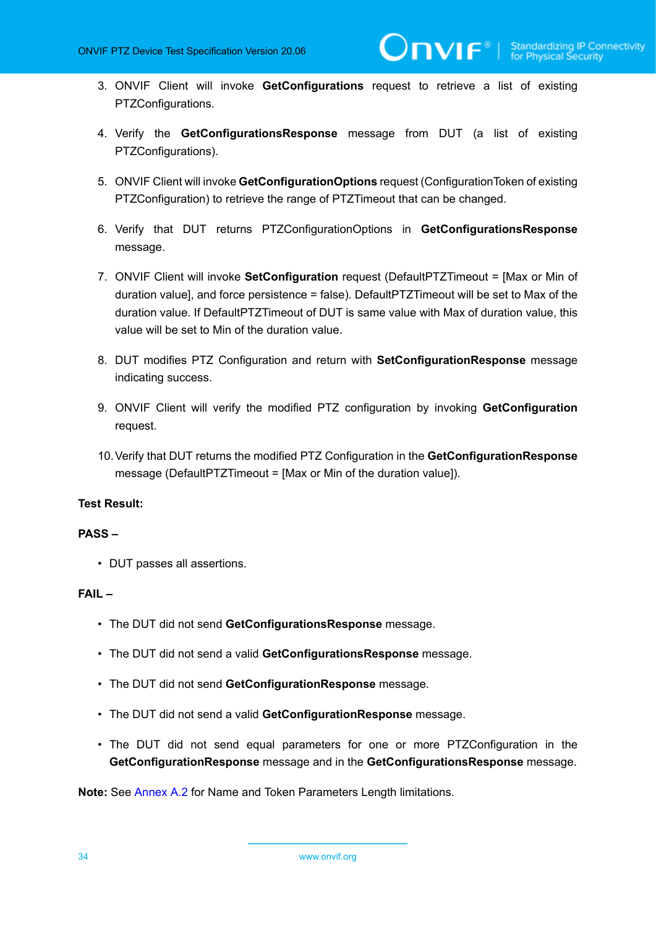- 3. ONVIF Client will invoke **GetConfigurations** request to retrieve a list of existing PTZConfigurations.
- 4. Verify the **GetConfigurationsResponse** message from DUT (a list of existing PTZConfigurations).
- 5. ONVIF Client will invoke **GetConfigurationOptions** request (ConfigurationToken of existing PTZConfiguration) to retrieve the range of PTZTimeout that can be changed.
- 6. Verify that DUT returns PTZConfigurationOptions in **GetConfigurationsResponse** message.
- 7. ONVIF Client will invoke **SetConfiguration** request (DefaultPTZTimeout = [Max or Min of duration value], and force persistence = false). DefaultPTZTimeout will be set to Max of the duration value. If DefaultPTZTimeout of DUT is same value with Max of duration value, this value will be set to Min of the duration value.
- 8. DUT modifies PTZ Configuration and return with **SetConfigurationResponse** message indicating success.
- 9. ONVIF Client will verify the modified PTZ configuration by invoking **GetConfiguration** request.
- 10.Verify that DUT returns the modified PTZ Configuration in the **GetConfigurationResponse** message (DefaultPTZTimeout = [Max or Min of the duration value]).

#### **Test Result:**

#### **PASS –**

• DUT passes all assertions.

#### **FAIL –**

- The DUT did not send **GetConfigurationsResponse** message.
- The DUT did not send a valid **GetConfigurationsResponse** message.
- The DUT did not send **GetConfigurationResponse** message.
- The DUT did not send a valid **GetConfigurationResponse** message.
- The DUT did not send equal parameters for one or more PTZConfiguration in the **GetConfigurationResponse** message and in the **GetConfigurationsResponse** message.

**Note:** See [Annex A.2](#page-135-0) for Name and Token Parameters Length limitations.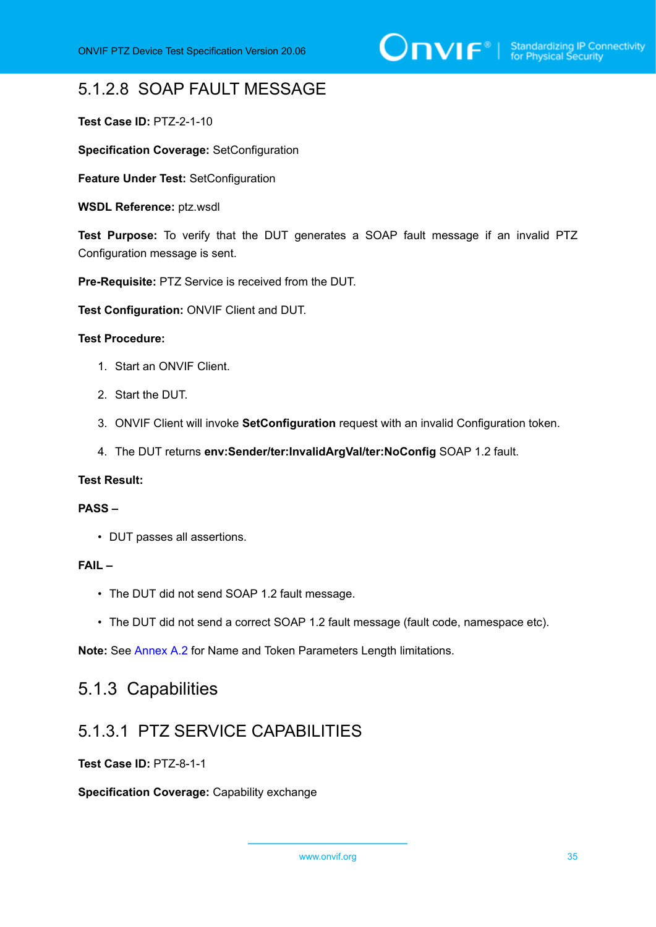# <span id="page-34-0"></span>5.1.2.8 SOAP FAULT MESSAGE

**Test Case ID:** PTZ-2-1-10

**Specification Coverage:** SetConfiguration

**Feature Under Test:** SetConfiguration

**WSDL Reference:** ptz.wsdl

**Test Purpose:** To verify that the DUT generates a SOAP fault message if an invalid PTZ Configuration message is sent.

**Pre-Requisite:** PTZ Service is received from the DUT.

**Test Configuration:** ONVIF Client and DUT.

#### **Test Procedure:**

- 1. Start an ONVIF Client.
- 2. Start the DUT.
- 3. ONVIF Client will invoke **SetConfiguration** request with an invalid Configuration token.
- 4. The DUT returns **env:Sender/ter:InvalidArgVal/ter:NoConfig** SOAP 1.2 fault.

#### **Test Result:**

#### **PASS –**

• DUT passes all assertions.

#### **FAIL –**

- The DUT did not send SOAP 1.2 fault message.
- The DUT did not send a correct SOAP 1.2 fault message (fault code, namespace etc).

<span id="page-34-1"></span>**Note:** See [Annex A.2](#page-135-0) for Name and Token Parameters Length limitations.

### 5.1.3 Capabilities

### <span id="page-34-2"></span>5.1.3.1 PTZ SERVICE CAPABILITIES

#### **Test Case ID:** PTZ-8-1-1

**Specification Coverage:** Capability exchange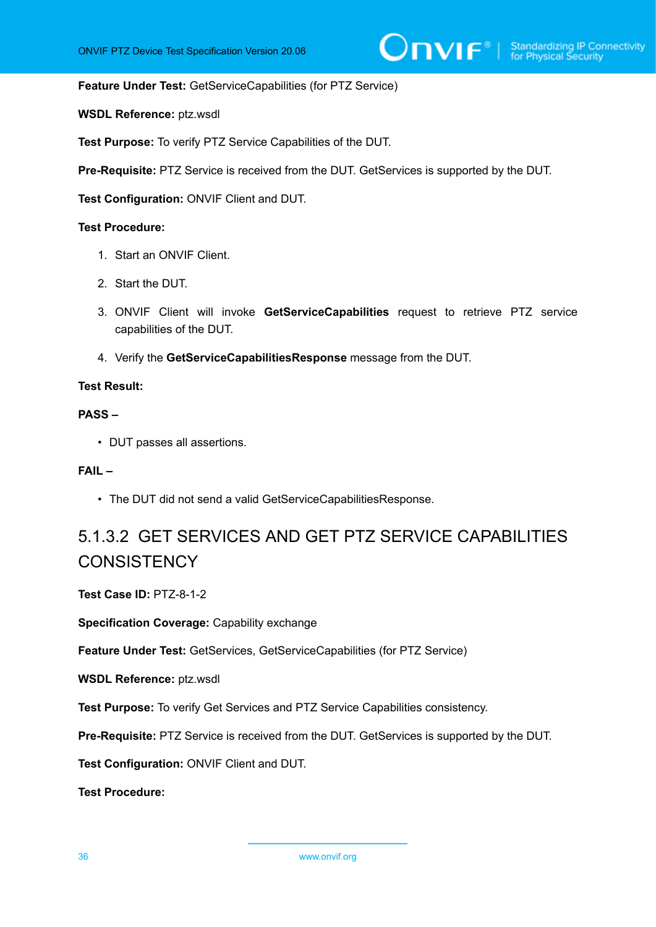**Feature Under Test:** GetServiceCapabilities (for PTZ Service)

**WSDL Reference:** ptz.wsdl

**Test Purpose:** To verify PTZ Service Capabilities of the DUT.

**Pre-Requisite:** PTZ Service is received from the DUT. GetServices is supported by the DUT.

**Test Configuration:** ONVIF Client and DUT.

#### **Test Procedure:**

- 1. Start an ONVIF Client.
- 2. Start the DUT.
- 3. ONVIF Client will invoke **GetServiceCapabilities** request to retrieve PTZ service capabilities of the DUT.
- 4. Verify the **GetServiceCapabilitiesResponse** message from the DUT.

#### **Test Result:**

#### **PASS –**

• DUT passes all assertions.

#### **FAIL –**

• The DUT did not send a valid GetServiceCapabilitiesResponse.

# <span id="page-35-0"></span>5.1.3.2 GET SERVICES AND GET PTZ SERVICE CAPABILITIES **CONSISTENCY**

**Test Case ID:** PTZ-8-1-2

**Specification Coverage:** Capability exchange

**Feature Under Test:** GetServices, GetServiceCapabilities (for PTZ Service)

**WSDL Reference:** ptz.wsdl

**Test Purpose:** To verify Get Services and PTZ Service Capabilities consistency.

**Pre-Requisite:** PTZ Service is received from the DUT. GetServices is supported by the DUT.

**Test Configuration:** ONVIF Client and DUT.

**Test Procedure:**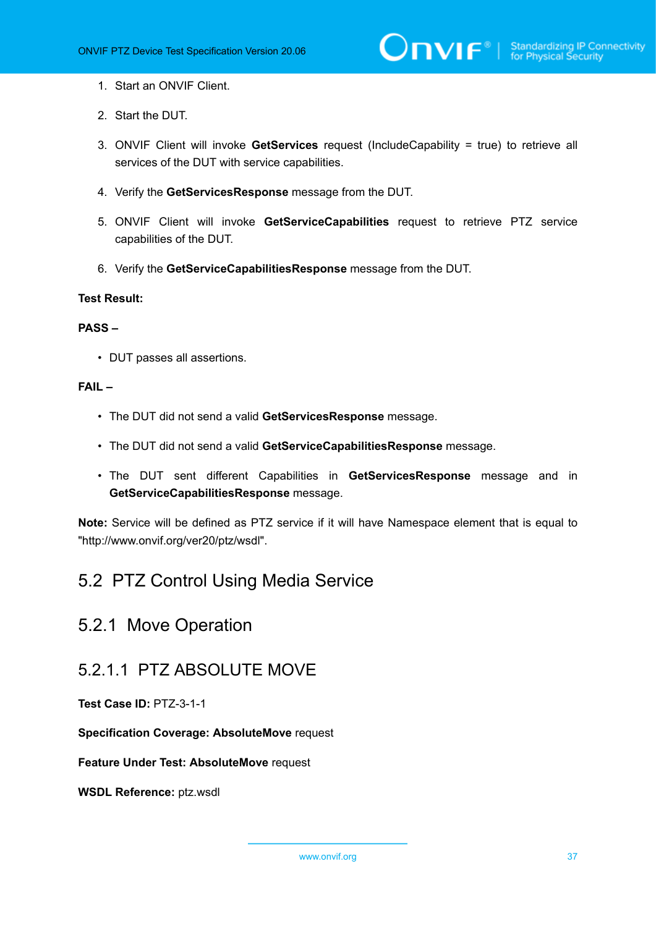#### 1. Start an ONVIF Client.

- 2. Start the DUT.
- 3. ONVIF Client will invoke **GetServices** request (IncludeCapability = true) to retrieve all services of the DUT with service capabilities.
- 4. Verify the **GetServicesResponse** message from the DUT.
- 5. ONVIF Client will invoke **GetServiceCapabilities** request to retrieve PTZ service capabilities of the DUT.
- 6. Verify the **GetServiceCapabilitiesResponse** message from the DUT.

#### **Test Result:**

#### **PASS –**

• DUT passes all assertions.

#### **FAIL –**

- The DUT did not send a valid **GetServicesResponse** message.
- The DUT did not send a valid **GetServiceCapabilitiesResponse** message.
- The DUT sent different Capabilities in **GetServicesResponse** message and in **GetServiceCapabilitiesResponse** message.

**Note:** Service will be defined as PTZ service if it will have Namespace element that is equal to "http://www.onvif.org/ver20/ptz/wsdl".

## 5.2 PTZ Control Using Media Service

## 5.2.1 Move Operation

### 5.2.1.1 PTZ ABSOLUTE MOVE

**Test Case ID:** PTZ-3-1-1

**Specification Coverage: AbsoluteMove** request

**Feature Under Test: AbsoluteMove** request

**WSDL Reference:** ptz.wsdl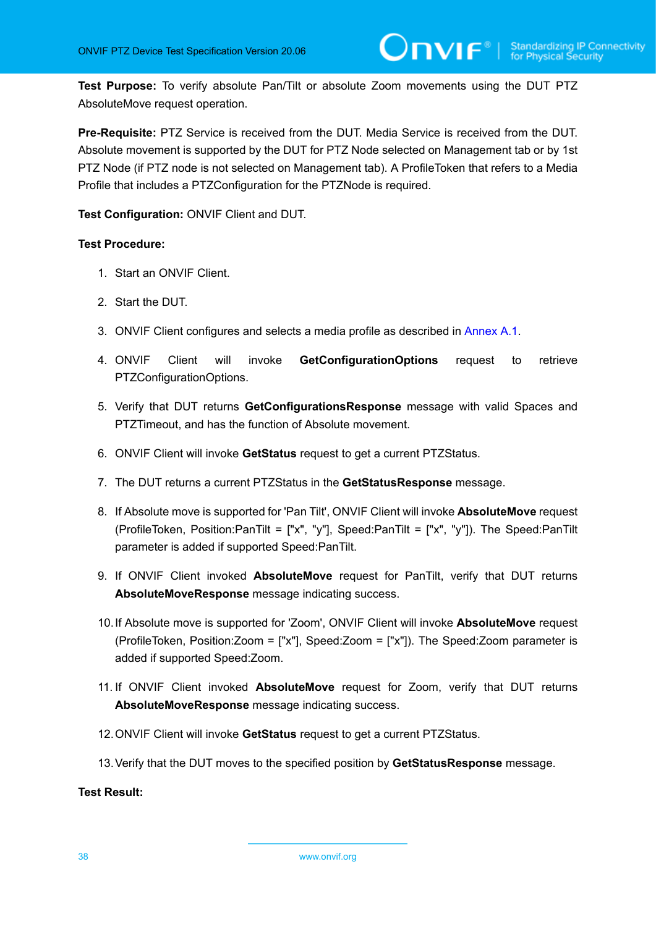**Test Purpose:** To verify absolute Pan/Tilt or absolute Zoom movements using the DUT PTZ AbsoluteMove request operation.

**Pre-Requisite:** PTZ Service is received from the DUT. Media Service is received from the DUT. Absolute movement is supported by the DUT for PTZ Node selected on Management tab or by 1st PTZ Node (if PTZ node is not selected on Management tab). A ProfileToken that refers to a Media Profile that includes a PTZConfiguration for the PTZNode is required.

**Test Configuration:** ONVIF Client and DUT.

#### **Test Procedure:**

- 1. Start an ONVIF Client.
- 2. Start the DUT.
- 3. ONVIF Client configures and selects a media profile as described in [Annex A.1](#page-133-0).
- 4. ONVIF Client will invoke **GetConfigurationOptions** request to retrieve PTZConfigurationOptions.
- 5. Verify that DUT returns **GetConfigurationsResponse** message with valid Spaces and PTZTimeout, and has the function of Absolute movement.
- 6. ONVIF Client will invoke **GetStatus** request to get a current PTZStatus.
- 7. The DUT returns a current PTZStatus in the **GetStatusResponse** message.
- 8. If Absolute move is supported for 'Pan Tilt', ONVIF Client will invoke **AbsoluteMove** request (ProfileToken, Position:PanTilt = ["x", "y"], Speed:PanTilt = ["x", "y"]). The Speed:PanTilt parameter is added if supported Speed:PanTilt.
- 9. If ONVIF Client invoked **AbsoluteMove** request for PanTilt, verify that DUT returns **AbsoluteMoveResponse** message indicating success.
- 10.If Absolute move is supported for 'Zoom', ONVIF Client will invoke **AbsoluteMove** request (ProfileToken, Position:Zoom = ["x"], Speed:Zoom = ["x"]). The Speed:Zoom parameter is added if supported Speed:Zoom.
- 11. If ONVIF Client invoked **AbsoluteMove** request for Zoom, verify that DUT returns **AbsoluteMoveResponse** message indicating success.
- 12.ONVIF Client will invoke **GetStatus** request to get a current PTZStatus.
- 13.Verify that the DUT moves to the specified position by **GetStatusResponse** message.

**Test Result:**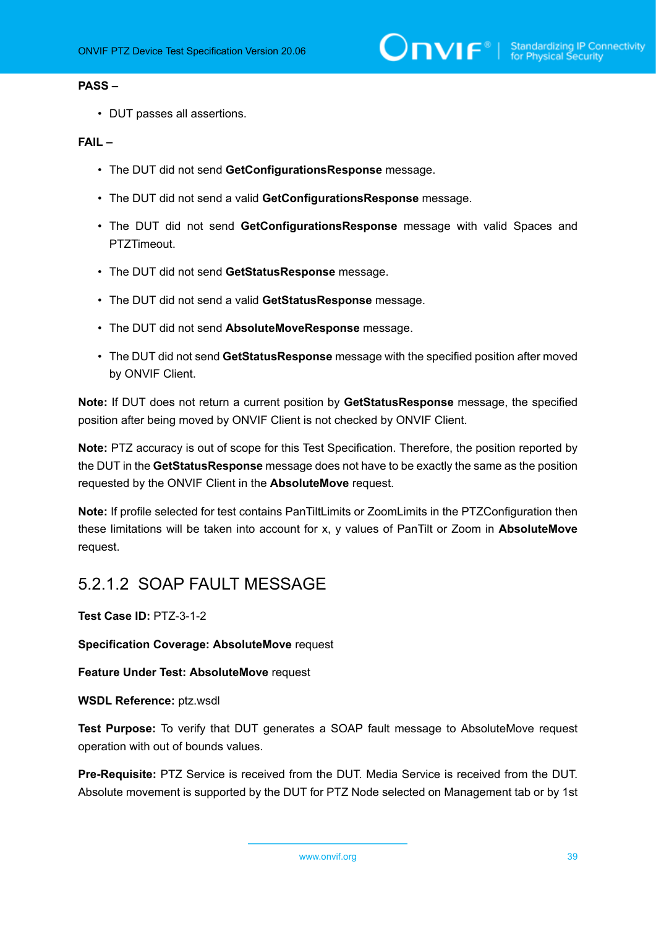#### **PASS –**

• DUT passes all assertions.

#### **FAIL –**

- The DUT did not send **GetConfigurationsResponse** message.
- The DUT did not send a valid **GetConfigurationsResponse** message.
- The DUT did not send **GetConfigurationsResponse** message with valid Spaces and PTZTimeout.
- The DUT did not send **GetStatusResponse** message.
- The DUT did not send a valid **GetStatusResponse** message.
- The DUT did not send **AbsoluteMoveResponse** message.
- The DUT did not send **GetStatusResponse** message with the specified position after moved by ONVIF Client.

**Note:** If DUT does not return a current position by **GetStatusResponse** message, the specified position after being moved by ONVIF Client is not checked by ONVIF Client.

**Note:** PTZ accuracy is out of scope for this Test Specification. Therefore, the position reported by the DUT in the **GetStatusResponse** message does not have to be exactly the same as the position requested by the ONVIF Client in the **AbsoluteMove** request.

**Note:** If profile selected for test contains PanTiltLimits or ZoomLimits in the PTZConfiguration then these limitations will be taken into account for x, y values of PanTilt or Zoom in **AbsoluteMove** request.

### 5.2.1.2 SOAP FAULT MESSAGE

**Test Case ID:** PTZ-3-1-2

**Specification Coverage: AbsoluteMove** request

**Feature Under Test: AbsoluteMove** request

**WSDL Reference:** ptz.wsdl

**Test Purpose:** To verify that DUT generates a SOAP fault message to AbsoluteMove request operation with out of bounds values.

**Pre-Requisite:** PTZ Service is received from the DUT. Media Service is received from the DUT. Absolute movement is supported by the DUT for PTZ Node selected on Management tab or by 1st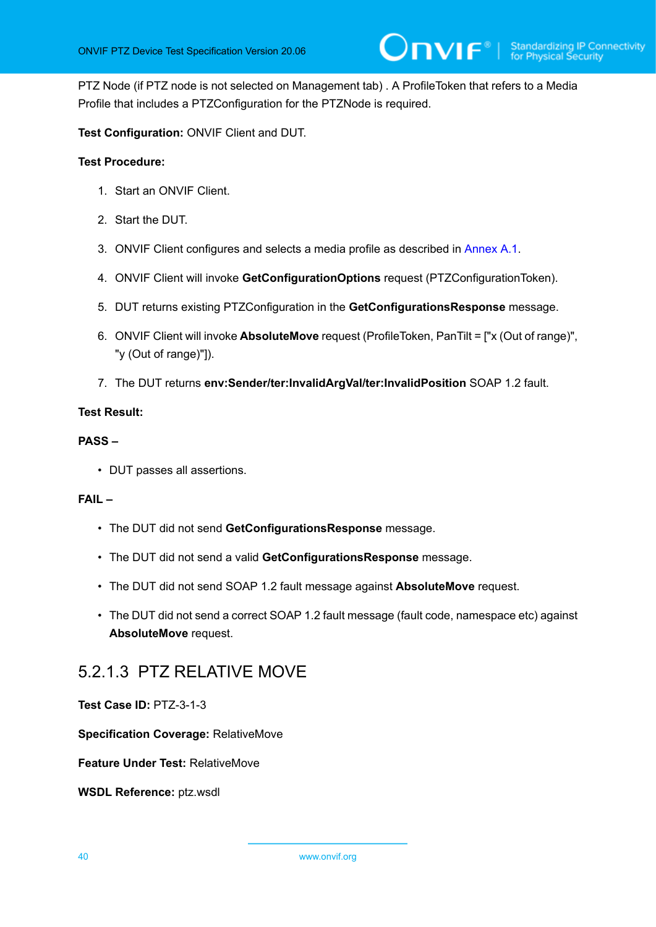PTZ Node (if PTZ node is not selected on Management tab) . A ProfileToken that refers to a Media Profile that includes a PTZConfiguration for the PTZNode is required.

**Test Configuration:** ONVIF Client and DUT.

#### **Test Procedure:**

- 1. Start an ONVIF Client.
- 2. Start the DUT.
- 3. ONVIF Client configures and selects a media profile as described in [Annex A.1](#page-133-0).
- 4. ONVIF Client will invoke **GetConfigurationOptions** request (PTZConfigurationToken).
- 5. DUT returns existing PTZConfiguration in the **GetConfigurationsResponse** message.
- 6. ONVIF Client will invoke **AbsoluteMove** request (ProfileToken, PanTilt = ["x (Out of range)", "y (Out of range)"]).
- 7. The DUT returns **env:Sender/ter:InvalidArgVal/ter:InvalidPosition** SOAP 1.2 fault.

#### **Test Result:**

#### **PASS –**

• DUT passes all assertions.

#### **FAIL –**

- The DUT did not send **GetConfigurationsResponse** message.
- The DUT did not send a valid **GetConfigurationsResponse** message.
- The DUT did not send SOAP 1.2 fault message against **AbsoluteMove** request.
- The DUT did not send a correct SOAP 1.2 fault message (fault code, namespace etc) against **AbsoluteMove** request.

### 5.2.1.3 PTZ RELATIVE MOVE

**Test Case ID:** PTZ-3-1-3

**Specification Coverage:** RelativeMove

**Feature Under Test:** RelativeMove

**WSDL Reference:** ptz.wsdl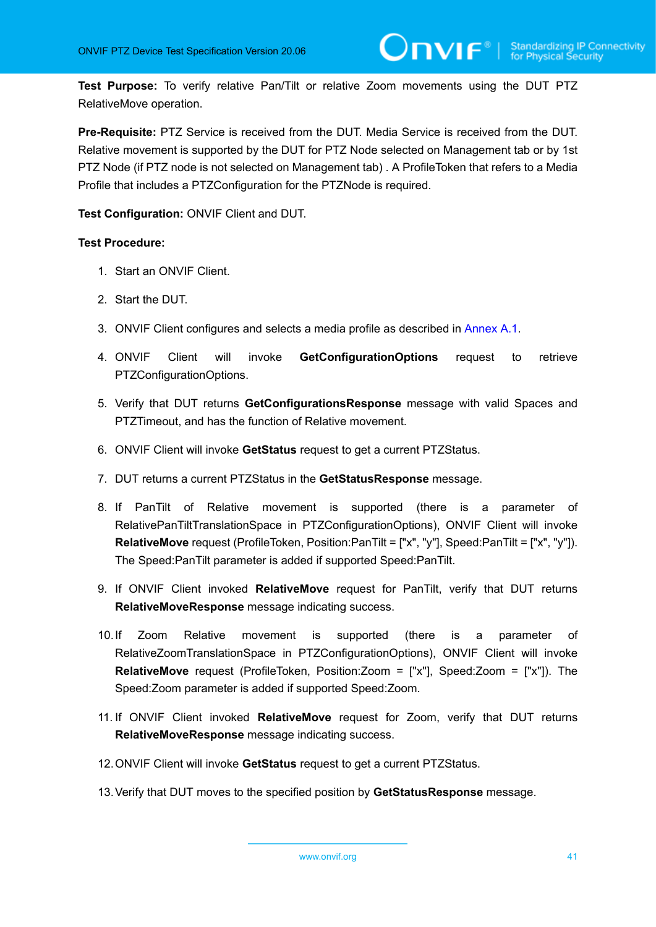**Test Purpose:** To verify relative Pan/Tilt or relative Zoom movements using the DUT PTZ RelativeMove operation.

**Pre-Requisite:** PTZ Service is received from the DUT. Media Service is received from the DUT. Relative movement is supported by the DUT for PTZ Node selected on Management tab or by 1st PTZ Node (if PTZ node is not selected on Management tab) . A ProfileToken that refers to a Media Profile that includes a PTZConfiguration for the PTZNode is required.

**Test Configuration:** ONVIF Client and DUT.

- 1. Start an ONVIF Client.
- 2. Start the DUT.
- 3. ONVIF Client configures and selects a media profile as described in [Annex A.1](#page-133-0).
- 4. ONVIF Client will invoke **GetConfigurationOptions** request to retrieve PTZConfigurationOptions.
- 5. Verify that DUT returns **GetConfigurationsResponse** message with valid Spaces and PTZTimeout, and has the function of Relative movement.
- 6. ONVIF Client will invoke **GetStatus** request to get a current PTZStatus.
- 7. DUT returns a current PTZStatus in the **GetStatusResponse** message.
- 8. If PanTilt of Relative movement is supported (there is a parameter of RelativePanTiltTranslationSpace in PTZConfigurationOptions), ONVIF Client will invoke **RelativeMove** request (ProfileToken, Position:PanTilt = ["x", "y"], Speed:PanTilt = ["x", "y"]). The Speed:PanTilt parameter is added if supported Speed:PanTilt.
- 9. If ONVIF Client invoked **RelativeMove** request for PanTilt, verify that DUT returns **RelativeMoveResponse** message indicating success.
- 10.If Zoom Relative movement is supported (there is a parameter of RelativeZoomTranslationSpace in PTZConfigurationOptions), ONVIF Client will invoke **RelativeMove** request (ProfileToken, Position:Zoom = ["x"], Speed:Zoom = ["x"]). The Speed:Zoom parameter is added if supported Speed:Zoom.
- 11. If ONVIF Client invoked **RelativeMove** request for Zoom, verify that DUT returns **RelativeMoveResponse** message indicating success.
- 12.ONVIF Client will invoke **GetStatus** request to get a current PTZStatus.
- 13.Verify that DUT moves to the specified position by **GetStatusResponse** message.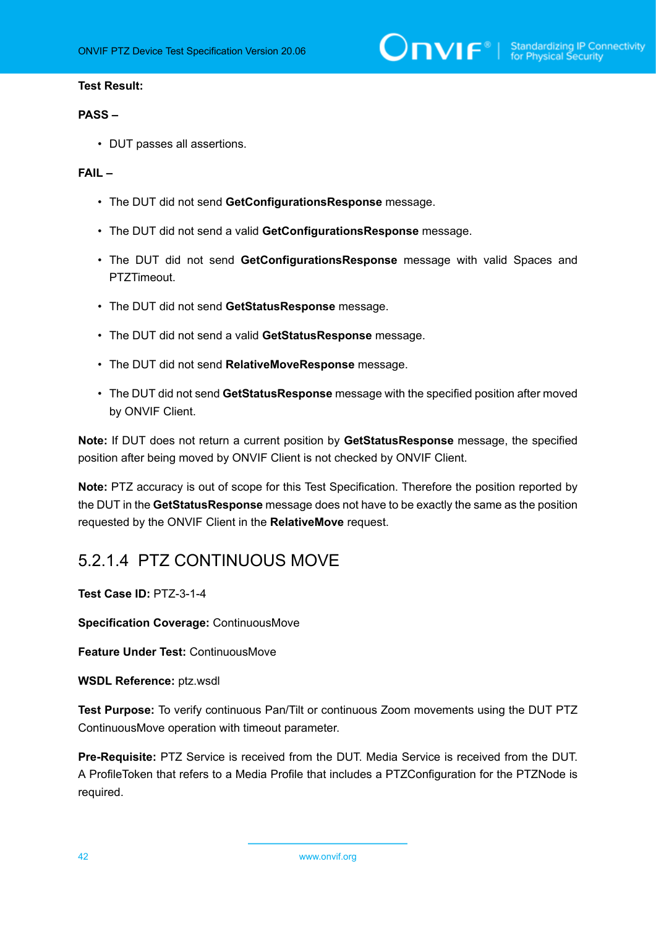#### **PASS –**

• DUT passes all assertions.

#### **FAIL –**

- The DUT did not send **GetConfigurationsResponse** message.
- The DUT did not send a valid **GetConfigurationsResponse** message.
- The DUT did not send **GetConfigurationsResponse** message with valid Spaces and PTZTimeout.
- The DUT did not send **GetStatusResponse** message.
- The DUT did not send a valid **GetStatusResponse** message.
- The DUT did not send **RelativeMoveResponse** message.
- The DUT did not send **GetStatusResponse** message with the specified position after moved by ONVIF Client.

**Note:** If DUT does not return a current position by **GetStatusResponse** message, the specified position after being moved by ONVIF Client is not checked by ONVIF Client.

**Note:** PTZ accuracy is out of scope for this Test Specification. Therefore the position reported by the DUT in the **GetStatusResponse** message does not have to be exactly the same as the position requested by the ONVIF Client in the **RelativeMove** request.

### 5.2.1.4 PTZ CONTINUOUS MOVE

**Test Case ID:** PTZ-3-1-4

**Specification Coverage:** ContinuousMove

**Feature Under Test:** ContinuousMove

**WSDL Reference:** ptz.wsdl

**Test Purpose:** To verify continuous Pan/Tilt or continuous Zoom movements using the DUT PTZ ContinuousMove operation with timeout parameter.

**Pre-Requisite:** PTZ Service is received from the DUT. Media Service is received from the DUT. A ProfileToken that refers to a Media Profile that includes a PTZConfiguration for the PTZNode is required.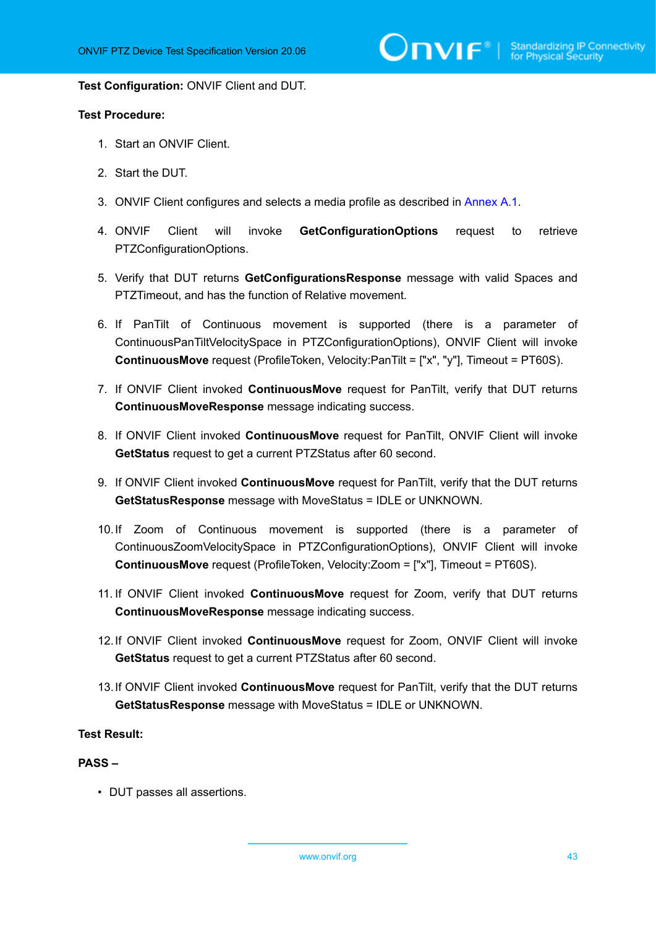#### **Test Configuration:** ONVIF Client and DUT.

#### **Test Procedure:**

- 1. Start an ONVIF Client.
- 2. Start the DUT.
- 3. ONVIF Client configures and selects a media profile as described in [Annex A.1](#page-133-0).
- 4. ONVIF Client will invoke **GetConfigurationOptions** request to retrieve PTZConfigurationOptions.
- 5. Verify that DUT returns **GetConfigurationsResponse** message with valid Spaces and PTZTimeout, and has the function of Relative movement.
- 6. If PanTilt of Continuous movement is supported (there is a parameter of ContinuousPanTiltVelocitySpace in PTZConfigurationOptions), ONVIF Client will invoke **ContinuousMove** request (ProfileToken, Velocity:PanTilt = ["x", "y"], Timeout = PT60S).
- 7. If ONVIF Client invoked **ContinuousMove** request for PanTilt, verify that DUT returns **ContinuousMoveResponse** message indicating success.
- 8. If ONVIF Client invoked **ContinuousMove** request for PanTilt, ONVIF Client will invoke **GetStatus** request to get a current PTZStatus after 60 second.
- 9. If ONVIF Client invoked **ContinuousMove** request for PanTilt, verify that the DUT returns **GetStatusResponse** message with MoveStatus = IDLE or UNKNOWN.
- 10.If Zoom of Continuous movement is supported (there is a parameter of ContinuousZoomVelocitySpace in PTZConfigurationOptions), ONVIF Client will invoke **ContinuousMove** request (ProfileToken, Velocity:Zoom = ["x"], Timeout = PT60S).
- 11. If ONVIF Client invoked **ContinuousMove** request for Zoom, verify that DUT returns **ContinuousMoveResponse** message indicating success.
- 12.If ONVIF Client invoked **ContinuousMove** request for Zoom, ONVIF Client will invoke **GetStatus** request to get a current PTZStatus after 60 second.
- 13.If ONVIF Client invoked **ContinuousMove** request for PanTilt, verify that the DUT returns **GetStatusResponse** message with MoveStatus = IDLE or UNKNOWN.

#### **Test Result:**

#### **PASS –**

• DUT passes all assertions.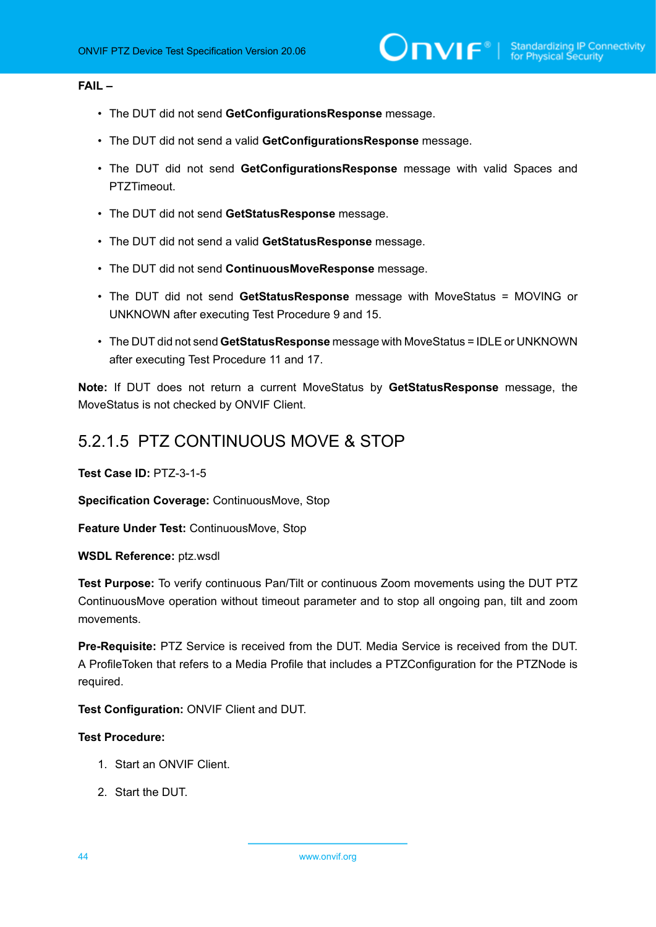#### **FAIL –**

- The DUT did not send **GetConfigurationsResponse** message.
- The DUT did not send a valid **GetConfigurationsResponse** message.
- The DUT did not send **GetConfigurationsResponse** message with valid Spaces and PTZTimeout.
- The DUT did not send **GetStatusResponse** message.
- The DUT did not send a valid **GetStatusResponse** message.
- The DUT did not send **ContinuousMoveResponse** message.
- The DUT did not send **GetStatusResponse** message with MoveStatus = MOVING or UNKNOWN after executing Test Procedure 9 and 15.
- The DUT did not send **GetStatusResponse** message with MoveStatus = IDLE or UNKNOWN after executing Test Procedure 11 and 17.

**Note:** If DUT does not return a current MoveStatus by **GetStatusResponse** message, the MoveStatus is not checked by ONVIF Client.

### 5.2.1.5 PTZ CONTINUOUS MOVE & STOP

**Test Case ID:** PTZ-3-1-5

**Specification Coverage:** ContinuousMove, Stop

**Feature Under Test:** ContinuousMove, Stop

**WSDL Reference:** ptz.wsdl

**Test Purpose:** To verify continuous Pan/Tilt or continuous Zoom movements using the DUT PTZ ContinuousMove operation without timeout parameter and to stop all ongoing pan, tilt and zoom movements.

**Pre-Requisite:** PTZ Service is received from the DUT. Media Service is received from the DUT. A ProfileToken that refers to a Media Profile that includes a PTZConfiguration for the PTZNode is required.

**Test Configuration:** ONVIF Client and DUT.

- 1. Start an ONVIF Client.
- 2. Start the DUT.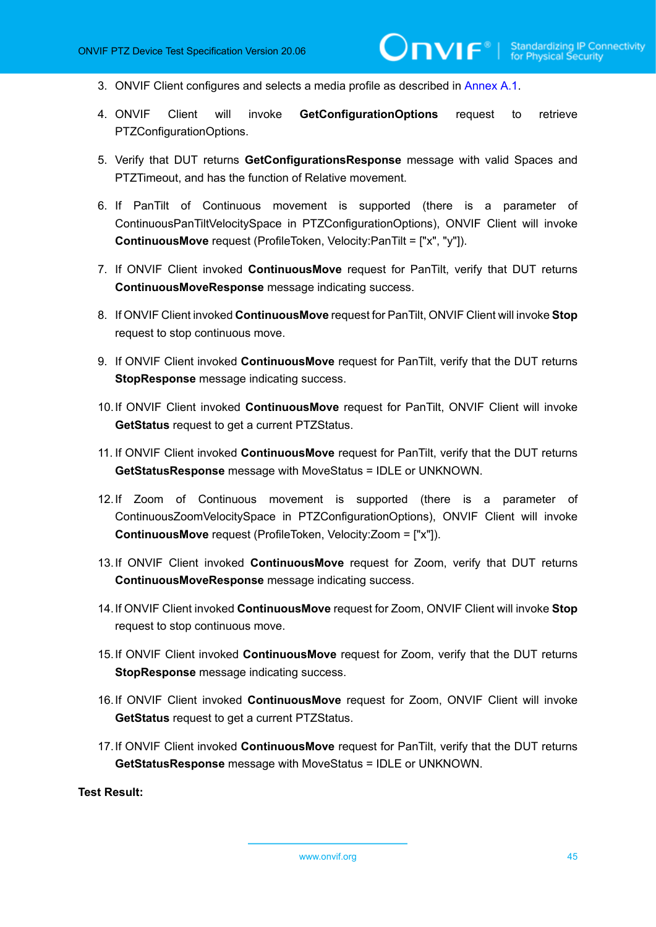- 3. ONVIF Client configures and selects a media profile as described in [Annex A.1](#page-133-0).
- 4. ONVIF Client will invoke **GetConfigurationOptions** request to retrieve PTZConfigurationOptions.
- 5. Verify that DUT returns **GetConfigurationsResponse** message with valid Spaces and PTZTimeout, and has the function of Relative movement.
- 6. If PanTilt of Continuous movement is supported (there is a parameter of ContinuousPanTiltVelocitySpace in PTZConfigurationOptions), ONVIF Client will invoke **ContinuousMove** request (ProfileToken, Velocity:PanTilt = ["x", "y"]).
- 7. If ONVIF Client invoked **ContinuousMove** request for PanTilt, verify that DUT returns **ContinuousMoveResponse** message indicating success.
- 8. If ONVIF Client invoked **ContinuousMove** request for PanTilt, ONVIF Client will invoke **Stop** request to stop continuous move.
- 9. If ONVIF Client invoked **ContinuousMove** request for PanTilt, verify that the DUT returns **StopResponse** message indicating success.
- 10.If ONVIF Client invoked **ContinuousMove** request for PanTilt, ONVIF Client will invoke **GetStatus** request to get a current PTZStatus.
- 11. If ONVIF Client invoked **ContinuousMove** request for PanTilt, verify that the DUT returns **GetStatusResponse** message with MoveStatus = IDLE or UNKNOWN.
- 12.If Zoom of Continuous movement is supported (there is a parameter of ContinuousZoomVelocitySpace in PTZConfigurationOptions), ONVIF Client will invoke **ContinuousMove** request (ProfileToken, Velocity:Zoom = ["x"]).
- 13.If ONVIF Client invoked **ContinuousMove** request for Zoom, verify that DUT returns **ContinuousMoveResponse** message indicating success.
- 14.If ONVIF Client invoked **ContinuousMove** request for Zoom, ONVIF Client will invoke **Stop** request to stop continuous move.
- 15.If ONVIF Client invoked **ContinuousMove** request for Zoom, verify that the DUT returns **StopResponse** message indicating success.
- 16.If ONVIF Client invoked **ContinuousMove** request for Zoom, ONVIF Client will invoke **GetStatus** request to get a current PTZStatus.
- 17.If ONVIF Client invoked **ContinuousMove** request for PanTilt, verify that the DUT returns **GetStatusResponse** message with MoveStatus = IDLE or UNKNOWN.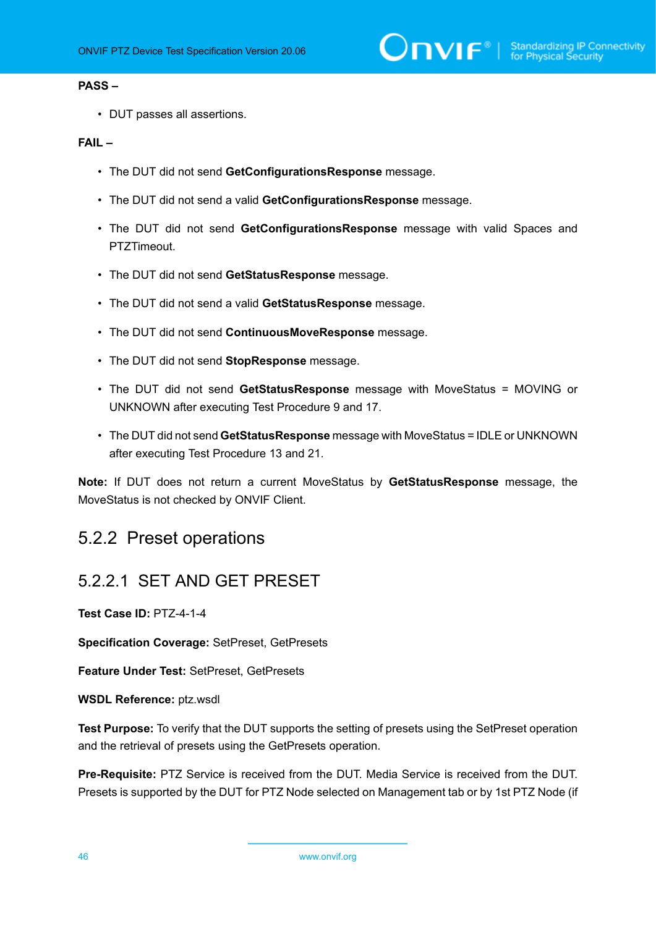#### **PASS –**

• DUT passes all assertions.

#### **FAIL –**

- The DUT did not send **GetConfigurationsResponse** message.
- The DUT did not send a valid **GetConfigurationsResponse** message.
- The DUT did not send **GetConfigurationsResponse** message with valid Spaces and PTZTimeout.
- The DUT did not send **GetStatusResponse** message.
- The DUT did not send a valid **GetStatusResponse** message.
- The DUT did not send **ContinuousMoveResponse** message.
- The DUT did not send **StopResponse** message.
- The DUT did not send **GetStatusResponse** message with MoveStatus = MOVING or UNKNOWN after executing Test Procedure 9 and 17.
- The DUT did not send **GetStatusResponse** message with MoveStatus = IDLE or UNKNOWN after executing Test Procedure 13 and 21.

**Note:** If DUT does not return a current MoveStatus by **GetStatusResponse** message, the MoveStatus is not checked by ONVIF Client.

## 5.2.2 Preset operations

### 5.2.2.1 SET AND GET PRESET

**Test Case ID:** PTZ-4-1-4

**Specification Coverage:** SetPreset, GetPresets

**Feature Under Test:** SetPreset, GetPresets

**WSDL Reference:** ptz.wsdl

**Test Purpose:** To verify that the DUT supports the setting of presets using the SetPreset operation and the retrieval of presets using the GetPresets operation.

**Pre-Requisite:** PTZ Service is received from the DUT. Media Service is received from the DUT. Presets is supported by the DUT for PTZ Node selected on Management tab or by 1st PTZ Node (if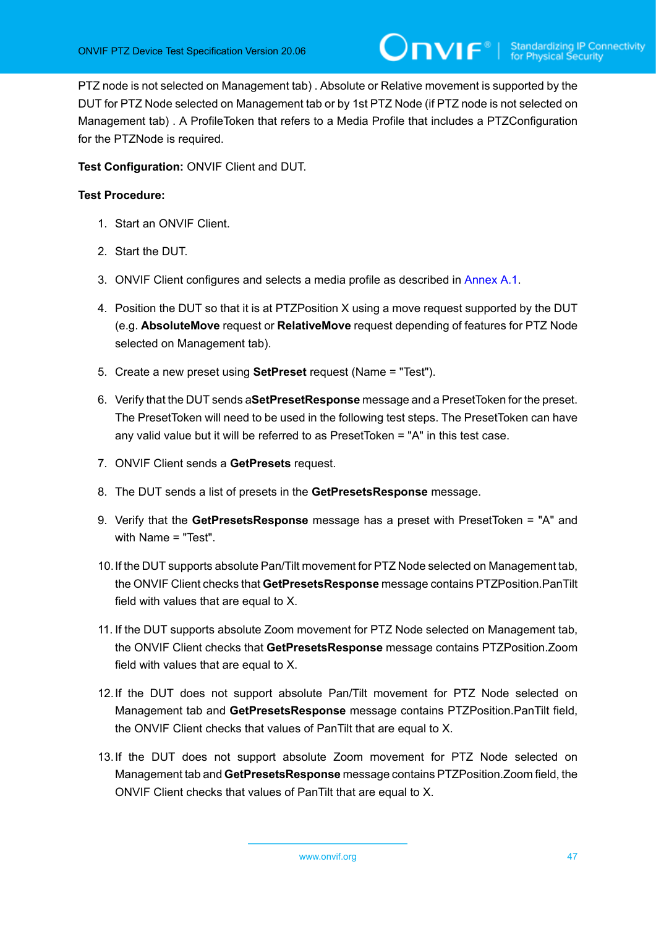PTZ node is not selected on Management tab) . Absolute or Relative movement is supported by the DUT for PTZ Node selected on Management tab or by 1st PTZ Node (if PTZ node is not selected on Management tab) . A ProfileToken that refers to a Media Profile that includes a PTZConfiguration for the PTZNode is required.

**Test Configuration:** ONVIF Client and DUT.

- 1. Start an ONVIF Client.
- 2. Start the DUT.
- 3. ONVIF Client configures and selects a media profile as described in [Annex A.1](#page-133-0).
- 4. Position the DUT so that it is at PTZPosition X using a move request supported by the DUT (e.g. **AbsoluteMove** request or **RelativeMove** request depending of features for PTZ Node selected on Management tab).
- 5. Create a new preset using **SetPreset** request (Name = "Test").
- 6. Verify that the DUT sends a**SetPresetResponse** message and a PresetToken for the preset. The PresetToken will need to be used in the following test steps. The PresetToken can have any valid value but it will be referred to as PresetToken = "A" in this test case.
- 7. ONVIF Client sends a **GetPresets** request.
- 8. The DUT sends a list of presets in the **GetPresetsResponse** message.
- 9. Verify that the **GetPresetsResponse** message has a preset with PresetToken = "A" and with Name = "Test".
- 10.If the DUT supports absolute Pan/Tilt movement for PTZ Node selected on Management tab, the ONVIF Client checks that **GetPresetsResponse** message contains PTZPosition.PanTilt field with values that are equal to X.
- 11. If the DUT supports absolute Zoom movement for PTZ Node selected on Management tab, the ONVIF Client checks that **GetPresetsResponse** message contains PTZPosition.Zoom field with values that are equal to X.
- 12.If the DUT does not support absolute Pan/Tilt movement for PTZ Node selected on Management tab and **GetPresetsResponse** message contains PTZPosition.PanTilt field, the ONVIF Client checks that values of PanTilt that are equal to X.
- 13.If the DUT does not support absolute Zoom movement for PTZ Node selected on Management tab and **GetPresetsResponse** message contains PTZPosition.Zoom field, the ONVIF Client checks that values of PanTilt that are equal to X.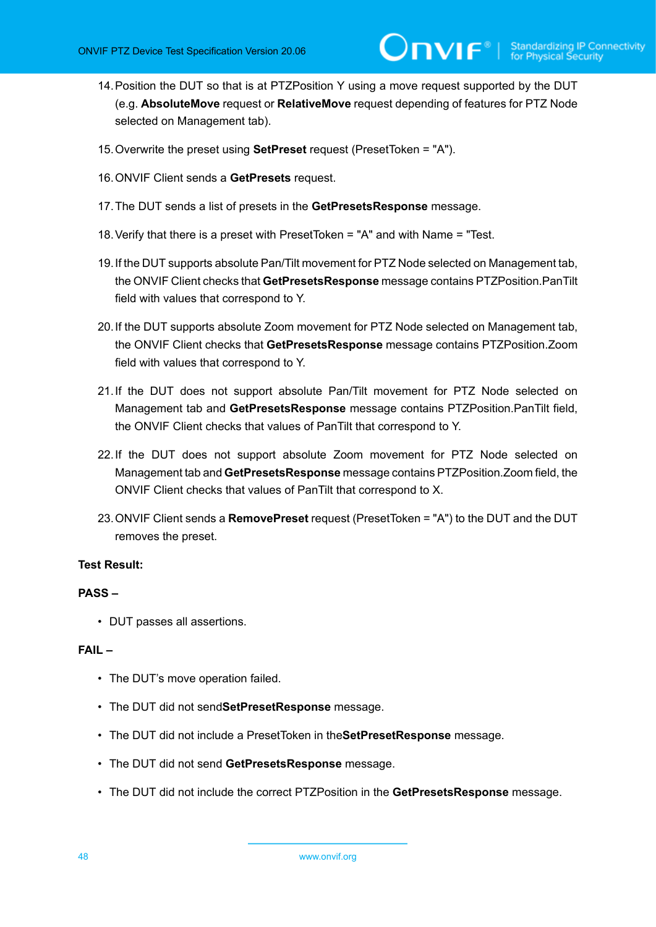- 14.Position the DUT so that is at PTZPosition Y using a move request supported by the DUT (e.g. **AbsoluteMove** request or **RelativeMove** request depending of features for PTZ Node selected on Management tab).
- 15.Overwrite the preset using **SetPreset** request (PresetToken = "A").
- 16.ONVIF Client sends a **GetPresets** request.
- 17.The DUT sends a list of presets in the **GetPresetsResponse** message.
- 18.Verify that there is a preset with PresetToken = "A" and with Name = "Test.
- 19.If the DUT supports absolute Pan/Tilt movement for PTZ Node selected on Management tab, the ONVIF Client checks that **GetPresetsResponse** message contains PTZPosition.PanTilt field with values that correspond to Y.
- 20.If the DUT supports absolute Zoom movement for PTZ Node selected on Management tab, the ONVIF Client checks that **GetPresetsResponse** message contains PTZPosition.Zoom field with values that correspond to Y.
- 21.If the DUT does not support absolute Pan/Tilt movement for PTZ Node selected on Management tab and **GetPresetsResponse** message contains PTZPosition.PanTilt field, the ONVIF Client checks that values of PanTilt that correspond to Y.
- 22.If the DUT does not support absolute Zoom movement for PTZ Node selected on Management tab and **GetPresetsResponse** message contains PTZPosition.Zoom field, the ONVIF Client checks that values of PanTilt that correspond to X.
- 23.ONVIF Client sends a **RemovePreset** request (PresetToken = "A") to the DUT and the DUT removes the preset.

#### **PASS –**

• DUT passes all assertions.

#### **FAIL –**

- The DUT's move operation failed.
- The DUT did not send**SetPresetResponse** message.
- The DUT did not include a PresetToken in the**SetPresetResponse** message.
- The DUT did not send **GetPresetsResponse** message.
- The DUT did not include the correct PTZPosition in the **GetPresetsResponse** message.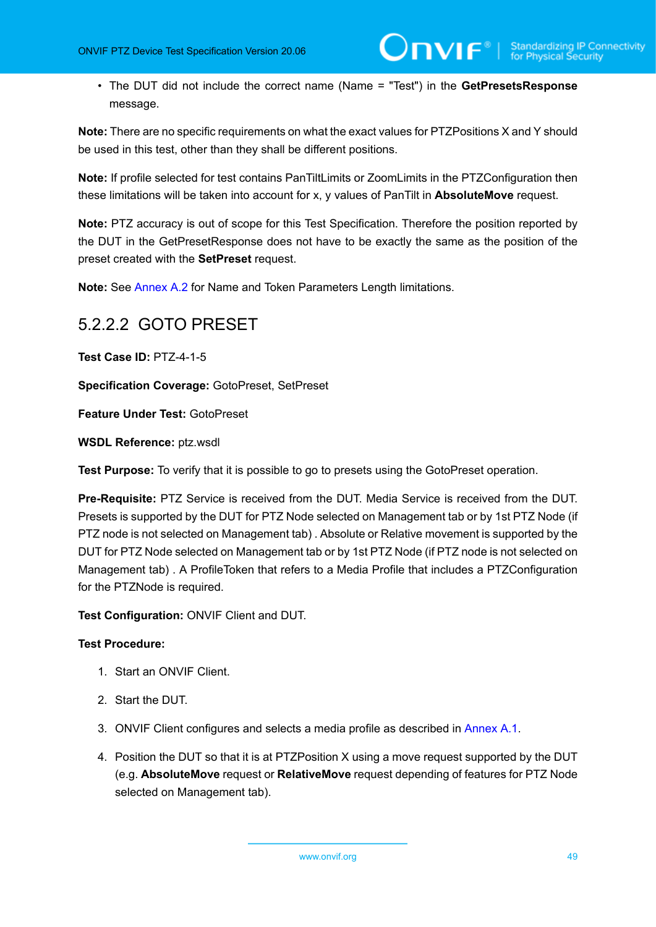• The DUT did not include the correct name (Name = "Test") in the **GetPresetsResponse** message.

**Note:** There are no specific requirements on what the exact values for PTZPositions X and Y should be used in this test, other than they shall be different positions.

**Note:** If profile selected for test contains PanTiltLimits or ZoomLimits in the PTZConfiguration then these limitations will be taken into account for x, y values of PanTilt in **AbsoluteMove** request.

**Note:** PTZ accuracy is out of scope for this Test Specification. Therefore the position reported by the DUT in the GetPresetResponse does not have to be exactly the same as the position of the preset created with the **SetPreset** request.

**Note:** See [Annex A.2](#page-135-0) for Name and Token Parameters Length limitations.

## 5.2.2.2 GOTO PRESET

**Test Case ID:** PTZ-4-1-5

**Specification Coverage:** GotoPreset, SetPreset

**Feature Under Test:** GotoPreset

**WSDL Reference:** ptz.wsdl

**Test Purpose:** To verify that it is possible to go to presets using the GotoPreset operation.

**Pre-Requisite:** PTZ Service is received from the DUT. Media Service is received from the DUT. Presets is supported by the DUT for PTZ Node selected on Management tab or by 1st PTZ Node (if PTZ node is not selected on Management tab) . Absolute or Relative movement is supported by the DUT for PTZ Node selected on Management tab or by 1st PTZ Node (if PTZ node is not selected on Management tab) . A ProfileToken that refers to a Media Profile that includes a PTZConfiguration for the PTZNode is required.

**Test Configuration:** ONVIF Client and DUT.

- 1. Start an ONVIF Client.
- 2. Start the DUT.
- 3. ONVIF Client configures and selects a media profile as described in [Annex A.1](#page-133-0).
- 4. Position the DUT so that it is at PTZPosition X using a move request supported by the DUT (e.g. **AbsoluteMove** request or **RelativeMove** request depending of features for PTZ Node selected on Management tab).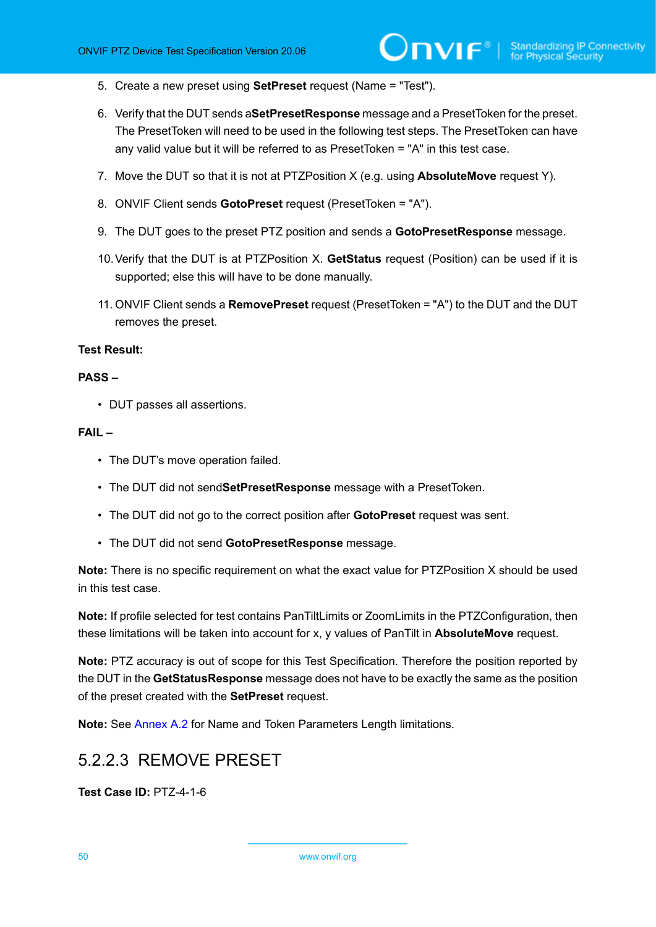- 5. Create a new preset using **SetPreset** request (Name = "Test").
- 6. Verify that the DUT sends a**SetPresetResponse** message and a PresetToken for the preset. The PresetToken will need to be used in the following test steps. The PresetToken can have any valid value but it will be referred to as PresetToken = "A" in this test case.
- 7. Move the DUT so that it is not at PTZPosition X (e.g. using **AbsoluteMove** request Y).
- 8. ONVIF Client sends **GotoPreset** request (PresetToken = "A").
- 9. The DUT goes to the preset PTZ position and sends a **GotoPresetResponse** message.
- 10.Verify that the DUT is at PTZPosition X. **GetStatus** request (Position) can be used if it is supported; else this will have to be done manually.
- 11. ONVIF Client sends a **RemovePreset** request (PresetToken = "A") to the DUT and the DUT removes the preset.

#### **PASS –**

• DUT passes all assertions.

#### **FAIL –**

- The DUT's move operation failed.
- The DUT did not send**SetPresetResponse** message with a PresetToken.
- The DUT did not go to the correct position after **GotoPreset** request was sent.
- The DUT did not send **GotoPresetResponse** message.

**Note:** There is no specific requirement on what the exact value for PTZPosition X should be used in this test case.

**Note:** If profile selected for test contains PanTiltLimits or ZoomLimits in the PTZConfiguration, then these limitations will be taken into account for x, y values of PanTilt in **AbsoluteMove** request.

**Note:** PTZ accuracy is out of scope for this Test Specification. Therefore the position reported by the DUT in the **GetStatusResponse** message does not have to be exactly the same as the position of the preset created with the **SetPreset** request.

**Note:** See [Annex A.2](#page-135-0) for Name and Token Parameters Length limitations.

### 5.2.2.3 REMOVE PRESET

**Test Case ID:** PTZ-4-1-6

50 www.onvif.org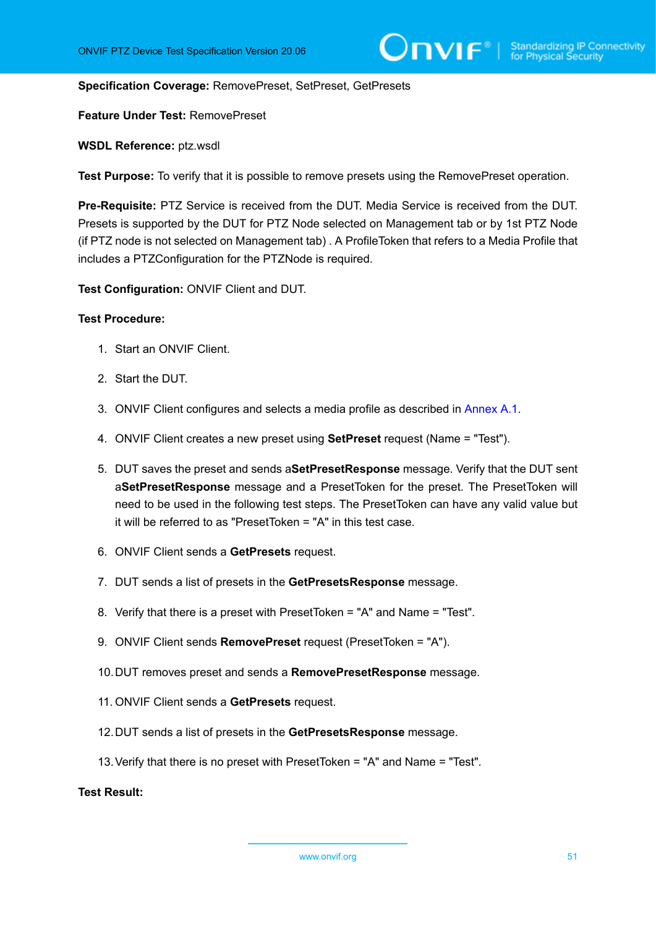#### **Specification Coverage:** RemovePreset, SetPreset, GetPresets

**Feature Under Test:** RemovePreset

**WSDL Reference:** ptz.wsdl

**Test Purpose:** To verify that it is possible to remove presets using the RemovePreset operation.

**Pre-Requisite:** PTZ Service is received from the DUT. Media Service is received from the DUT. Presets is supported by the DUT for PTZ Node selected on Management tab or by 1st PTZ Node (if PTZ node is not selected on Management tab) . A ProfileToken that refers to a Media Profile that includes a PTZConfiguration for the PTZNode is required.

**Test Configuration:** ONVIF Client and DUT.

#### **Test Procedure:**

- 1. Start an ONVIF Client.
- 2. Start the DUT.
- 3. ONVIF Client configures and selects a media profile as described in [Annex A.1](#page-133-0).
- 4. ONVIF Client creates a new preset using **SetPreset** request (Name = "Test").
- 5. DUT saves the preset and sends a**SetPresetResponse** message. Verify that the DUT sent a**SetPresetResponse** message and a PresetToken for the preset. The PresetToken will need to be used in the following test steps. The PresetToken can have any valid value but it will be referred to as "PresetToken = "A" in this test case.
- 6. ONVIF Client sends a **GetPresets** request.
- 7. DUT sends a list of presets in the **GetPresetsResponse** message.
- 8. Verify that there is a preset with PresetToken = "A" and Name = "Test".
- 9. ONVIF Client sends **RemovePreset** request (PresetToken = "A").
- 10.DUT removes preset and sends a **RemovePresetResponse** message.
- 11. ONVIF Client sends a **GetPresets** request.
- 12.DUT sends a list of presets in the **GetPresetsResponse** message.
- 13.Verify that there is no preset with PresetToken = "A" and Name = "Test".

**Test Result:**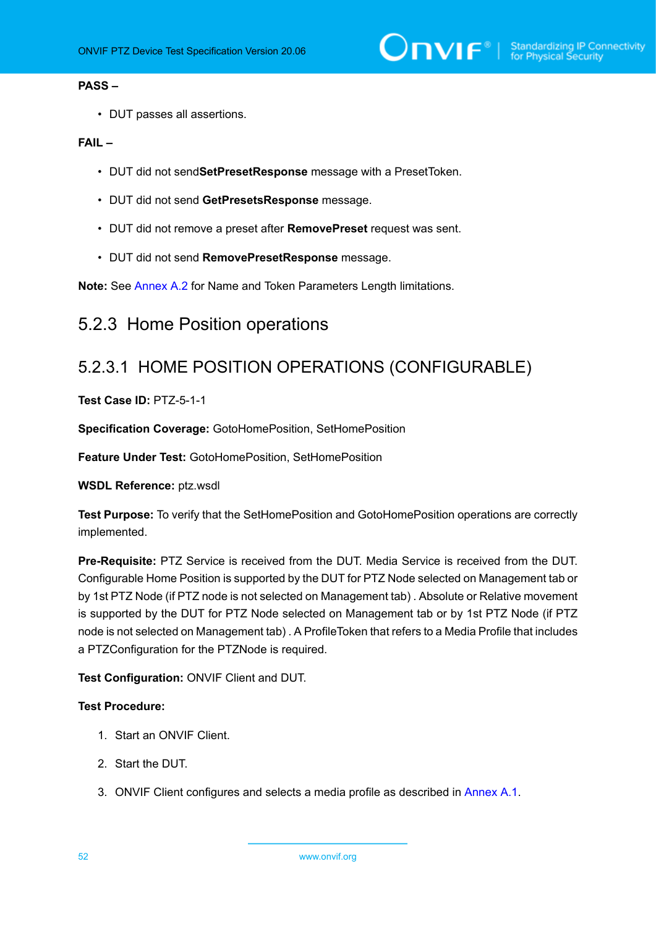#### **PASS –**

• DUT passes all assertions.

#### **FAIL –**

- DUT did not send**SetPresetResponse** message with a PresetToken.
- DUT did not send **GetPresetsResponse** message.
- DUT did not remove a preset after **RemovePreset** request was sent.
- DUT did not send **RemovePresetResponse** message.

**Note:** See [Annex A.2](#page-135-0) for Name and Token Parameters Length limitations.

## 5.2.3 Home Position operations

## 5.2.3.1 HOME POSITION OPERATIONS (CONFIGURABLE)

#### **Test Case ID:** PTZ-5-1-1

**Specification Coverage:** GotoHomePosition, SetHomePosition

**Feature Under Test:** GotoHomePosition, SetHomePosition

**WSDL Reference:** ptz.wsdl

**Test Purpose:** To verify that the SetHomePosition and GotoHomePosition operations are correctly implemented.

**Pre-Requisite:** PTZ Service is received from the DUT. Media Service is received from the DUT. Configurable Home Position is supported by the DUT for PTZ Node selected on Management tab or by 1st PTZ Node (if PTZ node is not selected on Management tab) . Absolute or Relative movement is supported by the DUT for PTZ Node selected on Management tab or by 1st PTZ Node (if PTZ node is not selected on Management tab) . A ProfileToken that refers to a Media Profile that includes a PTZConfiguration for the PTZNode is required.

**Test Configuration:** ONVIF Client and DUT.

- 1. Start an ONVIF Client.
- 2. Start the DUT.
- 3. ONVIF Client configures and selects a media profile as described in [Annex A.1](#page-133-0).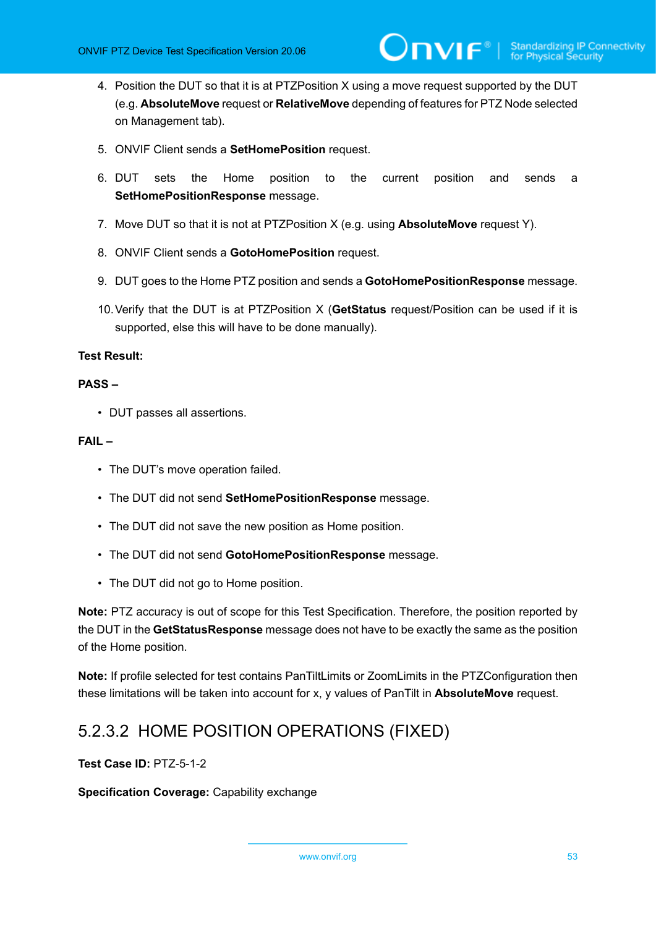4. Position the DUT so that it is at PTZPosition X using a move request supported by the DUT (e.g. **AbsoluteMove** request or **RelativeMove** depending of features for PTZ Node selected on Management tab).

 $\mathsf{D}\mathbf{n}\mathsf{V}$ lf $^\circ$ l

- 5. ONVIF Client sends a **SetHomePosition** request.
- 6. DUT sets the Home position to the current position and sends a **SetHomePositionResponse** message.
- 7. Move DUT so that it is not at PTZPosition X (e.g. using **AbsoluteMove** request Y).
- 8. ONVIF Client sends a **GotoHomePosition** request.
- 9. DUT goes to the Home PTZ position and sends a **GotoHomePositionResponse** message.
- 10.Verify that the DUT is at PTZPosition X (**GetStatus** request/Position can be used if it is supported, else this will have to be done manually).

#### **Test Result:**

#### **PASS –**

• DUT passes all assertions.

#### **FAIL –**

- The DUT's move operation failed.
- The DUT did not send **SetHomePositionResponse** message.
- The DUT did not save the new position as Home position.
- The DUT did not send **GotoHomePositionResponse** message.
- The DUT did not go to Home position.

**Note:** PTZ accuracy is out of scope for this Test Specification. Therefore, the position reported by the DUT in the **GetStatusResponse** message does not have to be exactly the same as the position of the Home position.

**Note:** If profile selected for test contains PanTiltLimits or ZoomLimits in the PTZConfiguration then these limitations will be taken into account for x, y values of PanTilt in **AbsoluteMove** request.

## 5.2.3.2 HOME POSITION OPERATIONS (FIXED)

**Test Case ID:** PTZ-5-1-2

**Specification Coverage:** Capability exchange

www.onvif.org 53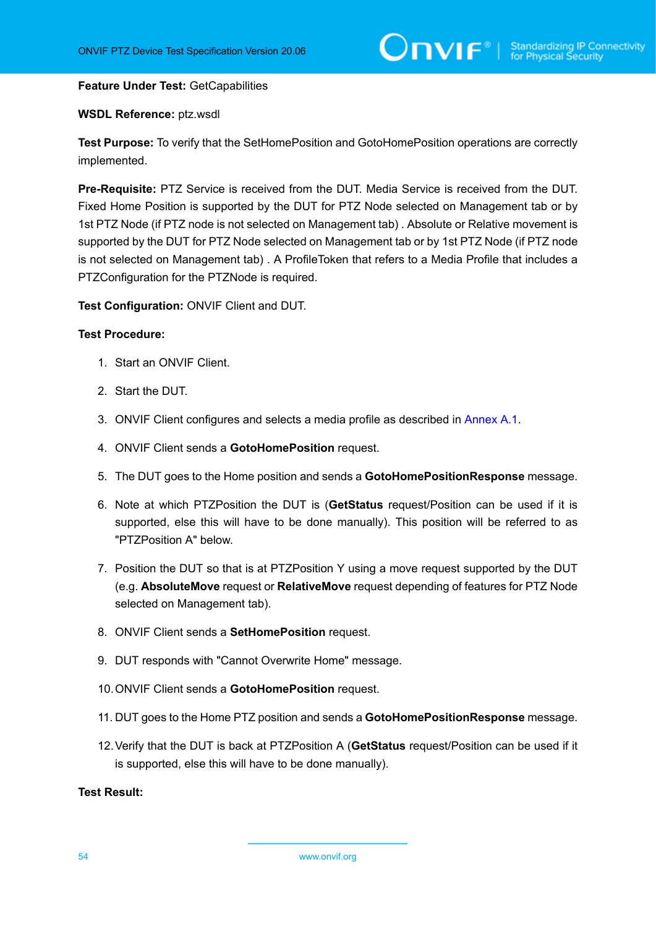#### **Feature Under Test:** GetCapabilities

#### **WSDL Reference:** ptz.wsdl

**Test Purpose:** To verify that the SetHomePosition and GotoHomePosition operations are correctly implemented.

**Pre-Requisite:** PTZ Service is received from the DUT. Media Service is received from the DUT. Fixed Home Position is supported by the DUT for PTZ Node selected on Management tab or by 1st PTZ Node (if PTZ node is not selected on Management tab) . Absolute or Relative movement is supported by the DUT for PTZ Node selected on Management tab or by 1st PTZ Node (if PTZ node is not selected on Management tab) . A ProfileToken that refers to a Media Profile that includes a PTZConfiguration for the PTZNode is required.

**Test Configuration:** ONVIF Client and DUT.

#### **Test Procedure:**

- 1. Start an ONVIF Client.
- 2. Start the DUT.
- 3. ONVIF Client configures and selects a media profile as described in [Annex A.1](#page-133-0).
- 4. ONVIF Client sends a **GotoHomePosition** request.
- 5. The DUT goes to the Home position and sends a **GotoHomePositionResponse** message.
- 6. Note at which PTZPosition the DUT is (**GetStatus** request/Position can be used if it is supported, else this will have to be done manually). This position will be referred to as "PTZPosition A" below.
- 7. Position the DUT so that is at PTZPosition Y using a move request supported by the DUT (e.g. **AbsoluteMove** request or **RelativeMove** request depending of features for PTZ Node selected on Management tab).
- 8. ONVIF Client sends a **SetHomePosition** request.
- 9. DUT responds with "Cannot Overwrite Home" message.
- 10.ONVIF Client sends a **GotoHomePosition** request.
- 11. DUT goes to the Home PTZ position and sends a **GotoHomePositionResponse** message.
- 12.Verify that the DUT is back at PTZPosition A (**GetStatus** request/Position can be used if it is supported, else this will have to be done manually).

#### **Test Result:**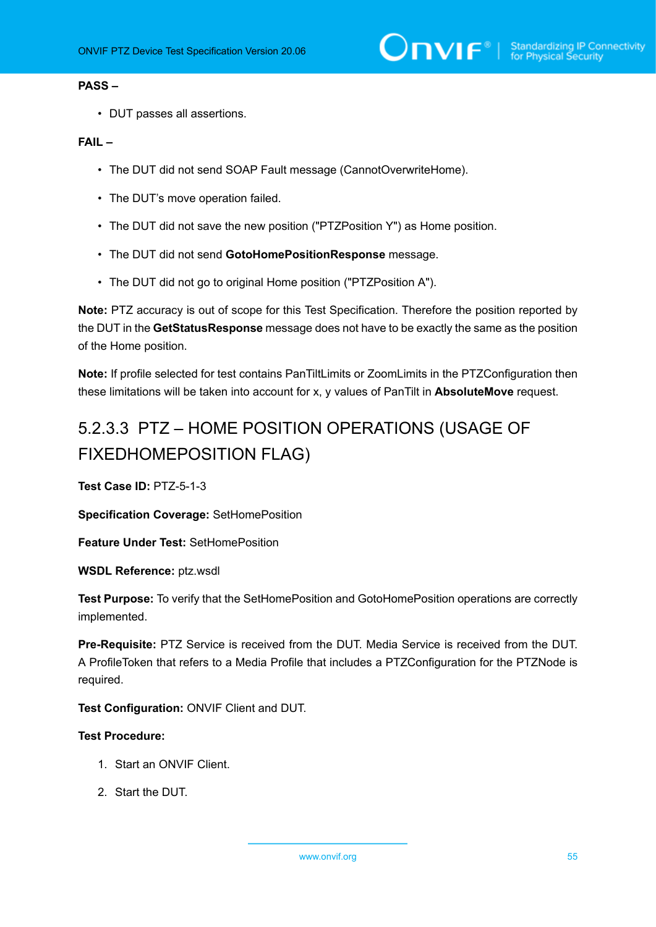#### **PASS –**

• DUT passes all assertions.

#### **FAIL –**

- The DUT did not send SOAP Fault message (CannotOverwriteHome).
- The DUT's move operation failed.
- The DUT did not save the new position ("PTZPosition Y") as Home position.
- The DUT did not send **GotoHomePositionResponse** message.
- The DUT did not go to original Home position ("PTZPosition A").

**Note:** PTZ accuracy is out of scope for this Test Specification. Therefore the position reported by the DUT in the **GetStatusResponse** message does not have to be exactly the same as the position of the Home position.

**Note:** If profile selected for test contains PanTiltLimits or ZoomLimits in the PTZConfiguration then these limitations will be taken into account for x, y values of PanTilt in **AbsoluteMove** request.

# 5.2.3.3 PTZ – HOME POSITION OPERATIONS (USAGE OF FIXEDHOMEPOSITION FLAG)

**Test Case ID:** PTZ-5-1-3

**Specification Coverage:** SetHomePosition

**Feature Under Test:** SetHomePosition

**WSDL Reference:** ptz.wsdl

**Test Purpose:** To verify that the SetHomePosition and GotoHomePosition operations are correctly implemented.

**Pre-Requisite:** PTZ Service is received from the DUT. Media Service is received from the DUT. A ProfileToken that refers to a Media Profile that includes a PTZConfiguration for the PTZNode is required.

**Test Configuration:** ONVIF Client and DUT.

- 1. Start an ONVIF Client.
- 2. Start the DUT.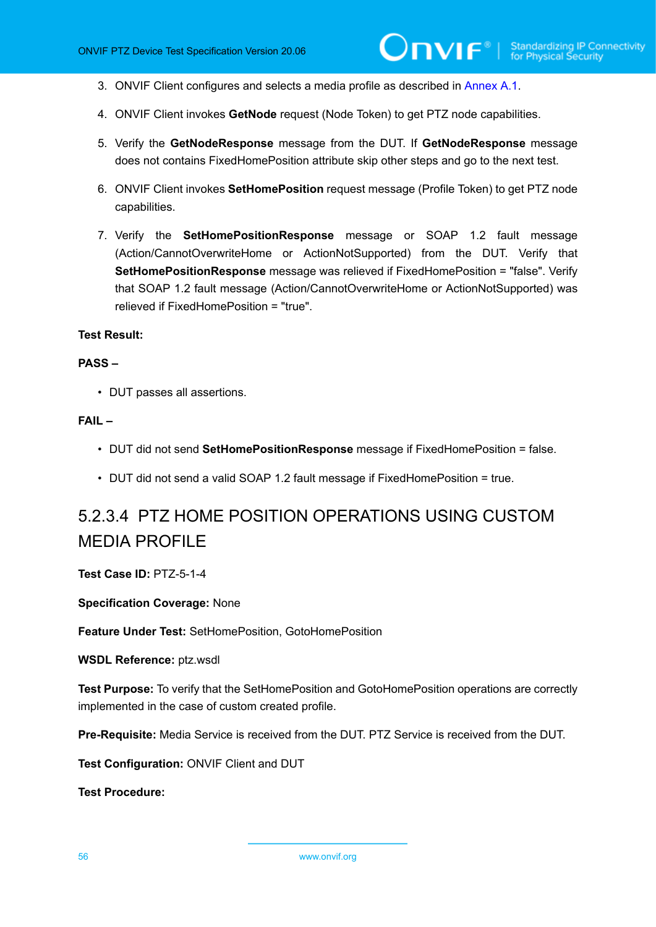- 3. ONVIF Client configures and selects a media profile as described in [Annex A.1](#page-133-0).
- 4. ONVIF Client invokes **GetNode** request (Node Token) to get PTZ node capabilities.
- 5. Verify the **GetNodeResponse** message from the DUT. If **GetNodeResponse** message does not contains FixedHomePosition attribute skip other steps and go to the next test.
- 6. ONVIF Client invokes **SetHomePosition** request message (Profile Token) to get PTZ node capabilities.
- 7. Verify the **SetHomePositionResponse** message or SOAP 1.2 fault message (Action/CannotOverwriteHome or ActionNotSupported) from the DUT. Verify that **SetHomePositionResponse** message was relieved if FixedHomePosition = "false". Verify that SOAP 1.2 fault message (Action/CannotOverwriteHome or ActionNotSupported) was relieved if FixedHomePosition = "true".

#### **PASS –**

• DUT passes all assertions.

#### **FAIL –**

- DUT did not send **SetHomePositionResponse** message if FixedHomePosition = false.
- DUT did not send a valid SOAP 1.2 fault message if FixedHomePosition = true.

# 5.2.3.4 PTZ HOME POSITION OPERATIONS USING CUSTOM MEDIA PROFILE

**Test Case ID:** PTZ-5-1-4

**Specification Coverage:** None

**Feature Under Test:** SetHomePosition, GotoHomePosition

**WSDL Reference:** ptz.wsdl

**Test Purpose:** To verify that the SetHomePosition and GotoHomePosition operations are correctly implemented in the case of custom created profile.

**Pre-Requisite:** Media Service is received from the DUT. PTZ Service is received from the DUT.

**Test Configuration:** ONVIF Client and DUT

**Test Procedure:**

56 www.onvif.org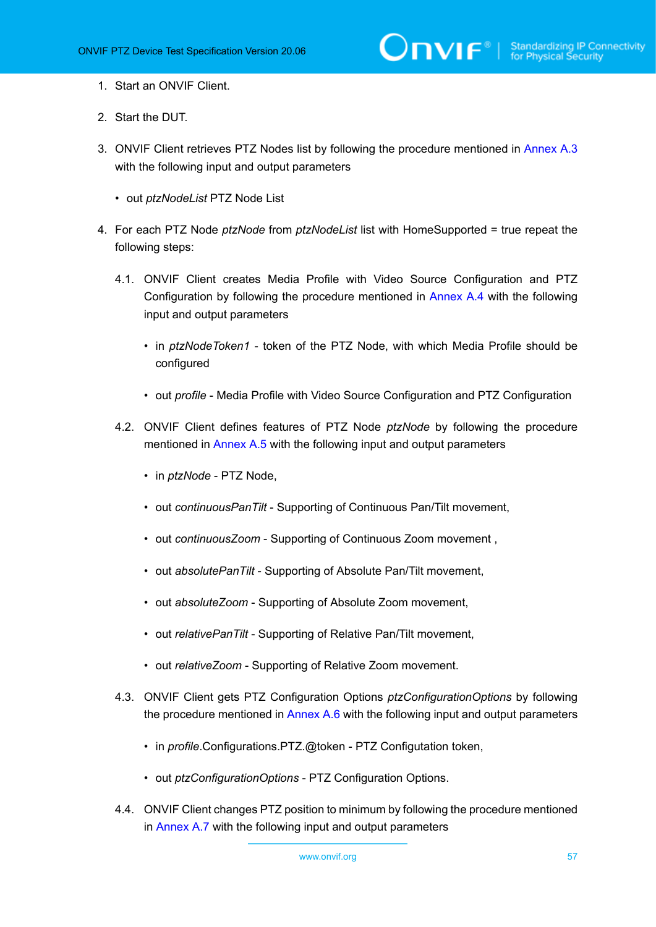- 1. Start an ONVIF Client.
- 2. Start the DUT.
- 3. ONVIF Client retrieves PTZ Nodes list by following the procedure mentioned in [Annex A.3](#page-135-1) with the following input and output parameters
	- out *ptzNodeList* PTZ Node List
- <span id="page-56-1"></span><span id="page-56-0"></span>4. For each PTZ Node *ptzNode* from *ptzNodeList* list with HomeSupported = true repeat the following steps:
	- 4.1. ONVIF Client creates Media Profile with Video Source Configuration and PTZ Configuration by following the procedure mentioned in [Annex A.4](#page-135-2) with the following input and output parameters
		- in *ptzNodeToken1* token of the PTZ Node, with which Media Profile should be configured
		- out *profile* Media Profile with Video Source Configuration and PTZ Configuration
	- 4.2. ONVIF Client defines features of PTZ Node *ptzNode* by following the procedure mentioned in [Annex A.5](#page-139-0) with the following input and output parameters
		- in *ptzNode* PTZ Node,
		- out *continuousPanTilt* Supporting of Continuous Pan/Tilt movement,
		- out *continuousZoom* Supporting of Continuous Zoom movement ,
		- out *absolutePanTilt* Supporting of Absolute Pan/Tilt movement,
		- out *absoluteZoom* Supporting of Absolute Zoom movement,
		- out *relativePanTilt* Supporting of Relative Pan/Tilt movement,
		- out *relativeZoom* Supporting of Relative Zoom movement.
	- 4.3. ONVIF Client gets PTZ Configuration Options *ptzConfigurationOptions* by following the procedure mentioned in [Annex A.6](#page-140-0) with the following input and output parameters
		- in *profile*.Configurations.PTZ.@token PTZ Configutation token,
		- out *ptzConfigurationOptions* PTZ Configuration Options.
	- 4.4. ONVIF Client changes PTZ position to minimum by following the procedure mentioned in [Annex A.7](#page-141-0) with the following input and output parameters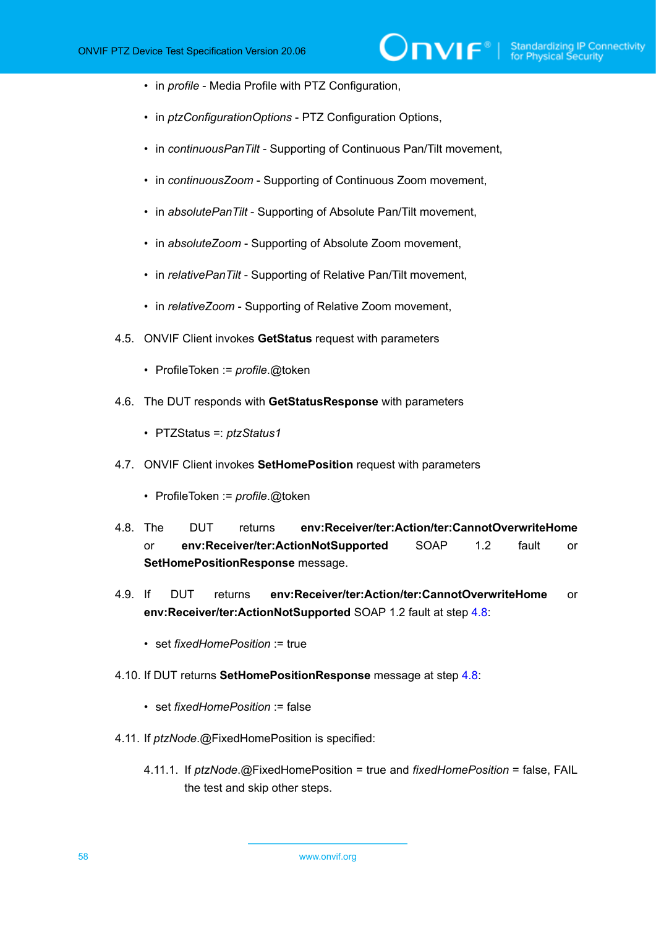- in *profile* Media Profile with PTZ Configuration,
- in *ptzConfigurationOptions* PTZ Configuration Options,
- in *continuousPanTilt* Supporting of Continuous Pan/Tilt movement,
- in *continuousZoom* Supporting of Continuous Zoom movement,
- in *absolutePanTilt* Supporting of Absolute Pan/Tilt movement,
- in *absoluteZoom* Supporting of Absolute Zoom movement,
- in *relativePanTilt* Supporting of Relative Pan/Tilt movement,
- in *relativeZoom* Supporting of Relative Zoom movement,
- 4.5. ONVIF Client invokes **GetStatus** request with parameters
	- ProfileToken := *profile*.@token
- 4.6. The DUT responds with **GetStatusResponse** with parameters
	- PTZStatus =: *ptzStatus1*
- 4.7. ONVIF Client invokes **SetHomePosition** request with parameters
	- ProfileToken := *profile*.@token
- <span id="page-57-0"></span>4.8. The DUT returns **env:Receiver/ter:Action/ter:CannotOverwriteHome** or **env:Receiver/ter:ActionNotSupported** SOAP 1.2 fault or **SetHomePositionResponse** message.
- 4.9. If DUT returns **env:Receiver/ter:Action/ter:CannotOverwriteHome** or **env:Receiver/ter:ActionNotSupported** SOAP 1.2 fault at step [4.8:](#page-57-0)
	- set *fixedHomePosition* := true
- 4.10. If DUT returns **SetHomePositionResponse** message at step [4.8:](#page-57-0)
	- set *fixedHomePosition* := false
- 4.11. If *ptzNode*.@FixedHomePosition is specified:
	- 4.11.1. If *ptzNode*.@FixedHomePosition = true and *fixedHomePosition* = false, FAIL the test and skip other steps.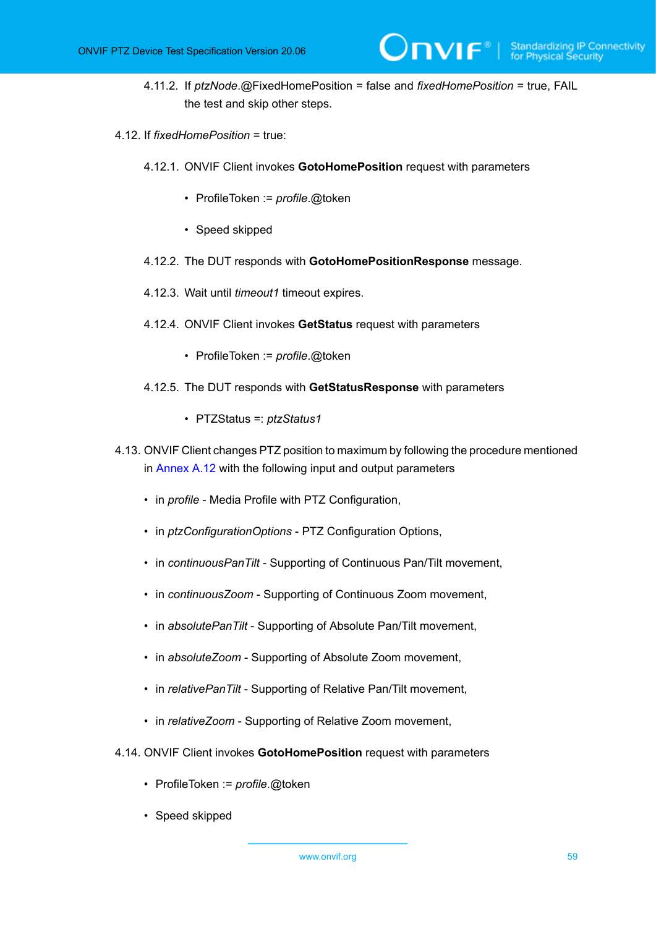4.11.2. If *ptzNode*.@FixedHomePosition = false and *fixedHomePosition* = true, FAIL the test and skip other steps.

 $\mathsf{D}\mathbf{N}\mathsf{I}\mathsf{F}^*$ l

- 4.12. If *fixedHomePosition* = true:
	- 4.12.1. ONVIF Client invokes **GotoHomePosition** request with parameters
		- ProfileToken := *profile*.@token
		- Speed skipped
	- 4.12.2. The DUT responds with **GotoHomePositionResponse** message.
	- 4.12.3. Wait until *timeout1* timeout expires.
	- 4.12.4. ONVIF Client invokes **GetStatus** request with parameters
		- ProfileToken := *profile*.@token
	- 4.12.5. The DUT responds with **GetStatusResponse** with parameters
		- PTZStatus =: *ptzStatus1*
- <span id="page-58-0"></span>4.13. ONVIF Client changes PTZ position to maximum by following the procedure mentioned in [Annex A.12](#page-149-0) with the following input and output parameters
	- in *profile* Media Profile with PTZ Configuration,
	- in *ptzConfigurationOptions* PTZ Configuration Options,
	- in *continuousPanTilt* Supporting of Continuous Pan/Tilt movement,
	- in *continuousZoom* Supporting of Continuous Zoom movement,
	- in *absolutePanTilt* Supporting of Absolute Pan/Tilt movement,
	- in *absoluteZoom* Supporting of Absolute Zoom movement,
	- in *relativePanTilt* Supporting of Relative Pan/Tilt movement,
	- in *relativeZoom* Supporting of Relative Zoom movement,
- 4.14. ONVIF Client invokes **GotoHomePosition** request with parameters
	- ProfileToken := *profile*.@token
	- Speed skipped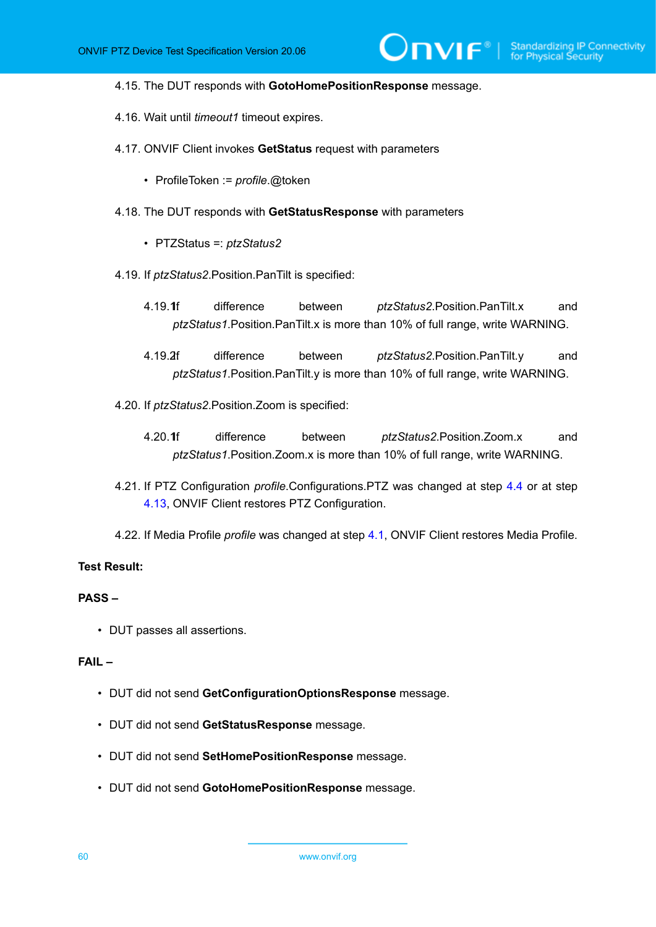$\mathsf{J}\mathsf{IVIF}^*$  i

#### 4.15. The DUT responds with **GotoHomePositionResponse** message.

- 4.16. Wait until *timeout1* timeout expires.
- 4.17. ONVIF Client invokes **GetStatus** request with parameters
	- ProfileToken := *profile*.@token
- 4.18. The DUT responds with **GetStatusResponse** with parameters
	- PTZStatus =: *ptzStatus2*
- <span id="page-59-0"></span>4.19. If *ptzStatus2*.Position.PanTilt is specified:
	- 4.19.1.If difference between *ptzStatus2*.Position.PanTilt.x and *ptzStatus1*.Position.PanTilt.x is more than 10% of full range, write WARNING.
	- 4.19.2.If difference between *ptzStatus2*.Position.PanTilt.y and *ptzStatus1*.Position.PanTilt.y is more than 10% of full range, write WARNING.
- <span id="page-59-2"></span><span id="page-59-1"></span>4.20. If *ptzStatus2*.Position.Zoom is specified:
	- 4.20.1f difference between *ptzStatus2*.Position.Zoom.x and *ptzStatus1*.Position.Zoom.x is more than 10% of full range, write WARNING.
- 4.21. If PTZ Configuration *profile*.Configurations.PTZ was changed at step [4.4](#page-56-0) or at step [4.13](#page-58-0), ONVIF Client restores PTZ Configuration.
- 4.22. If Media Profile *profile* was changed at step [4.1,](#page-56-1) ONVIF Client restores Media Profile.

#### **Test Result:**

#### **PASS –**

• DUT passes all assertions.

#### **FAIL –**

- DUT did not send **GetConfigurationOptionsResponse** message.
- DUT did not send **GetStatusResponse** message.
- DUT did not send **SetHomePositionResponse** message.
- DUT did not send **GotoHomePositionResponse** message.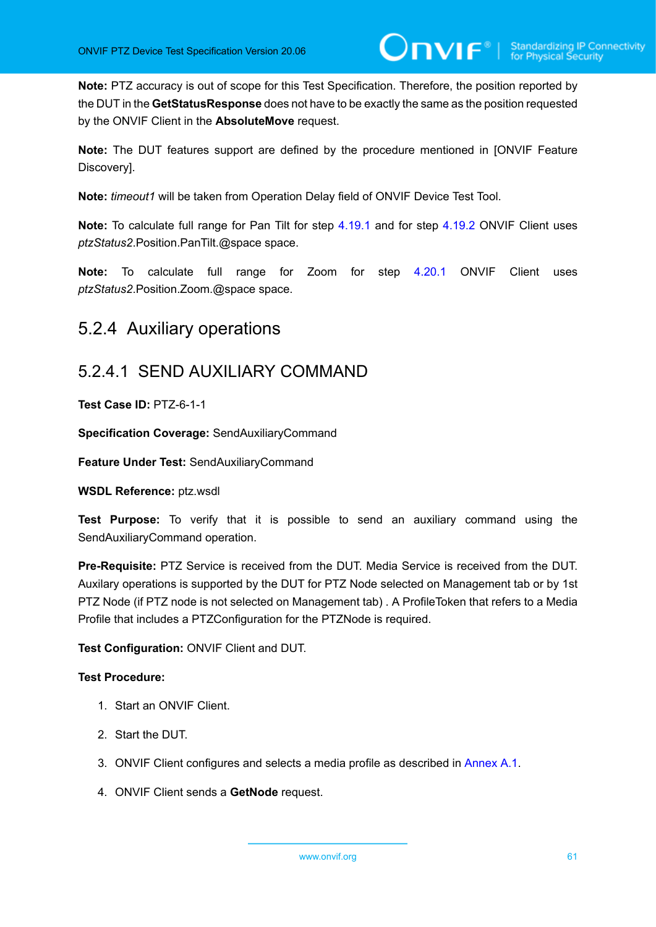**Note:** PTZ accuracy is out of scope for this Test Specification. Therefore, the position reported by the DUT in the **GetStatusResponse** does not have to be exactly the same as the position requested by the ONVIF Client in the **AbsoluteMove** request.

**Note:** The DUT features support are defined by the procedure mentioned in [ONVIF Feature Discovery].

**Note:** *timeout1* will be taken from Operation Delay field of ONVIF Device Test Tool.

**Note:** To calculate full range for Pan Tilt for step [4.19.1](#page-59-0) and for step [4.19.2](#page-59-1) ONVIF Client uses *ptzStatus2*.Position.PanTilt.@space space.

**Note:** To calculate full range for Zoom for step [4.20.1](#page-59-2) ONVIF Client uses *ptzStatus2*.Position.Zoom.@space space.

## 5.2.4 Auxiliary operations

## 5.2.4.1 SEND AUXILIARY COMMAND

**Test Case ID:** PTZ-6-1-1

**Specification Coverage:** SendAuxiliaryCommand

**Feature Under Test:** SendAuxiliaryCommand

**WSDL Reference:** ptz.wsdl

**Test Purpose:** To verify that it is possible to send an auxiliary command using the SendAuxiliaryCommand operation.

**Pre-Requisite:** PTZ Service is received from the DUT. Media Service is received from the DUT. Auxilary operations is supported by the DUT for PTZ Node selected on Management tab or by 1st PTZ Node (if PTZ node is not selected on Management tab) . A ProfileToken that refers to a Media Profile that includes a PTZConfiguration for the PTZNode is required.

**Test Configuration:** ONVIF Client and DUT.

- 1. Start an ONVIF Client.
- 2. Start the DUT.
- 3. ONVIF Client configures and selects a media profile as described in [Annex A.1](#page-133-0).
- 4. ONVIF Client sends a **GetNode** request.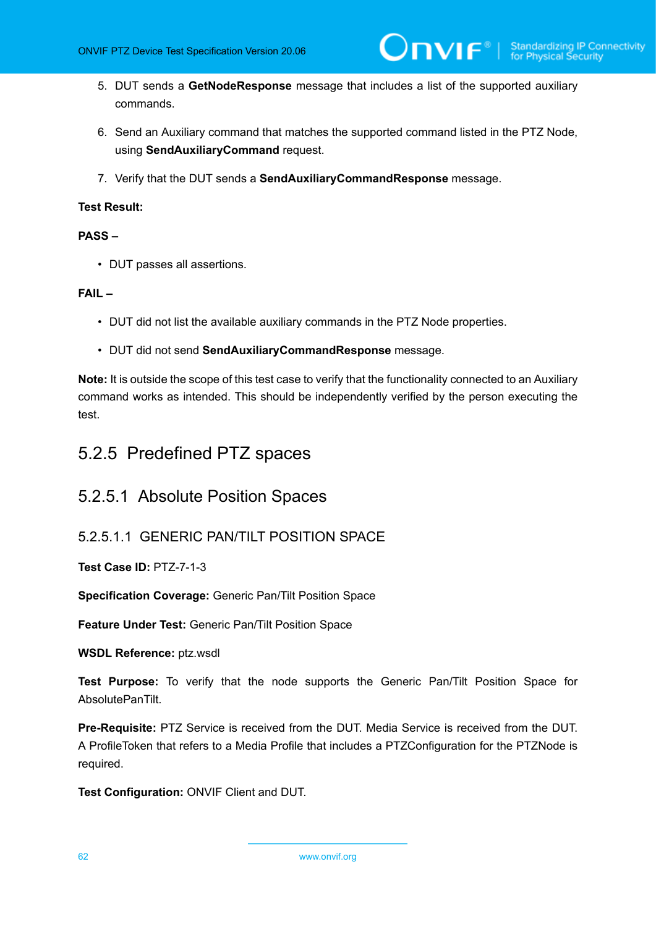- 5. DUT sends a **GetNodeResponse** message that includes a list of the supported auxiliary commands.
- 6. Send an Auxiliary command that matches the supported command listed in the PTZ Node, using **SendAuxiliaryCommand** request.
- 7. Verify that the DUT sends a **SendAuxiliaryCommandResponse** message.

#### **PASS –**

• DUT passes all assertions.

#### **FAIL –**

- DUT did not list the available auxiliary commands in the PTZ Node properties.
- DUT did not send **SendAuxiliaryCommandResponse** message.

**Note:** It is outside the scope of this test case to verify that the functionality connected to an Auxiliary command works as intended. This should be independently verified by the person executing the test.

## 5.2.5 Predefined PTZ spaces

### 5.2.5.1 Absolute Position Spaces

### 5.2.5.1.1 GENERIC PAN/TILT POSITION SPACE

**Test Case ID:** PTZ-7-1-3

**Specification Coverage:** Generic Pan/Tilt Position Space

**Feature Under Test:** Generic Pan/Tilt Position Space

**WSDL Reference:** ptz.wsdl

**Test Purpose:** To verify that the node supports the Generic Pan/Tilt Position Space for AbsolutePanTilt.

**Pre-Requisite:** PTZ Service is received from the DUT. Media Service is received from the DUT. A ProfileToken that refers to a Media Profile that includes a PTZConfiguration for the PTZNode is required.

**Test Configuration:** ONVIF Client and DUT.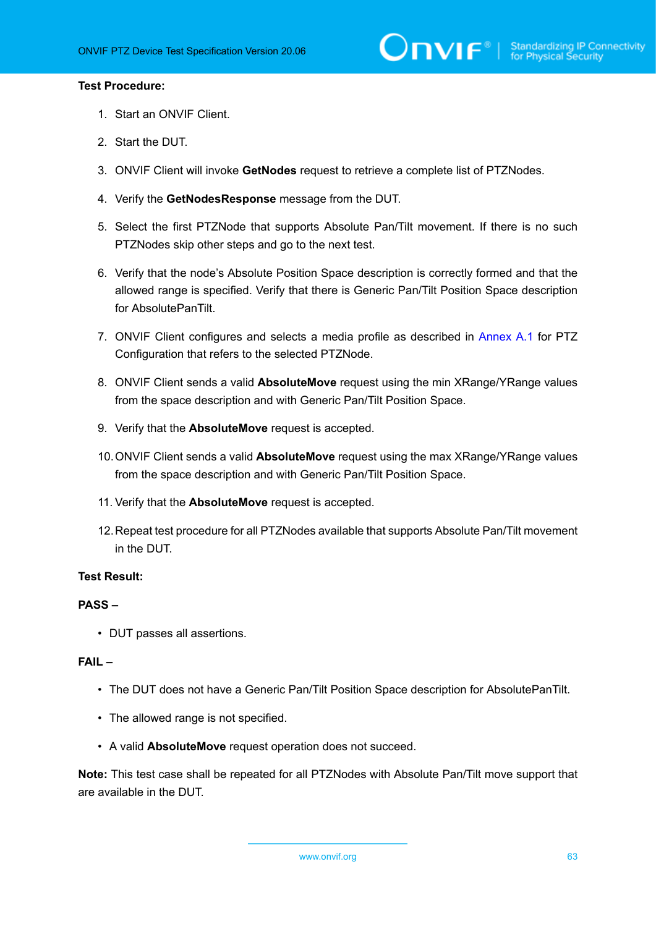#### **Test Procedure:**

- 1. Start an ONVIF Client.
- 2. Start the DUT.
- 3. ONVIF Client will invoke **GetNodes** request to retrieve a complete list of PTZNodes.
- 4. Verify the **GetNodesResponse** message from the DUT.
- 5. Select the first PTZNode that supports Absolute Pan/Tilt movement. If there is no such PTZNodes skip other steps and go to the next test.
- 6. Verify that the node's Absolute Position Space description is correctly formed and that the allowed range is specified. Verify that there is Generic Pan/Tilt Position Space description for AbsolutePanTilt.
- 7. ONVIF Client configures and selects a media profile as described in [Annex A.1](#page-133-0) for PTZ Configuration that refers to the selected PTZNode.
- 8. ONVIF Client sends a valid **AbsoluteMove** request using the min XRange/YRange values from the space description and with Generic Pan/Tilt Position Space.
- 9. Verify that the **AbsoluteMove** request is accepted.
- 10.ONVIF Client sends a valid **AbsoluteMove** request using the max XRange/YRange values from the space description and with Generic Pan/Tilt Position Space.
- 11. Verify that the **AbsoluteMove** request is accepted.
- 12.Repeat test procedure for all PTZNodes available that supports Absolute Pan/Tilt movement in the DUT.

#### **Test Result:**

#### **PASS –**

• DUT passes all assertions.

#### **FAIL –**

- The DUT does not have a Generic Pan/Tilt Position Space description for AbsolutePanTilt.
- The allowed range is not specified.
- A valid **AbsoluteMove** request operation does not succeed.

**Note:** This test case shall be repeated for all PTZNodes with Absolute Pan/Tilt move support that are available in the DUT.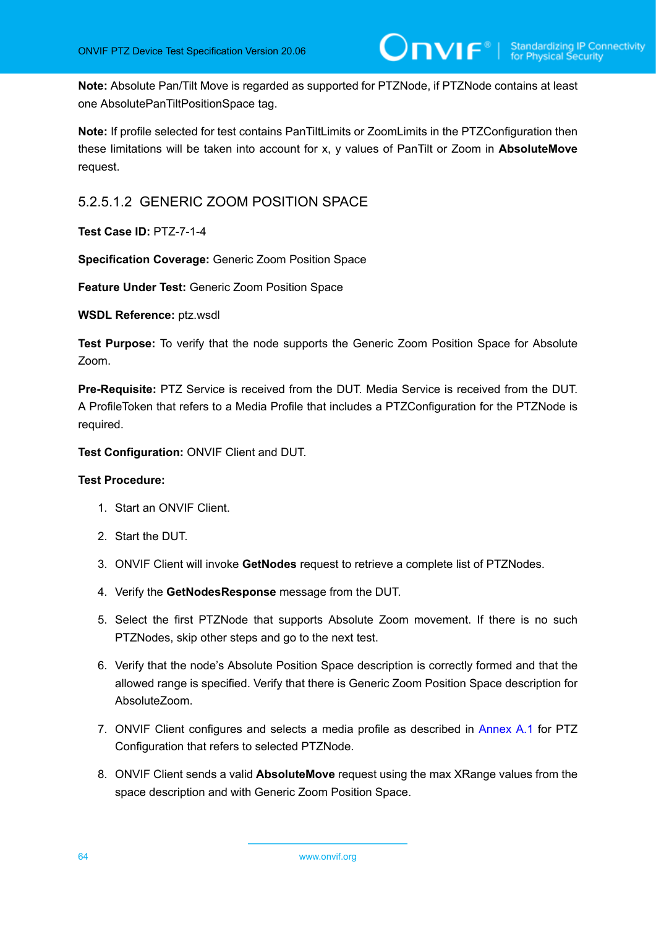**Note:** Absolute Pan/Tilt Move is regarded as supported for PTZNode, if PTZNode contains at least one AbsolutePanTiltPositionSpace tag.

**Note:** If profile selected for test contains PanTiltLimits or ZoomLimits in the PTZConfiguration then these limitations will be taken into account for x, y values of PanTilt or Zoom in **AbsoluteMove** request.

### 5.2.5.1.2 GENERIC ZOOM POSITION SPACE

**Test Case ID:** PTZ-7-1-4

**Specification Coverage:** Generic Zoom Position Space

**Feature Under Test:** Generic Zoom Position Space

**WSDL Reference:** ptz.wsdl

**Test Purpose:** To verify that the node supports the Generic Zoom Position Space for Absolute Zoom.

**Pre-Requisite:** PTZ Service is received from the DUT. Media Service is received from the DUT. A ProfileToken that refers to a Media Profile that includes a PTZConfiguration for the PTZNode is required.

**Test Configuration:** ONVIF Client and DUT.

- 1. Start an ONVIF Client.
- 2. Start the DUT.
- 3. ONVIF Client will invoke **GetNodes** request to retrieve a complete list of PTZNodes.
- 4. Verify the **GetNodesResponse** message from the DUT.
- 5. Select the first PTZNode that supports Absolute Zoom movement. If there is no such PTZNodes, skip other steps and go to the next test.
- 6. Verify that the node's Absolute Position Space description is correctly formed and that the allowed range is specified. Verify that there is Generic Zoom Position Space description for AbsoluteZoom.
- 7. ONVIF Client configures and selects a media profile as described in [Annex A.1](#page-133-0) for PTZ Configuration that refers to selected PTZNode.
- 8. ONVIF Client sends a valid **AbsoluteMove** request using the max XRange values from the space description and with Generic Zoom Position Space.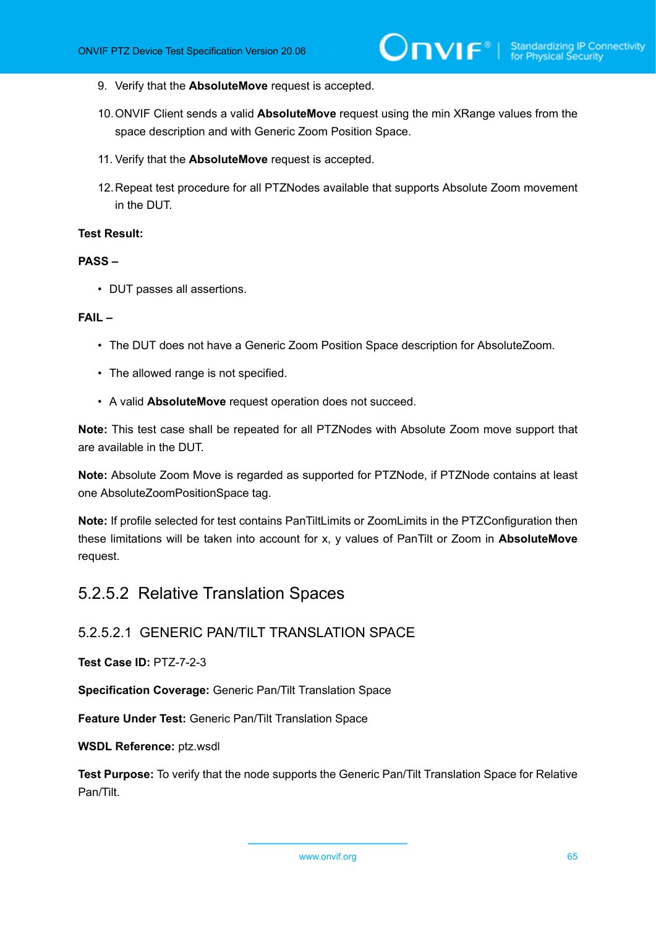- 9. Verify that the **AbsoluteMove** request is accepted.
- 10.ONVIF Client sends a valid **AbsoluteMove** request using the min XRange values from the space description and with Generic Zoom Position Space.
- 11. Verify that the **AbsoluteMove** request is accepted.
- 12.Repeat test procedure for all PTZNodes available that supports Absolute Zoom movement in the DUT.

#### **PASS –**

• DUT passes all assertions.

#### **FAIL –**

- The DUT does not have a Generic Zoom Position Space description for AbsoluteZoom.
- The allowed range is not specified.
- A valid **AbsoluteMove** request operation does not succeed.

**Note:** This test case shall be repeated for all PTZNodes with Absolute Zoom move support that are available in the DUT.

**Note:** Absolute Zoom Move is regarded as supported for PTZNode, if PTZNode contains at least one AbsoluteZoomPositionSpace tag.

**Note:** If profile selected for test contains PanTiltLimits or ZoomLimits in the PTZConfiguration then these limitations will be taken into account for x, y values of PanTilt or Zoom in **AbsoluteMove** request.

### 5.2.5.2 Relative Translation Spaces

### 5.2.5.2.1 GENERIC PAN/TILT TRANSLATION SPACE

#### **Test Case ID:** PTZ-7-2-3

**Specification Coverage:** Generic Pan/Tilt Translation Space

**Feature Under Test:** Generic Pan/Tilt Translation Space

#### **WSDL Reference:** ptz.wsdl

**Test Purpose:** To verify that the node supports the Generic Pan/Tilt Translation Space for Relative Pan/Tilt.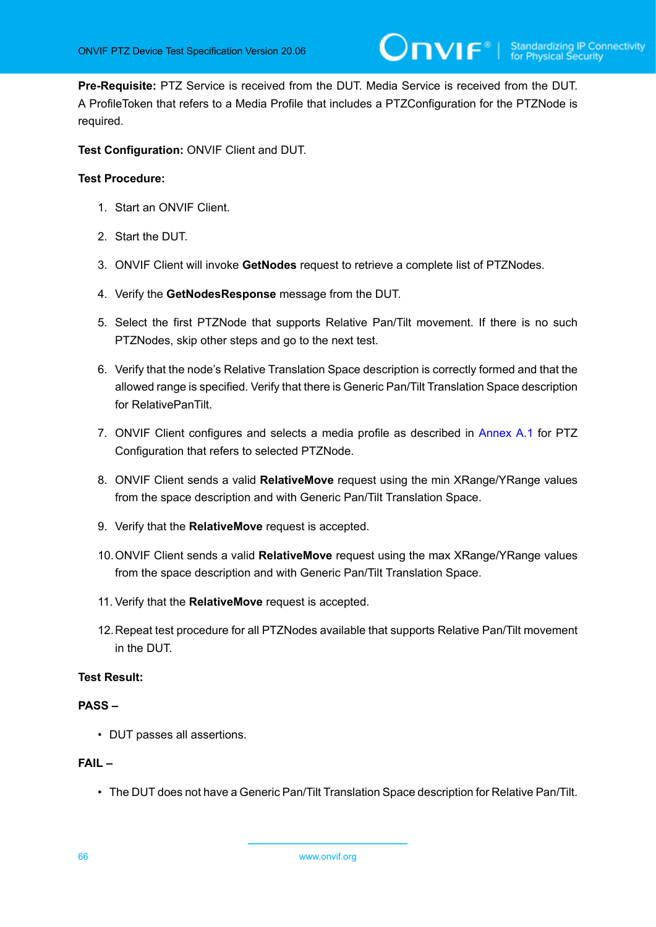**Pre-Requisite:** PTZ Service is received from the DUT. Media Service is received from the DUT. A ProfileToken that refers to a Media Profile that includes a PTZConfiguration for the PTZNode is required.

**Test Configuration:** ONVIF Client and DUT.

#### **Test Procedure:**

- 1. Start an ONVIF Client.
- 2. Start the DUT.
- 3. ONVIF Client will invoke **GetNodes** request to retrieve a complete list of PTZNodes.
- 4. Verify the **GetNodesResponse** message from the DUT.
- 5. Select the first PTZNode that supports Relative Pan/Tilt movement. If there is no such PTZNodes, skip other steps and go to the next test.
- 6. Verify that the node's Relative Translation Space description is correctly formed and that the allowed range is specified. Verify that there is Generic Pan/Tilt Translation Space description for RelativePanTilt.
- 7. ONVIF Client configures and selects a media profile as described in [Annex A.1](#page-133-0) for PTZ Configuration that refers to selected PTZNode.
- 8. ONVIF Client sends a valid **RelativeMove** request using the min XRange/YRange values from the space description and with Generic Pan/Tilt Translation Space.
- 9. Verify that the **RelativeMove** request is accepted.
- 10.ONVIF Client sends a valid **RelativeMove** request using the max XRange/YRange values from the space description and with Generic Pan/Tilt Translation Space.
- 11. Verify that the **RelativeMove** request is accepted.
- 12.Repeat test procedure for all PTZNodes available that supports Relative Pan/Tilt movement in the DUT.

#### **Test Result:**

#### **PASS –**

• DUT passes all assertions.

#### **FAIL –**

• The DUT does not have a Generic Pan/Tilt Translation Space description for Relative Pan/Tilt.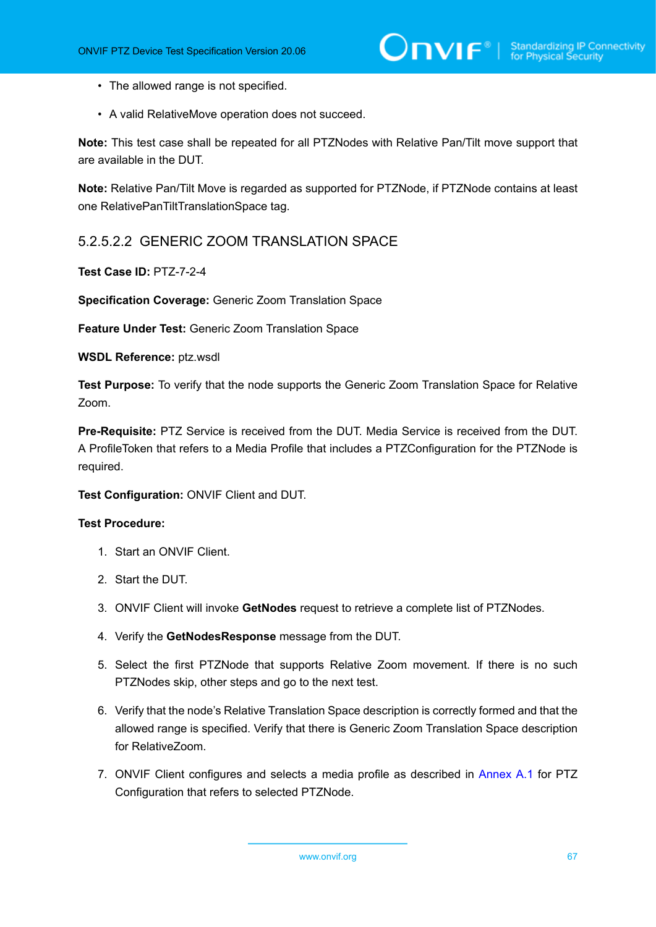- The allowed range is not specified.
- A valid RelativeMove operation does not succeed.

**Note:** This test case shall be repeated for all PTZNodes with Relative Pan/Tilt move support that are available in the DUT.

**Note:** Relative Pan/Tilt Move is regarded as supported for PTZNode, if PTZNode contains at least one RelativePanTiltTranslationSpace tag.

### 5.2.5.2.2 GENERIC ZOOM TRANSLATION SPACE

**Test Case ID:** PTZ-7-2-4

**Specification Coverage:** Generic Zoom Translation Space

**Feature Under Test:** Generic Zoom Translation Space

**WSDL Reference:** ptz.wsdl

**Test Purpose:** To verify that the node supports the Generic Zoom Translation Space for Relative Zoom.

**Pre-Requisite:** PTZ Service is received from the DUT. Media Service is received from the DUT. A ProfileToken that refers to a Media Profile that includes a PTZConfiguration for the PTZNode is required.

**Test Configuration:** ONVIF Client and DUT.

- 1. Start an ONVIF Client.
- 2. Start the DUT.
- 3. ONVIF Client will invoke **GetNodes** request to retrieve a complete list of PTZNodes.
- 4. Verify the **GetNodesResponse** message from the DUT.
- 5. Select the first PTZNode that supports Relative Zoom movement. If there is no such PTZNodes skip, other steps and go to the next test.
- 6. Verify that the node's Relative Translation Space description is correctly formed and that the allowed range is specified. Verify that there is Generic Zoom Translation Space description for RelativeZoom.
- 7. ONVIF Client configures and selects a media profile as described in [Annex A.1](#page-133-0) for PTZ Configuration that refers to selected PTZNode.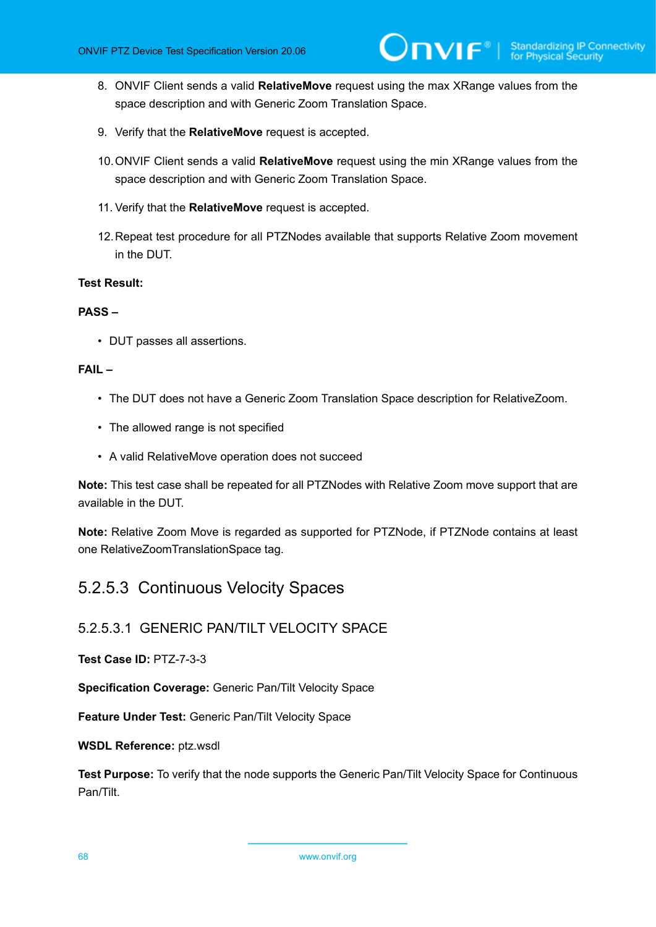- 8. ONVIF Client sends a valid **RelativeMove** request using the max XRange values from the space description and with Generic Zoom Translation Space.
- 9. Verify that the **RelativeMove** request is accepted.
- 10.ONVIF Client sends a valid **RelativeMove** request using the min XRange values from the space description and with Generic Zoom Translation Space.
- 11. Verify that the **RelativeMove** request is accepted.
- 12.Repeat test procedure for all PTZNodes available that supports Relative Zoom movement in the DUT.

#### **PASS –**

• DUT passes all assertions.

#### **FAIL –**

- The DUT does not have a Generic Zoom Translation Space description for RelativeZoom.
- The allowed range is not specified
- A valid RelativeMove operation does not succeed

**Note:** This test case shall be repeated for all PTZNodes with Relative Zoom move support that are available in the DUT.

**Note:** Relative Zoom Move is regarded as supported for PTZNode, if PTZNode contains at least one RelativeZoomTranslationSpace tag.

### 5.2.5.3 Continuous Velocity Spaces

#### 5.2.5.3.1 GENERIC PAN/TILT VELOCITY SPACE

**Test Case ID:** PTZ-7-3-3

**Specification Coverage:** Generic Pan/Tilt Velocity Space

**Feature Under Test:** Generic Pan/Tilt Velocity Space

**WSDL Reference:** ptz.wsdl

**Test Purpose:** To verify that the node supports the Generic Pan/Tilt Velocity Space for Continuous Pan/Tilt.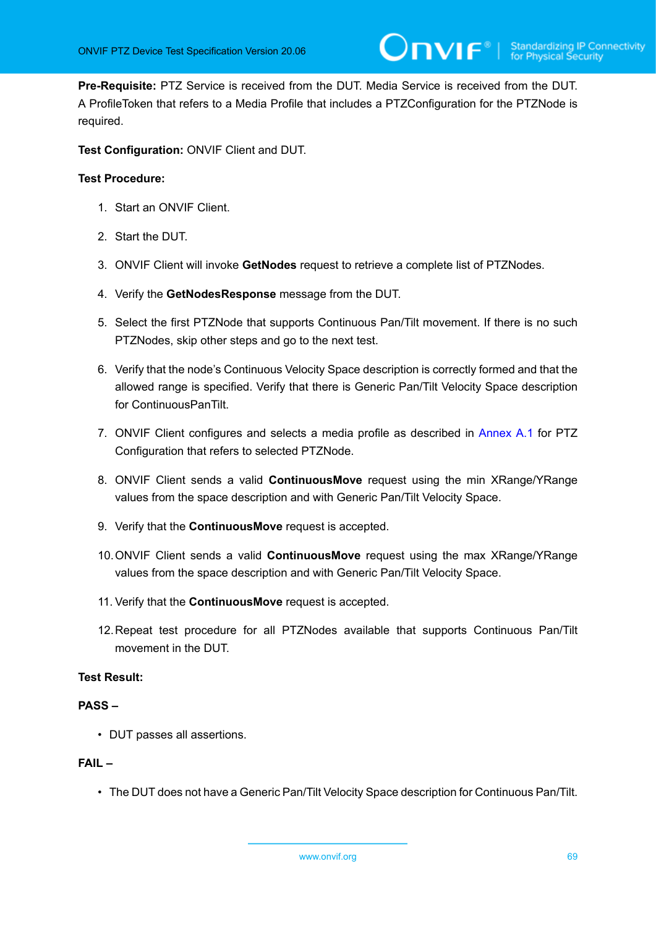**Pre-Requisite:** PTZ Service is received from the DUT. Media Service is received from the DUT. A ProfileToken that refers to a Media Profile that includes a PTZConfiguration for the PTZNode is required.

**Test Configuration:** ONVIF Client and DUT.

#### **Test Procedure:**

- 1. Start an ONVIF Client.
- 2. Start the DUT.
- 3. ONVIF Client will invoke **GetNodes** request to retrieve a complete list of PTZNodes.
- 4. Verify the **GetNodesResponse** message from the DUT.
- 5. Select the first PTZNode that supports Continuous Pan/Tilt movement. If there is no such PTZNodes, skip other steps and go to the next test.
- 6. Verify that the node's Continuous Velocity Space description is correctly formed and that the allowed range is specified. Verify that there is Generic Pan/Tilt Velocity Space description for ContinuousPanTilt.
- 7. ONVIF Client configures and selects a media profile as described in [Annex A.1](#page-133-0) for PTZ Configuration that refers to selected PTZNode.
- 8. ONVIF Client sends a valid **ContinuousMove** request using the min XRange/YRange values from the space description and with Generic Pan/Tilt Velocity Space.
- 9. Verify that the **ContinuousMove** request is accepted.
- 10.ONVIF Client sends a valid **ContinuousMove** request using the max XRange/YRange values from the space description and with Generic Pan/Tilt Velocity Space.
- 11. Verify that the **ContinuousMove** request is accepted.
- 12.Repeat test procedure for all PTZNodes available that supports Continuous Pan/Tilt movement in the DUT.

#### **Test Result:**

#### **PASS –**

• DUT passes all assertions.

#### **FAIL –**

• The DUT does not have a Generic Pan/Tilt Velocity Space description for Continuous Pan/Tilt.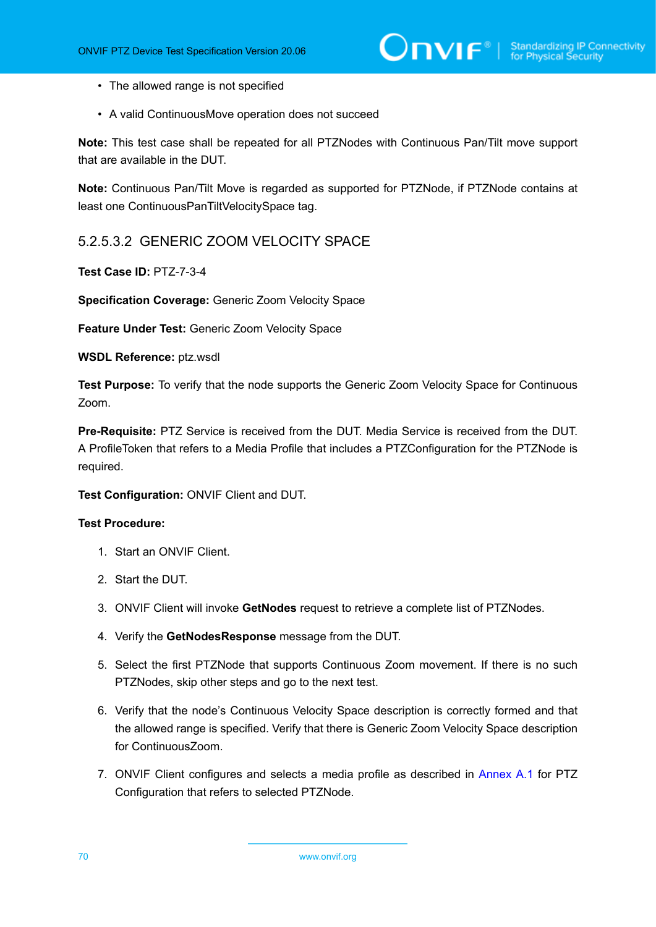- The allowed range is not specified
- A valid ContinuousMove operation does not succeed

**Note:** This test case shall be repeated for all PTZNodes with Continuous Pan/Tilt move support that are available in the DUT.

**Note:** Continuous Pan/Tilt Move is regarded as supported for PTZNode, if PTZNode contains at least one ContinuousPanTiltVelocitySpace tag.

### 5.2.5.3.2 GENERIC ZOOM VELOCITY SPACE

**Test Case ID:** PTZ-7-3-4

**Specification Coverage:** Generic Zoom Velocity Space

**Feature Under Test:** Generic Zoom Velocity Space

**WSDL Reference:** ptz.wsdl

**Test Purpose:** To verify that the node supports the Generic Zoom Velocity Space for Continuous Zoom.

**Pre-Requisite:** PTZ Service is received from the DUT. Media Service is received from the DUT. A ProfileToken that refers to a Media Profile that includes a PTZConfiguration for the PTZNode is required.

#### **Test Configuration:** ONVIF Client and DUT.

- 1. Start an ONVIF Client.
- 2. Start the DUT.
- 3. ONVIF Client will invoke **GetNodes** request to retrieve a complete list of PTZNodes.
- 4. Verify the **GetNodesResponse** message from the DUT.
- 5. Select the first PTZNode that supports Continuous Zoom movement. If there is no such PTZNodes, skip other steps and go to the next test.
- 6. Verify that the node's Continuous Velocity Space description is correctly formed and that the allowed range is specified. Verify that there is Generic Zoom Velocity Space description for ContinuousZoom.
- 7. ONVIF Client configures and selects a media profile as described in [Annex A.1](#page-133-0) for PTZ Configuration that refers to selected PTZNode.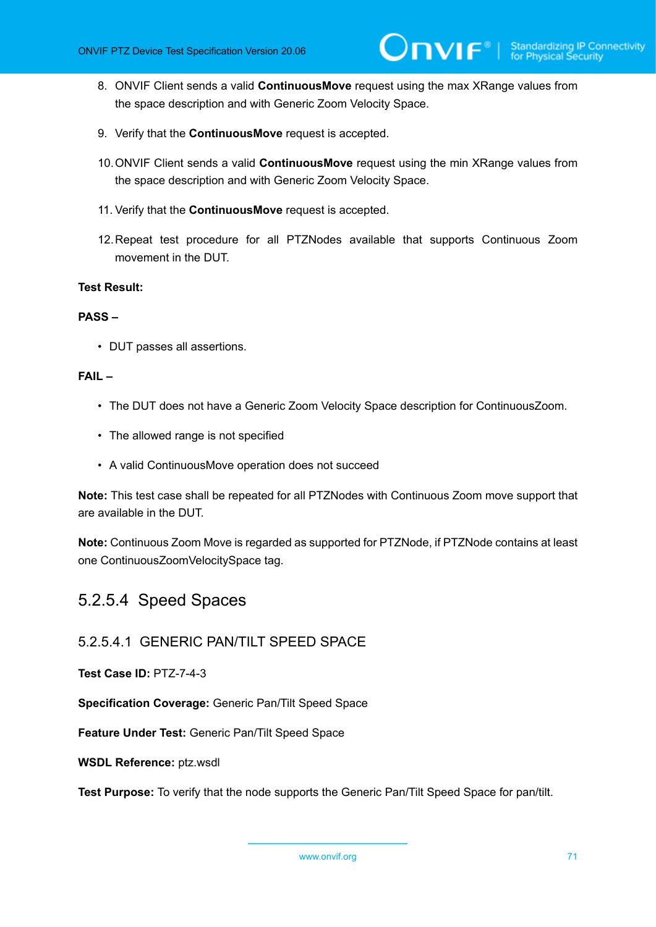- 8. ONVIF Client sends a valid **ContinuousMove** request using the max XRange values from the space description and with Generic Zoom Velocity Space.
- 9. Verify that the **ContinuousMove** request is accepted.
- 10.ONVIF Client sends a valid **ContinuousMove** request using the min XRange values from the space description and with Generic Zoom Velocity Space.
- 11. Verify that the **ContinuousMove** request is accepted.
- 12.Repeat test procedure for all PTZNodes available that supports Continuous Zoom movement in the DUT.

#### **PASS –**

• DUT passes all assertions.

#### **FAIL –**

- The DUT does not have a Generic Zoom Velocity Space description for ContinuousZoom.
- The allowed range is not specified
- A valid ContinuousMove operation does not succeed

**Note:** This test case shall be repeated for all PTZNodes with Continuous Zoom move support that are available in the DUT.

**Note:** Continuous Zoom Move is regarded as supported for PTZNode, if PTZNode contains at least one ContinuousZoomVelocitySpace tag.

### 5.2.5.4 Speed Spaces

#### 5.2.5.4.1 GENERIC PAN/TILT SPEED SPACE

**Test Case ID:** PTZ-7-4-3

**Specification Coverage:** Generic Pan/Tilt Speed Space

**Feature Under Test:** Generic Pan/Tilt Speed Space

**WSDL Reference:** ptz.wsdl

**Test Purpose:** To verify that the node supports the Generic Pan/Tilt Speed Space for pan/tilt.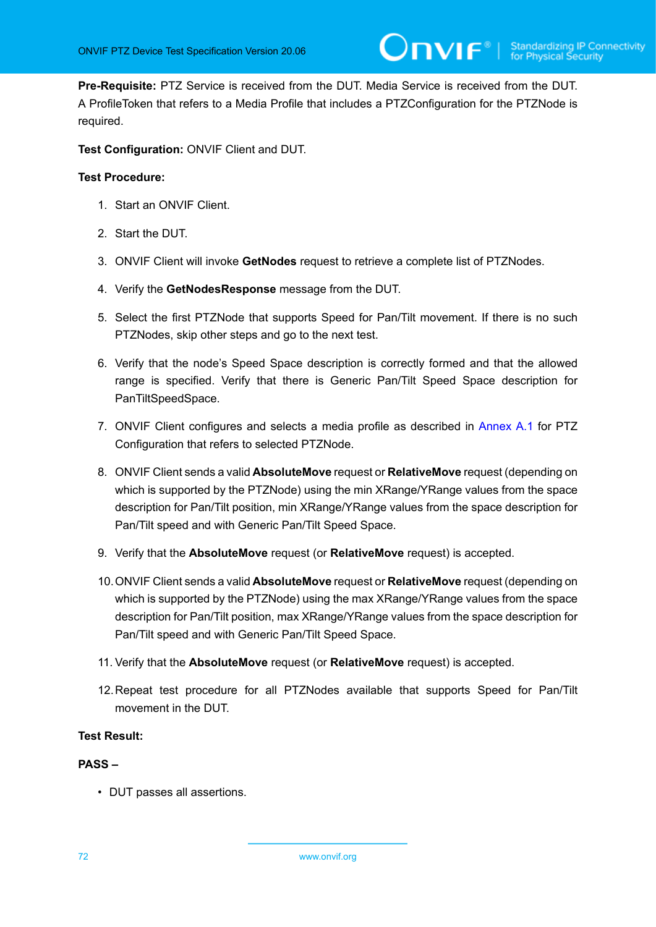**Pre-Requisite:** PTZ Service is received from the DUT. Media Service is received from the DUT. A ProfileToken that refers to a Media Profile that includes a PTZConfiguration for the PTZNode is required.

**Test Configuration:** ONVIF Client and DUT.

#### **Test Procedure:**

- 1. Start an ONVIF Client.
- 2. Start the DUT.
- 3. ONVIF Client will invoke **GetNodes** request to retrieve a complete list of PTZNodes.
- 4. Verify the **GetNodesResponse** message from the DUT.
- 5. Select the first PTZNode that supports Speed for Pan/Tilt movement. If there is no such PTZNodes, skip other steps and go to the next test.
- 6. Verify that the node's Speed Space description is correctly formed and that the allowed range is specified. Verify that there is Generic Pan/Tilt Speed Space description for PanTiltSpeedSpace.
- 7. ONVIF Client configures and selects a media profile as described in [Annex A.1](#page-133-0) for PTZ Configuration that refers to selected PTZNode.
- 8. ONVIF Client sends a valid **AbsoluteMove** request or **RelativeMove** request (depending on which is supported by the PTZNode) using the min XRange/YRange values from the space description for Pan/Tilt position, min XRange/YRange values from the space description for Pan/Tilt speed and with Generic Pan/Tilt Speed Space.
- 9. Verify that the **AbsoluteMove** request (or **RelativeMove** request) is accepted.
- 10.ONVIF Client sends a valid **AbsoluteMove** request or **RelativeMove** request (depending on which is supported by the PTZNode) using the max XRange/YRange values from the space description for Pan/Tilt position, max XRange/YRange values from the space description for Pan/Tilt speed and with Generic Pan/Tilt Speed Space.
- 11. Verify that the **AbsoluteMove** request (or **RelativeMove** request) is accepted.
- 12.Repeat test procedure for all PTZNodes available that supports Speed for Pan/Tilt movement in the DUT.

#### **Test Result:**

#### **PASS –**

• DUT passes all assertions.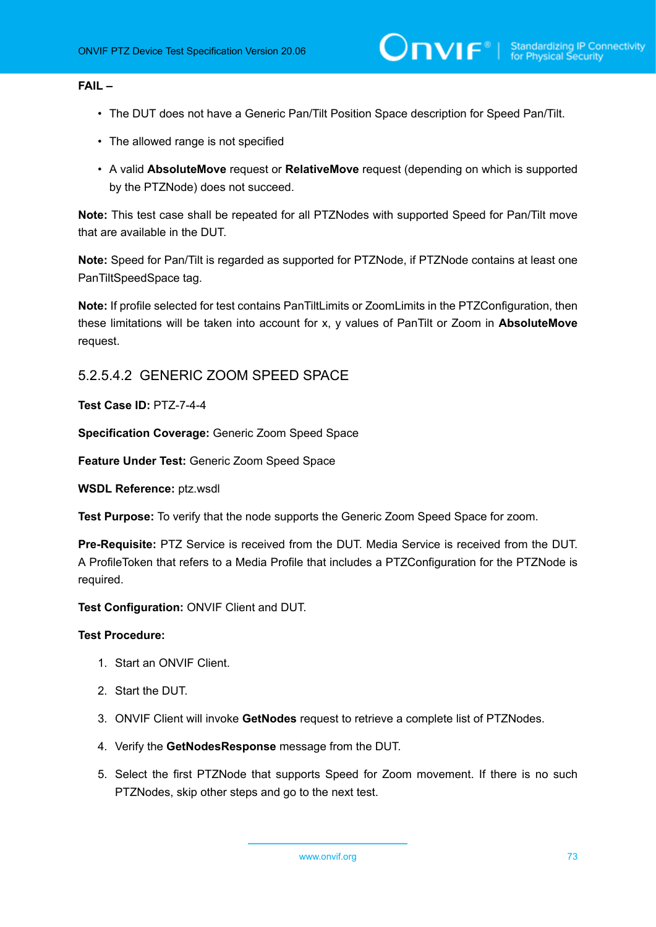### **FAIL –**

- The DUT does not have a Generic Pan/Tilt Position Space description for Speed Pan/Tilt.
- The allowed range is not specified
- A valid **AbsoluteMove** request or **RelativeMove** request (depending on which is supported by the PTZNode) does not succeed.

**Note:** This test case shall be repeated for all PTZNodes with supported Speed for Pan/Tilt move that are available in the DUT.

**Note:** Speed for Pan/Tilt is regarded as supported for PTZNode, if PTZNode contains at least one PanTiltSpeedSpace tag.

**Note:** If profile selected for test contains PanTiltLimits or ZoomLimits in the PTZConfiguration, then these limitations will be taken into account for x, y values of PanTilt or Zoom in **AbsoluteMove** request.

## 5.2.5.4.2 GENERIC ZOOM SPEED SPACE

**Test Case ID:** PTZ-7-4-4

**Specification Coverage:** Generic Zoom Speed Space

**Feature Under Test:** Generic Zoom Speed Space

**WSDL Reference:** ptz.wsdl

**Test Purpose:** To verify that the node supports the Generic Zoom Speed Space for zoom.

**Pre-Requisite:** PTZ Service is received from the DUT. Media Service is received from the DUT. A ProfileToken that refers to a Media Profile that includes a PTZConfiguration for the PTZNode is required.

**Test Configuration:** ONVIF Client and DUT.

- 1. Start an ONVIF Client.
- 2. Start the DUT.
- 3. ONVIF Client will invoke **GetNodes** request to retrieve a complete list of PTZNodes.
- 4. Verify the **GetNodesResponse** message from the DUT.
- 5. Select the first PTZNode that supports Speed for Zoom movement. If there is no such PTZNodes, skip other steps and go to the next test.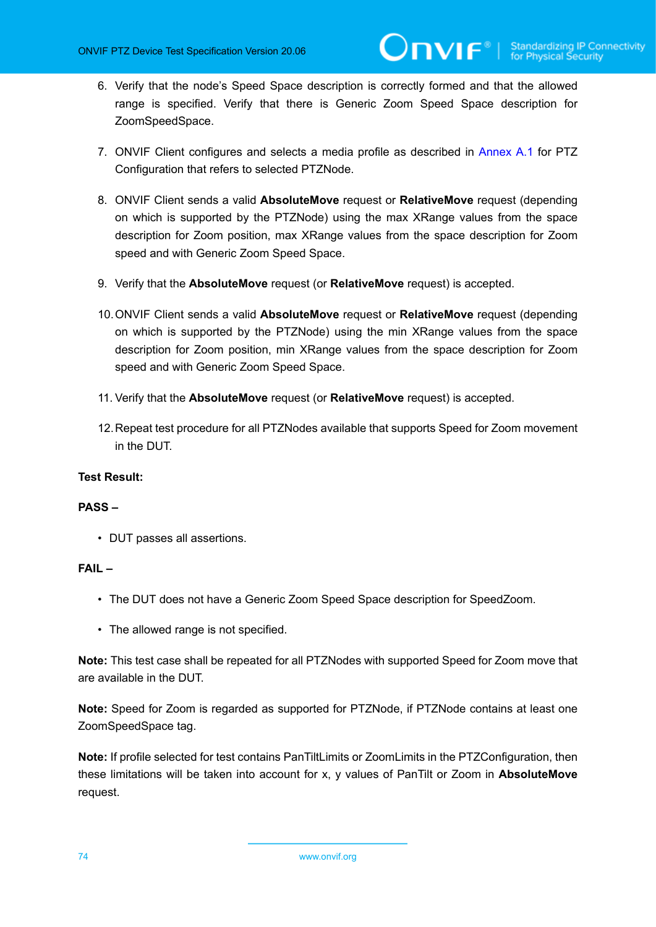- 6. Verify that the node's Speed Space description is correctly formed and that the allowed range is specified. Verify that there is Generic Zoom Speed Space description for ZoomSpeedSpace.
- 7. ONVIF Client configures and selects a media profile as described in [Annex A.1](#page-133-0) for PTZ Configuration that refers to selected PTZNode.
- 8. ONVIF Client sends a valid **AbsoluteMove** request or **RelativeMove** request (depending on which is supported by the PTZNode) using the max XRange values from the space description for Zoom position, max XRange values from the space description for Zoom speed and with Generic Zoom Speed Space.
- 9. Verify that the **AbsoluteMove** request (or **RelativeMove** request) is accepted.
- 10.ONVIF Client sends a valid **AbsoluteMove** request or **RelativeMove** request (depending on which is supported by the PTZNode) using the min XRange values from the space description for Zoom position, min XRange values from the space description for Zoom speed and with Generic Zoom Speed Space.
- 11. Verify that the **AbsoluteMove** request (or **RelativeMove** request) is accepted.
- 12.Repeat test procedure for all PTZNodes available that supports Speed for Zoom movement in the DUT.

### **Test Result:**

### **PASS –**

• DUT passes all assertions.

### **FAIL –**

- The DUT does not have a Generic Zoom Speed Space description for SpeedZoom.
- The allowed range is not specified.

**Note:** This test case shall be repeated for all PTZNodes with supported Speed for Zoom move that are available in the DUT.

**Note:** Speed for Zoom is regarded as supported for PTZNode, if PTZNode contains at least one ZoomSpeedSpace tag.

**Note:** If profile selected for test contains PanTiltLimits or ZoomLimits in the PTZConfiguration, then these limitations will be taken into account for x, y values of PanTilt or Zoom in **AbsoluteMove** request.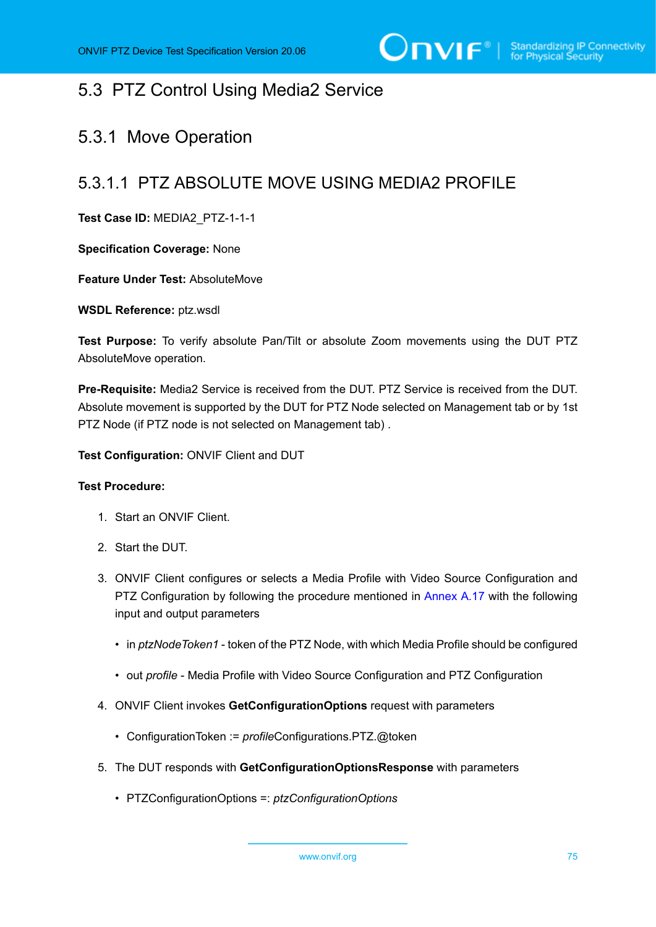# 5.3 PTZ Control Using Media2 Service

# 5.3.1 Move Operation

# 5.3.1.1 PTZ ABSOLUTE MOVE USING MEDIA2 PROFILE

**Test Case ID:** MEDIA2\_PTZ-1-1-1

**Specification Coverage:** None

**Feature Under Test:** AbsoluteMove

**WSDL Reference:** ptz.wsdl

**Test Purpose:** To verify absolute Pan/Tilt or absolute Zoom movements using the DUT PTZ AbsoluteMove operation.

**Pre-Requisite:** Media2 Service is received from the DUT. PTZ Service is received from the DUT. Absolute movement is supported by the DUT for PTZ Node selected on Management tab or by 1st PTZ Node (if PTZ node is not selected on Management tab) .

**Test Configuration:** ONVIF Client and DUT

### **Test Procedure:**

- 1. Start an ONVIF Client.
- 2. Start the DUT.
- <span id="page-74-0"></span>3. ONVIF Client configures or selects a Media Profile with Video Source Configuration and PTZ Configuration by following the procedure mentioned in [Annex A.17](#page-158-0) with the following input and output parameters
	- in *ptzNodeToken1* token of the PTZ Node, with which Media Profile should be configured
	- out *profile* Media Profile with Video Source Configuration and PTZ Configuration
- 4. ONVIF Client invokes **GetConfigurationOptions** request with parameters
	- ConfigurationToken := *profile*Configurations.PTZ.@token
- 5. The DUT responds with **GetConfigurationOptionsResponse** with parameters
	- PTZConfigurationOptions =: *ptzConfigurationOptions*

www.onvif.org 75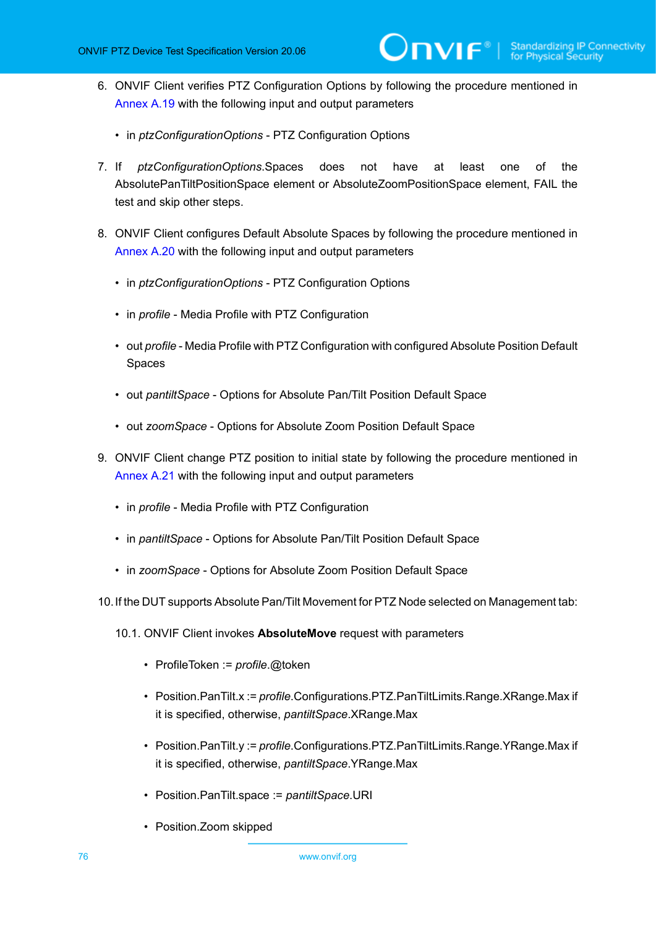- 6. ONVIF Client verifies PTZ Configuration Options by following the procedure mentioned in [Annex A.19](#page-160-0) with the following input and output parameters
	- in *ptzConfigurationOptions* PTZ Configuration Options
- 7. If *ptzConfigurationOptions*.Spaces does not have at least one of the AbsolutePanTiltPositionSpace element or AbsoluteZoomPositionSpace element, FAIL the test and skip other steps.
- <span id="page-75-1"></span>8. ONVIF Client configures Default Absolute Spaces by following the procedure mentioned in [Annex A.20](#page-162-0) with the following input and output parameters
	- in *ptzConfigurationOptions* PTZ Configuration Options
	- in *profile* Media Profile with PTZ Configuration
	- out *profile* Media Profile with PTZ Configuration with configured Absolute Position Default Spaces
	- out *pantiltSpace* Options for Absolute Pan/Tilt Position Default Space
	- out *zoomSpace* Options for Absolute Zoom Position Default Space
- 9. ONVIF Client change PTZ position to initial state by following the procedure mentioned in [Annex A.21](#page-164-0) with the following input and output parameters
	- in *profile* Media Profile with PTZ Configuration
	- in *pantiltSpace* Options for Absolute Pan/Tilt Position Default Space
	- in *zoomSpace* Options for Absolute Zoom Position Default Space
- <span id="page-75-0"></span>10.If the DUT supports Absolute Pan/Tilt Movement for PTZ Node selected on Management tab:
	- 10.1. ONVIF Client invokes **AbsoluteMove** request with parameters
		- ProfileToken := *profile*.@token
		- Position.PanTilt.x := *profile*.Configurations.PTZ.PanTiltLimits.Range.XRange.Max if it is specified, otherwise, *pantiltSpace*.XRange.Max
		- Position.PanTilt.y := *profile*.Configurations.PTZ.PanTiltLimits.Range.YRange.Max if it is specified, otherwise, *pantiltSpace*.YRange.Max
		- Position.PanTilt.space := *pantiltSpace*.URI
		- Position.Zoom skipped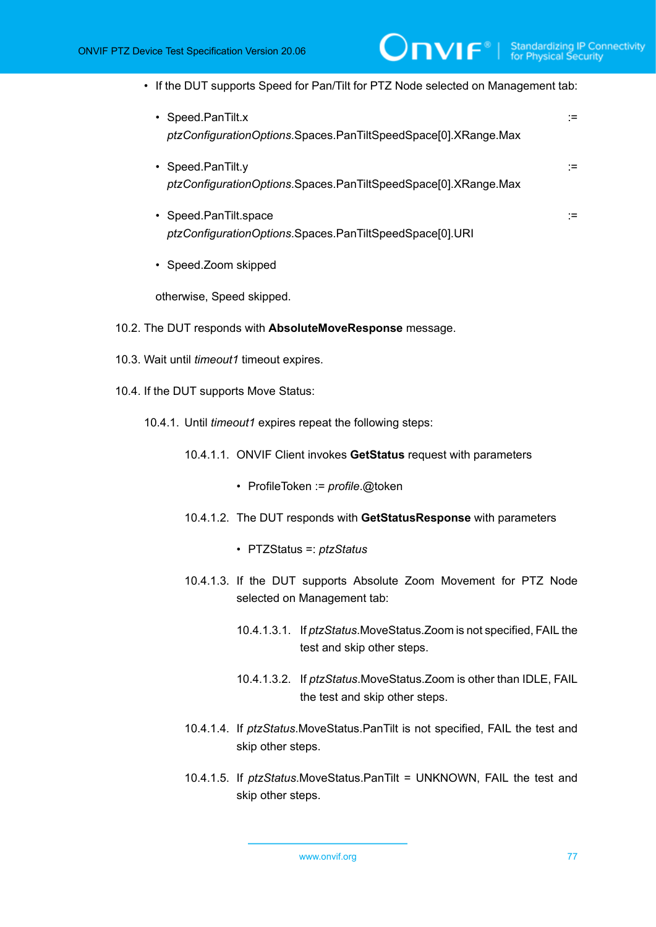- If the DUT supports Speed for Pan/Tilt for PTZ Node selected on Management tab:
	- Speed.PanTilt.x := *ptzConfigurationOptions*.Spaces.PanTiltSpeedSpace[0].XRange.Max
	- Speed.PanTilt.y := *ptzConfigurationOptions*.Spaces.PanTiltSpeedSpace[0].XRange.Max
	- Speed.PanTilt.space := *ptzConfigurationOptions*.Spaces.PanTiltSpeedSpace[0].URI
	- Speed.Zoom skipped

otherwise, Speed skipped.

- 10.2. The DUT responds with **AbsoluteMoveResponse** message.
- 10.3. Wait until *timeout1* timeout expires.
- <span id="page-76-0"></span>10.4. If the DUT supports Move Status:
	- 10.4.1. Until *timeout1* expires repeat the following steps:
		- 10.4.1.1. ONVIF Client invokes **GetStatus** request with parameters
			- ProfileToken := *profile*.@token
		- 10.4.1.2. The DUT responds with **GetStatusResponse** with parameters
			- PTZStatus =: *ptzStatus*
		- 10.4.1.3. If the DUT supports Absolute Zoom Movement for PTZ Node selected on Management tab:
			- 10.4.1.3.1. If *ptzStatus*.MoveStatus.Zoom is not specified, FAIL the test and skip other steps.
			- 10.4.1.3.2. If *ptzStatus*.MoveStatus.Zoom is other than IDLE, FAIL the test and skip other steps.
		- 10.4.1.4. If *ptzStatus*.MoveStatus.PanTilt is not specified, FAIL the test and skip other steps.
		- 10.4.1.5. If *ptzStatus*.MoveStatus.PanTilt = UNKNOWN, FAIL the test and skip other steps.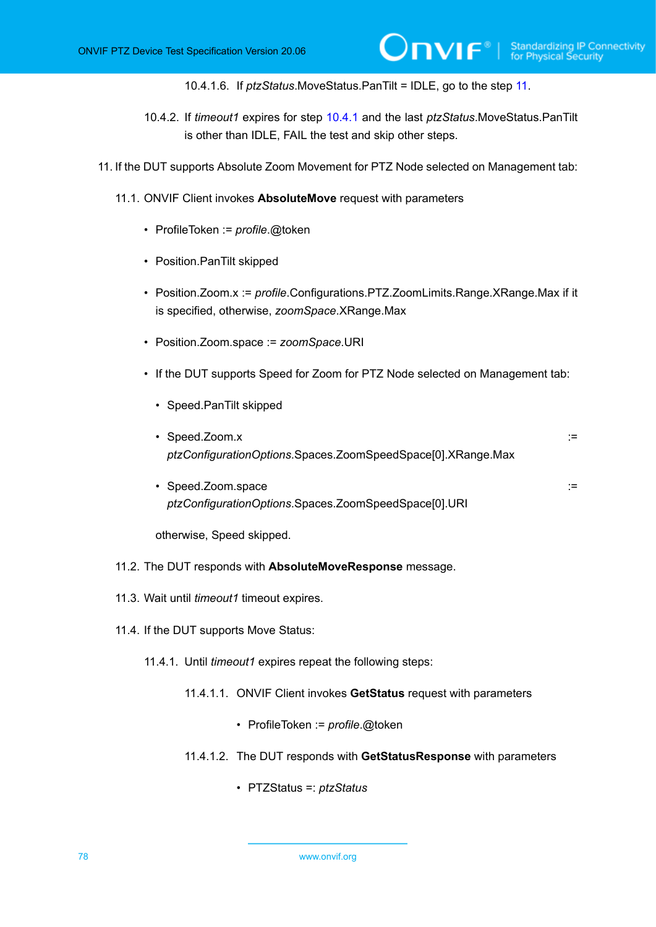10.4.1.6. If *ptzStatus*.MoveStatus.PanTilt = IDLE, go to the step [11](#page-78-0).

- 10.4.2. If *timeout1* expires for step [10.4.1](#page-76-0) and the last *ptzStatus*.MoveStatus.PanTilt is other than IDLE, FAIL the test and skip other steps.
- <span id="page-77-1"></span>11. If the DUT supports Absolute Zoom Movement for PTZ Node selected on Management tab:
	- 11.1. ONVIF Client invokes **AbsoluteMove** request with parameters
		- ProfileToken := *profile*.@token
		- Position.PanTilt skipped
		- Position.Zoom.x := *profile*.Configurations.PTZ.ZoomLimits.Range.XRange.Max if it is specified, otherwise, *zoomSpace*.XRange.Max
		- Position.Zoom.space := *zoomSpace*.URI
		- If the DUT supports Speed for Zoom for PTZ Node selected on Management tab:
			- Speed.PanTilt skipped
			- Speed.Zoom.x := *ptzConfigurationOptions*.Spaces.ZoomSpeedSpace[0].XRange.Max
			- Speed.Zoom.space := *ptzConfigurationOptions*.Spaces.ZoomSpeedSpace[0].URI

otherwise, Speed skipped.

- 11.2. The DUT responds with **AbsoluteMoveResponse** message.
- 11.3. Wait until *timeout1* timeout expires.
- <span id="page-77-0"></span>11.4. If the DUT supports Move Status:
	- 11.4.1. Until *timeout1* expires repeat the following steps:
		- 11.4.1.1. ONVIF Client invokes **GetStatus** request with parameters
			- ProfileToken := *profile*.@token
		- 11.4.1.2. The DUT responds with **GetStatusResponse** with parameters
			- PTZStatus =: *ptzStatus*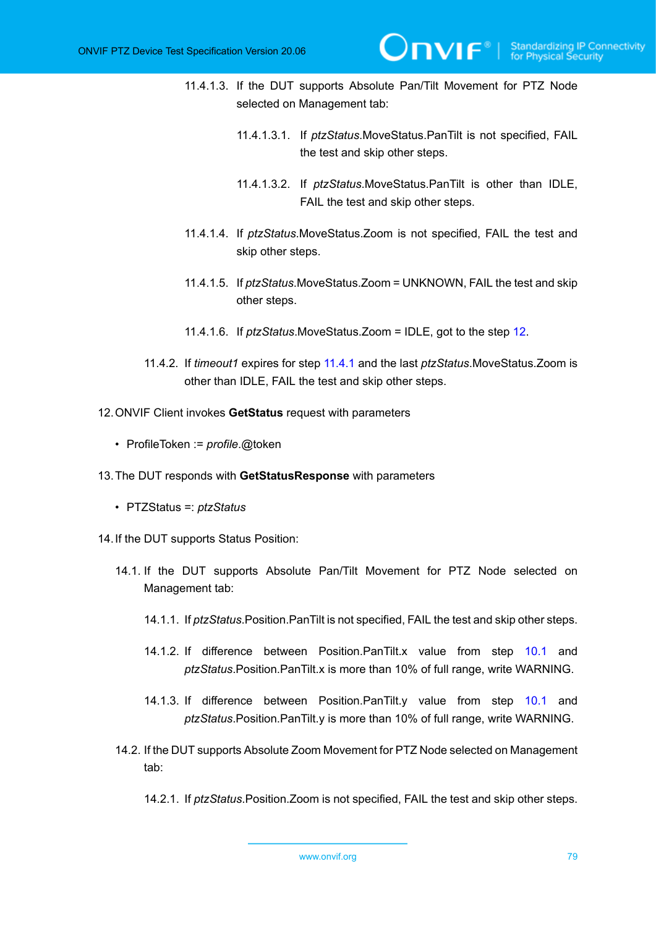- 11.4.1.3. If the DUT supports Absolute Pan/Tilt Movement for PTZ Node selected on Management tab:
	- 11.4.1.3.1. If *ptzStatus*.MoveStatus.PanTilt is not specified, FAIL the test and skip other steps.
	- 11.4.1.3.2. If *ptzStatus*.MoveStatus.PanTilt is other than IDLE, FAIL the test and skip other steps.
- 11.4.1.4. If *ptzStatus*.MoveStatus.Zoom is not specified, FAIL the test and skip other steps.
- 11.4.1.5. If *ptzStatus*.MoveStatus.Zoom = UNKNOWN, FAIL the test and skip other steps.
- 11.4.1.6. If *ptzStatus*.MoveStatus.Zoom = IDLE, got to the step [12](#page-78-0).
- 11.4.2. If *timeout1* expires for step [11.4.1](#page-77-0) and the last *ptzStatus*.MoveStatus.Zoom is other than IDLE, FAIL the test and skip other steps.
- <span id="page-78-0"></span>12.ONVIF Client invokes **GetStatus** request with parameters
	- ProfileToken := *profile*.@token
- 13.The DUT responds with **GetStatusResponse** with parameters
	- PTZStatus =: *ptzStatus*
- 14.If the DUT supports Status Position:
	- 14.1. If the DUT supports Absolute Pan/Tilt Movement for PTZ Node selected on Management tab:
		- 14.1.1. If *ptzStatus*.Position.PanTilt is not specified, FAIL the test and skip other steps.
		- 14.1.2. If difference between Position.PanTilt.x value from step [10.1](#page-75-0) and *ptzStatus*.Position.PanTilt.x is more than 10% of full range, write WARNING.
		- 14.1.3. If difference between Position.PanTilt.y value from step [10.1](#page-75-0) and *ptzStatus*.Position.PanTilt.y is more than 10% of full range, write WARNING.
	- 14.2. If the DUT supports Absolute Zoom Movement for PTZ Node selected on Management tab:
		- 14.2.1. If *ptzStatus*.Position.Zoom is not specified, FAIL the test and skip other steps.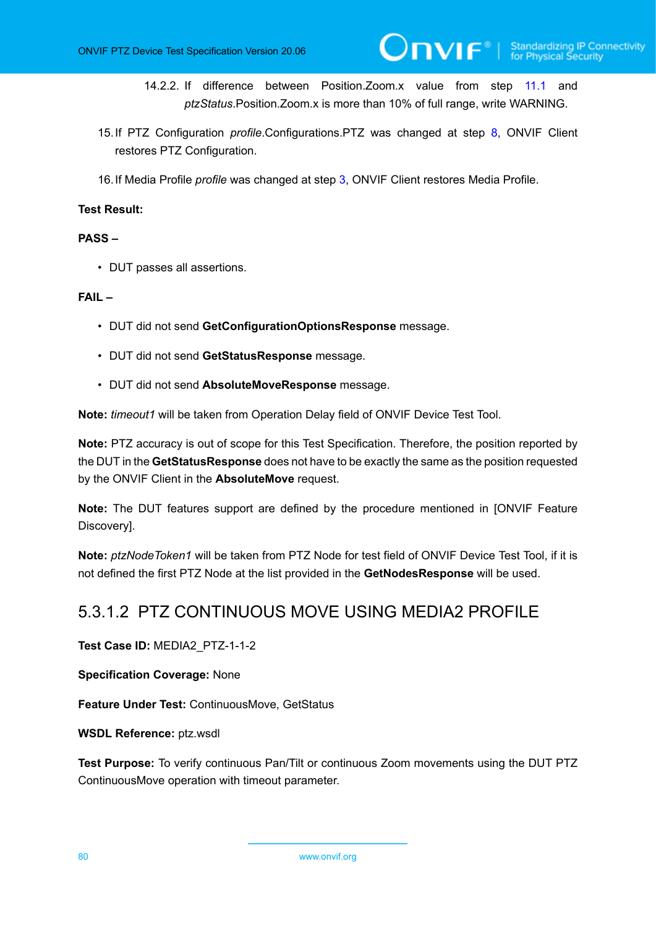- 14.2.2. If difference between Position.Zoom.x value from step [11.1](#page-77-1) and *ptzStatus*.Position.Zoom.x is more than 10% of full range, write WARNING.
- 15.If PTZ Configuration *profile*.Configurations.PTZ was changed at step [8,](#page-75-1) ONVIF Client restores PTZ Configuration.
- 16.If Media Profile *profile* was changed at step [3,](#page-74-0) ONVIF Client restores Media Profile.

### **Test Result:**

### **PASS –**

• DUT passes all assertions.

### **FAIL –**

- DUT did not send **GetConfigurationOptionsResponse** message.
- DUT did not send **GetStatusResponse** message.
- DUT did not send **AbsoluteMoveResponse** message.

**Note:** *timeout1* will be taken from Operation Delay field of ONVIF Device Test Tool.

**Note:** PTZ accuracy is out of scope for this Test Specification. Therefore, the position reported by the DUT in the **GetStatusResponse** does not have to be exactly the same as the position requested by the ONVIF Client in the **AbsoluteMove** request.

**Note:** The DUT features support are defined by the procedure mentioned in [ONVIF Feature Discovery].

**Note:** *ptzNodeToken1* will be taken from PTZ Node for test field of ONVIF Device Test Tool, if it is not defined the first PTZ Node at the list provided in the **GetNodesResponse** will be used.

# 5.3.1.2 PTZ CONTINUOUS MOVE USING MEDIA2 PROFILE

**Test Case ID:** MEDIA2\_PTZ-1-1-2

**Specification Coverage:** None

**Feature Under Test:** ContinuousMove, GetStatus

**WSDL Reference:** ptz.wsdl

**Test Purpose:** To verify continuous Pan/Tilt or continuous Zoom movements using the DUT PTZ ContinuousMove operation with timeout parameter.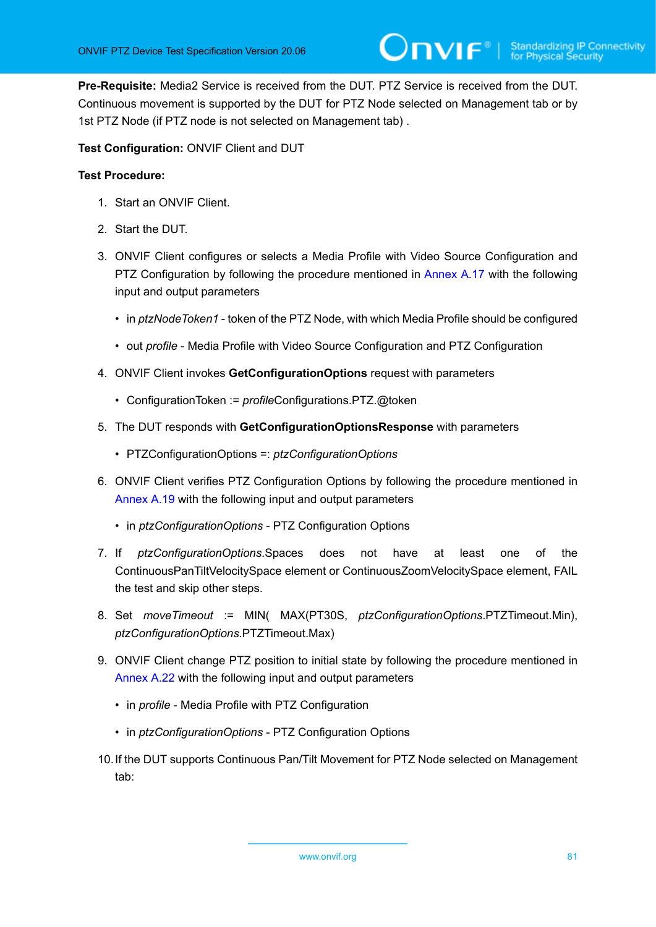**Pre-Requisite:** Media2 Service is received from the DUT. PTZ Service is received from the DUT. Continuous movement is supported by the DUT for PTZ Node selected on Management tab or by 1st PTZ Node (if PTZ node is not selected on Management tab) .

**Test Configuration:** ONVIF Client and DUT

- 1. Start an ONVIF Client.
- 2. Start the DUT.
- <span id="page-80-0"></span>3. ONVIF Client configures or selects a Media Profile with Video Source Configuration and PTZ Configuration by following the procedure mentioned in [Annex A.17](#page-158-0) with the following input and output parameters
	- in *ptzNodeToken1* token of the PTZ Node, with which Media Profile should be configured
	- out *profile* Media Profile with Video Source Configuration and PTZ Configuration
- 4. ONVIF Client invokes **GetConfigurationOptions** request with parameters
	- ConfigurationToken := *profile*Configurations.PTZ.@token
- 5. The DUT responds with **GetConfigurationOptionsResponse** with parameters
	- PTZConfigurationOptions =: *ptzConfigurationOptions*
- 6. ONVIF Client verifies PTZ Configuration Options by following the procedure mentioned in [Annex A.19](#page-160-0) with the following input and output parameters
	- in *ptzConfigurationOptions* PTZ Configuration Options
- 7. If *ptzConfigurationOptions*.Spaces does not have at least one of the ContinuousPanTiltVelocitySpace element or ContinuousZoomVelocitySpace element, FAIL the test and skip other steps.
- 8. Set *moveTimeout* := MIN( MAX(PT30S, *ptzConfigurationOptions*.PTZTimeout.Min), *ptzConfigurationOptions*.PTZTimeout.Max)
- 9. ONVIF Client change PTZ position to initial state by following the procedure mentioned in [Annex A.22](#page-166-0) with the following input and output parameters
	- in *profile* Media Profile with PTZ Configuration
	- in *ptzConfigurationOptions* PTZ Configuration Options
- 10.If the DUT supports Continuous Pan/Tilt Movement for PTZ Node selected on Management tab: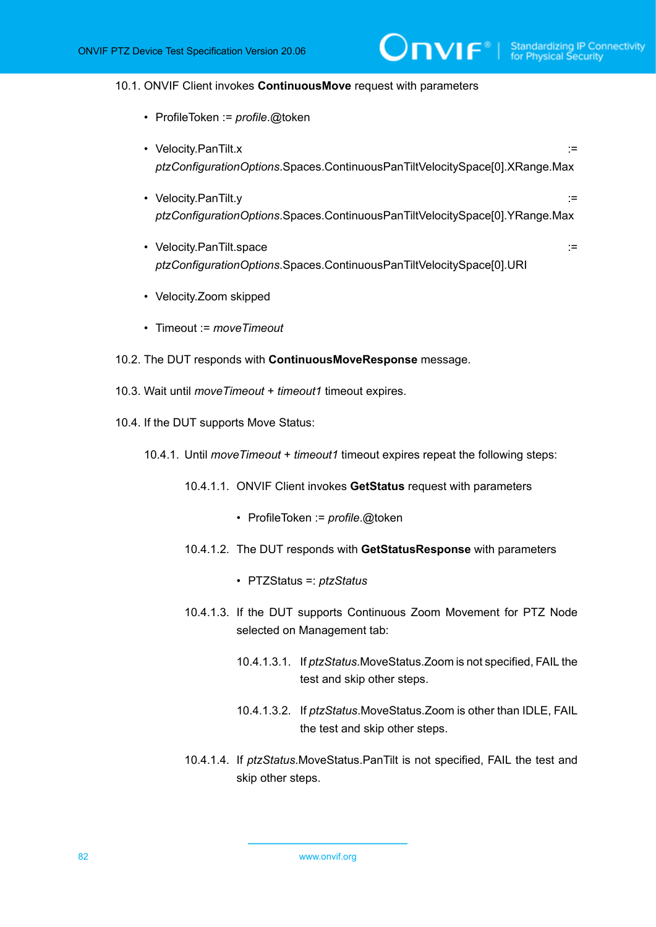#### 10.1. ONVIF Client invokes **ContinuousMove** request with parameters

- ProfileToken := *profile*.@token
- Velocity.PanTilt.x := *ptzConfigurationOptions*.Spaces.ContinuousPanTiltVelocitySpace[0].XRange.Max

 $\partial$ DVIF $^{\circ}$ l

- Velocity.PanTilt.y := *ptzConfigurationOptions*.Spaces.ContinuousPanTiltVelocitySpace[0].YRange.Max
- Velocity.PanTilt.space := *ptzConfigurationOptions*.Spaces.ContinuousPanTiltVelocitySpace[0].URI
- Velocity.Zoom skipped
- Timeout := *moveTimeout*
- 10.2. The DUT responds with **ContinuousMoveResponse** message.
- 10.3. Wait until *moveTimeout* + *timeout1* timeout expires.
- <span id="page-81-0"></span>10.4. If the DUT supports Move Status:
	- 10.4.1. Until *moveTimeout* + *timeout1* timeout expires repeat the following steps:
		- 10.4.1.1. ONVIF Client invokes **GetStatus** request with parameters
			- ProfileToken := *profile*.@token
		- 10.4.1.2. The DUT responds with **GetStatusResponse** with parameters
			- PTZStatus =: *ptzStatus*
		- 10.4.1.3. If the DUT supports Continuous Zoom Movement for PTZ Node selected on Management tab:
			- 10.4.1.3.1. If *ptzStatus*.MoveStatus.Zoom is not specified, FAIL the test and skip other steps.
			- 10.4.1.3.2. If *ptzStatus*.MoveStatus.Zoom is other than IDLE, FAIL the test and skip other steps.
		- 10.4.1.4. If *ptzStatus*.MoveStatus.PanTilt is not specified, FAIL the test and skip other steps.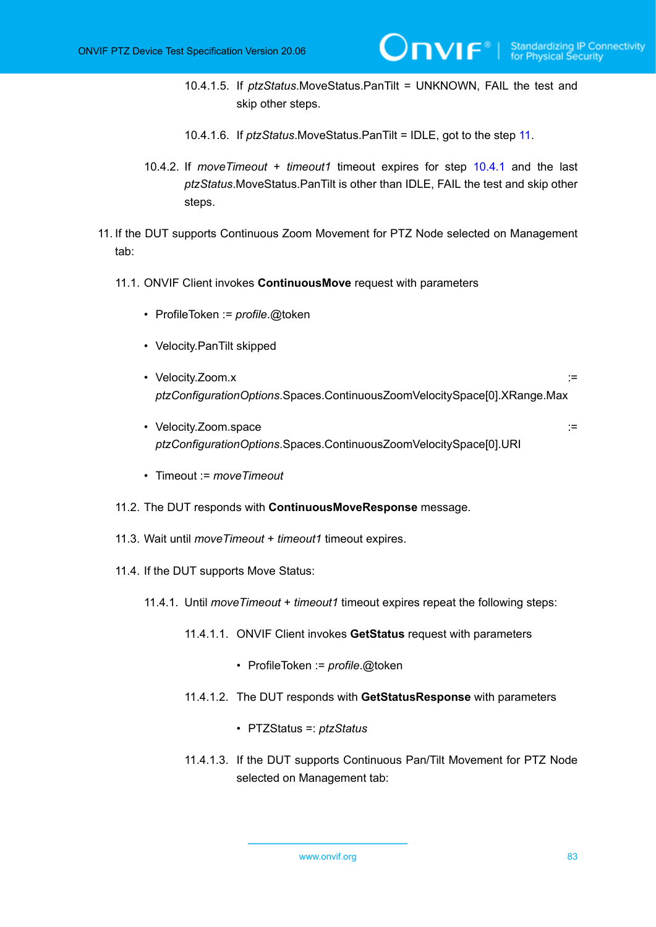- 10.4.1.5. If *ptzStatus*.MoveStatus.PanTilt = UNKNOWN, FAIL the test and skip other steps.
- 10.4.1.6. If *ptzStatus*.MoveStatus.PanTilt = IDLE, got to the step [11](#page-82-0).
- 10.4.2. If *moveTimeout* + *timeout1* timeout expires for step [10.4.1](#page-81-0) and the last *ptzStatus*.MoveStatus.PanTilt is other than IDLE, FAIL the test and skip other steps.
- <span id="page-82-0"></span>11. If the DUT supports Continuous Zoom Movement for PTZ Node selected on Management tab:
	- 11.1. ONVIF Client invokes **ContinuousMove** request with parameters
		- ProfileToken := *profile*.@token
		- Velocity.PanTilt skipped
		- Velocity.Zoom.x := *ptzConfigurationOptions*.Spaces.ContinuousZoomVelocitySpace[0].XRange.Max
		- Velocity.Zoom.space ::= *ptzConfigurationOptions*.Spaces.ContinuousZoomVelocitySpace[0].URI
			-

- Timeout := *moveTimeout*
- 11.2. The DUT responds with **ContinuousMoveResponse** message.
- 11.3. Wait until *moveTimeout* + *timeout1* timeout expires.
- <span id="page-82-1"></span>11.4. If the DUT supports Move Status:
	- 11.4.1. Until *moveTimeout* + *timeout1* timeout expires repeat the following steps:
		- 11.4.1.1. ONVIF Client invokes **GetStatus** request with parameters
			- ProfileToken := *profile*.@token
		- 11.4.1.2. The DUT responds with **GetStatusResponse** with parameters
			- PTZStatus =: *ptzStatus*
		- 11.4.1.3. If the DUT supports Continuous Pan/Tilt Movement for PTZ Node selected on Management tab: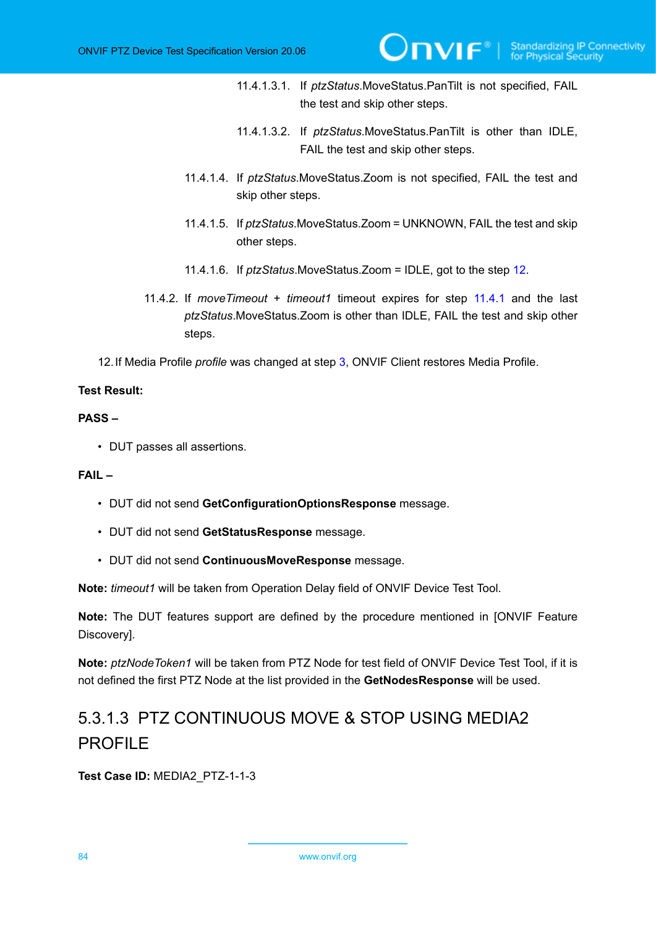- 11.4.1.3.1. If *ptzStatus*.MoveStatus.PanTilt is not specified, FAIL the test and skip other steps.
- 11.4.1.3.2. If *ptzStatus*.MoveStatus.PanTilt is other than IDLE, FAIL the test and skip other steps.
- 11.4.1.4. If *ptzStatus*.MoveStatus.Zoom is not specified, FAIL the test and skip other steps.
- 11.4.1.5. If *ptzStatus*.MoveStatus.Zoom = UNKNOWN, FAIL the test and skip other steps.
- 11.4.1.6. If *ptzStatus*.MoveStatus.Zoom = IDLE, got to the step [12](#page-83-0).
- 11.4.2. If *moveTimeout* + *timeout1* timeout expires for step [11.4.1](#page-82-1) and the last *ptzStatus*.MoveStatus.Zoom is other than IDLE, FAIL the test and skip other steps.

<span id="page-83-0"></span>12.If Media Profile *profile* was changed at step [3,](#page-80-0) ONVIF Client restores Media Profile.

### **Test Result:**

### **PASS –**

• DUT passes all assertions.

### **FAIL –**

- DUT did not send **GetConfigurationOptionsResponse** message.
- DUT did not send **GetStatusResponse** message.
- DUT did not send **ContinuousMoveResponse** message.

**Note:** *timeout1* will be taken from Operation Delay field of ONVIF Device Test Tool.

**Note:** The DUT features support are defined by the procedure mentioned in [ONVIF Feature Discovery].

**Note:** *ptzNodeToken1* will be taken from PTZ Node for test field of ONVIF Device Test Tool, if it is not defined the first PTZ Node at the list provided in the **GetNodesResponse** will be used.

# 5.3.1.3 PTZ CONTINUOUS MOVE & STOP USING MEDIA2 PROFILE

**Test Case ID:** MEDIA2\_PTZ-1-1-3

84 www.onvif.org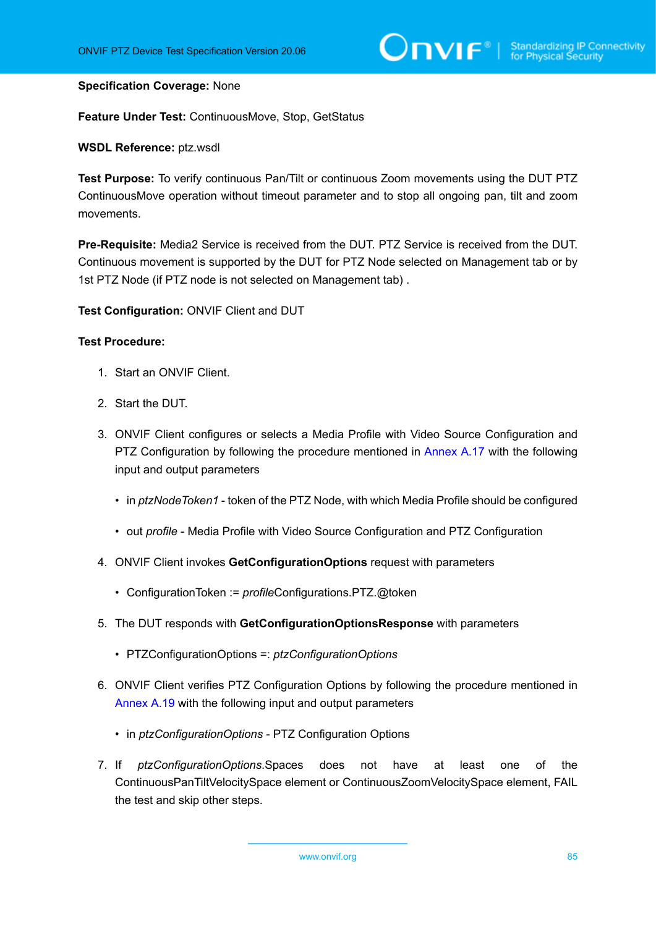### **Specification Coverage:** None

**Feature Under Test:** ContinuousMove, Stop, GetStatus

### **WSDL Reference:** ptz.wsdl

**Test Purpose:** To verify continuous Pan/Tilt or continuous Zoom movements using the DUT PTZ ContinuousMove operation without timeout parameter and to stop all ongoing pan, tilt and zoom movements.

**Pre-Requisite:** Media2 Service is received from the DUT. PTZ Service is received from the DUT. Continuous movement is supported by the DUT for PTZ Node selected on Management tab or by 1st PTZ Node (if PTZ node is not selected on Management tab) .

**Test Configuration:** ONVIF Client and DUT

- 1. Start an ONVIF Client.
- 2. Start the DUT.
- <span id="page-84-0"></span>3. ONVIF Client configures or selects a Media Profile with Video Source Configuration and PTZ Configuration by following the procedure mentioned in [Annex A.17](#page-158-0) with the following input and output parameters
	- in *ptzNodeToken1* token of the PTZ Node, with which Media Profile should be configured
	- out *profile* Media Profile with Video Source Configuration and PTZ Configuration
- 4. ONVIF Client invokes **GetConfigurationOptions** request with parameters
	- ConfigurationToken := *profile*Configurations.PTZ.@token
- 5. The DUT responds with **GetConfigurationOptionsResponse** with parameters
	- PTZConfigurationOptions =: *ptzConfigurationOptions*
- 6. ONVIF Client verifies PTZ Configuration Options by following the procedure mentioned in [Annex A.19](#page-160-0) with the following input and output parameters
	- in *ptzConfigurationOptions* PTZ Configuration Options
- 7. If *ptzConfigurationOptions*.Spaces does not have at least one of the ContinuousPanTiltVelocitySpace element or ContinuousZoomVelocitySpace element, FAIL the test and skip other steps.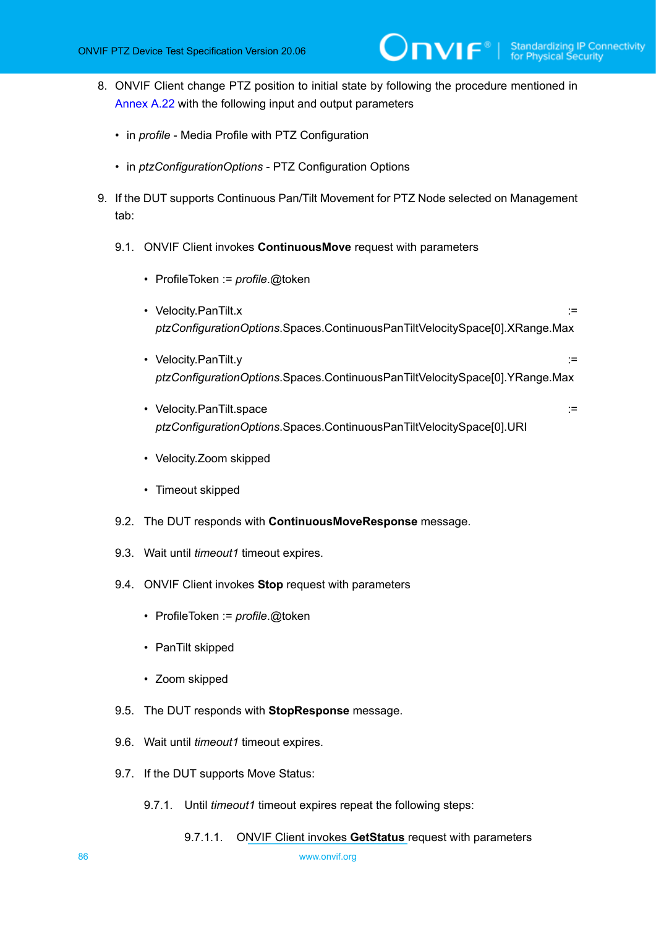- 8. ONVIF Client change PTZ position to initial state by following the procedure mentioned in [Annex A.22](#page-166-0) with the following input and output parameters
	- in *profile* Media Profile with PTZ Configuration
	- in *ptzConfigurationOptions* PTZ Configuration Options
- <span id="page-85-0"></span>9. If the DUT supports Continuous Pan/Tilt Movement for PTZ Node selected on Management tab:
	- 9.1. ONVIF Client invokes **ContinuousMove** request with parameters
		- ProfileToken := *profile*.@token
		- Velocity.PanTilt.x := *ptzConfigurationOptions*.Spaces.ContinuousPanTiltVelocitySpace[0].XRange.Max
		- Velocity.PanTilt.y := *ptzConfigurationOptions*.Spaces.ContinuousPanTiltVelocitySpace[0].YRange.Max
		- Velocity.PanTilt.space := *ptzConfigurationOptions*.Spaces.ContinuousPanTiltVelocitySpace[0].URI
		- Velocity.Zoom skipped
		- Timeout skipped
	- 9.2. The DUT responds with **ContinuousMoveResponse** message.
	- 9.3. Wait until *timeout1* timeout expires.
	- 9.4. ONVIF Client invokes **Stop** request with parameters
		- ProfileToken := *profile*.@token
		- PanTilt skipped
		- Zoom skipped
	- 9.5. The DUT responds with **StopResponse** message.
	- 9.6. Wait until *timeout1* timeout expires.
	- 9.7. If the DUT supports Move Status:
		- 9.7.1. Until *timeout1* timeout expires repeat the following steps:
			- 9.7.1.1. ONVIF Client invokes **GetStatus** request with parameters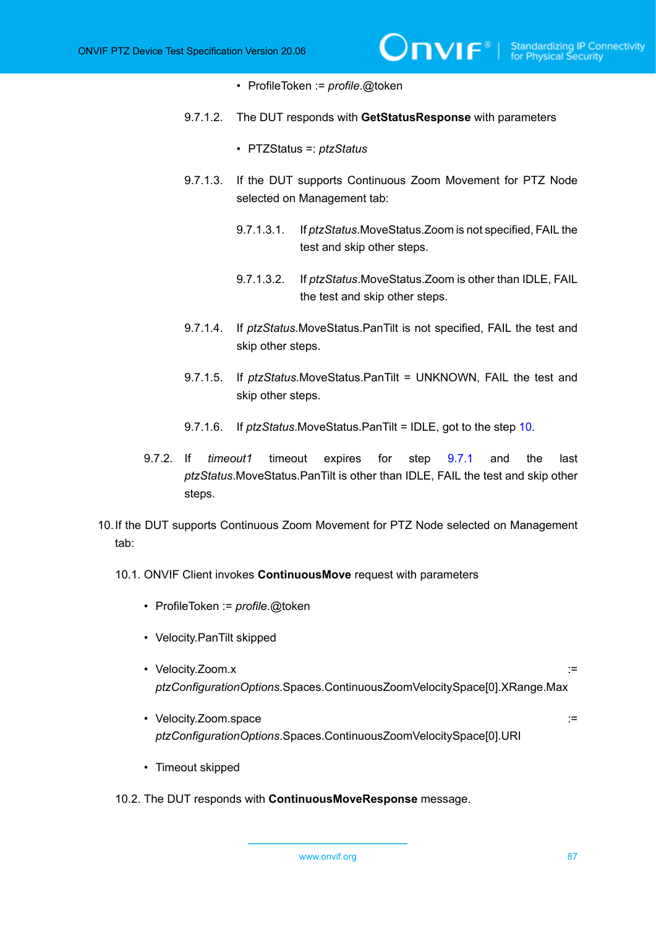- ProfileToken := *profile*.@token
- 9.7.1.2. The DUT responds with **GetStatusResponse** with parameters
	- PTZStatus =: *ptzStatus*
- 9.7.1.3. If the DUT supports Continuous Zoom Movement for PTZ Node selected on Management tab:
	- 9.7.1.3.1. If *ptzStatus*.MoveStatus.Zoom is not specified, FAIL the test and skip other steps.

 $\mathsf{D}\mathbf{n}\mathsf{V}\mathsf{I}\mathsf{F}^\circ$  i

- 9.7.1.3.2. If *ptzStatus*.MoveStatus.Zoom is other than IDLE, FAIL the test and skip other steps.
- 9.7.1.4. If *ptzStatus*.MoveStatus.PanTilt is not specified, FAIL the test and skip other steps.
- 9.7.1.5. If *ptzStatus*.MoveStatus.PanTilt = UNKNOWN, FAIL the test and skip other steps.
- 9.7.1.6. If *ptzStatus*.MoveStatus.PanTilt = IDLE, got to the step [10.](#page-86-0)
- 9.7.2. If *timeout1* timeout expires for step [9.7.1](#page-85-0) and the last *ptzStatus*.MoveStatus.PanTilt is other than IDLE, FAIL the test and skip other steps.
- <span id="page-86-0"></span>10.If the DUT supports Continuous Zoom Movement for PTZ Node selected on Management tab:
	- 10.1. ONVIF Client invokes **ContinuousMove** request with parameters
		- ProfileToken := *profile*.@token
		- Velocity.PanTilt skipped
		- Velocity.Zoom.x := *ptzConfigurationOptions*.Spaces.ContinuousZoomVelocitySpace[0].XRange.Max
		- Velocity.Zoom.space := *ptzConfigurationOptions*.Spaces.ContinuousZoomVelocitySpace[0].URI
		- Timeout skipped
	- 10.2. The DUT responds with **ContinuousMoveResponse** message.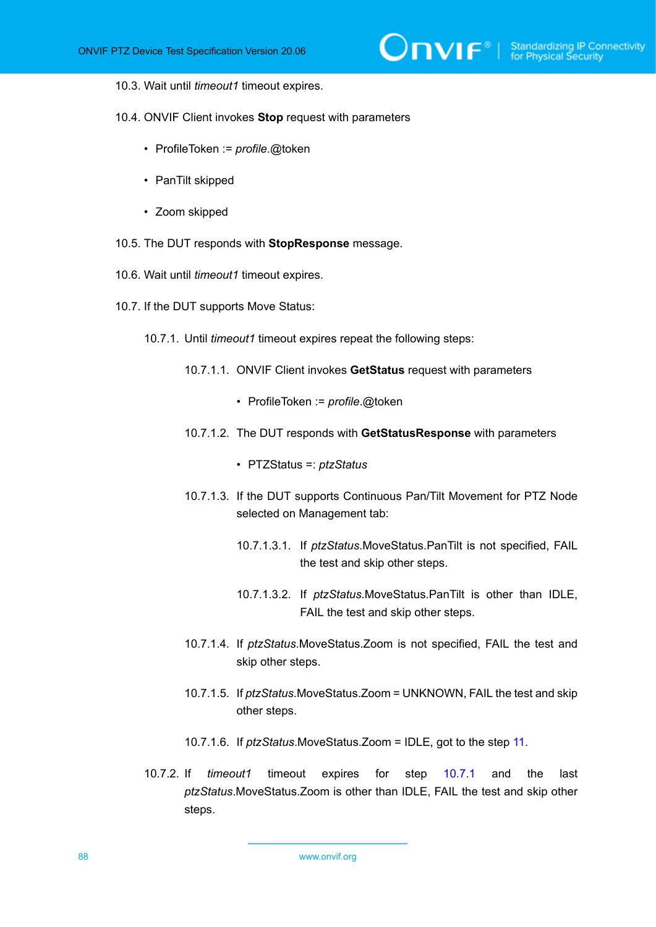#### 10.3. Wait until *timeout1* timeout expires.

10.4. ONVIF Client invokes **Stop** request with parameters

- ProfileToken := *profile*.@token
- PanTilt skipped
- Zoom skipped
- 10.5. The DUT responds with **StopResponse** message.
- 10.6. Wait until *timeout1* timeout expires.
- <span id="page-87-0"></span>10.7. If the DUT supports Move Status:
	- 10.7.1. Until *timeout1* timeout expires repeat the following steps:
		- 10.7.1.1. ONVIF Client invokes **GetStatus** request with parameters
			- ProfileToken := *profile*.@token
		- 10.7.1.2. The DUT responds with **GetStatusResponse** with parameters
			- PTZStatus =: *ptzStatus*
		- 10.7.1.3. If the DUT supports Continuous Pan/Tilt Movement for PTZ Node selected on Management tab:
			- 10.7.1.3.1. If *ptzStatus*.MoveStatus.PanTilt is not specified, FAIL the test and skip other steps.
			- 10.7.1.3.2. If *ptzStatus*.MoveStatus.PanTilt is other than IDLE, FAIL the test and skip other steps.
		- 10.7.1.4. If *ptzStatus*.MoveStatus.Zoom is not specified, FAIL the test and skip other steps.
		- 10.7.1.5. If *ptzStatus*.MoveStatus.Zoom = UNKNOWN, FAIL the test and skip other steps.
		- 10.7.1.6. If *ptzStatus*.MoveStatus.Zoom = IDLE, got to the step [11.](#page-88-0)
	- 10.7.2. If *timeout1* timeout expires for step [10.7.1](#page-87-0) and the last *ptzStatus*.MoveStatus.Zoom is other than IDLE, FAIL the test and skip other steps.

88 www.onvif.org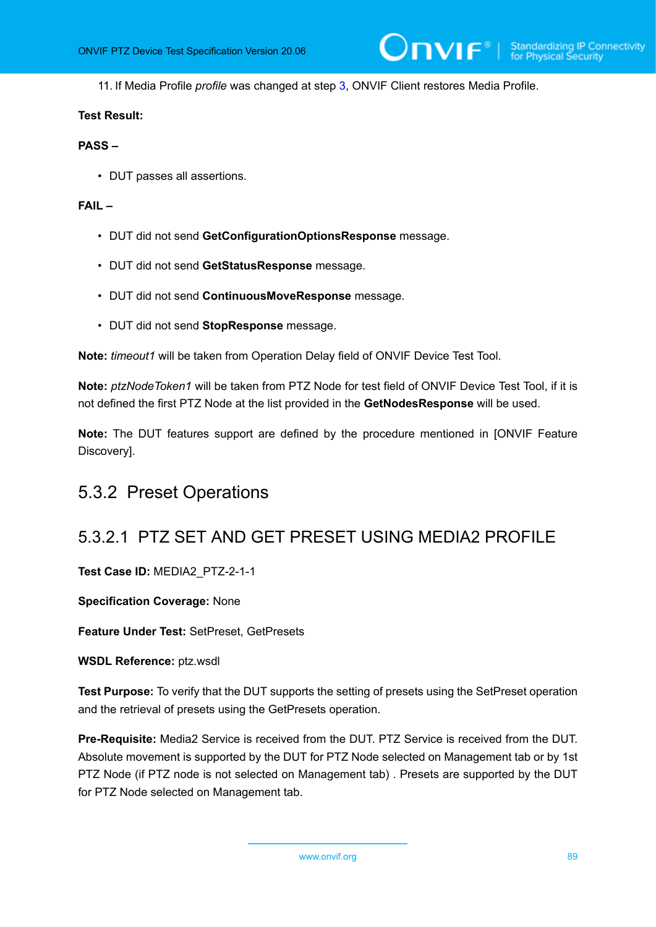<span id="page-88-0"></span>11. If Media Profile *profile* was changed at step [3,](#page-84-0) ONVIF Client restores Media Profile.

### **Test Result:**

### **PASS –**

• DUT passes all assertions.

### **FAIL –**

- DUT did not send **GetConfigurationOptionsResponse** message.
- DUT did not send **GetStatusResponse** message.
- DUT did not send **ContinuousMoveResponse** message.
- DUT did not send **StopResponse** message.

**Note:** *timeout1* will be taken from Operation Delay field of ONVIF Device Test Tool.

**Note:** *ptzNodeToken1* will be taken from PTZ Node for test field of ONVIF Device Test Tool, if it is not defined the first PTZ Node at the list provided in the **GetNodesResponse** will be used.

**Note:** The DUT features support are defined by the procedure mentioned in [ONVIF Feature Discovery].

# 5.3.2 Preset Operations

# 5.3.2.1 PTZ SET AND GET PRESET USING MEDIA2 PROFILE

**Test Case ID:** MEDIA2\_PTZ-2-1-1

**Specification Coverage:** None

**Feature Under Test:** SetPreset, GetPresets

**WSDL Reference:** ptz.wsdl

**Test Purpose:** To verify that the DUT supports the setting of presets using the SetPreset operation and the retrieval of presets using the GetPresets operation.

**Pre-Requisite:** Media2 Service is received from the DUT. PTZ Service is received from the DUT. Absolute movement is supported by the DUT for PTZ Node selected on Management tab or by 1st PTZ Node (if PTZ node is not selected on Management tab) . Presets are supported by the DUT for PTZ Node selected on Management tab.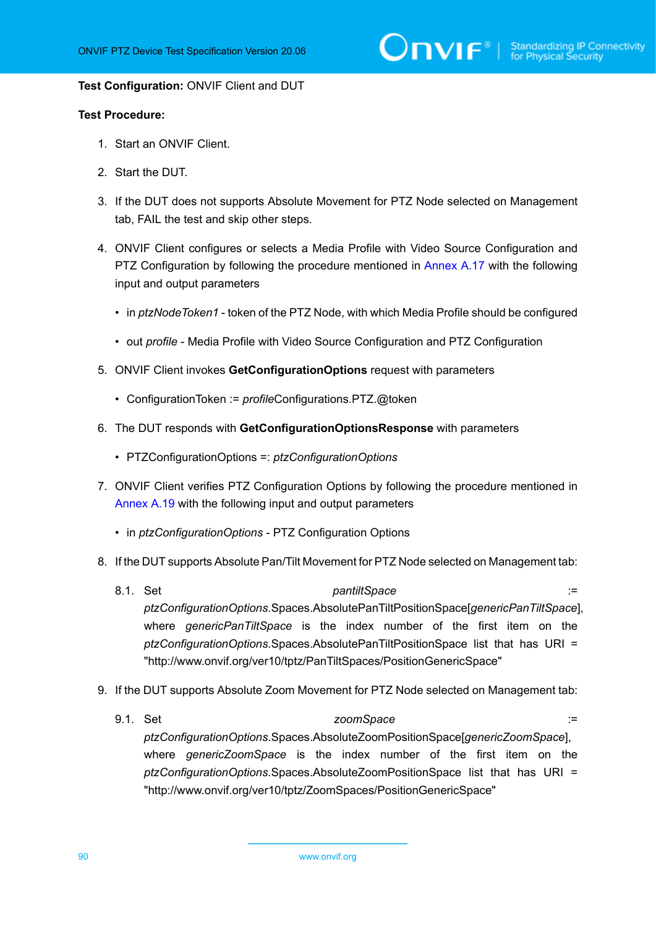#### **Test Configuration:** ONVIF Client and DUT

- 1. Start an ONVIF Client.
- 2. Start the DUT.
- 3. If the DUT does not supports Absolute Movement for PTZ Node selected on Management tab, FAIL the test and skip other steps.
- <span id="page-89-0"></span>4. ONVIF Client configures or selects a Media Profile with Video Source Configuration and PTZ Configuration by following the procedure mentioned in [Annex A.17](#page-158-0) with the following input and output parameters
	- in *ptzNodeToken1* token of the PTZ Node, with which Media Profile should be configured
	- out *profile* Media Profile with Video Source Configuration and PTZ Configuration
- 5. ONVIF Client invokes **GetConfigurationOptions** request with parameters
	- ConfigurationToken := *profile*Configurations.PTZ.@token
- 6. The DUT responds with **GetConfigurationOptionsResponse** with parameters
	- PTZConfigurationOptions =: *ptzConfigurationOptions*
- 7. ONVIF Client verifies PTZ Configuration Options by following the procedure mentioned in [Annex A.19](#page-160-0) with the following input and output parameters
	- in *ptzConfigurationOptions* PTZ Configuration Options
- 8. If the DUT supports Absolute Pan/Tilt Movement for PTZ Node selected on Management tab:
	- 8.1. Set *pantiltSpace* := *ptzConfigurationOptions*.Spaces.AbsolutePanTiltPositionSpace[*genericPanTiltSpace*], where *genericPanTiltSpace* is the index number of the first item on the *ptzConfigurationOptions*.Spaces.AbsolutePanTiltPositionSpace list that has URI = "http://www.onvif.org/ver10/tptz/PanTiltSpaces/PositionGenericSpace"
- 9. If the DUT supports Absolute Zoom Movement for PTZ Node selected on Management tab:
	- 9.1. Set *zoomSpace* := *zoomSpace* := *zoomSpace* := *ptzConfigurationOptions*.Spaces.AbsoluteZoomPositionSpace[*genericZoomSpace*], where *genericZoomSpace* is the index number of the first item on the *ptzConfigurationOptions*.Spaces.AbsoluteZoomPositionSpace list that has URI = "http://www.onvif.org/ver10/tptz/ZoomSpaces/PositionGenericSpace"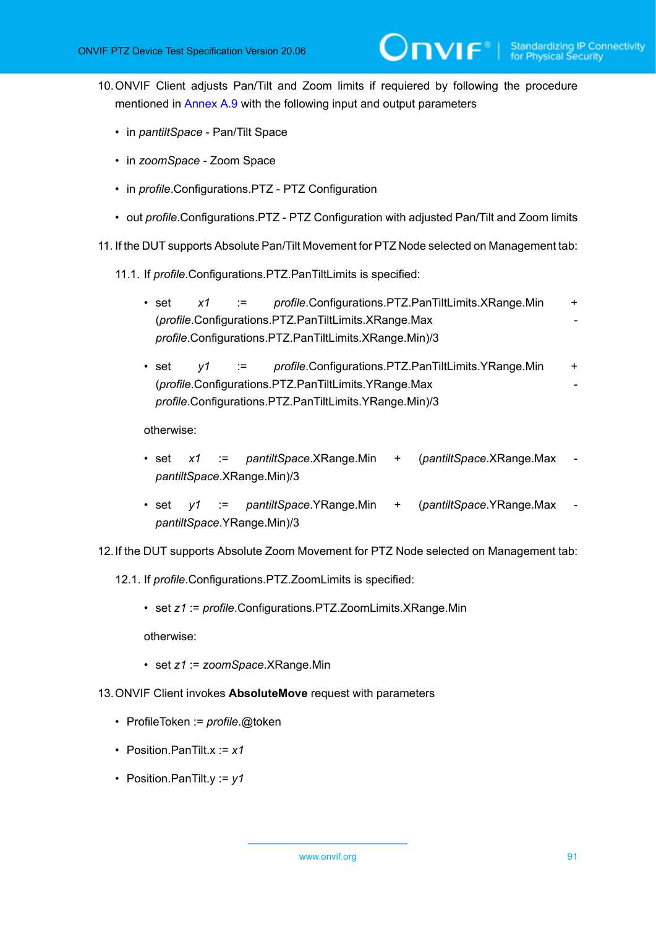<span id="page-90-0"></span>10.ONVIF Client adjusts Pan/Tilt and Zoom limits if requiered by following the procedure mentioned in [Annex A.9](#page-145-0) with the following input and output parameters

 $\mathsf{D}\mathbf{N}\mathsf{I}\mathsf{F}^\ast$ 

- in *pantiltSpace* Pan/Tilt Space
- in *zoomSpace* Zoom Space
- in *profile*.Configurations.PTZ PTZ Configuration
- out *profile*.Configurations.PTZ PTZ Configuration with adjusted Pan/Tilt and Zoom limits
- 11. If the DUT supports Absolute Pan/Tilt Movement for PTZ Node selected on Management tab:
	- 11.1. If *profile*.Configurations.PTZ.PanTiltLimits is specified:
		- set *x1* := *profile*.Configurations.PTZ.PanTiltLimits.XRange.Min + (*profile*.Configurations.PTZ.PanTiltLimits.XRange.Max *profile*.Configurations.PTZ.PanTiltLimits.XRange.Min)/3
		- set  $y1$  := *profile*.Configurations.PTZ.PanTiltLimits.YRange.Min + (*profile*.Configurations.PTZ.PanTiltLimits.YRange.Max *profile*.Configurations.PTZ.PanTiltLimits.YRange.Min)/3

otherwise:

- set *x1* := *pantiltSpace*.XRange.Min + (*pantiltSpace*.XRange.Max *pantiltSpace*.XRange.Min)/3
- set *y1* := *pantiltSpace*.YRange.Min + (*pantiltSpace*.YRange.Max *pantiltSpace*.YRange.Min)/3
- 12.If the DUT supports Absolute Zoom Movement for PTZ Node selected on Management tab:
	- 12.1. If *profile*.Configurations.PTZ.ZoomLimits is specified:
		- set *z1* := *profile*.Configurations.PTZ.ZoomLimits.XRange.Min

- set *z1* := *zoomSpace*.XRange.Min
- 13.ONVIF Client invokes **AbsoluteMove** request with parameters
	- ProfileToken := *profile*.@token
	- Position.PanTilt.x := *x1*
	- Position.PanTilt.y := *y1*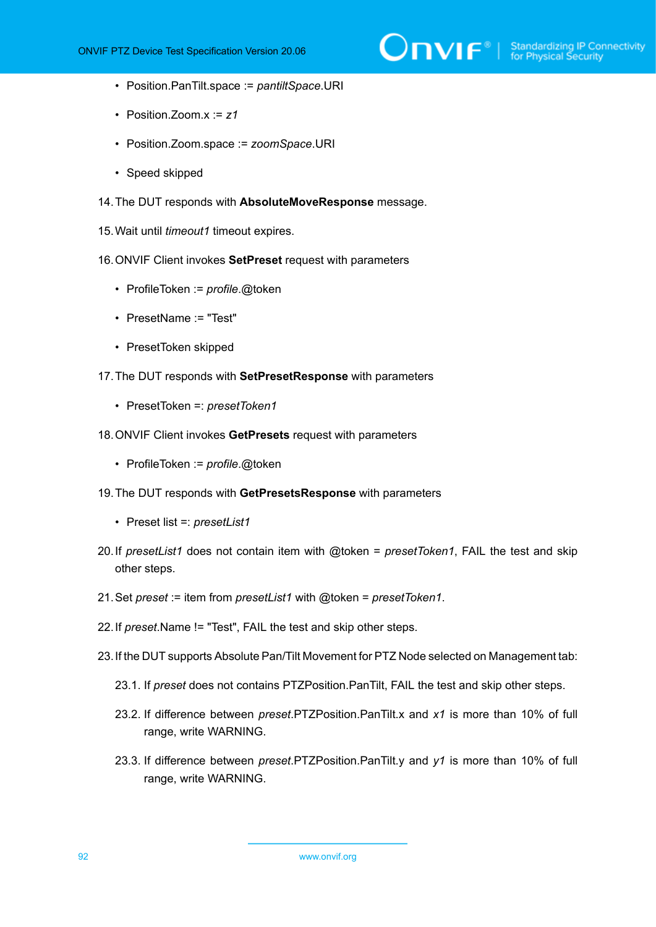

- Position.PanTilt.space := *pantiltSpace*.URI
- Position.Zoom.x := *z1*
- Position.Zoom.space := *zoomSpace*.URI
- Speed skipped
- 14.The DUT responds with **AbsoluteMoveResponse** message.
- 15.Wait until *timeout1* timeout expires.
- 16.ONVIF Client invokes **SetPreset** request with parameters
	- ProfileToken := *profile*.@token
	- PresetName := "Test"
	- PresetToken skipped
- 17.The DUT responds with **SetPresetResponse** with parameters
	- PresetToken =: *presetToken1*
- 18.ONVIF Client invokes **GetPresets** request with parameters
	- ProfileToken := *profile*.@token
- 19.The DUT responds with **GetPresetsResponse** with parameters
	- Preset list =: *presetList1*
- 20.If *presetList1* does not contain item with @token = *presetToken1*, FAIL the test and skip other steps.
- 21.Set *preset* := item from *presetList1* with @token = *presetToken1*.
- 22.If *preset*.Name != "Test", FAIL the test and skip other steps.
- 23.If the DUT supports Absolute Pan/Tilt Movement for PTZ Node selected on Management tab:
	- 23.1. If *preset* does not contains PTZPosition.PanTilt, FAIL the test and skip other steps.
	- 23.2. If difference between *preset*.PTZPosition.PanTilt.x and *x1* is more than 10% of full range, write WARNING.
	- 23.3. If difference between *preset*.PTZPosition.PanTilt.y and *y1* is more than 10% of full range, write WARNING.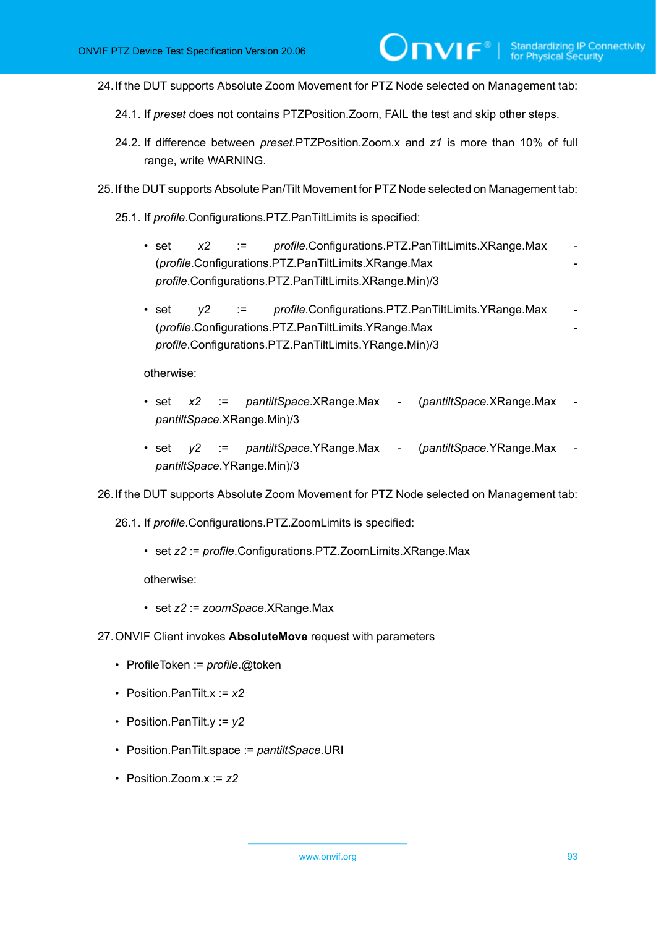24.If the DUT supports Absolute Zoom Movement for PTZ Node selected on Management tab:

 $\mathsf{D}\mathbf{N}\mathsf{I}\mathsf{F}^\ast$ 

- 24.1. If *preset* does not contains PTZPosition.Zoom, FAIL the test and skip other steps.
- 24.2. If difference between *preset*.PTZPosition.Zoom.x and *z1* is more than 10% of full range, write WARNING.
- 25.If the DUT supports Absolute Pan/Tilt Movement for PTZ Node selected on Management tab:
	- 25.1. If *profile*.Configurations.PTZ.PanTiltLimits is specified:
		- set  $x2$  := *profile*.Configurations.PTZ.PanTiltLimits.XRange.Max (*profile*.Configurations.PTZ.PanTiltLimits.XRange.Max *profile*.Configurations.PTZ.PanTiltLimits.XRange.Min)/3
		- set *y2* := *profile*.Configurations.PTZ.PanTiltLimits.YRange.Max (*profile*.Configurations.PTZ.PanTiltLimits.YRange.Max *profile*.Configurations.PTZ.PanTiltLimits.YRange.Min)/3

otherwise:

- set *x2* := *pantiltSpace*.XRange.Max (*pantiltSpace*.XRange.Max *pantiltSpace*.XRange.Min)/3
- set *y2* := *pantiltSpace*.YRange.Max (*pantiltSpace*.YRange.Max *pantiltSpace*.YRange.Min)/3

26.If the DUT supports Absolute Zoom Movement for PTZ Node selected on Management tab:

26.1. If *profile*.Configurations.PTZ.ZoomLimits is specified:

• set *z2* := *profile*.Configurations.PTZ.ZoomLimits.XRange.Max

- set *z2* := *zoomSpace*.XRange.Max
- 27.ONVIF Client invokes **AbsoluteMove** request with parameters
	- ProfileToken := *profile*.@token
	- Position.PanTilt.x := *x2*
	- Position.PanTilt.y := *y2*
	- Position.PanTilt.space := *pantiltSpace*.URI
	- Position.Zoom.x := *z2*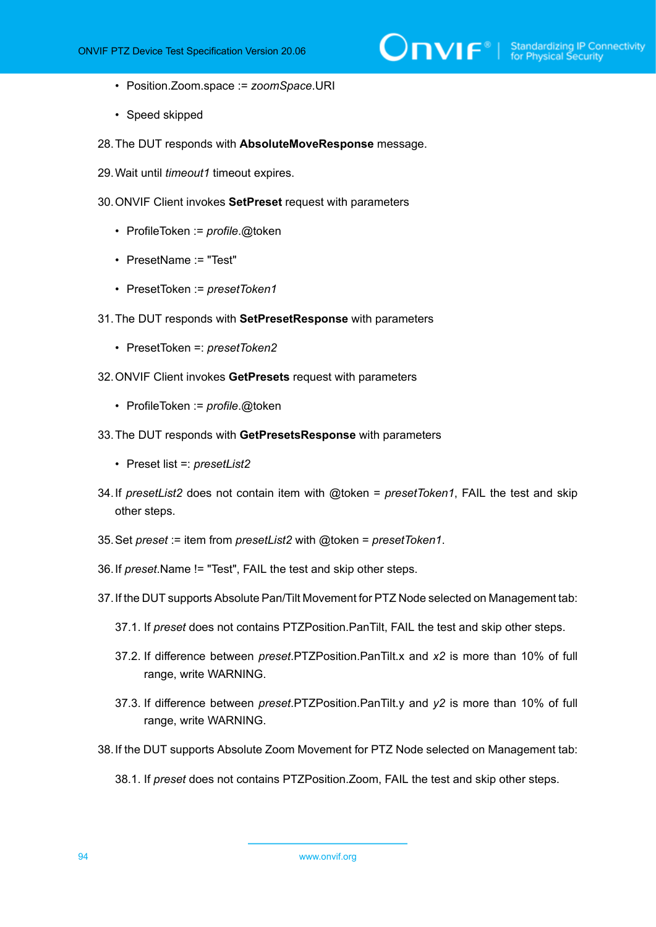- Position.Zoom.space := *zoomSpace*.URI
- Speed skipped
- 28.The DUT responds with **AbsoluteMoveResponse** message.
- 29.Wait until *timeout1* timeout expires.
- 30.ONVIF Client invokes **SetPreset** request with parameters
	- ProfileToken := *profile*.@token
	- PresetName := "Test"
	- PresetToken := *presetToken1*
- 31.The DUT responds with **SetPresetResponse** with parameters
	- PresetToken =: *presetToken2*
- 32.ONVIF Client invokes **GetPresets** request with parameters
	- ProfileToken := *profile*.@token
- 33.The DUT responds with **GetPresetsResponse** with parameters
	- Preset list =: *presetList2*
- 34.If *presetList2* does not contain item with @token = *presetToken1*, FAIL the test and skip other steps.
- 35.Set *preset* := item from *presetList2* with @token = *presetToken1*.
- 36.If *preset*.Name != "Test", FAIL the test and skip other steps.
- 37.If the DUT supports Absolute Pan/Tilt Movement for PTZ Node selected on Management tab:
	- 37.1. If *preset* does not contains PTZPosition.PanTilt, FAIL the test and skip other steps.
	- 37.2. If difference between *preset*.PTZPosition.PanTilt.x and *x2* is more than 10% of full range, write WARNING.
	- 37.3. If difference between *preset*.PTZPosition.PanTilt.y and *y2* is more than 10% of full range, write WARNING.
- 38.If the DUT supports Absolute Zoom Movement for PTZ Node selected on Management tab:
	- 38.1. If *preset* does not contains PTZPosition.Zoom, FAIL the test and skip other steps.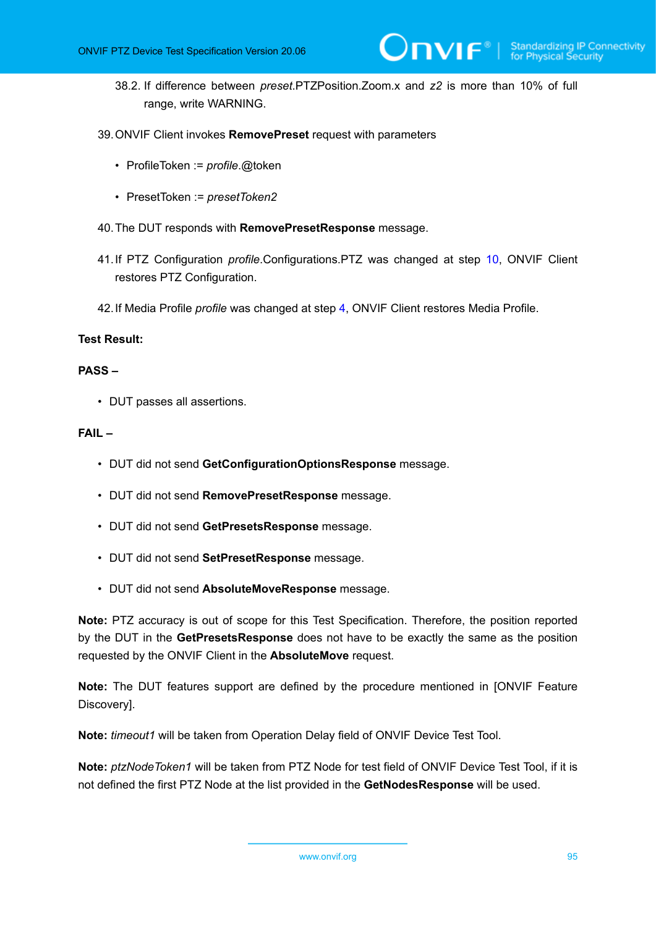- 38.2. If difference between *preset*.PTZPosition.Zoom.x and *z2* is more than 10% of full range, write WARNING.
- 39.ONVIF Client invokes **RemovePreset** request with parameters
	- ProfileToken := *profile*.@token
	- PresetToken := *presetToken2*
- 40.The DUT responds with **RemovePresetResponse** message.
- 41.If PTZ Configuration *profile*.Configurations.PTZ was changed at step [10,](#page-90-0) ONVIF Client restores PTZ Configuration.
- 42.If Media Profile *profile* was changed at step [4,](#page-89-0) ONVIF Client restores Media Profile.

### **Test Result:**

### **PASS –**

• DUT passes all assertions.

### **FAIL –**

- DUT did not send **GetConfigurationOptionsResponse** message.
- DUT did not send **RemovePresetResponse** message.
- DUT did not send **GetPresetsResponse** message.
- DUT did not send **SetPresetResponse** message.
- DUT did not send **AbsoluteMoveResponse** message.

**Note:** PTZ accuracy is out of scope for this Test Specification. Therefore, the position reported by the DUT in the **GetPresetsResponse** does not have to be exactly the same as the position requested by the ONVIF Client in the **AbsoluteMove** request.

**Note:** The DUT features support are defined by the procedure mentioned in [ONVIF Feature Discovery].

**Note:** *timeout1* will be taken from Operation Delay field of ONVIF Device Test Tool.

**Note:** *ptzNodeToken1* will be taken from PTZ Node for test field of ONVIF Device Test Tool, if it is not defined the first PTZ Node at the list provided in the **GetNodesResponse** will be used.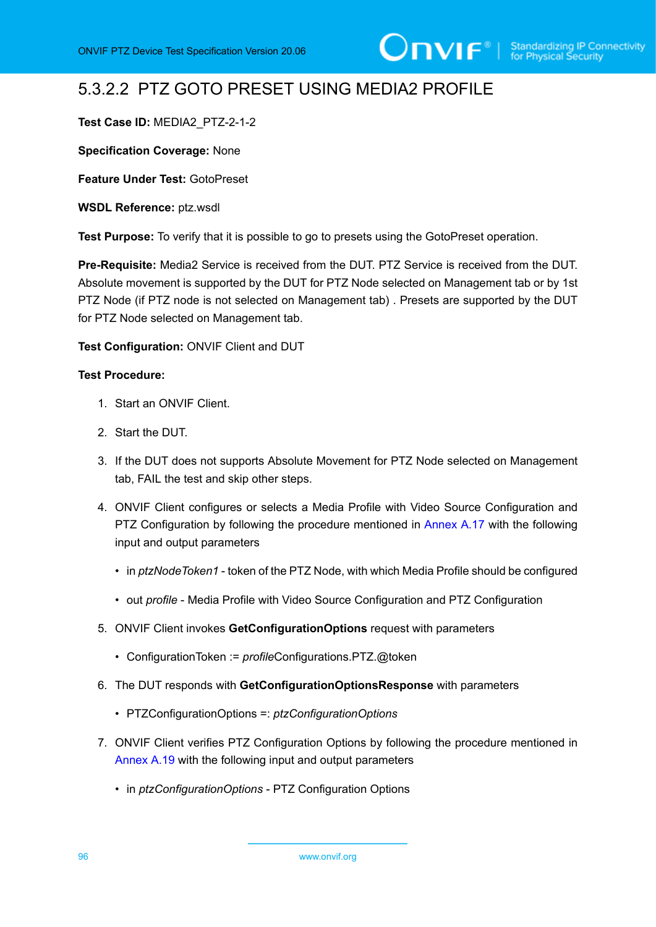# 5.3.2.2 PTZ GOTO PRESET USING MEDIA2 PROFILE

## **Test Case ID:** MEDIA2\_PTZ-2-1-2

**Specification Coverage:** None

**Feature Under Test:** GotoPreset

**WSDL Reference:** ptz.wsdl

**Test Purpose:** To verify that it is possible to go to presets using the GotoPreset operation.

**Pre-Requisite:** Media2 Service is received from the DUT. PTZ Service is received from the DUT. Absolute movement is supported by the DUT for PTZ Node selected on Management tab or by 1st PTZ Node (if PTZ node is not selected on Management tab) . Presets are supported by the DUT for PTZ Node selected on Management tab.

### **Test Configuration:** ONVIF Client and DUT

- 1. Start an ONVIF Client.
- 2. Start the DUT.
- 3. If the DUT does not supports Absolute Movement for PTZ Node selected on Management tab, FAIL the test and skip other steps.
- <span id="page-95-0"></span>4. ONVIF Client configures or selects a Media Profile with Video Source Configuration and PTZ Configuration by following the procedure mentioned in [Annex A.17](#page-158-0) with the following input and output parameters
	- in *ptzNodeToken1* token of the PTZ Node, with which Media Profile should be configured
	- out *profile* Media Profile with Video Source Configuration and PTZ Configuration
- 5. ONVIF Client invokes **GetConfigurationOptions** request with parameters
	- ConfigurationToken := *profile*Configurations.PTZ.@token
- 6. The DUT responds with **GetConfigurationOptionsResponse** with parameters
	- PTZConfigurationOptions =: *ptzConfigurationOptions*
- 7. ONVIF Client verifies PTZ Configuration Options by following the procedure mentioned in [Annex A.19](#page-160-0) with the following input and output parameters
	- in *ptzConfigurationOptions* PTZ Configuration Options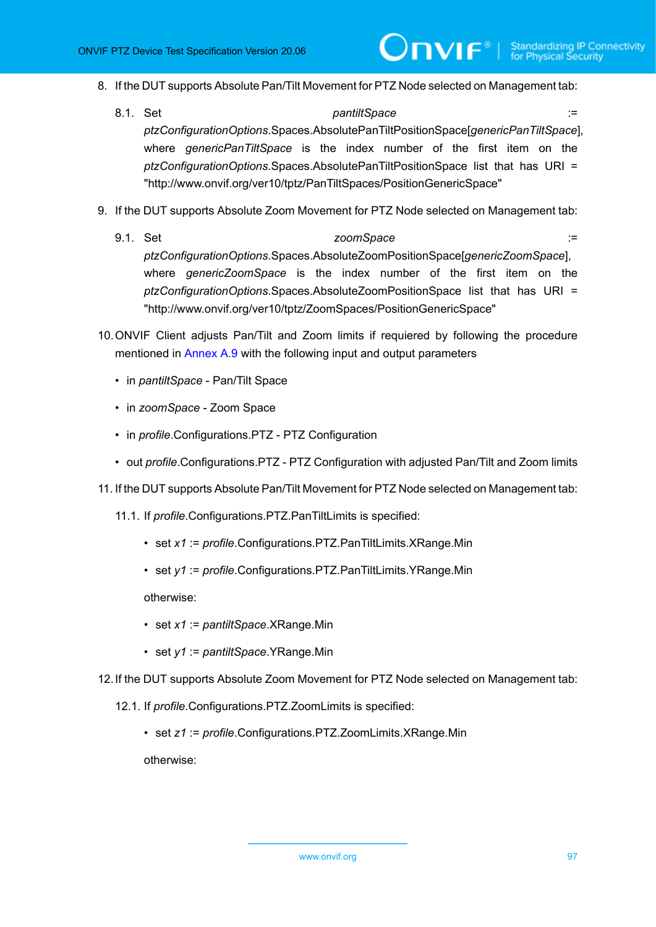- 8. If the DUT supports Absolute Pan/Tilt Movement for PTZ Node selected on Management tab:
	- 8.1. Set *pantiltSpace* := *ptzConfigurationOptions*.Spaces.AbsolutePanTiltPositionSpace[*genericPanTiltSpace*], where *genericPanTiltSpace* is the index number of the first item on the *ptzConfigurationOptions*.Spaces.AbsolutePanTiltPositionSpace list that has URI = "http://www.onvif.org/ver10/tptz/PanTiltSpaces/PositionGenericSpace"
- 9. If the DUT supports Absolute Zoom Movement for PTZ Node selected on Management tab:
	- 9.1. Set *zoomSpace* := *zoomSpace* := *zoomSpace* := *ptzConfigurationOptions*.Spaces.AbsoluteZoomPositionSpace[*genericZoomSpace*], where *genericZoomSpace* is the index number of the first item on the *ptzConfigurationOptions*.Spaces.AbsoluteZoomPositionSpace list that has URI = "http://www.onvif.org/ver10/tptz/ZoomSpaces/PositionGenericSpace"
- <span id="page-96-0"></span>10.ONVIF Client adjusts Pan/Tilt and Zoom limits if requiered by following the procedure mentioned in [Annex A.9](#page-145-0) with the following input and output parameters
	- in *pantiltSpace* Pan/Tilt Space
	- in *zoomSpace* Zoom Space
	- in *profile*.Configurations.PTZ PTZ Configuration
	- out *profile*.Configurations.PTZ PTZ Configuration with adjusted Pan/Tilt and Zoom limits
- 11. If the DUT supports Absolute Pan/Tilt Movement for PTZ Node selected on Management tab:
	- 11.1. If *profile*.Configurations.PTZ.PanTiltLimits is specified:
		- set *x1* := *profile*.Configurations.PTZ.PanTiltLimits.XRange.Min
		- set *y1* := *profile*.Configurations.PTZ.PanTiltLimits.YRange.Min

otherwise:

- set *x1* := *pantiltSpace*.XRange.Min
- set *y1* := *pantiltSpace*.YRange.Min
- 12.If the DUT supports Absolute Zoom Movement for PTZ Node selected on Management tab:
	- 12.1. If *profile*.Configurations.PTZ.ZoomLimits is specified:
		- set *z1* := *profile*.Configurations.PTZ.ZoomLimits.XRange.Min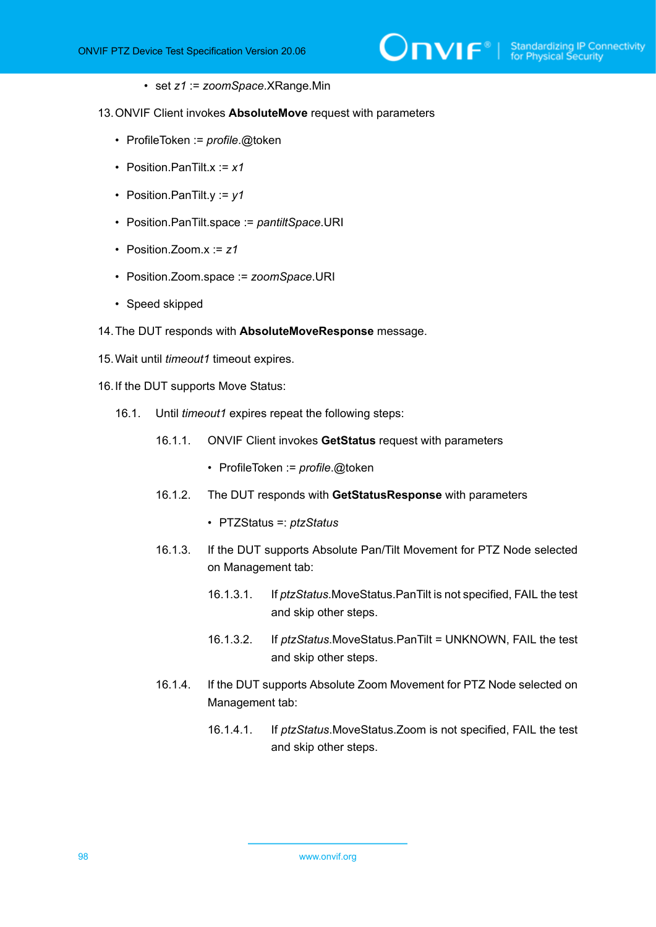• set *z1* := *zoomSpace*.XRange.Min

13.ONVIF Client invokes **AbsoluteMove** request with parameters

- ProfileToken := *profile*.@token
- Position.PanTilt.x := *x1*
- Position.PanTilt.y := *y1*
- Position.PanTilt.space := *pantiltSpace*.URI
- Position.Zoom.x := *z1*
- Position.Zoom.space := *zoomSpace*.URI
- Speed skipped
- 14.The DUT responds with **AbsoluteMoveResponse** message.
- 15.Wait until *timeout1* timeout expires.
- <span id="page-97-0"></span>16.If the DUT supports Move Status:
	- 16.1. Until *timeout1* expires repeat the following steps:
		- 16.1.1. ONVIF Client invokes **GetStatus** request with parameters
			- ProfileToken := *profile*.@token
		- 16.1.2. The DUT responds with **GetStatusResponse** with parameters
			- PTZStatus =: *ptzStatus*
		- 16.1.3. If the DUT supports Absolute Pan/Tilt Movement for PTZ Node selected on Management tab:
			- 16.1.3.1. If *ptzStatus*.MoveStatus.PanTilt is not specified, FAIL the test and skip other steps.
			- 16.1.3.2. If *ptzStatus*.MoveStatus.PanTilt = UNKNOWN, FAIL the test and skip other steps.
		- 16.1.4. If the DUT supports Absolute Zoom Movement for PTZ Node selected on Management tab:
			- 16.1.4.1. If *ptzStatus*.MoveStatus.Zoom is not specified, FAIL the test and skip other steps.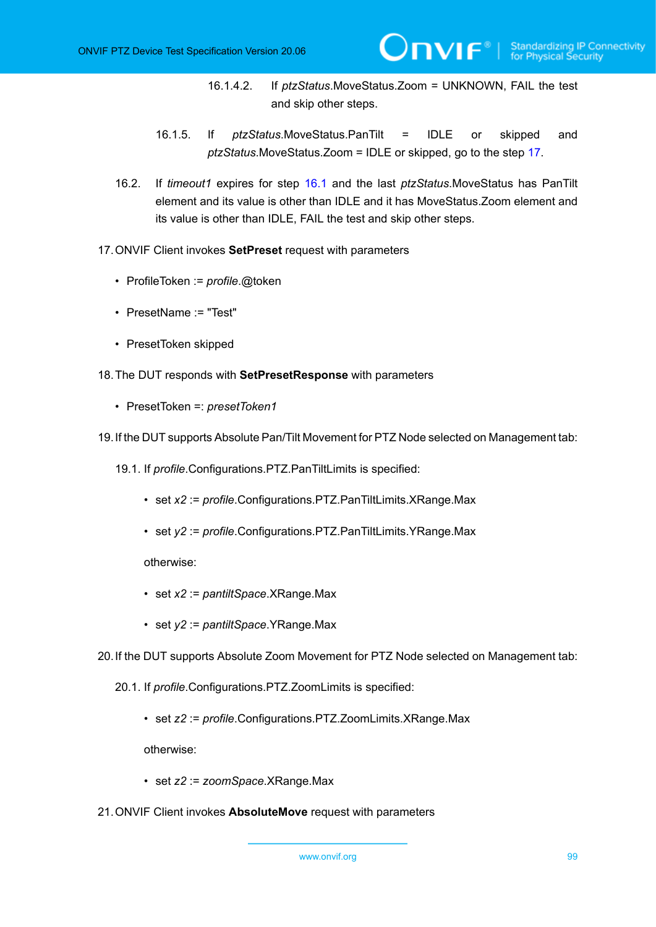- 16.1.4.2. If *ptzStatus*.MoveStatus.Zoom = UNKNOWN, FAIL the test and skip other steps.
- 16.1.5. If *ptzStatus*.MoveStatus.PanTilt = IDLE or skipped and *ptzStatus*.MoveStatus.Zoom = IDLE or skipped, go to the step [17.](#page-98-0)
- 16.2. If *timeout1* expires for step [16.1](#page-97-0) and the last *ptzStatus*.MoveStatus has PanTilt element and its value is other than IDLE and it has MoveStatus.Zoom element and its value is other than IDLE, FAIL the test and skip other steps.
- <span id="page-98-0"></span>17.ONVIF Client invokes **SetPreset** request with parameters
	- ProfileToken := *profile*.@token
	- PresetName := "Test"
	- PresetToken skipped
- 18.The DUT responds with **SetPresetResponse** with parameters
	- PresetToken =: *presetToken1*
- 19.If the DUT supports Absolute Pan/Tilt Movement for PTZ Node selected on Management tab:
	- 19.1. If *profile*.Configurations.PTZ.PanTiltLimits is specified:
		- set *x2* := *profile*.Configurations.PTZ.PanTiltLimits.XRange.Max
		- set *y2* := *profile*.Configurations.PTZ.PanTiltLimits.YRange.Max

otherwise:

- set *x2* := *pantiltSpace*.XRange.Max
- set *y2* := *pantiltSpace*.YRange.Max
- 20.If the DUT supports Absolute Zoom Movement for PTZ Node selected on Management tab:
	- 20.1. If *profile*.Configurations.PTZ.ZoomLimits is specified:
		- set *z2* := *profile*.Configurations.PTZ.ZoomLimits.XRange.Max

- set *z2* := *zoomSpace*.XRange.Max
- 21.ONVIF Client invokes **AbsoluteMove** request with parameters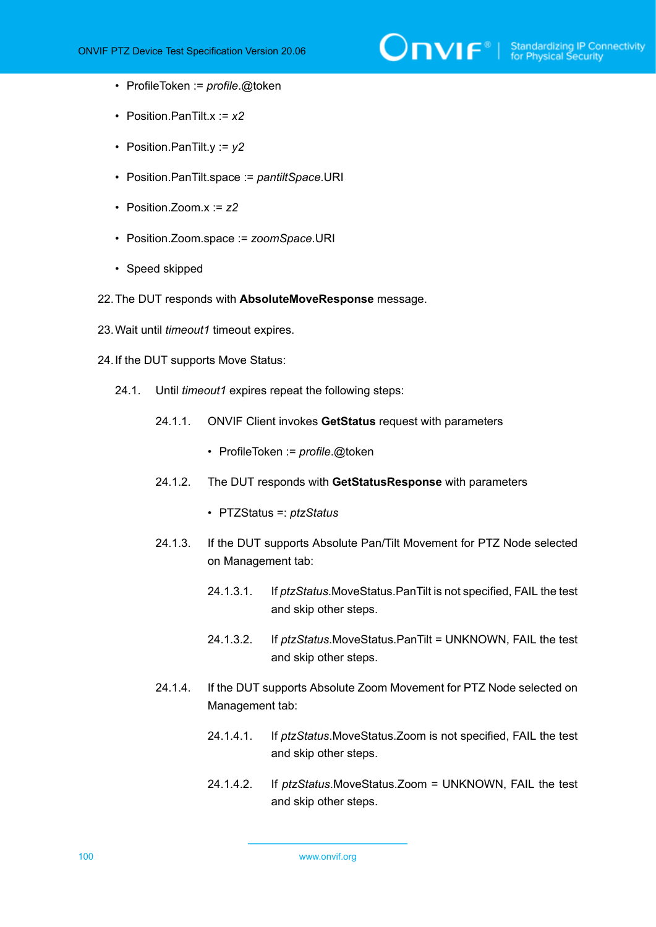

- ProfileToken := *profile*.@token
- Position.PanTilt.x := *x2*
- Position.PanTilt.y := *y2*
- Position.PanTilt.space := *pantiltSpace*.URI
- Position.Zoom.x := *z2*
- Position.Zoom.space := *zoomSpace*.URI
- Speed skipped
- 22.The DUT responds with **AbsoluteMoveResponse** message.
- 23.Wait until *timeout1* timeout expires.
- <span id="page-99-0"></span>24.If the DUT supports Move Status:
	- 24.1. Until *timeout1* expires repeat the following steps:
		- 24.1.1. ONVIF Client invokes **GetStatus** request with parameters
			- ProfileToken := *profile*.@token
		- 24.1.2. The DUT responds with **GetStatusResponse** with parameters
			- PTZStatus =: *ptzStatus*
		- 24.1.3. If the DUT supports Absolute Pan/Tilt Movement for PTZ Node selected on Management tab:
			- 24.1.3.1. If *ptzStatus*.MoveStatus.PanTilt is not specified, FAIL the test and skip other steps.
			- 24.1.3.2. If *ptzStatus*.MoveStatus.PanTilt = UNKNOWN, FAIL the test and skip other steps.
		- 24.1.4. If the DUT supports Absolute Zoom Movement for PTZ Node selected on Management tab:
			- 24.1.4.1. If *ptzStatus*.MoveStatus.Zoom is not specified, FAIL the test and skip other steps.
			- 24.1.4.2. If *ptzStatus*.MoveStatus.Zoom = UNKNOWN, FAIL the test and skip other steps.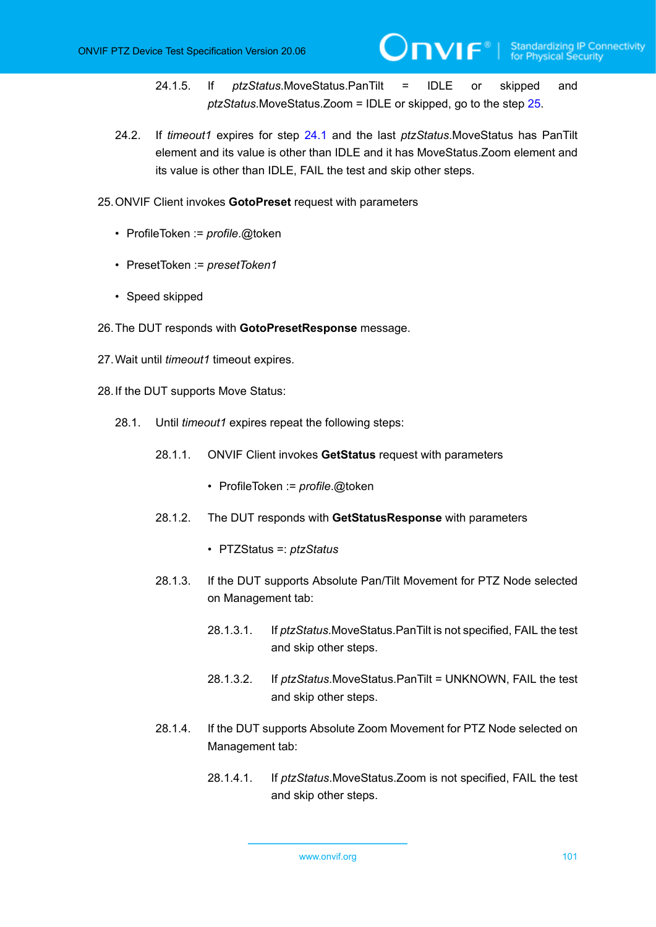24.1.5. If *ptzStatus*.MoveStatus.PanTilt = IDLE or skipped and *ptzStatus*.MoveStatus.Zoom = IDLE or skipped, go to the step [25.](#page-100-0)

- 24.2. If *timeout1* expires for step [24.1](#page-99-0) and the last *ptzStatus*.MoveStatus has PanTilt element and its value is other than IDLE and it has MoveStatus.Zoom element and its value is other than IDLE, FAIL the test and skip other steps.
- <span id="page-100-0"></span>25.ONVIF Client invokes **GotoPreset** request with parameters
	- ProfileToken := *profile*.@token
	- PresetToken := *presetToken1*
	- Speed skipped
- 26.The DUT responds with **GotoPresetResponse** message.
- 27.Wait until *timeout1* timeout expires.
- <span id="page-100-1"></span>28.If the DUT supports Move Status:
	- 28.1. Until *timeout1* expires repeat the following steps:
		- 28.1.1. ONVIF Client invokes **GetStatus** request with parameters
			- ProfileToken := *profile*.@token
		- 28.1.2. The DUT responds with **GetStatusResponse** with parameters
			- PTZStatus =: *ptzStatus*
		- 28.1.3. If the DUT supports Absolute Pan/Tilt Movement for PTZ Node selected on Management tab:
			- 28.1.3.1. If *ptzStatus*.MoveStatus.PanTilt is not specified, FAIL the test and skip other steps.
			- 28.1.3.2. If *ptzStatus*.MoveStatus.PanTilt = UNKNOWN, FAIL the test and skip other steps.
		- 28.1.4. If the DUT supports Absolute Zoom Movement for PTZ Node selected on Management tab:
			- 28.1.4.1. If *ptzStatus*.MoveStatus.Zoom is not specified, FAIL the test and skip other steps.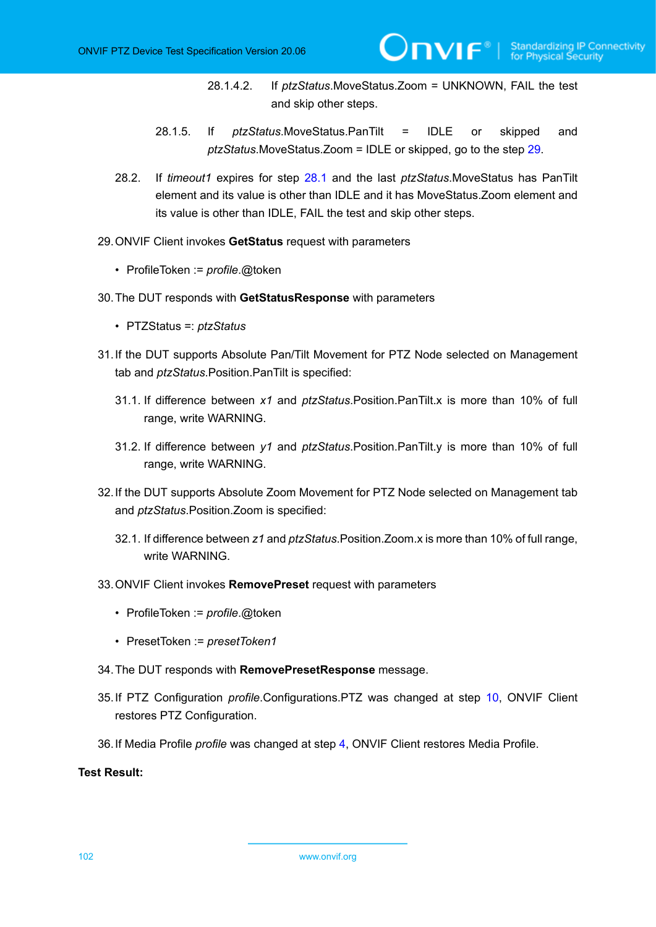28.1.4.2. If *ptzStatus*.MoveStatus.Zoom = UNKNOWN, FAIL the test and skip other steps.

 $\mathsf{D}\mathbf{n}\mathsf{V}$ lf $^\circ$ l

- 28.1.5. If *ptzStatus*.MoveStatus.PanTilt = IDLE or skipped and *ptzStatus*.MoveStatus.Zoom = IDLE or skipped, go to the step [29.](#page-101-0)
- 28.2. If *timeout1* expires for step [28.1](#page-100-1) and the last *ptzStatus*.MoveStatus has PanTilt element and its value is other than IDLE and it has MoveStatus.Zoom element and its value is other than IDLE, FAIL the test and skip other steps.
- <span id="page-101-0"></span>29.ONVIF Client invokes **GetStatus** request with parameters
	- ProfileToken := *profile*.@token
- 30.The DUT responds with **GetStatusResponse** with parameters
	- PTZStatus =: *ptzStatus*
- 31.If the DUT supports Absolute Pan/Tilt Movement for PTZ Node selected on Management tab and *ptzStatus*.Position.PanTilt is specified:
	- 31.1. If difference between *x1* and *ptzStatus*.Position.PanTilt.x is more than 10% of full range, write WARNING.
	- 31.2. If difference between *y1* and *ptzStatus*.Position.PanTilt.y is more than 10% of full range, write WARNING.
- 32.If the DUT supports Absolute Zoom Movement for PTZ Node selected on Management tab and *ptzStatus*.Position.Zoom is specified:
	- 32.1. If difference between *z1* and *ptzStatus*.Position.Zoom.x is more than 10% of full range, write WARNING.
- 33.ONVIF Client invokes **RemovePreset** request with parameters
	- ProfileToken := *profile*.@token
	- PresetToken := *presetToken1*
- 34.The DUT responds with **RemovePresetResponse** message.
- 35.If PTZ Configuration *profile*.Configurations.PTZ was changed at step [10,](#page-96-0) ONVIF Client restores PTZ Configuration.
- 36.If Media Profile *profile* was changed at step [4,](#page-95-0) ONVIF Client restores Media Profile.

### **Test Result:**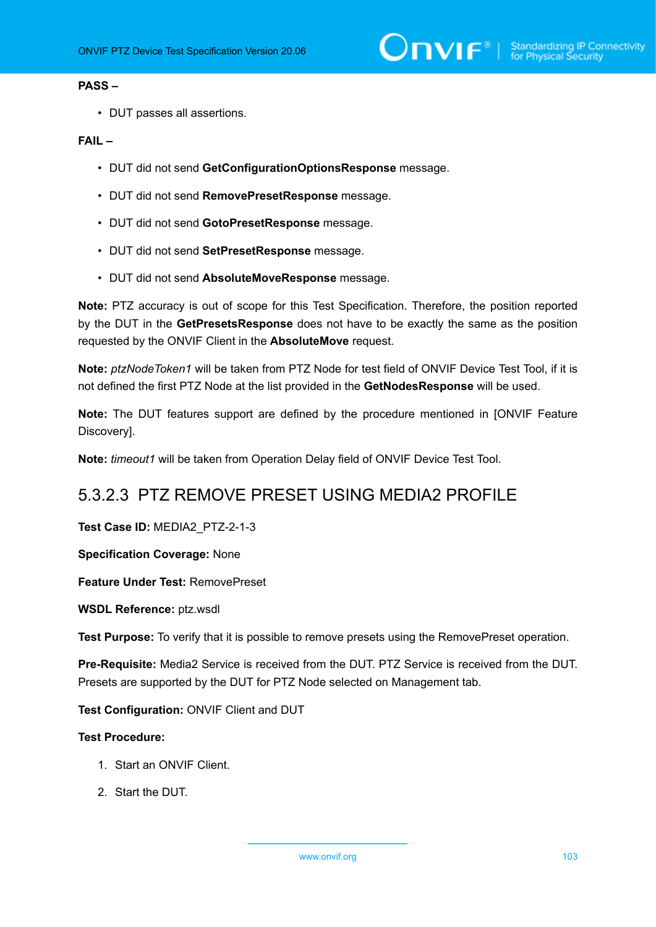### **PASS –**

• DUT passes all assertions.

## **FAIL –**

- DUT did not send **GetConfigurationOptionsResponse** message.
- DUT did not send **RemovePresetResponse** message.
- DUT did not send **GotoPresetResponse** message.
- DUT did not send **SetPresetResponse** message.
- DUT did not send **AbsoluteMoveResponse** message.

**Note:** PTZ accuracy is out of scope for this Test Specification. Therefore, the position reported by the DUT in the **GetPresetsResponse** does not have to be exactly the same as the position requested by the ONVIF Client in the **AbsoluteMove** request.

**Note:** *ptzNodeToken1* will be taken from PTZ Node for test field of ONVIF Device Test Tool, if it is not defined the first PTZ Node at the list provided in the **GetNodesResponse** will be used.

**Note:** The DUT features support are defined by the procedure mentioned in [ONVIF Feature Discovery].

**Note:** *timeout1* will be taken from Operation Delay field of ONVIF Device Test Tool.

## 5.3.2.3 PTZ REMOVE PRESET USING MEDIA2 PROFILE

**Test Case ID:** MEDIA2\_PTZ-2-1-3

**Specification Coverage:** None

**Feature Under Test:** RemovePreset

**WSDL Reference:** ptz.wsdl

**Test Purpose:** To verify that it is possible to remove presets using the RemovePreset operation.

**Pre-Requisite:** Media2 Service is received from the DUT. PTZ Service is received from the DUT. Presets are supported by the DUT for PTZ Node selected on Management tab.

**Test Configuration:** ONVIF Client and DUT

- 1. Start an ONVIF Client.
- 2. Start the DUT.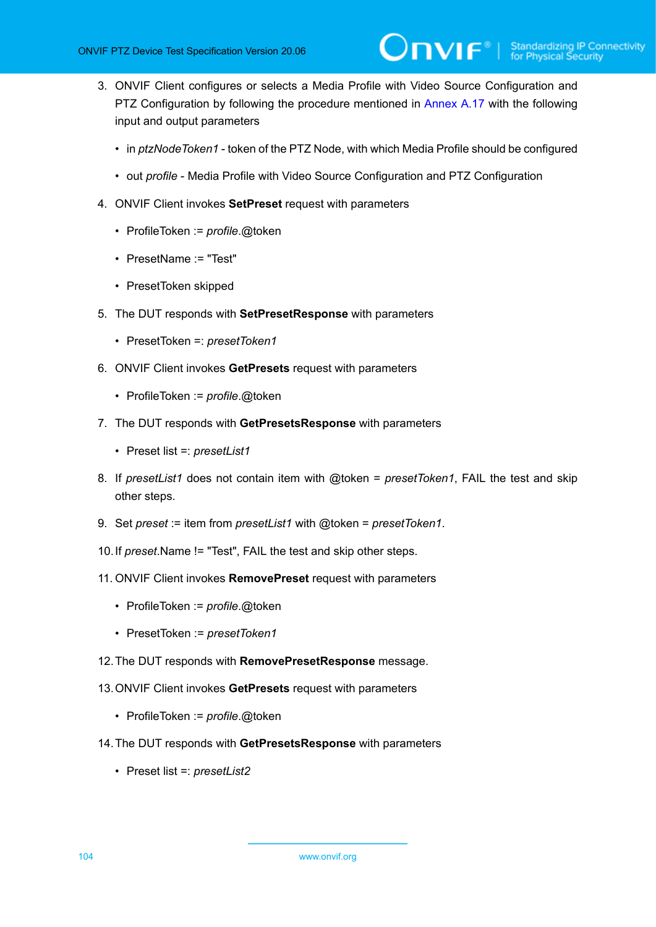- <span id="page-103-0"></span>3. ONVIF Client configures or selects a Media Profile with Video Source Configuration and PTZ Configuration by following the procedure mentioned in [Annex A.17](#page-158-0) with the following input and output parameters
	- in *ptzNodeToken1* token of the PTZ Node, with which Media Profile should be configured
	- out *profile* Media Profile with Video Source Configuration and PTZ Configuration
- 4. ONVIF Client invokes **SetPreset** request with parameters
	- ProfileToken := *profile*.@token
	- PresetName := "Test"
	- PresetToken skipped
- 5. The DUT responds with **SetPresetResponse** with parameters
	- PresetToken =: *presetToken1*
- 6. ONVIF Client invokes **GetPresets** request with parameters
	- ProfileToken := *profile*.@token
- 7. The DUT responds with **GetPresetsResponse** with parameters
	- Preset list =: *presetList1*
- 8. If *presetList1* does not contain item with @token = *presetToken1*, FAIL the test and skip other steps.
- 9. Set *preset* := item from *presetList1* with @token = *presetToken1*.
- 10.If *preset*.Name != "Test", FAIL the test and skip other steps.
- 11. ONVIF Client invokes **RemovePreset** request with parameters
	- ProfileToken := *profile*.@token
	- PresetToken := *presetToken1*
- 12.The DUT responds with **RemovePresetResponse** message.
- 13.ONVIF Client invokes **GetPresets** request with parameters
	- ProfileToken := *profile*.@token
- 14.The DUT responds with **GetPresetsResponse** with parameters
	- Preset list =: *presetList2*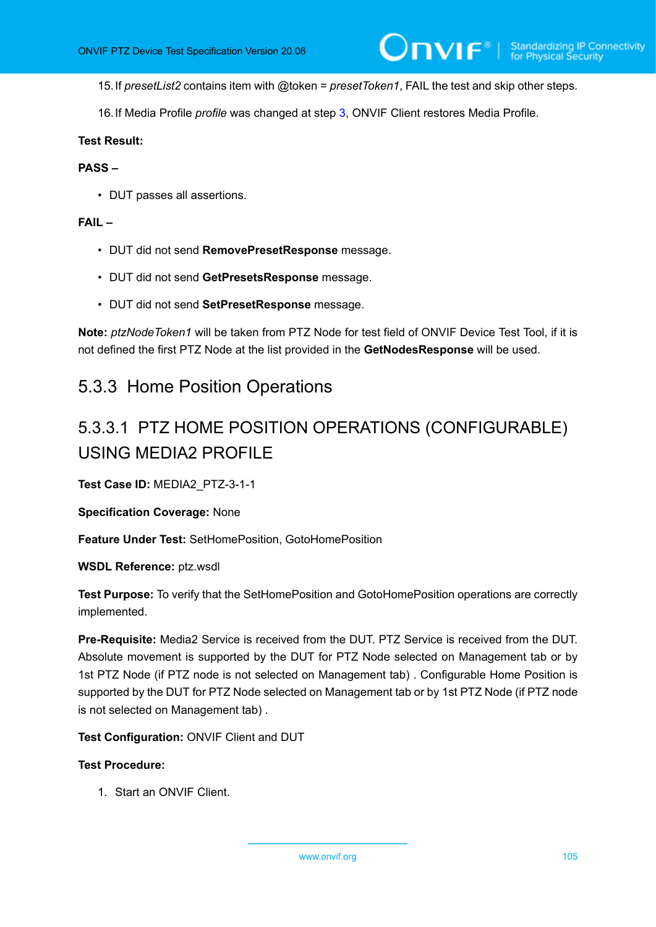15.If *presetList2* contains item with @token = *presetToken1*, FAIL the test and skip other steps.

16.If Media Profile *profile* was changed at step [3,](#page-103-0) ONVIF Client restores Media Profile.

### **Test Result:**

### **PASS –**

• DUT passes all assertions.

### **FAIL –**

- DUT did not send **RemovePresetResponse** message.
- DUT did not send **GetPresetsResponse** message.
- DUT did not send **SetPresetResponse** message.

**Note:** *ptzNodeToken1* will be taken from PTZ Node for test field of ONVIF Device Test Tool, if it is not defined the first PTZ Node at the list provided in the **GetNodesResponse** will be used.

# 5.3.3 Home Position Operations

# 5.3.3.1 PTZ HOME POSITION OPERATIONS (CONFIGURABLE) USING MEDIA2 PROFILE

**Test Case ID:** MEDIA2\_PTZ-3-1-1

**Specification Coverage:** None

**Feature Under Test:** SetHomePosition, GotoHomePosition

**WSDL Reference:** ptz.wsdl

**Test Purpose:** To verify that the SetHomePosition and GotoHomePosition operations are correctly implemented.

**Pre-Requisite:** Media2 Service is received from the DUT. PTZ Service is received from the DUT. Absolute movement is supported by the DUT for PTZ Node selected on Management tab or by 1st PTZ Node (if PTZ node is not selected on Management tab) . Configurable Home Position is supported by the DUT for PTZ Node selected on Management tab or by 1st PTZ Node (if PTZ node is not selected on Management tab) .

**Test Configuration:** ONVIF Client and DUT

### **Test Procedure:**

1. Start an ONVIF Client.

www.onvif.org 105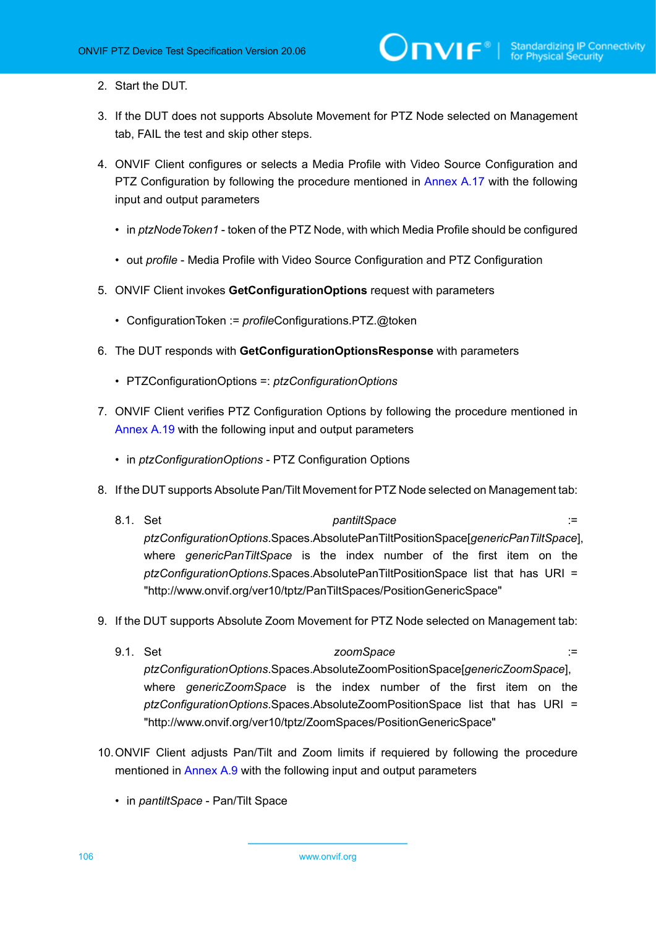- 2. Start the DUT.
- 3. If the DUT does not supports Absolute Movement for PTZ Node selected on Management tab, FAIL the test and skip other steps.
- 4. ONVIF Client configures or selects a Media Profile with Video Source Configuration and PTZ Configuration by following the procedure mentioned in [Annex A.17](#page-158-0) with the following input and output parameters
	- in *ptzNodeToken1* token of the PTZ Node, with which Media Profile should be configured
	- out *profile* Media Profile with Video Source Configuration and PTZ Configuration
- 5. ONVIF Client invokes **GetConfigurationOptions** request with parameters
	- ConfigurationToken := *profile*Configurations.PTZ.@token
- 6. The DUT responds with **GetConfigurationOptionsResponse** with parameters
	- PTZConfigurationOptions =: *ptzConfigurationOptions*
- 7. ONVIF Client verifies PTZ Configuration Options by following the procedure mentioned in [Annex A.19](#page-160-0) with the following input and output parameters
	- in *ptzConfigurationOptions* PTZ Configuration Options
- 8. If the DUT supports Absolute Pan/Tilt Movement for PTZ Node selected on Management tab:
	- 8.1. Set *pantiltSpace* := *pantiltSpace* := **1.1. Set :=** *ptzConfigurationOptions*.Spaces.AbsolutePanTiltPositionSpace[*genericPanTiltSpace*], where *genericPanTiltSpace* is the index number of the first item on the *ptzConfigurationOptions*.Spaces.AbsolutePanTiltPositionSpace list that has URI = "http://www.onvif.org/ver10/tptz/PanTiltSpaces/PositionGenericSpace"
- 9. If the DUT supports Absolute Zoom Movement for PTZ Node selected on Management tab:
	- 9.1. Set *zoomSpace* := *ptzConfigurationOptions*.Spaces.AbsoluteZoomPositionSpace[*genericZoomSpace*], where *genericZoomSpace* is the index number of the first item on the *ptzConfigurationOptions*.Spaces.AbsoluteZoomPositionSpace list that has URI = "http://www.onvif.org/ver10/tptz/ZoomSpaces/PositionGenericSpace"
- 10.ONVIF Client adjusts Pan/Tilt and Zoom limits if requiered by following the procedure mentioned in [Annex A.9](#page-145-0) with the following input and output parameters
	- in *pantiltSpace* Pan/Tilt Space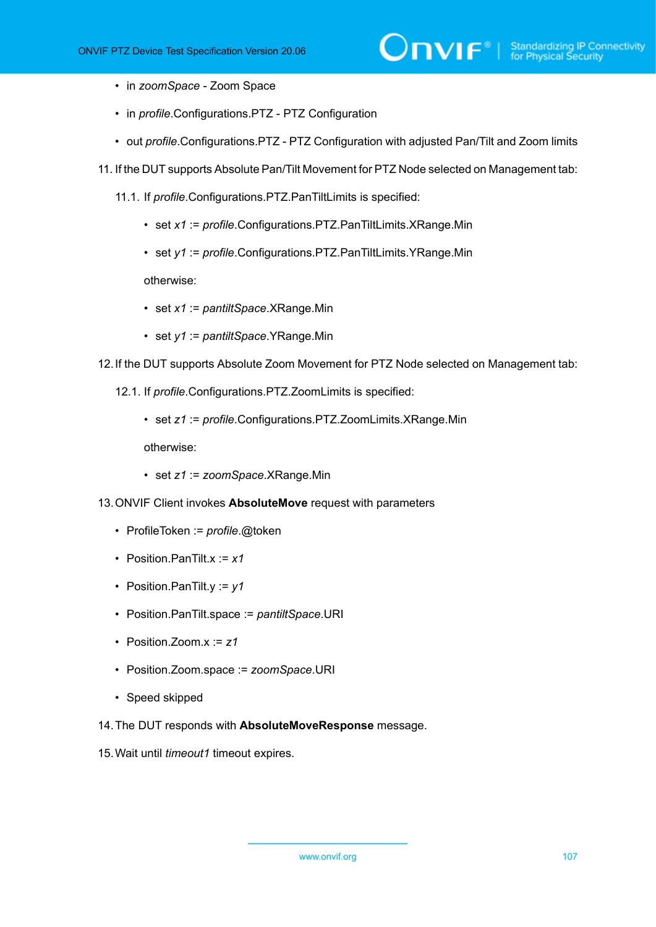- in *zoomSpace* Zoom Space
- in *profile*.Configurations.PTZ PTZ Configuration
- out *profile*.Configurations.PTZ PTZ Configuration with adjusted Pan/Tilt and Zoom limits
- 11. If the DUT supports Absolute Pan/Tilt Movement for PTZ Node selected on Management tab:
	- 11.1. If *profile*.Configurations.PTZ.PanTiltLimits is specified:
		- set *x1* := *profile*.Configurations.PTZ.PanTiltLimits.XRange.Min
		- set *y1* := *profile*.Configurations.PTZ.PanTiltLimits.YRange.Min

otherwise:

- set *x1* := *pantiltSpace*.XRange.Min
- set *y1* := *pantiltSpace*.YRange.Min
- 12.If the DUT supports Absolute Zoom Movement for PTZ Node selected on Management tab:
	- 12.1. If *profile*.Configurations.PTZ.ZoomLimits is specified:
		- set *z1* := *profile*.Configurations.PTZ.ZoomLimits.XRange.Min

- set *z1* := *zoomSpace*.XRange.Min
- 13.ONVIF Client invokes **AbsoluteMove** request with parameters
	- ProfileToken := *profile*.@token
	- Position.PanTilt.x := *x1*
	- Position.PanTilt.y := *y1*
	- Position.PanTilt.space := *pantiltSpace*.URI
	- Position.Zoom.x := *z1*
	- Position.Zoom.space := *zoomSpace*.URI
	- Speed skipped
- 14.The DUT responds with **AbsoluteMoveResponse** message.
- 15.Wait until *timeout1* timeout expires.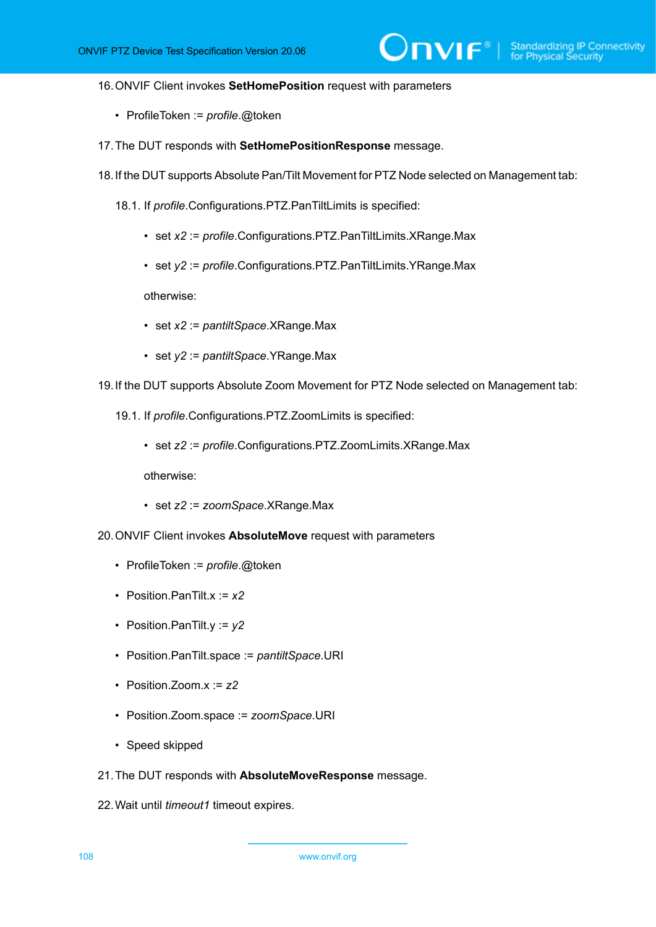### 16.ONVIF Client invokes **SetHomePosition** request with parameters

- ProfileToken := *profile*.@token
- 17.The DUT responds with **SetHomePositionResponse** message.
- 18.If the DUT supports Absolute Pan/Tilt Movement for PTZ Node selected on Management tab:
	- 18.1. If *profile*.Configurations.PTZ.PanTiltLimits is specified:
		- set *x2* := *profile*.Configurations.PTZ.PanTiltLimits.XRange.Max
		- set *y2* := *profile*.Configurations.PTZ.PanTiltLimits.YRange.Max

otherwise:

- set *x2* := *pantiltSpace*.XRange.Max
- set *y2* := *pantiltSpace*.YRange.Max
- 19.If the DUT supports Absolute Zoom Movement for PTZ Node selected on Management tab:
	- 19.1. If *profile*.Configurations.PTZ.ZoomLimits is specified:
		- set *z2* := *profile*.Configurations.PTZ.ZoomLimits.XRange.Max

- set *z2* := *zoomSpace*.XRange.Max
- 20.ONVIF Client invokes **AbsoluteMove** request with parameters
	- ProfileToken := *profile*.@token
	- Position.PanTilt.x := *x2*
	- Position.PanTilt.y := *y2*
	- Position.PanTilt.space := *pantiltSpace*.URI
	- Position.Zoom.x := *z2*
	- Position.Zoom.space := *zoomSpace*.URI
	- Speed skipped
- 21.The DUT responds with **AbsoluteMoveResponse** message.
- 22.Wait until *timeout1* timeout expires.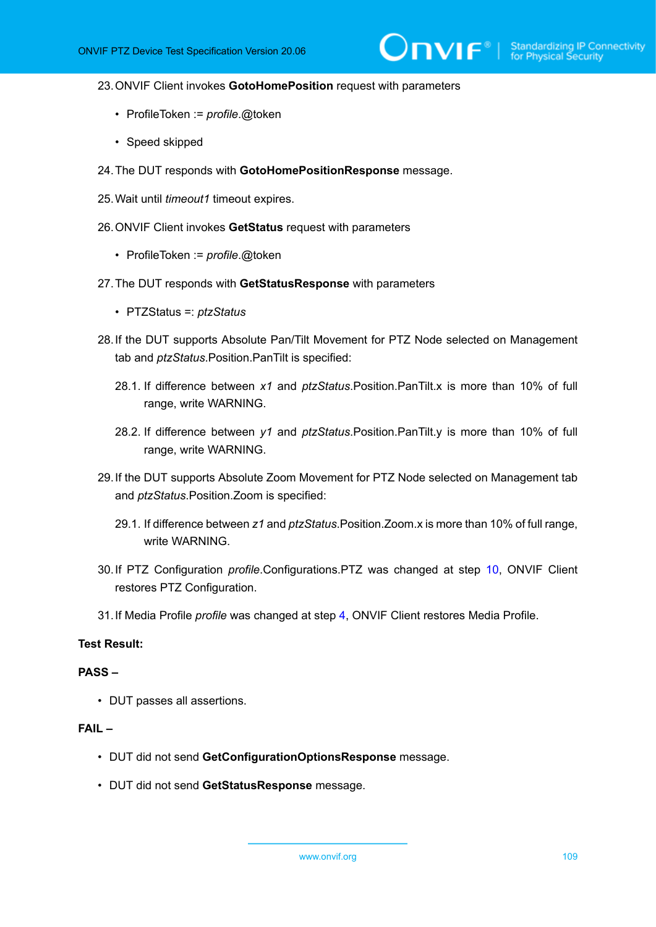#### 23.ONVIF Client invokes **GotoHomePosition** request with parameters

- ProfileToken := *profile*.@token
- Speed skipped
- 24.The DUT responds with **GotoHomePositionResponse** message.
- 25.Wait until *timeout1* timeout expires.
- 26.ONVIF Client invokes **GetStatus** request with parameters
	- ProfileToken := *profile*.@token
- 27.The DUT responds with **GetStatusResponse** with parameters
	- PTZStatus =: *ptzStatus*
- 28.If the DUT supports Absolute Pan/Tilt Movement for PTZ Node selected on Management tab and *ptzStatus*.Position.PanTilt is specified:
	- 28.1. If difference between *x1* and *ptzStatus*.Position.PanTilt.x is more than 10% of full range, write WARNING.
	- 28.2. If difference between *y1* and *ptzStatus*.Position.PanTilt.y is more than 10% of full range, write WARNING.
- 29.If the DUT supports Absolute Zoom Movement for PTZ Node selected on Management tab and *ptzStatus*.Position.Zoom is specified:
	- 29.1. If difference between *z1* and *ptzStatus*.Position.Zoom.x is more than 10% of full range, write WARNING.
- 30.If PTZ Configuration *profile*.Configurations.PTZ was changed at step [10,](#page-105-0) ONVIF Client restores PTZ Configuration.
- 31.If Media Profile *profile* was changed at step [4,](#page-105-1) ONVIF Client restores Media Profile.

### **Test Result:**

#### **PASS –**

• DUT passes all assertions.

#### **FAIL –**

- DUT did not send **GetConfigurationOptionsResponse** message.
- DUT did not send **GetStatusResponse** message.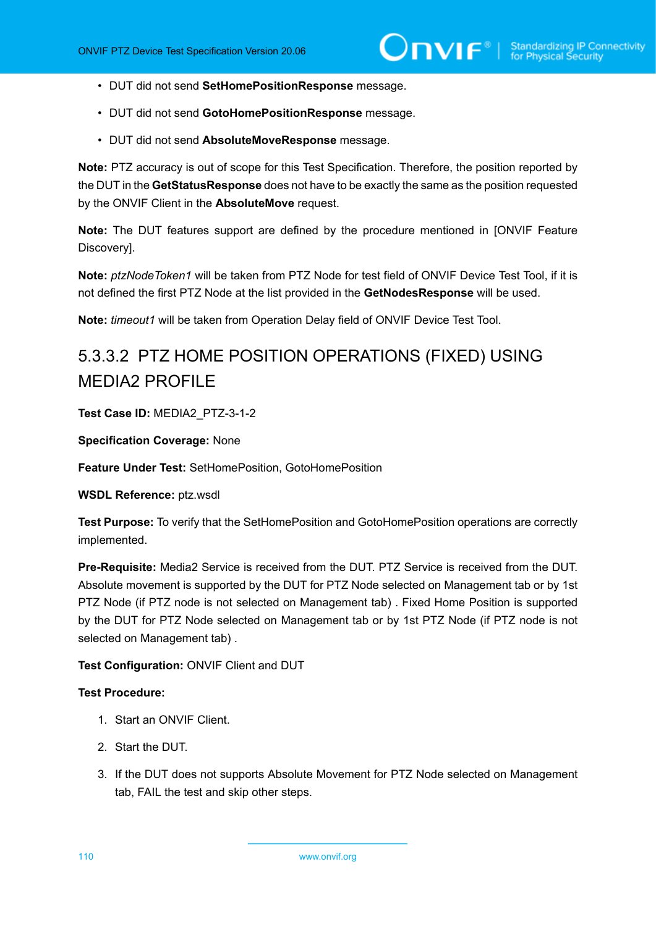- DUT did not send **SetHomePositionResponse** message.
- DUT did not send **GotoHomePositionResponse** message.
- DUT did not send **AbsoluteMoveResponse** message.

**Note:** PTZ accuracy is out of scope for this Test Specification. Therefore, the position reported by the DUT in the **GetStatusResponse** does not have to be exactly the same as the position requested by the ONVIF Client in the **AbsoluteMove** request.

**Note:** The DUT features support are defined by the procedure mentioned in [ONVIF Feature Discovery].

**Note:** *ptzNodeToken1* will be taken from PTZ Node for test field of ONVIF Device Test Tool, if it is not defined the first PTZ Node at the list provided in the **GetNodesResponse** will be used.

**Note:** *timeout1* will be taken from Operation Delay field of ONVIF Device Test Tool.

# 5.3.3.2 PTZ HOME POSITION OPERATIONS (FIXED) USING MEDIA<sub>2</sub> PROFILE

**Test Case ID:** MEDIA2\_PTZ-3-1-2

**Specification Coverage:** None

**Feature Under Test:** SetHomePosition, GotoHomePosition

**WSDL Reference:** ptz.wsdl

**Test Purpose:** To verify that the SetHomePosition and GotoHomePosition operations are correctly implemented.

**Pre-Requisite:** Media2 Service is received from the DUT. PTZ Service is received from the DUT. Absolute movement is supported by the DUT for PTZ Node selected on Management tab or by 1st PTZ Node (if PTZ node is not selected on Management tab) . Fixed Home Position is supported by the DUT for PTZ Node selected on Management tab or by 1st PTZ Node (if PTZ node is not selected on Management tab) .

#### **Test Configuration:** ONVIF Client and DUT

#### **Test Procedure:**

- 1. Start an ONVIF Client.
- 2. Start the DUT.
- 3. If the DUT does not supports Absolute Movement for PTZ Node selected on Management tab, FAIL the test and skip other steps.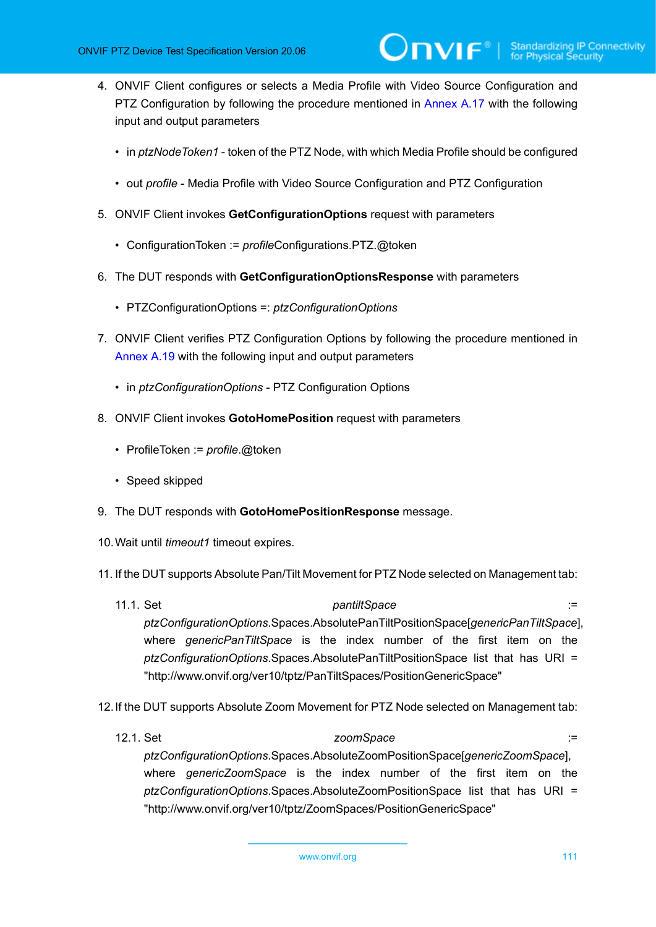- <span id="page-110-0"></span>4. ONVIF Client configures or selects a Media Profile with Video Source Configuration and PTZ Configuration by following the procedure mentioned in [Annex A.17](#page-158-0) with the following input and output parameters
	- in *ptzNodeToken1* token of the PTZ Node, with which Media Profile should be configured
	- out *profile* Media Profile with Video Source Configuration and PTZ Configuration
- 5. ONVIF Client invokes **GetConfigurationOptions** request with parameters
	- ConfigurationToken := *profile*Configurations.PTZ.@token
- 6. The DUT responds with **GetConfigurationOptionsResponse** with parameters
	- PTZConfigurationOptions =: *ptzConfigurationOptions*
- 7. ONVIF Client verifies PTZ Configuration Options by following the procedure mentioned in [Annex A.19](#page-160-0) with the following input and output parameters
	- in *ptzConfigurationOptions* PTZ Configuration Options
- 8. ONVIF Client invokes **GotoHomePosition** request with parameters
	- ProfileToken := *profile*.@token
	- Speed skipped
- 9. The DUT responds with **GotoHomePositionResponse** message.
- 10.Wait until *timeout1* timeout expires.
- 11. If the DUT supports Absolute Pan/Tilt Movement for PTZ Node selected on Management tab:
	- 11.1. Set *pantiltSpace* := *ptzConfigurationOptions*.Spaces.AbsolutePanTiltPositionSpace[*genericPanTiltSpace*], where *genericPanTiltSpace* is the index number of the first item on the *ptzConfigurationOptions*.Spaces.AbsolutePanTiltPositionSpace list that has URI = "http://www.onvif.org/ver10/tptz/PanTiltSpaces/PositionGenericSpace"
- 12.If the DUT supports Absolute Zoom Movement for PTZ Node selected on Management tab:
	- 12.1. Set *zoomSpace* := *ptzConfigurationOptions*.Spaces.AbsoluteZoomPositionSpace[*genericZoomSpace*], where *genericZoomSpace* is the index number of the first item on the *ptzConfigurationOptions*.Spaces.AbsoluteZoomPositionSpace list that has URI = "http://www.onvif.org/ver10/tptz/ZoomSpaces/PositionGenericSpace"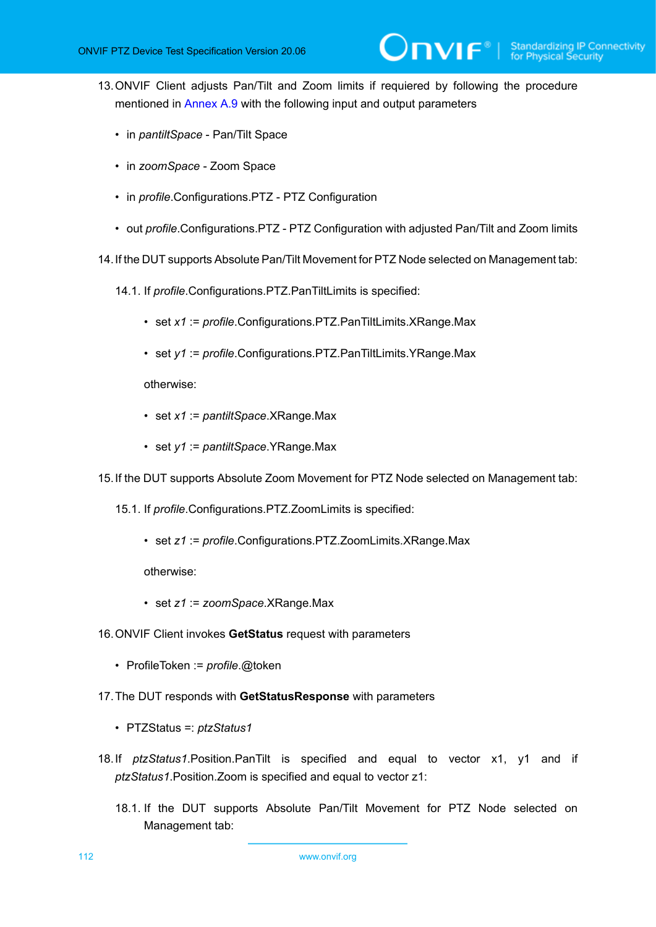<span id="page-111-0"></span>13.ONVIF Client adjusts Pan/Tilt and Zoom limits if requiered by following the procedure mentioned in [Annex A.9](#page-145-0) with the following input and output parameters

 $\mathsf{Dnvir}^*$ 

- in *pantiltSpace* Pan/Tilt Space
- in *zoomSpace* Zoom Space
- in *profile*.Configurations.PTZ PTZ Configuration
- out *profile*.Configurations.PTZ PTZ Configuration with adjusted Pan/Tilt and Zoom limits
- 14.If the DUT supports Absolute Pan/Tilt Movement for PTZ Node selected on Management tab:
	- 14.1. If *profile*.Configurations.PTZ.PanTiltLimits is specified:
		- set *x1* := *profile*.Configurations.PTZ.PanTiltLimits.XRange.Max
		- set *y1* := *profile*.Configurations.PTZ.PanTiltLimits.YRange.Max

otherwise:

- set *x1* := *pantiltSpace*.XRange.Max
- set *y1* := *pantiltSpace*.YRange.Max

15.If the DUT supports Absolute Zoom Movement for PTZ Node selected on Management tab:

- 15.1. If *profile*.Configurations.PTZ.ZoomLimits is specified:
	- set *z1* := *profile*.Configurations.PTZ.ZoomLimits.XRange.Max

otherwise:

- set *z1* := *zoomSpace*.XRange.Max
- 16.ONVIF Client invokes **GetStatus** request with parameters
	- ProfileToken := *profile*.@token
- 17.The DUT responds with **GetStatusResponse** with parameters
	- PTZStatus =: *ptzStatus1*
- 18.If *ptzStatus1*.Position.PanTilt is specified and equal to vector x1, y1 and if *ptzStatus1*.Position.Zoom is specified and equal to vector z1:
	- 18.1. If the DUT supports Absolute Pan/Tilt Movement for PTZ Node selected on Management tab: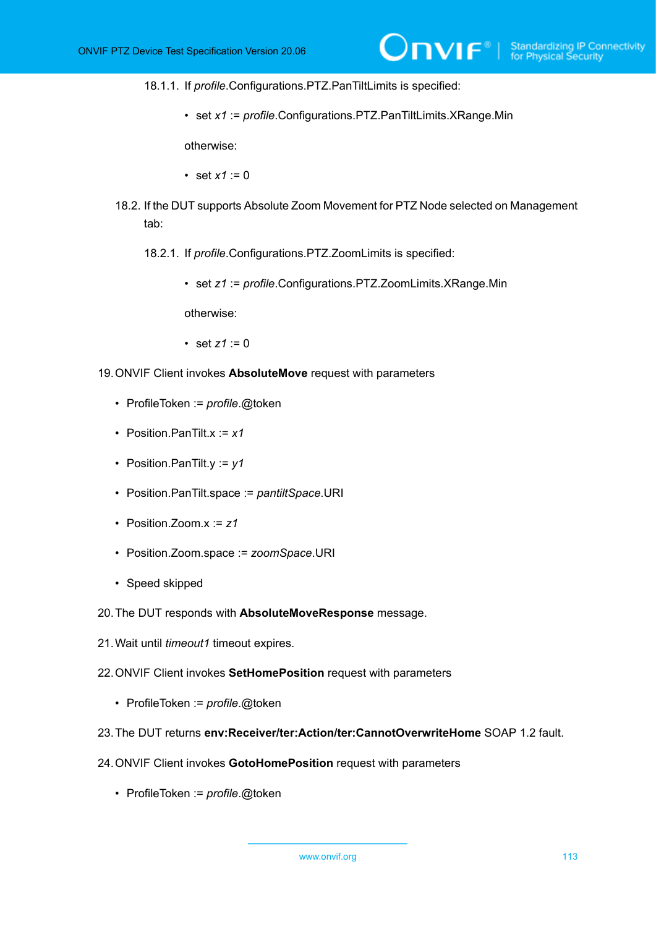18.1.1. If *profile*.Configurations.PTZ.PanTiltLimits is specified:

• set *x1* := *profile*.Configurations.PTZ.PanTiltLimits.XRange.Min

otherwise:

- set  $x1 := 0$
- 18.2. If the DUT supports Absolute Zoom Movement for PTZ Node selected on Management tab:
	- 18.2.1. If *profile*.Configurations.PTZ.ZoomLimits is specified:
		- set *z1* := *profile*.Configurations.PTZ.ZoomLimits.XRange.Min

otherwise:

- set  $z1 := 0$
- 19.ONVIF Client invokes **AbsoluteMove** request with parameters
	- ProfileToken := *profile*.@token
	- Position.PanTilt.x := *x1*
	- Position.PanTilt.y := *y1*
	- Position.PanTilt.space := *pantiltSpace*.URI
	- Position.Zoom.x := *z1*
	- Position.Zoom.space := *zoomSpace*.URI
	- Speed skipped
- 20.The DUT responds with **AbsoluteMoveResponse** message.
- 21.Wait until *timeout1* timeout expires.
- 22.ONVIF Client invokes **SetHomePosition** request with parameters
	- ProfileToken := *profile*.@token
- 23.The DUT returns **env:Receiver/ter:Action/ter:CannotOverwriteHome** SOAP 1.2 fault.
- 24.ONVIF Client invokes **GotoHomePosition** request with parameters
	- ProfileToken := *profile*.@token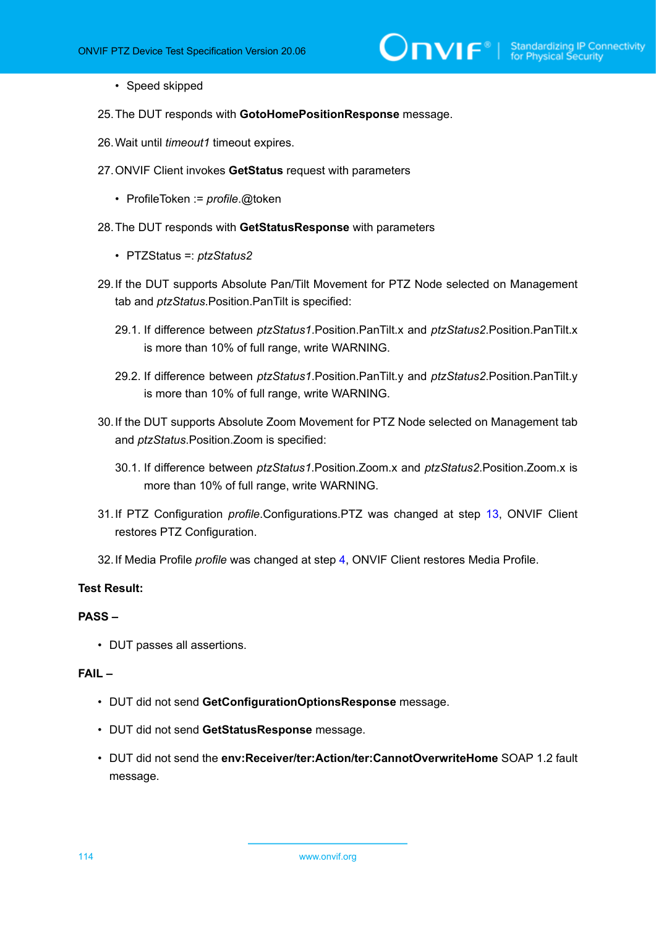- Speed skipped
- 25.The DUT responds with **GotoHomePositionResponse** message.
- 26.Wait until *timeout1* timeout expires.
- 27.ONVIF Client invokes **GetStatus** request with parameters
	- ProfileToken := *profile*.@token
- 28.The DUT responds with **GetStatusResponse** with parameters
	- PTZStatus =: *ptzStatus2*
- 29.If the DUT supports Absolute Pan/Tilt Movement for PTZ Node selected on Management tab and *ptzStatus*.Position.PanTilt is specified:
	- 29.1. If difference between *ptzStatus1*.Position.PanTilt.x and *ptzStatus2*.Position.PanTilt.x is more than 10% of full range, write WARNING.
	- 29.2. If difference between *ptzStatus1*.Position.PanTilt.y and *ptzStatus2*.Position.PanTilt.y is more than 10% of full range, write WARNING.
- 30.If the DUT supports Absolute Zoom Movement for PTZ Node selected on Management tab and *ptzStatus*.Position.Zoom is specified:
	- 30.1. If difference between *ptzStatus1*.Position.Zoom.x and *ptzStatus2*.Position.Zoom.x is more than 10% of full range, write WARNING.
- 31.If PTZ Configuration *profile*.Configurations.PTZ was changed at step [13,](#page-111-0) ONVIF Client restores PTZ Configuration.
- 32.If Media Profile *profile* was changed at step [4,](#page-110-0) ONVIF Client restores Media Profile.

#### **Test Result:**

#### **PASS –**

• DUT passes all assertions.

#### **FAIL –**

- DUT did not send **GetConfigurationOptionsResponse** message.
- DUT did not send **GetStatusResponse** message.
- DUT did not send the **env:Receiver/ter:Action/ter:CannotOverwriteHome** SOAP 1.2 fault message.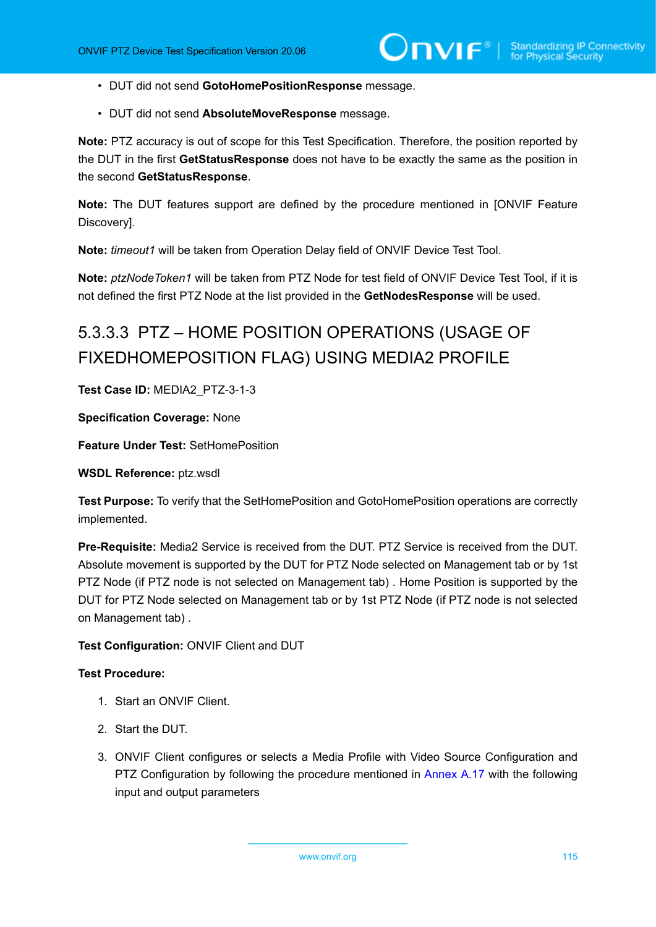- DUT did not send **GotoHomePositionResponse** message.
- DUT did not send **AbsoluteMoveResponse** message.

**Note:** PTZ accuracy is out of scope for this Test Specification. Therefore, the position reported by the DUT in the first **GetStatusResponse** does not have to be exactly the same as the position in the second **GetStatusResponse**.

**Note:** The DUT features support are defined by the procedure mentioned in [ONVIF Feature Discovery].

**Note:** *timeout1* will be taken from Operation Delay field of ONVIF Device Test Tool.

**Note:** *ptzNodeToken1* will be taken from PTZ Node for test field of ONVIF Device Test Tool, if it is not defined the first PTZ Node at the list provided in the **GetNodesResponse** will be used.

# 5.3.3.3 PTZ – HOME POSITION OPERATIONS (USAGE OF FIXEDHOMEPOSITION FLAG) USING MEDIA2 PROFILE

**Test Case ID:** MEDIA2\_PTZ-3-1-3

**Specification Coverage:** None

**Feature Under Test:** SetHomePosition

**WSDL Reference:** ptz.wsdl

**Test Purpose:** To verify that the SetHomePosition and GotoHomePosition operations are correctly implemented.

**Pre-Requisite:** Media2 Service is received from the DUT. PTZ Service is received from the DUT. Absolute movement is supported by the DUT for PTZ Node selected on Management tab or by 1st PTZ Node (if PTZ node is not selected on Management tab) . Home Position is supported by the DUT for PTZ Node selected on Management tab or by 1st PTZ Node (if PTZ node is not selected on Management tab) .

**Test Configuration:** ONVIF Client and DUT

#### **Test Procedure:**

- 1. Start an ONVIF Client.
- 2. Start the DUT.
- <span id="page-114-0"></span>3. ONVIF Client configures or selects a Media Profile with Video Source Configuration and PTZ Configuration by following the procedure mentioned in [Annex A.17](#page-158-0) with the following input and output parameters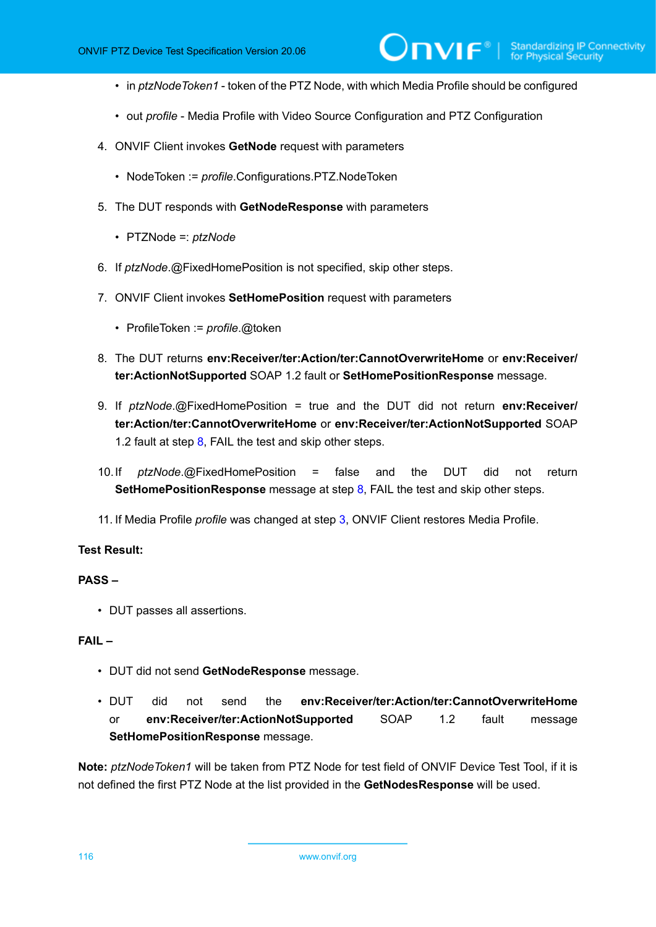- in *ptzNodeToken1* token of the PTZ Node, with which Media Profile should be configured
- out *profile* Media Profile with Video Source Configuration and PTZ Configuration
- 4. ONVIF Client invokes **GetNode** request with parameters
	- NodeToken := *profile*.Configurations.PTZ.NodeToken
- 5. The DUT responds with **GetNodeResponse** with parameters
	- PTZNode =: *ptzNode*
- 6. If *ptzNode*.@FixedHomePosition is not specified, skip other steps.
- 7. ONVIF Client invokes **SetHomePosition** request with parameters
	- ProfileToken := *profile*.@token
- <span id="page-115-0"></span>8. The DUT returns **env:Receiver/ter:Action/ter:CannotOverwriteHome** or **env:Receiver/ ter:ActionNotSupported** SOAP 1.2 fault or **SetHomePositionResponse** message.
- 9. If *ptzNode*.@FixedHomePosition = true and the DUT did not return **env:Receiver/ ter:Action/ter:CannotOverwriteHome** or **env:Receiver/ter:ActionNotSupported** SOAP 1.2 fault at step  $8$ , FAIL the test and skip other steps.
- 10.If *ptzNode*.@FixedHomePosition = false and the DUT did not return **SetHomePositionResponse** message at step [8](#page-115-0), FAIL the test and skip other steps.
- 11. If Media Profile *profile* was changed at step [3,](#page-114-0) ONVIF Client restores Media Profile.

#### **Test Result:**

#### **PASS –**

• DUT passes all assertions.

#### **FAIL –**

- DUT did not send **GetNodeResponse** message.
- DUT did not send the **env:Receiver/ter:Action/ter:CannotOverwriteHome** or **env:Receiver/ter:ActionNotSupported** SOAP 1.2 fault message **SetHomePositionResponse** message.

**Note:** *ptzNodeToken1* will be taken from PTZ Node for test field of ONVIF Device Test Tool, if it is not defined the first PTZ Node at the list provided in the **GetNodesResponse** will be used.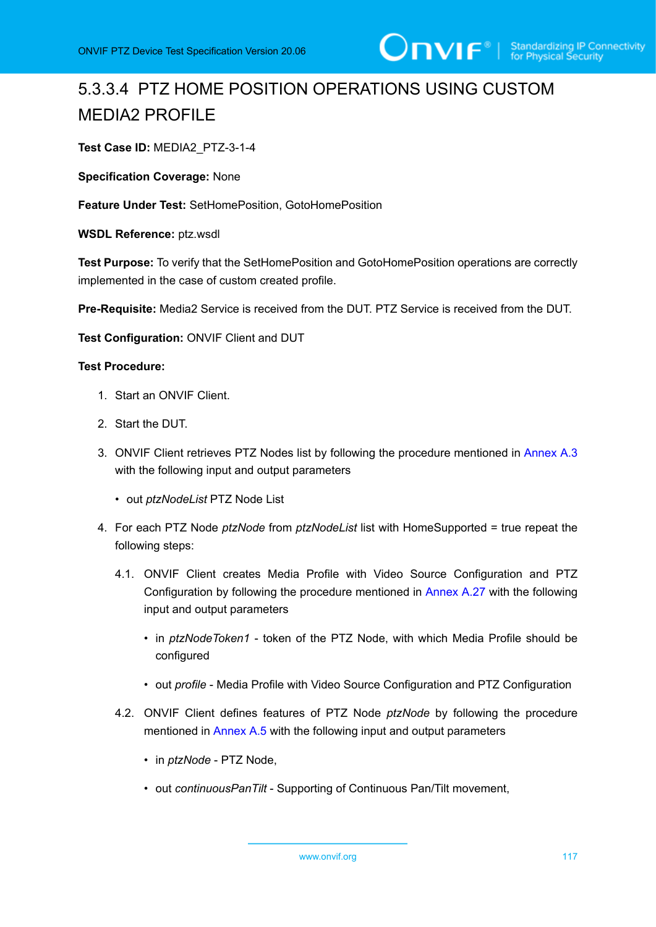# 5.3.3.4 PTZ HOME POSITION OPERATIONS USING CUSTOM MEDIA2 PROFILE

**Test Case ID:** MEDIA2\_PTZ-3-1-4

**Specification Coverage:** None

**Feature Under Test:** SetHomePosition, GotoHomePosition

**WSDL Reference:** ptz.wsdl

**Test Purpose:** To verify that the SetHomePosition and GotoHomePosition operations are correctly implemented in the case of custom created profile.

**Pre-Requisite:** Media2 Service is received from the DUT. PTZ Service is received from the DUT.

**Test Configuration:** ONVIF Client and DUT

#### **Test Procedure:**

- 1. Start an ONVIF Client.
- 2. Start the DUT.
- 3. ONVIF Client retrieves PTZ Nodes list by following the procedure mentioned in [Annex A.3](#page-135-0) with the following input and output parameters
	- out *ptzNodeList* PTZ Node List
- <span id="page-116-0"></span>4. For each PTZ Node *ptzNode* from *ptzNodeList* list with HomeSupported = true repeat the following steps:
	- 4.1. ONVIF Client creates Media Profile with Video Source Configuration and PTZ Configuration by following the procedure mentioned in [Annex A.27](#page-172-0) with the following input and output parameters
		- in *ptzNodeToken1* token of the PTZ Node, with which Media Profile should be configured
		- out *profile* Media Profile with Video Source Configuration and PTZ Configuration
	- 4.2. ONVIF Client defines features of PTZ Node *ptzNode* by following the procedure mentioned in [Annex A.5](#page-139-0) with the following input and output parameters
		- in *ptzNode* PTZ Node,
		- out *continuousPanTilt* Supporting of Continuous Pan/Tilt movement,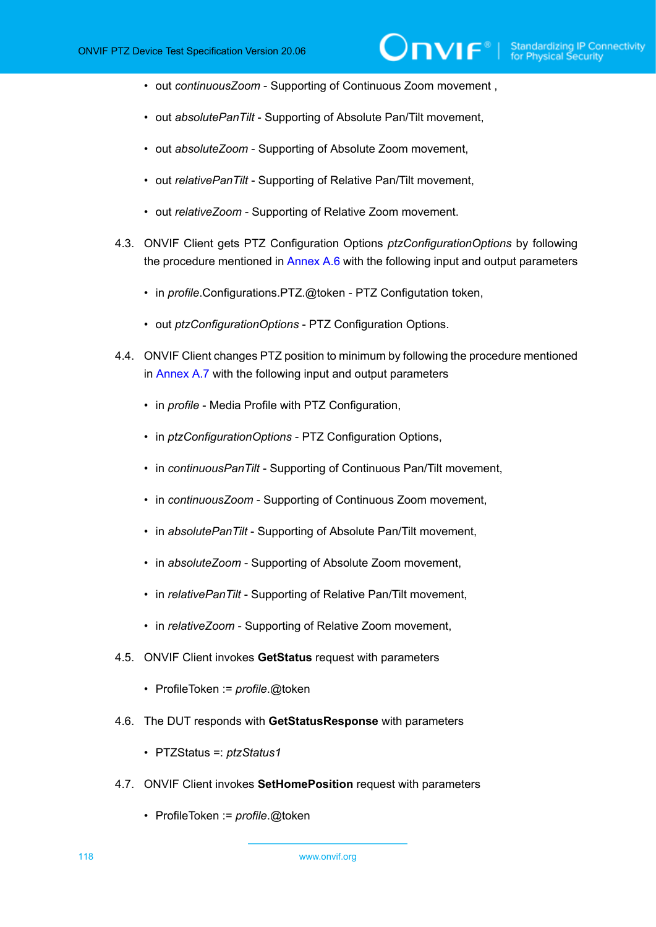• out *continuousZoom* - Supporting of Continuous Zoom movement ,

**⊃nvıғ**®

- out *absolutePanTilt* Supporting of Absolute Pan/Tilt movement,
- out *absoluteZoom* Supporting of Absolute Zoom movement,
- out *relativePanTilt* Supporting of Relative Pan/Tilt movement,
- out *relativeZoom* Supporting of Relative Zoom movement.
- 4.3. ONVIF Client gets PTZ Configuration Options *ptzConfigurationOptions* by following the procedure mentioned in [Annex A.6](#page-140-0) with the following input and output parameters
	- in *profile*.Configurations.PTZ.@token PTZ Configutation token,
	- out *ptzConfigurationOptions* PTZ Configuration Options.
- <span id="page-117-0"></span>4.4. ONVIF Client changes PTZ position to minimum by following the procedure mentioned in [Annex A.7](#page-141-0) with the following input and output parameters
	- in *profile* Media Profile with PTZ Configuration,
	- in *ptzConfigurationOptions* PTZ Configuration Options,
	- in *continuousPanTilt* Supporting of Continuous Pan/Tilt movement,
	- in *continuousZoom* Supporting of Continuous Zoom movement,
	- in *absolutePanTilt* Supporting of Absolute Pan/Tilt movement,
	- in *absoluteZoom* Supporting of Absolute Zoom movement,
	- in *relativePanTilt* Supporting of Relative Pan/Tilt movement,
	- in *relativeZoom* Supporting of Relative Zoom movement,
- 4.5. ONVIF Client invokes **GetStatus** request with parameters
	- ProfileToken := *profile*.@token
- 4.6. The DUT responds with **GetStatusResponse** with parameters
	- PTZStatus =: *ptzStatus1*
- 4.7. ONVIF Client invokes **SetHomePosition** request with parameters
	- ProfileToken := *profile*.@token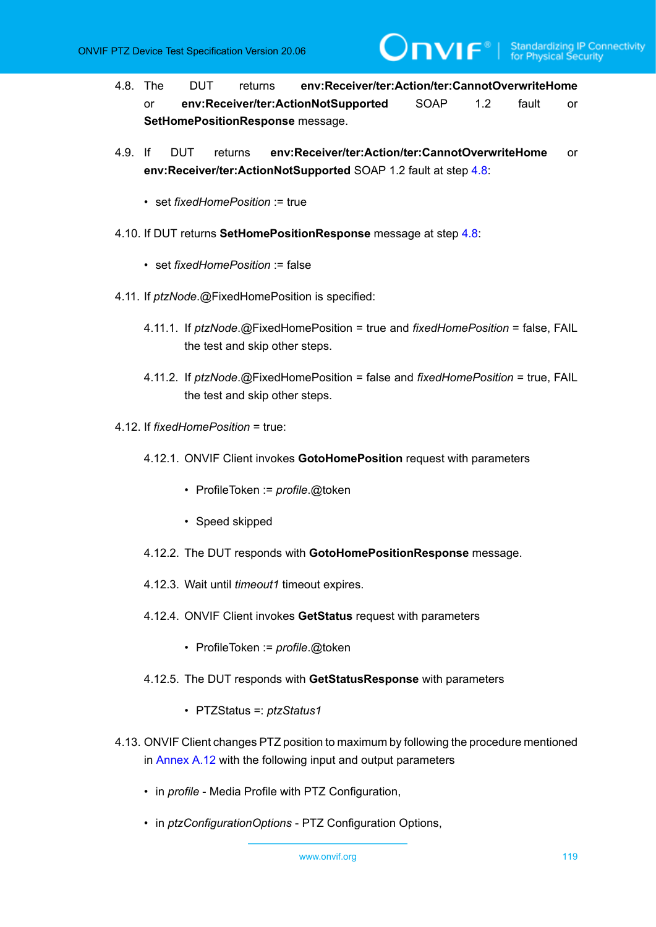<span id="page-118-0"></span>4.8. The DUT returns **env:Receiver/ter:Action/ter:CannotOverwriteHome** or **env:Receiver/ter:ActionNotSupported** SOAP 1.2 fault or **SetHomePositionResponse** message.

 $\mathsf{D}\mathbf{n}\mathsf{V}$ lf $^\circ$ l

- 4.9. If DUT returns **env:Receiver/ter:Action/ter:CannotOverwriteHome** or **env:Receiver/ter:ActionNotSupported** SOAP 1.2 fault at step [4.8:](#page-118-0)
	- set *fixedHomePosition* := true
- 4.10. If DUT returns **SetHomePositionResponse** message at step [4.8:](#page-118-0)
	- set *fixedHomePosition* := false
- 4.11. If *ptzNode*.@FixedHomePosition is specified:
	- 4.11.1. If *ptzNode*.@FixedHomePosition = true and *fixedHomePosition* = false, FAIL the test and skip other steps.
	- 4.11.2. If *ptzNode*.@FixedHomePosition = false and *fixedHomePosition* = true, FAIL the test and skip other steps.
- 4.12. If *fixedHomePosition* = true:
	- 4.12.1. ONVIF Client invokes **GotoHomePosition** request with parameters
		- ProfileToken := *profile*.@token
		- Speed skipped
	- 4.12.2. The DUT responds with **GotoHomePositionResponse** message.
	- 4.12.3. Wait until *timeout1* timeout expires.
	- 4.12.4. ONVIF Client invokes **GetStatus** request with parameters
		- ProfileToken := *profile*.@token
	- 4.12.5. The DUT responds with **GetStatusResponse** with parameters
		- PTZStatus =: *ptzStatus1*
- <span id="page-118-1"></span>4.13. ONVIF Client changes PTZ position to maximum by following the procedure mentioned in [Annex A.12](#page-149-0) with the following input and output parameters
	- in *profile* Media Profile with PTZ Configuration,
	- in *ptzConfigurationOptions* PTZ Configuration Options,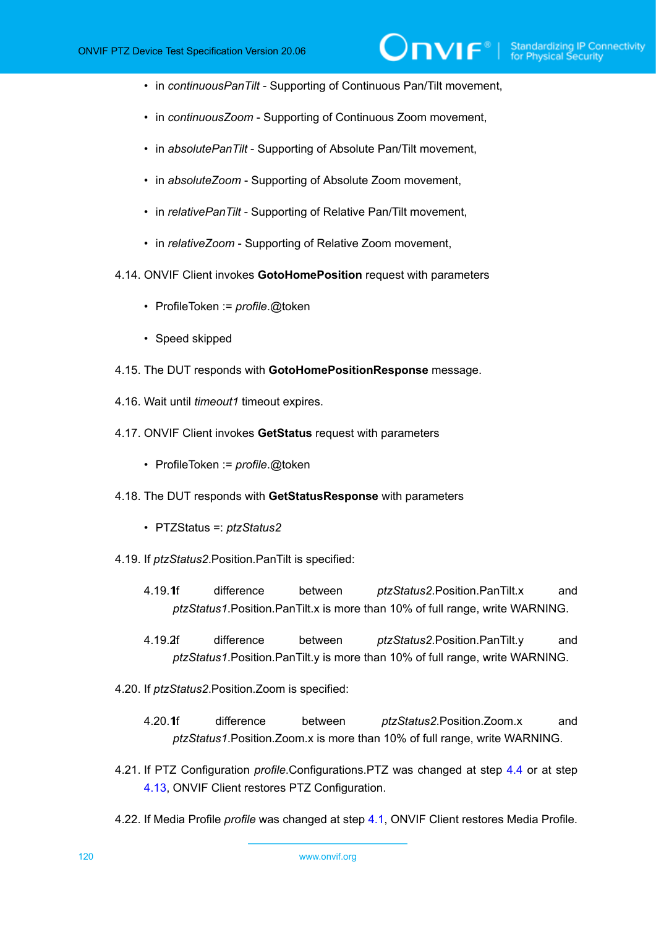• in *continuousPanTilt* - Supporting of Continuous Pan/Tilt movement,

 $\mathsf{D}\mathbf{N}\mathsf{I}\mathsf{F}^\ast$ 

- in *continuousZoom* Supporting of Continuous Zoom movement,
- in *absolutePanTilt* Supporting of Absolute Pan/Tilt movement,
- in *absoluteZoom* Supporting of Absolute Zoom movement,
- in *relativePanTilt* Supporting of Relative Pan/Tilt movement,
- in *relativeZoom* Supporting of Relative Zoom movement,
- 4.14. ONVIF Client invokes **GotoHomePosition** request with parameters
	- ProfileToken := *profile*.@token
	- Speed skipped
- 4.15. The DUT responds with **GotoHomePositionResponse** message.
- 4.16. Wait until *timeout1* timeout expires.
- 4.17. ONVIF Client invokes **GetStatus** request with parameters
	- ProfileToken := *profile*.@token
- 4.18. The DUT responds with **GetStatusResponse** with parameters
	- PTZStatus =: *ptzStatus2*
- <span id="page-119-0"></span>4.19. If *ptzStatus2*.Position.PanTilt is specified:
	- 4.19.1f difference between *ptzStatus2*.Position.PanTilt.x and *ptzStatus1*.Position.PanTilt.x is more than 10% of full range, write WARNING.
	- 4.19.2.If difference between *ptzStatus2*.Position.PanTilt.y and *ptzStatus1*.Position.PanTilt.y is more than 10% of full range, write WARNING.
- <span id="page-119-2"></span><span id="page-119-1"></span>4.20. If *ptzStatus2*.Position.Zoom is specified:
	- 4.20.1.If difference between *ptzStatus2*.Position.Zoom.x and *ptzStatus1*.Position.Zoom.x is more than 10% of full range, write WARNING.
- 4.21. If PTZ Configuration *profile*.Configurations.PTZ was changed at step [4.4](#page-117-0) or at step [4.13](#page-118-1), ONVIF Client restores PTZ Configuration.
- 4.22. If Media Profile *profile* was changed at step [4.1,](#page-116-0) ONVIF Client restores Media Profile.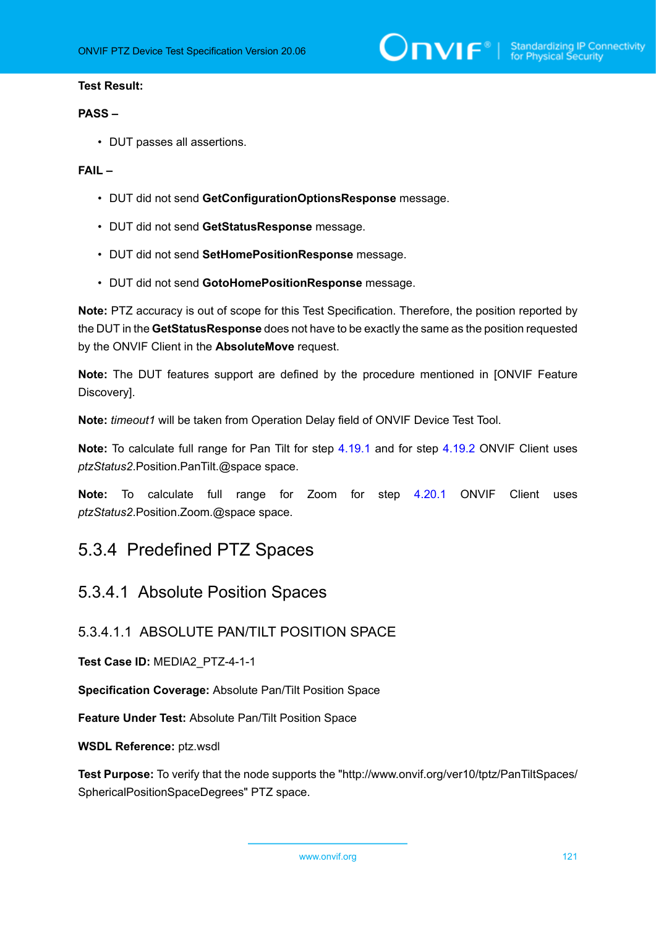#### **Test Result:**

#### **PASS –**

• DUT passes all assertions.

#### **FAIL –**

- DUT did not send **GetConfigurationOptionsResponse** message.
- DUT did not send **GetStatusResponse** message.
- DUT did not send **SetHomePositionResponse** message.
- DUT did not send **GotoHomePositionResponse** message.

**Note:** PTZ accuracy is out of scope for this Test Specification. Therefore, the position reported by the DUT in the **GetStatusResponse** does not have to be exactly the same as the position requested by the ONVIF Client in the **AbsoluteMove** request.

**Note:** The DUT features support are defined by the procedure mentioned in [ONVIF Feature Discovery].

**Note:** *timeout1* will be taken from Operation Delay field of ONVIF Device Test Tool.

**Note:** To calculate full range for Pan Tilt for step [4.19.1](#page-119-0) and for step [4.19.2](#page-119-1) ONVIF Client uses *ptzStatus2*.Position.PanTilt.@space space.

**Note:** To calculate full range for Zoom for step [4.20.1](#page-119-2) ONVIF Client uses *ptzStatus2*.Position.Zoom.@space space.

### 5.3.4 Predefined PTZ Spaces

### 5.3.4.1 Absolute Position Spaces

### 5.3.4.1.1 ABSOLUTE PAN/TILT POSITION SPACE

#### **Test Case ID:** MEDIA2\_PTZ-4-1-1

**Specification Coverage:** Absolute Pan/Tilt Position Space

**Feature Under Test:** Absolute Pan/Tilt Position Space

**WSDL Reference:** ptz.wsdl

**Test Purpose:** To verify that the node supports the "http://www.onvif.org/ver10/tptz/PanTiltSpaces/ SphericalPositionSpaceDegrees" PTZ space.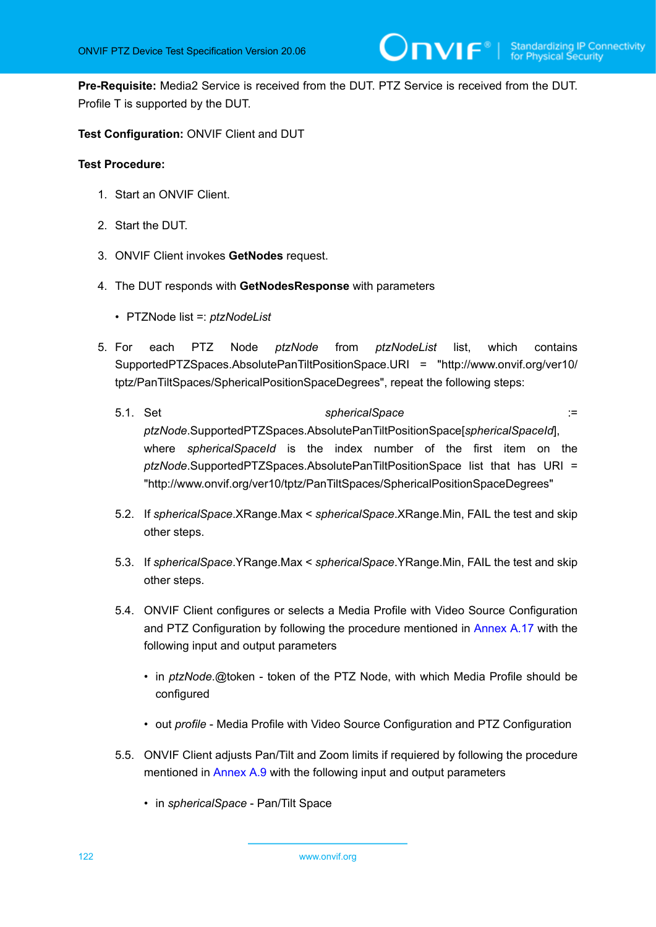**Pre-Requisite:** Media2 Service is received from the DUT. PTZ Service is received from the DUT. Profile T is supported by the DUT.

**Test Configuration:** ONVIF Client and DUT

#### **Test Procedure:**

- 1. Start an ONVIF Client.
- 2. Start the DUT.
- 3. ONVIF Client invokes **GetNodes** request.
- 4. The DUT responds with **GetNodesResponse** with parameters
	- PTZNode list =: *ptzNodeList*
- 5. For each PTZ Node *ptzNode* from *ptzNodeList* list, which contains SupportedPTZSpaces.AbsolutePanTiltPositionSpace.URI = "http://www.onvif.org/ver10/ tptz/PanTiltSpaces/SphericalPositionSpaceDegrees", repeat the following steps:
	- 5.1. Set *sphericalSpace* := *ptzNode*.SupportedPTZSpaces.AbsolutePanTiltPositionSpace[*sphericalSpaceId*], where *sphericalSpaceId* is the index number of the first item on the *ptzNode*.SupportedPTZSpaces.AbsolutePanTiltPositionSpace list that has URI = "http://www.onvif.org/ver10/tptz/PanTiltSpaces/SphericalPositionSpaceDegrees"
	- 5.2. If *sphericalSpace*.XRange.Max < *sphericalSpace*.XRange.Min, FAIL the test and skip other steps.
	- 5.3. If *sphericalSpace*.YRange.Max < *sphericalSpace*.YRange.Min, FAIL the test and skip other steps.
	- 5.4. ONVIF Client configures or selects a Media Profile with Video Source Configuration and PTZ Configuration by following the procedure mentioned in [Annex A.17](#page-158-0) with the following input and output parameters
		- in *ptzNode*.@token token of the PTZ Node, with which Media Profile should be configured
		- out *profile* Media Profile with Video Source Configuration and PTZ Configuration
	- 5.5. ONVIF Client adjusts Pan/Tilt and Zoom limits if requiered by following the procedure mentioned in [Annex A.9](#page-145-0) with the following input and output parameters
		- in *sphericalSpace* Pan/Tilt Space

<span id="page-121-1"></span><span id="page-121-0"></span>122 www.onvif.org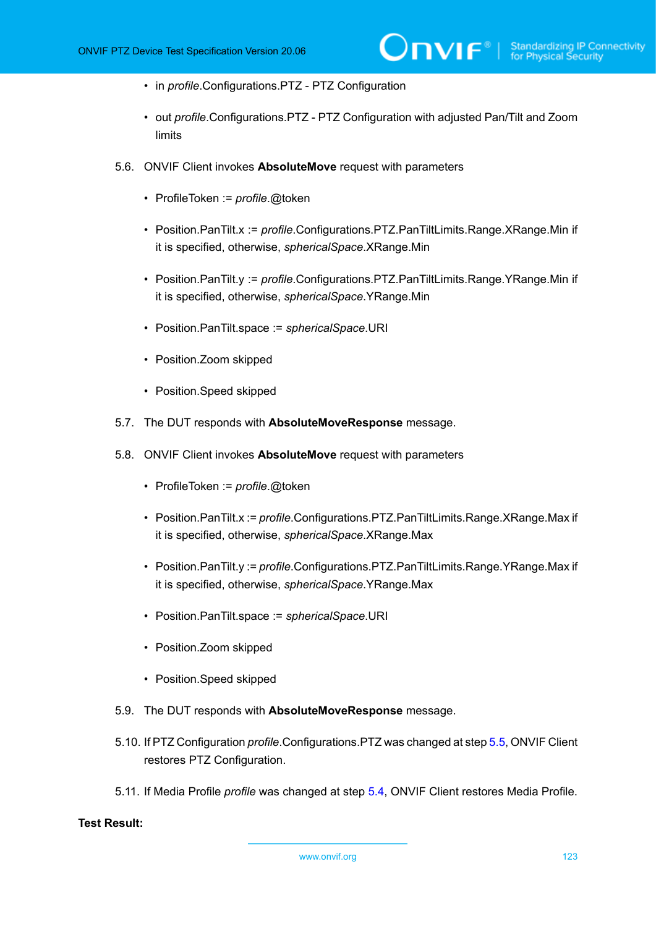- in *profile*.Configurations.PTZ PTZ Configuration
- out *profile*.Configurations.PTZ PTZ Configuration with adjusted Pan/Tilt and Zoom limits
- 5.6. ONVIF Client invokes **AbsoluteMove** request with parameters
	- ProfileToken := *profile*.@token
	- Position.PanTilt.x := *profile*.Configurations.PTZ.PanTiltLimits.Range.XRange.Min if it is specified, otherwise, *sphericalSpace*.XRange.Min
	- Position.PanTilt.y := *profile*.Configurations.PTZ.PanTiltLimits.Range.YRange.Min if it is specified, otherwise, *sphericalSpace*.YRange.Min
	- Position.PanTilt.space := *sphericalSpace*.URI
	- Position.Zoom skipped
	- Position.Speed skipped
- 5.7. The DUT responds with **AbsoluteMoveResponse** message.
- 5.8. ONVIF Client invokes **AbsoluteMove** request with parameters
	- ProfileToken := *profile*.@token
	- Position.PanTilt.x := *profile*.Configurations.PTZ.PanTiltLimits.Range.XRange.Max if it is specified, otherwise, *sphericalSpace*.XRange.Max
	- Position.PanTilt.y := *profile*.Configurations.PTZ.PanTiltLimits.Range.YRange.Max if it is specified, otherwise, *sphericalSpace*.YRange.Max
	- Position.PanTilt.space := *sphericalSpace*.URI
	- Position.Zoom skipped
	- Position.Speed skipped
- 5.9. The DUT responds with **AbsoluteMoveResponse** message.
- 5.10. If PTZ Configuration *profile*.Configurations.PTZ was changed at step [5.5,](#page-121-0) ONVIF Client restores PTZ Configuration.
- 5.11. If Media Profile *profile* was changed at step [5.4,](#page-121-1) ONVIF Client restores Media Profile.

#### **Test Result:**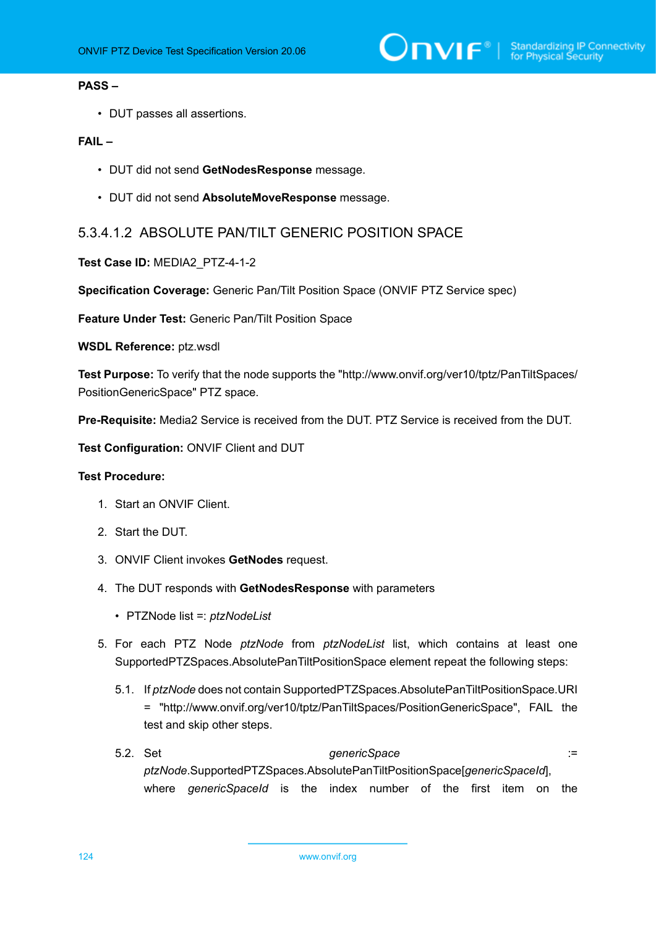#### **PASS –**

• DUT passes all assertions.

#### **FAIL –**

- DUT did not send **GetNodesResponse** message.
- DUT did not send **AbsoluteMoveResponse** message.

### 5.3.4.1.2 ABSOLUTE PAN/TILT GENERIC POSITION SPACE

#### **Test Case ID:** MEDIA2\_PTZ-4-1-2

**Specification Coverage:** Generic Pan/Tilt Position Space (ONVIF PTZ Service spec)

**Feature Under Test:** Generic Pan/Tilt Position Space

**WSDL Reference:** ptz.wsdl

**Test Purpose:** To verify that the node supports the "http://www.onvif.org/ver10/tptz/PanTiltSpaces/ PositionGenericSpace" PTZ space.

**Pre-Requisite:** Media2 Service is received from the DUT. PTZ Service is received from the DUT.

**Test Configuration:** ONVIF Client and DUT

#### **Test Procedure:**

- 1. Start an ONVIF Client.
- 2. Start the DUT.
- 3. ONVIF Client invokes **GetNodes** request.
- 4. The DUT responds with **GetNodesResponse** with parameters
	- PTZNode list =: *ptzNodeList*
- 5. For each PTZ Node *ptzNode* from *ptzNodeList* list, which contains at least one SupportedPTZSpaces.AbsolutePanTiltPositionSpace element repeat the following steps:
	- 5.1. If *ptzNode* does not contain SupportedPTZSpaces.AbsolutePanTiltPositionSpace.URI = "http://www.onvif.org/ver10/tptz/PanTiltSpaces/PositionGenericSpace", FAIL the test and skip other steps.
	- 5.2. Set *genericSpace* := *ptzNode*.SupportedPTZSpaces.AbsolutePanTiltPositionSpace[*genericSpaceId*], where *genericSpaceId* is the index number of the first item on the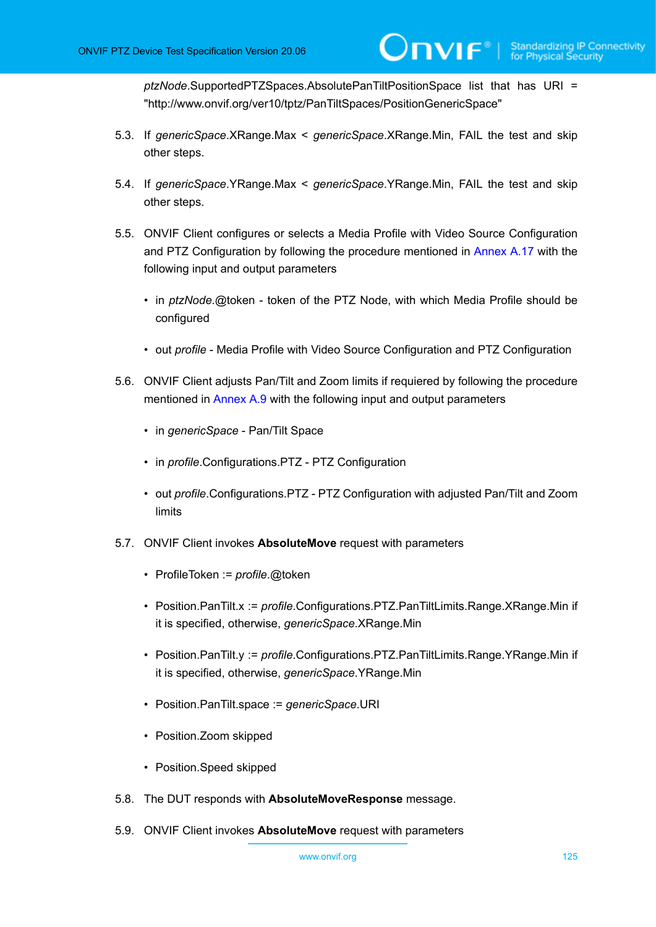*ptzNode*.SupportedPTZSpaces.AbsolutePanTiltPositionSpace list that has URI = "http://www.onvif.org/ver10/tptz/PanTiltSpaces/PositionGenericSpace"

- 5.3. If *genericSpace*.XRange.Max < *genericSpace*.XRange.Min, FAIL the test and skip other steps.
- 5.4. If *genericSpace*.YRange.Max < *genericSpace*.YRange.Min, FAIL the test and skip other steps.
- <span id="page-124-1"></span>5.5. ONVIF Client configures or selects a Media Profile with Video Source Configuration and PTZ Configuration by following the procedure mentioned in [Annex A.17](#page-158-0) with the following input and output parameters
	- in *ptzNode*.@token token of the PTZ Node, with which Media Profile should be configured
	- out *profile* Media Profile with Video Source Configuration and PTZ Configuration
- <span id="page-124-0"></span>5.6. ONVIF Client adjusts Pan/Tilt and Zoom limits if requiered by following the procedure mentioned in [Annex A.9](#page-145-0) with the following input and output parameters
	- in *genericSpace* Pan/Tilt Space
	- in *profile*.Configurations.PTZ PTZ Configuration
	- out *profile*.Configurations.PTZ PTZ Configuration with adjusted Pan/Tilt and Zoom limits
- 5.7. ONVIF Client invokes **AbsoluteMove** request with parameters
	- ProfileToken := *profile*.@token
	- Position.PanTilt.x := *profile*.Configurations.PTZ.PanTiltLimits.Range.XRange.Min if it is specified, otherwise, *genericSpace*.XRange.Min
	- Position.PanTilt.y := *profile*.Configurations.PTZ.PanTiltLimits.Range.YRange.Min if it is specified, otherwise, *genericSpace*.YRange.Min
	- Position.PanTilt.space := *genericSpace*.URI
	- Position.Zoom skipped
	- Position.Speed skipped
- 5.8. The DUT responds with **AbsoluteMoveResponse** message.
- 5.9. ONVIF Client invokes **AbsoluteMove** request with parameters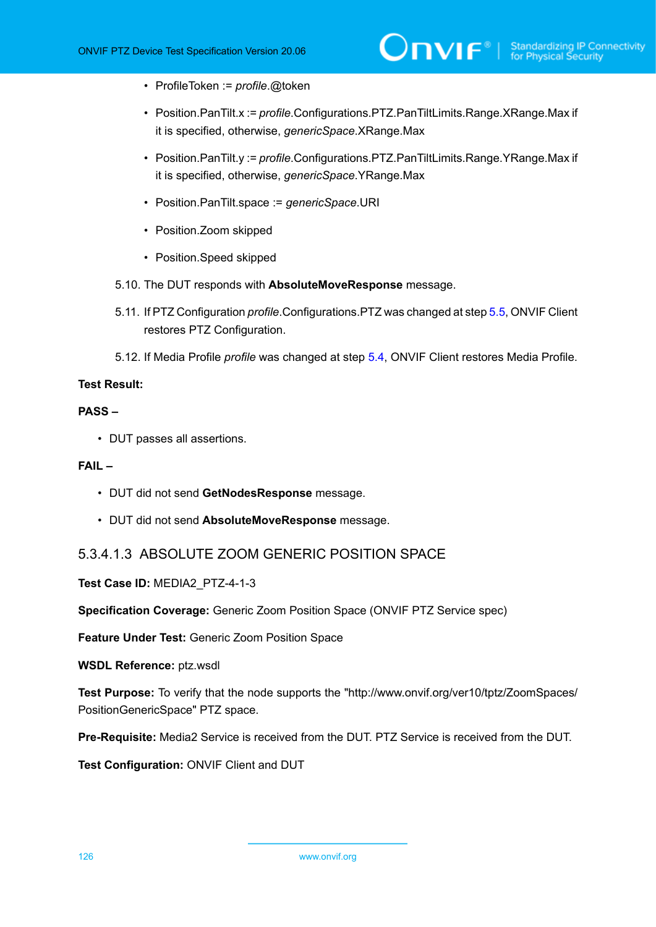- ProfileToken := *profile*.@token
- Position.PanTilt.x := *profile*.Configurations.PTZ.PanTiltLimits.Range.XRange.Max if it is specified, otherwise, *genericSpace*.XRange.Max
- Position.PanTilt.y := *profile*.Configurations.PTZ.PanTiltLimits.Range.YRange.Max if it is specified, otherwise, *genericSpace*.YRange.Max
- Position.PanTilt.space := *genericSpace*.URI
- Position.Zoom skipped
- Position.Speed skipped
- 5.10. The DUT responds with **AbsoluteMoveResponse** message.
- 5.11. If PTZ Configuration *profile*.Configurations.PTZ was changed at step [5.5,](#page-124-0) ONVIF Client restores PTZ Configuration.
- 5.12. If Media Profile *profile* was changed at step [5.4,](#page-124-1) ONVIF Client restores Media Profile.

#### **Test Result:**

#### **PASS –**

• DUT passes all assertions.

#### **FAIL –**

- DUT did not send **GetNodesResponse** message.
- DUT did not send **AbsoluteMoveResponse** message.

### 5.3.4.1.3 ABSOLUTE ZOOM GENERIC POSITION SPACE

**Test Case ID:** MEDIA2\_PTZ-4-1-3

**Specification Coverage:** Generic Zoom Position Space (ONVIF PTZ Service spec)

**Feature Under Test:** Generic Zoom Position Space

**WSDL Reference:** ptz.wsdl

**Test Purpose:** To verify that the node supports the "http://www.onvif.org/ver10/tptz/ZoomSpaces/ PositionGenericSpace" PTZ space.

**Pre-Requisite:** Media2 Service is received from the DUT. PTZ Service is received from the DUT.

**Test Configuration:** ONVIF Client and DUT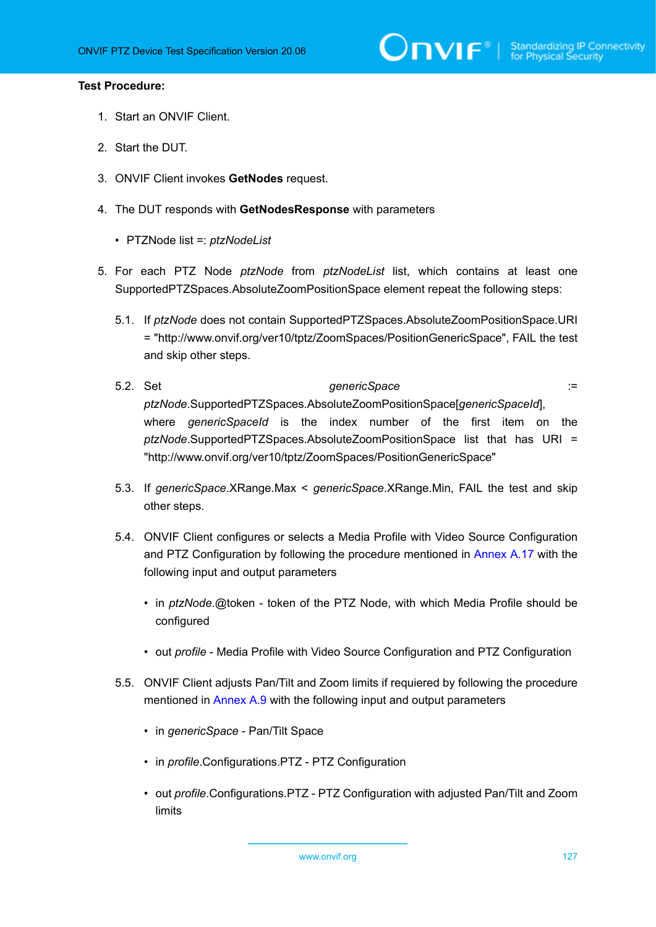#### **Test Procedure:**

- 1. Start an ONVIF Client.
- 2. Start the DUT.
- 3. ONVIF Client invokes **GetNodes** request.
- 4. The DUT responds with **GetNodesResponse** with parameters
	- PTZNode list =: *ptzNodeList*
- <span id="page-126-1"></span>5. For each PTZ Node *ptzNode* from *ptzNodeList* list, which contains at least one SupportedPTZSpaces.AbsoluteZoomPositionSpace element repeat the following steps:
	- 5.1. If *ptzNode* does not contain SupportedPTZSpaces.AbsoluteZoomPositionSpace.URI = "http://www.onvif.org/ver10/tptz/ZoomSpaces/PositionGenericSpace", FAIL the test and skip other steps.
	- 5.2. Set *genericSpace* := *ptzNode*.SupportedPTZSpaces.AbsoluteZoomPositionSpace[*genericSpaceId*], where *genericSpaceId* is the index number of the first item on the *ptzNode*.SupportedPTZSpaces.AbsoluteZoomPositionSpace list that has URI = "http://www.onvif.org/ver10/tptz/ZoomSpaces/PositionGenericSpace"
	- 5.3. If *genericSpace*.XRange.Max < *genericSpace*.XRange.Min, FAIL the test and skip other steps.
	- 5.4. ONVIF Client configures or selects a Media Profile with Video Source Configuration and PTZ Configuration by following the procedure mentioned in [Annex A.17](#page-158-0) with the following input and output parameters
		- in *ptzNode*.@token token of the PTZ Node, with which Media Profile should be configured
		- out *profile* Media Profile with Video Source Configuration and PTZ Configuration
	- 5.5. ONVIF Client adjusts Pan/Tilt and Zoom limits if requiered by following the procedure mentioned in [Annex A.9](#page-145-0) with the following input and output parameters
		- in *genericSpace* Pan/Tilt Space
		- in *profile*.Configurations.PTZ PTZ Configuration
		- out *profile*.Configurations.PTZ PTZ Configuration with adjusted Pan/Tilt and Zoom limits

<span id="page-126-0"></span>www.onvif.org 127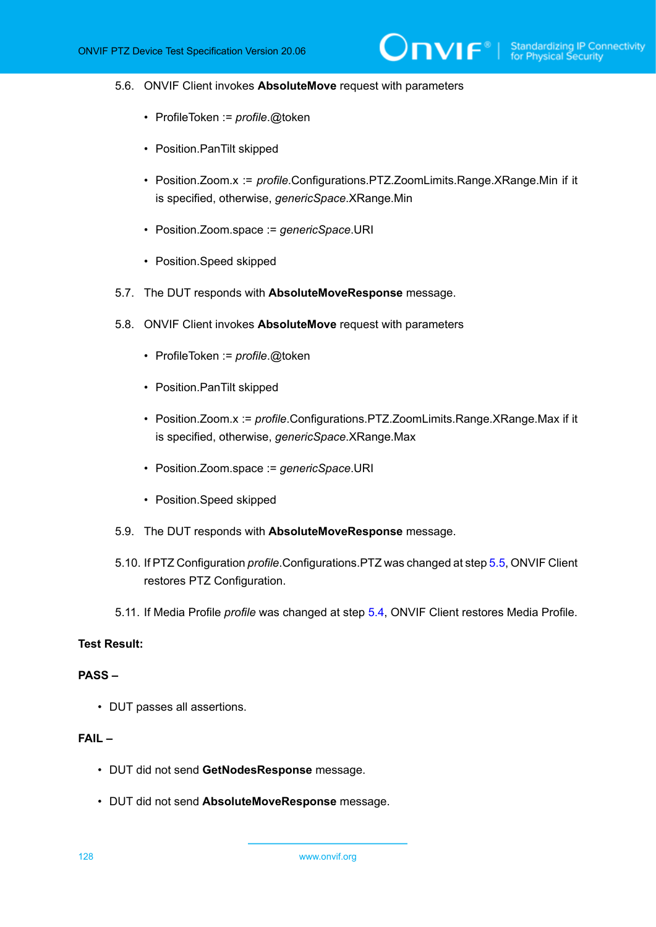#### 5.6. ONVIF Client invokes **AbsoluteMove** request with parameters

- ProfileToken := *profile*.@token
- Position.PanTilt skipped
- Position.Zoom.x := *profile*.Configurations.PTZ.ZoomLimits.Range.XRange.Min if it is specified, otherwise, *genericSpace*.XRange.Min
- Position.Zoom.space := *genericSpace*.URI
- Position.Speed skipped
- 5.7. The DUT responds with **AbsoluteMoveResponse** message.
- 5.8. ONVIF Client invokes **AbsoluteMove** request with parameters
	- ProfileToken := *profile*.@token
	- Position.PanTilt skipped
	- Position.Zoom.x := *profile*.Configurations.PTZ.ZoomLimits.Range.XRange.Max if it is specified, otherwise, *genericSpace*.XRange.Max
	- Position.Zoom.space := *genericSpace*.URI
	- Position.Speed skipped
- 5.9. The DUT responds with **AbsoluteMoveResponse** message.
- 5.10. If PTZ Configuration *profile*.Configurations.PTZ was changed at step [5.5,](#page-126-0) ONVIF Client restores PTZ Configuration.
- 5.11. If Media Profile *profile* was changed at step [5.4,](#page-126-1) ONVIF Client restores Media Profile.

### **Test Result:**

#### **PASS –**

• DUT passes all assertions.

#### **FAIL –**

- DUT did not send **GetNodesResponse** message.
- DUT did not send **AbsoluteMoveResponse** message.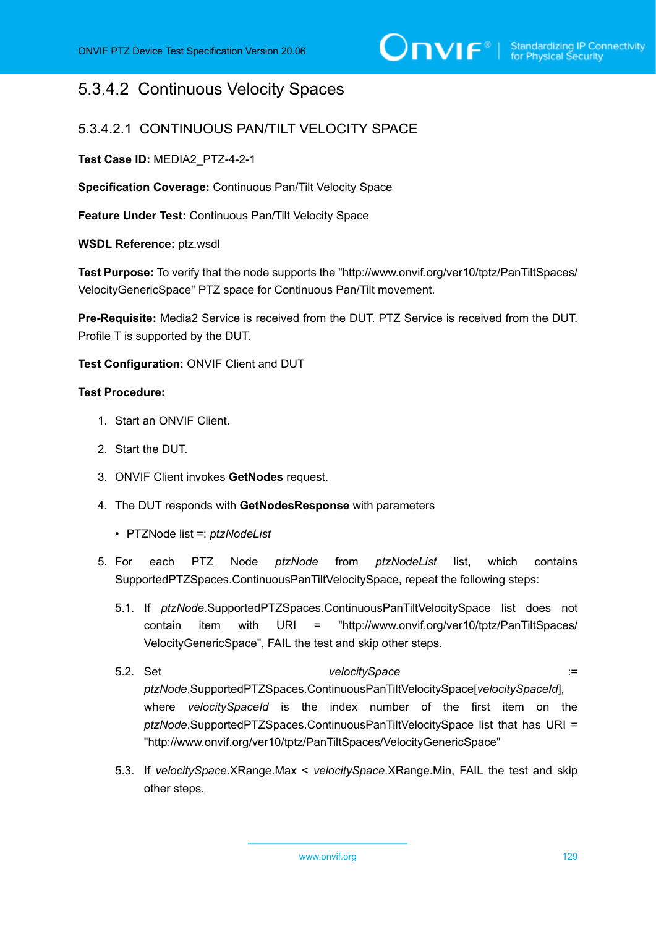## 5.3.4.2 Continuous Velocity Spaces

### 5.3.4.2.1 CONTINUOUS PAN/TILT VELOCITY SPACE

**Test Case ID:** MEDIA2\_PTZ-4-2-1

**Specification Coverage:** Continuous Pan/Tilt Velocity Space

**Feature Under Test:** Continuous Pan/Tilt Velocity Space

**WSDL Reference:** ptz.wsdl

**Test Purpose:** To verify that the node supports the "http://www.onvif.org/ver10/tptz/PanTiltSpaces/ VelocityGenericSpace" PTZ space for Continuous Pan/Tilt movement.

**Pre-Requisite:** Media2 Service is received from the DUT. PTZ Service is received from the DUT. Profile T is supported by the DUT.

**Test Configuration:** ONVIF Client and DUT

#### **Test Procedure:**

- 1. Start an ONVIF Client.
- 2. Start the DUT.
- 3. ONVIF Client invokes **GetNodes** request.
- 4. The DUT responds with **GetNodesResponse** with parameters
	- PTZNode list =: *ptzNodeList*
- 5. For each PTZ Node *ptzNode* from *ptzNodeList* list, which contains SupportedPTZSpaces.ContinuousPanTiltVelocitySpace, repeat the following steps:
	- 5.1. If *ptzNode*.SupportedPTZSpaces.ContinuousPanTiltVelocitySpace list does not contain item with URI = "http://www.onvif.org/ver10/tptz/PanTiltSpaces/ VelocityGenericSpace", FAIL the test and skip other steps.
	- 5.2. Set *velocitySpace* := *ptzNode*.SupportedPTZSpaces.ContinuousPanTiltVelocitySpace[*velocitySpaceId*], where *velocitySpaceId* is the index number of the first item on the *ptzNode*.SupportedPTZSpaces.ContinuousPanTiltVelocitySpace list that has URI = "http://www.onvif.org/ver10/tptz/PanTiltSpaces/VelocityGenericSpace"
	- 5.3. If *velocitySpace*.XRange.Max < *velocitySpace*.XRange.Min, FAIL the test and skip other steps.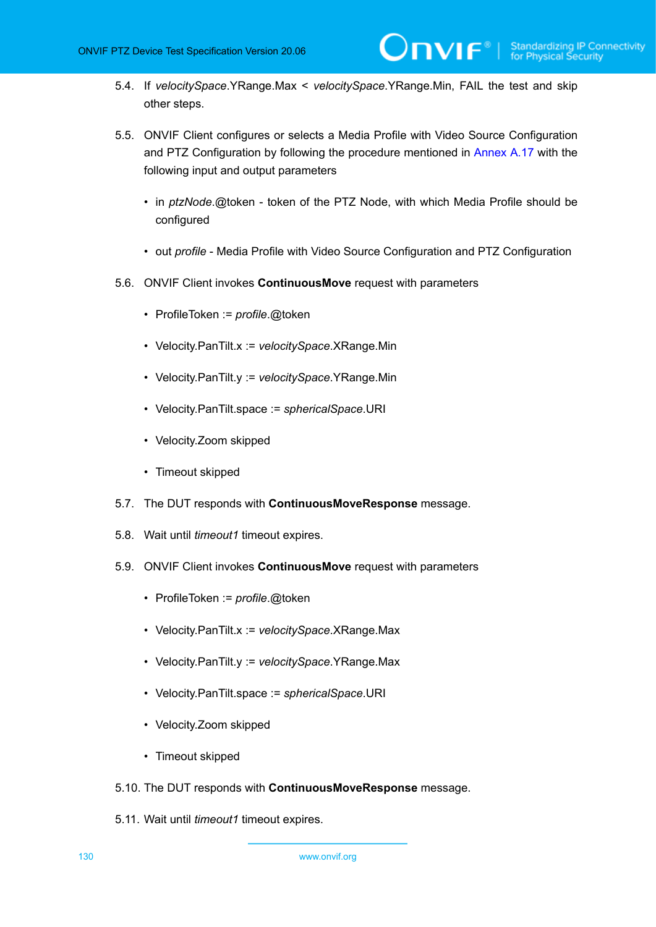- 5.4. If *velocitySpace*.YRange.Max < *velocitySpace*.YRange.Min, FAIL the test and skip other steps.
- <span id="page-129-0"></span>5.5. ONVIF Client configures or selects a Media Profile with Video Source Configuration and PTZ Configuration by following the procedure mentioned in [Annex A.17](#page-158-0) with the following input and output parameters
	- in *ptzNode*.@token token of the PTZ Node, with which Media Profile should be configured
	- out *profile* Media Profile with Video Source Configuration and PTZ Configuration
- 5.6. ONVIF Client invokes **ContinuousMove** request with parameters
	- ProfileToken := *profile*.@token
	- Velocity.PanTilt.x := *velocitySpace*.XRange.Min
	- Velocity.PanTilt.y := *velocitySpace*.YRange.Min
	- Velocity.PanTilt.space := *sphericalSpace*.URI
	- Velocity.Zoom skipped
	- Timeout skipped
- 5.7. The DUT responds with **ContinuousMoveResponse** message.
- 5.8. Wait until *timeout1* timeout expires.
- 5.9. ONVIF Client invokes **ContinuousMove** request with parameters
	- ProfileToken := *profile*.@token
	- Velocity.PanTilt.x := *velocitySpace*.XRange.Max
	- Velocity.PanTilt.y := *velocitySpace*.YRange.Max
	- Velocity.PanTilt.space := *sphericalSpace*.URI
	- Velocity.Zoom skipped
	- Timeout skipped
- 5.10. The DUT responds with **ContinuousMoveResponse** message.
- 5.11. Wait until *timeout1* timeout expires.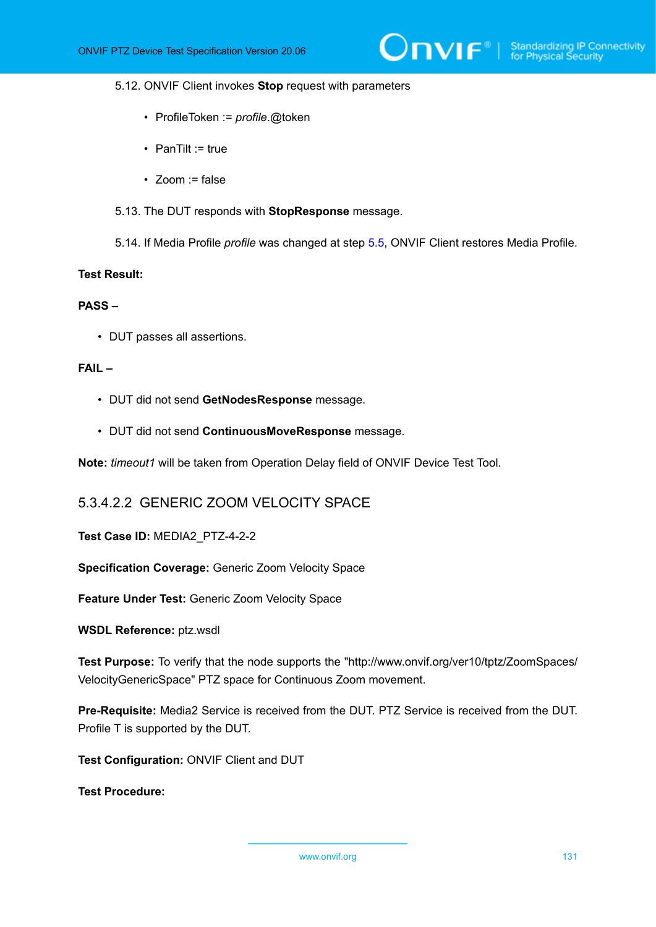#### 5.12. ONVIF Client invokes **Stop** request with parameters

- ProfileToken := *profile*.@token
- PanTilt := true
- $\bullet$  700m := false
- 5.13. The DUT responds with **StopResponse** message.
- 5.14. If Media Profile *profile* was changed at step [5.5,](#page-129-0) ONVIF Client restores Media Profile.

#### **Test Result:**

#### **PASS –**

• DUT passes all assertions.

#### **FAIL –**

- DUT did not send **GetNodesResponse** message.
- DUT did not send **ContinuousMoveResponse** message.

**Note:** *timeout1* will be taken from Operation Delay field of ONVIF Device Test Tool.

### 5.3.4.2.2 GENERIC ZOOM VELOCITY SPACE

**Test Case ID:** MEDIA2\_PTZ-4-2-2

**Specification Coverage:** Generic Zoom Velocity Space

**Feature Under Test:** Generic Zoom Velocity Space

**WSDL Reference:** ptz.wsdl

**Test Purpose:** To verify that the node supports the "http://www.onvif.org/ver10/tptz/ZoomSpaces/ VelocityGenericSpace" PTZ space for Continuous Zoom movement.

**Pre-Requisite:** Media2 Service is received from the DUT. PTZ Service is received from the DUT. Profile T is supported by the DUT.

**Test Configuration:** ONVIF Client and DUT

**Test Procedure:**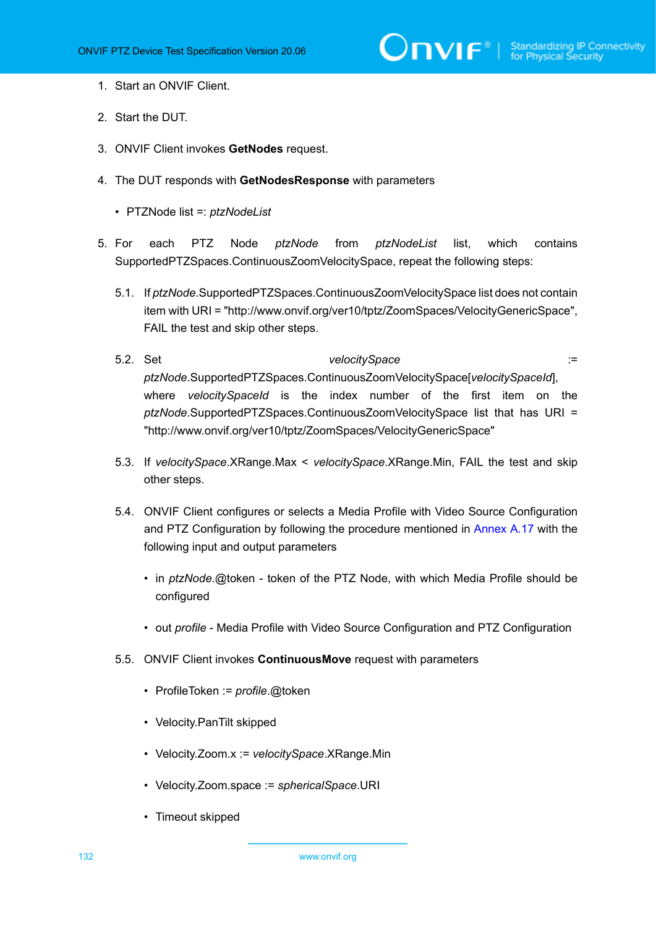- 1. Start an ONVIF Client.
- 2. Start the DUT.
- 3. ONVIF Client invokes **GetNodes** request.
- 4. The DUT responds with **GetNodesResponse** with parameters
	- PTZNode list =: *ptzNodeList*
- <span id="page-131-0"></span>5. For each PTZ Node *ptzNode* from *ptzNodeList* list, which contains SupportedPTZSpaces.ContinuousZoomVelocitySpace, repeat the following steps:
	- 5.1. If *ptzNode*.SupportedPTZSpaces.ContinuousZoomVelocitySpace list does not contain item with URI = "http://www.onvif.org/ver10/tptz/ZoomSpaces/VelocityGenericSpace", FAIL the test and skip other steps.
	- 5.2. Set *velocitySpace* := *ptzNode*.SupportedPTZSpaces.ContinuousZoomVelocitySpace[*velocitySpaceId*], where *velocitySpaceId* is the index number of the first item on the *ptzNode*.SupportedPTZSpaces.ContinuousZoomVelocitySpace list that has URI = "http://www.onvif.org/ver10/tptz/ZoomSpaces/VelocityGenericSpace"
	- 5.3. If *velocitySpace*.XRange.Max < *velocitySpace*.XRange.Min, FAIL the test and skip other steps.
	- 5.4. ONVIF Client configures or selects a Media Profile with Video Source Configuration and PTZ Configuration by following the procedure mentioned in [Annex A.17](#page-158-0) with the following input and output parameters
		- in *ptzNode*.@token token of the PTZ Node, with which Media Profile should be configured
		- out *profile* Media Profile with Video Source Configuration and PTZ Configuration
	- 5.5. ONVIF Client invokes **ContinuousMove** request with parameters
		- ProfileToken := *profile*.@token
		- Velocity.PanTilt skipped
		- Velocity.Zoom.x := *velocitySpace*.XRange.Min
		- Velocity.Zoom.space := *sphericalSpace*.URI
		- Timeout skipped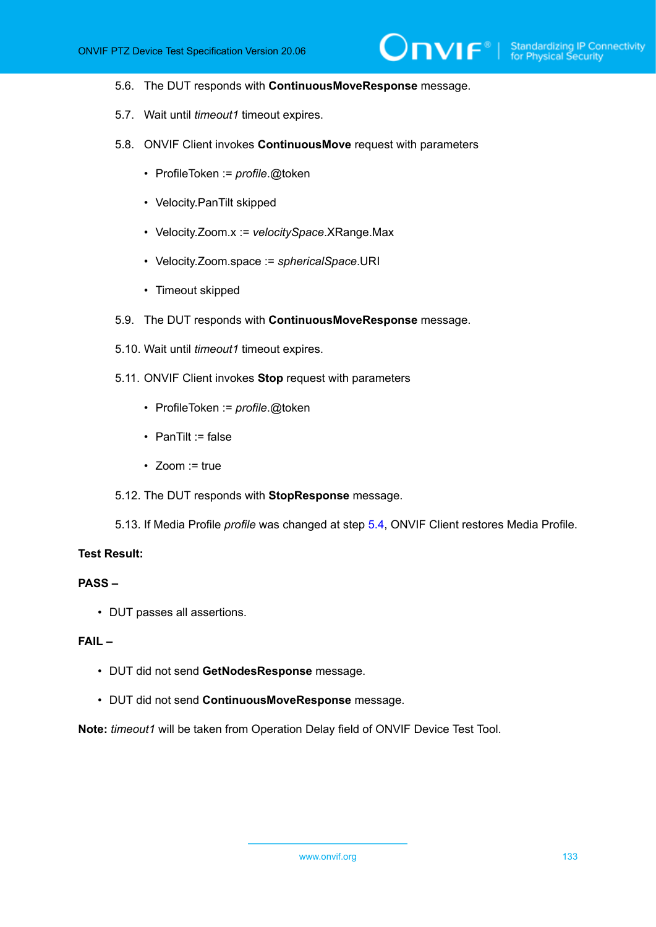#### 5.6. The DUT responds with **ContinuousMoveResponse** message.

- 5.7. Wait until *timeout1* timeout expires.
- 5.8. ONVIF Client invokes **ContinuousMove** request with parameters
	- ProfileToken := *profile*.@token
	- Velocity.PanTilt skipped
	- Velocity.Zoom.x := *velocitySpace*.XRange.Max
	- Velocity.Zoom.space := *sphericalSpace*.URI
	- Timeout skipped
- 5.9. The DUT responds with **ContinuousMoveResponse** message.
- 5.10. Wait until *timeout1* timeout expires.
- 5.11. ONVIF Client invokes **Stop** request with parameters
	- ProfileToken := *profile*.@token
	- PanTilt := false
	- Zoom := true
- 5.12. The DUT responds with **StopResponse** message.
- 5.13. If Media Profile *profile* was changed at step [5.4,](#page-131-0) ONVIF Client restores Media Profile.

#### **Test Result:**

#### **PASS –**

• DUT passes all assertions.

#### **FAIL –**

- DUT did not send **GetNodesResponse** message.
- DUT did not send **ContinuousMoveResponse** message.

**Note:** *timeout1* will be taken from Operation Delay field of ONVIF Device Test Tool.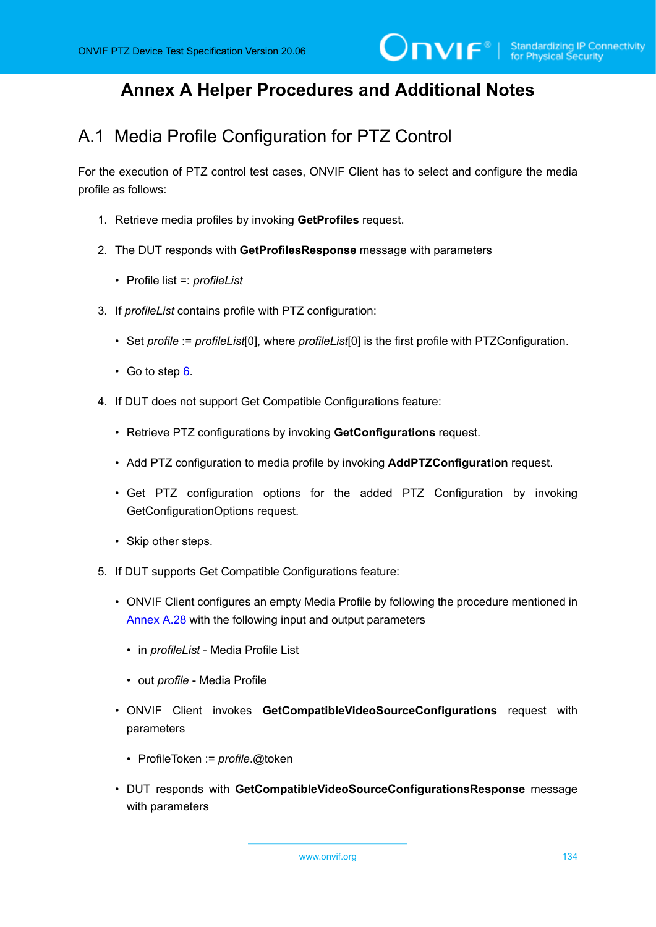## **Annex A Helper Procedures and Additional Notes**

## A.1 Media Profile Configuration for PTZ Control

For the execution of PTZ control test cases, ONVIF Client has to select and configure the media profile as follows:

- 1. Retrieve media profiles by invoking **GetProfiles** request.
- 2. The DUT responds with **GetProfilesResponse** message with parameters
	- Profile list =: *profileList*
- 3. If *profileList* contains profile with PTZ configuration:
	- Set *profile* := *profileList*[0], where *profileList*[0] is the first profile with PTZConfiguration.
	- Go to step  $6$ .
- 4. If DUT does not support Get Compatible Configurations feature:
	- Retrieve PTZ configurations by invoking **GetConfigurations** request.
	- Add PTZ configuration to media profile by invoking **AddPTZConfiguration** request.
	- Get PTZ configuration options for the added PTZ Configuration by invoking GetConfigurationOptions request.
	- Skip other steps.
- 5. If DUT supports Get Compatible Configurations feature:
	- ONVIF Client configures an empty Media Profile by following the procedure mentioned in [Annex A.28](#page-174-0) with the following input and output parameters
		- in *profileList* Media Profile List
		- out *profile* Media Profile
	- ONVIF Client invokes **GetCompatibleVideoSourceConfigurations** request with parameters
		- ProfileToken := *profile*.@token
	- DUT responds with **GetCompatibleVideoSourceConfigurationsResponse** message with parameters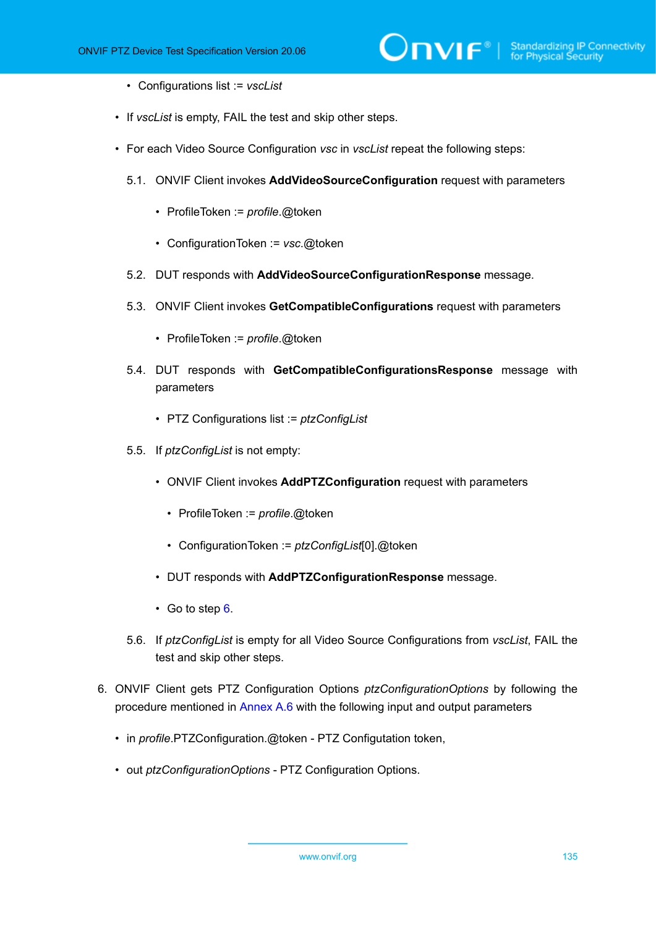- Configurations list := *vscList*
- If *vscList* is empty, FAIL the test and skip other steps.
- For each Video Source Configuration *vsc* in *vscList* repeat the following steps:
	- 5.1. ONVIF Client invokes **AddVideoSourceConfiguration** request with parameters
		- ProfileToken := *profile*.@token
		- ConfigurationToken := *vsc*.@token
	- 5.2. DUT responds with **AddVideoSourceConfigurationResponse** message.
	- 5.3. ONVIF Client invokes **GetCompatibleConfigurations** request with parameters
		- ProfileToken := *profile*.@token
	- 5.4. DUT responds with **GetCompatibleConfigurationsResponse** message with parameters
		- PTZ Configurations list := *ptzConfigList*
	- 5.5. If *ptzConfigList* is not empty:
		- ONVIF Client invokes **AddPTZConfiguration** request with parameters
			- ProfileToken := *profile*.@token
			- ConfigurationToken := *ptzConfigList*[0].@token
		- DUT responds with **AddPTZConfigurationResponse** message.
		- Go to step [6.](#page-134-0)
	- 5.6. If *ptzConfigList* is empty for all Video Source Configurations from *vscList*, FAIL the test and skip other steps.
- <span id="page-134-0"></span>6. ONVIF Client gets PTZ Configuration Options *ptzConfigurationOptions* by following the procedure mentioned in [Annex A.6](#page-140-0) with the following input and output parameters
	- in *profile*.PTZConfiguration.@token PTZ Configutation token,
	- out *ptzConfigurationOptions* PTZ Configuration Options.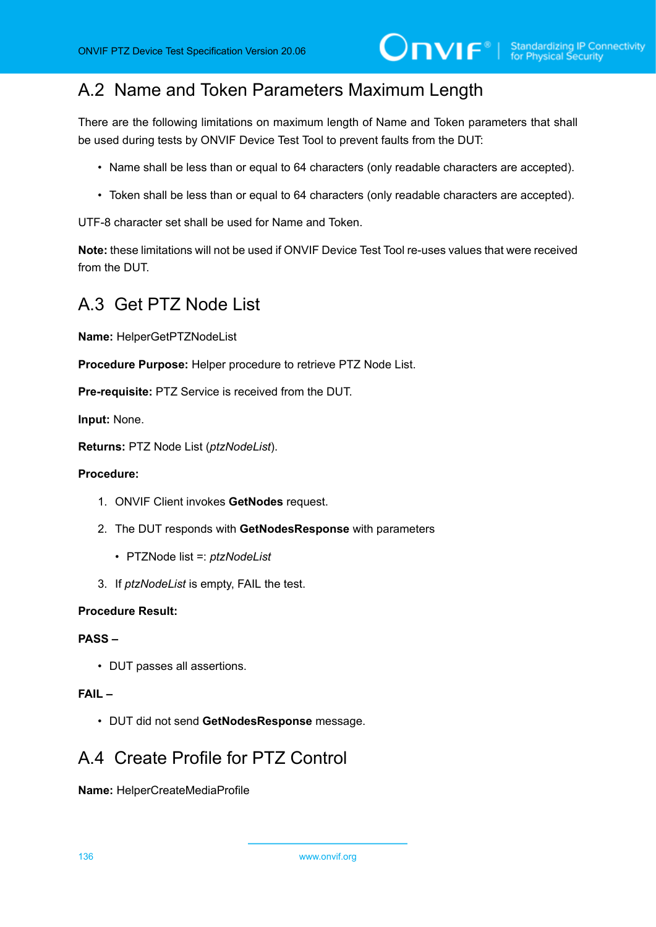## A.2 Name and Token Parameters Maximum Length

There are the following limitations on maximum length of Name and Token parameters that shall be used during tests by ONVIF Device Test Tool to prevent faults from the DUT:

- Name shall be less than or equal to 64 characters (only readable characters are accepted).
- Token shall be less than or equal to 64 characters (only readable characters are accepted).

UTF-8 character set shall be used for Name and Token.

**Note:** these limitations will not be used if ONVIF Device Test Tool re-uses values that were received from the DUT.

## <span id="page-135-0"></span>A.3 Get PTZ Node List

**Name:** HelperGetPTZNodeList

**Procedure Purpose:** Helper procedure to retrieve PTZ Node List.

**Pre-requisite:** PTZ Service is received from the DUT.

**Input:** None.

**Returns:** PTZ Node List (*ptzNodeList*).

#### **Procedure:**

- 1. ONVIF Client invokes **GetNodes** request.
- 2. The DUT responds with **GetNodesResponse** with parameters
	- PTZNode list =: *ptzNodeList*
- 3. If *ptzNodeList* is empty, FAIL the test.

#### **Procedure Result:**

#### **PASS –**

• DUT passes all assertions.

#### **FAIL –**

• DUT did not send **GetNodesResponse** message.

## A.4 Create Profile for PTZ Control

**Name:** HelperCreateMediaProfile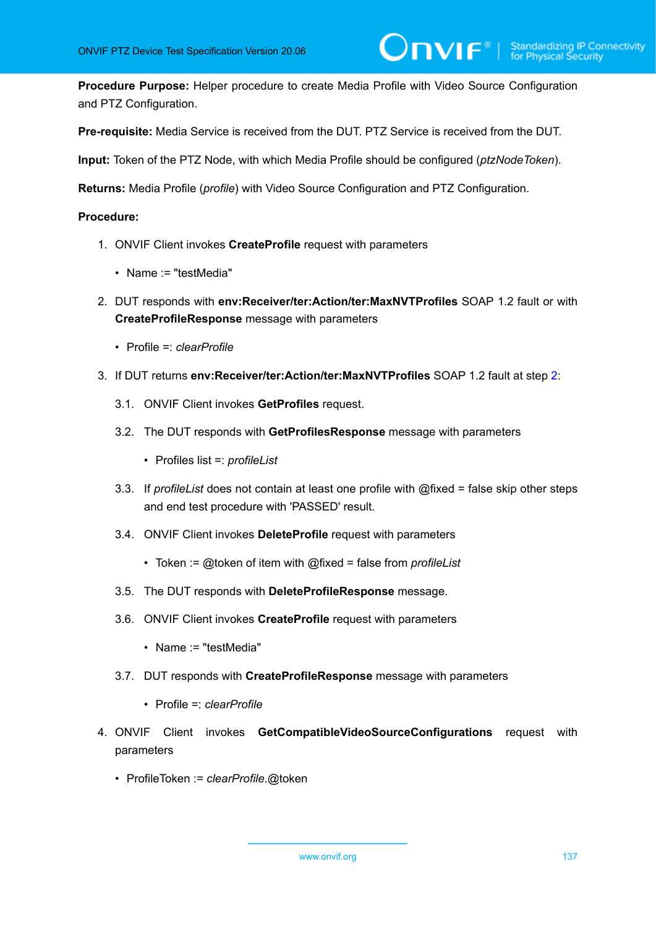**Procedure Purpose:** Helper procedure to create Media Profile with Video Source Configuration and PTZ Configuration.

**Pre-requisite:** Media Service is received from the DUT. PTZ Service is received from the DUT.

**Input:** Token of the PTZ Node, with which Media Profile should be configured (*ptzNodeToken*).

**Returns:** Media Profile (*profile*) with Video Source Configuration and PTZ Configuration.

#### **Procedure:**

- 1. ONVIF Client invokes **CreateProfile** request with parameters
	- Name := "testMedia"
- <span id="page-136-0"></span>2. DUT responds with **env:Receiver/ter:Action/ter:MaxNVTProfiles** SOAP 1.2 fault or with **CreateProfileResponse** message with parameters
	- Profile =: *clearProfile*
- 3. If DUT returns **env:Receiver/ter:Action/ter:MaxNVTProfiles** SOAP 1.2 fault at step [2](#page-136-0):
	- 3.1. ONVIF Client invokes **GetProfiles** request.
	- 3.2. The DUT responds with **GetProfilesResponse** message with parameters
		- Profiles list =: *profileList*
	- 3.3. If *profileList* does not contain at least one profile with @fixed = false skip other steps and end test procedure with 'PASSED' result.
	- 3.4. ONVIF Client invokes **DeleteProfile** request with parameters
		- Token := @token of item with @fixed = false from *profileList*
	- 3.5. The DUT responds with **DeleteProfileResponse** message.
	- 3.6. ONVIF Client invokes **CreateProfile** request with parameters
		- Name := "testMedia"
	- 3.7. DUT responds with **CreateProfileResponse** message with parameters
		- Profile =: *clearProfile*
- 4. ONVIF Client invokes **GetCompatibleVideoSourceConfigurations** request with parameters
	- ProfileToken := *clearProfile*.@token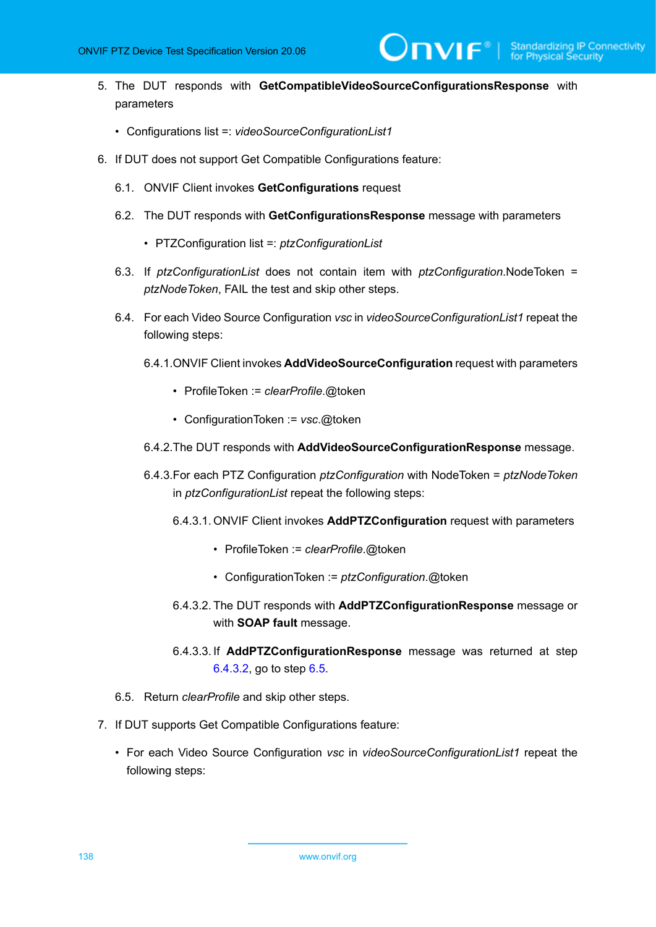- 5. The DUT responds with **GetCompatibleVideoSourceConfigurationsResponse** with parameters
	- Configurations list =: *videoSourceConfigurationList1*
- 6. If DUT does not support Get Compatible Configurations feature:
	- 6.1. ONVIF Client invokes **GetConfigurations** request
	- 6.2. The DUT responds with **GetConfigurationsResponse** message with parameters
		- PTZConfiguration list =: *ptzConfigurationList*
	- 6.3. If *ptzConfigurationList* does not contain item with *ptzConfiguration*.NodeToken = *ptzNodeToken*, FAIL the test and skip other steps.
	- 6.4. For each Video Source Configuration *vsc* in *videoSourceConfigurationList1* repeat the following steps:
		- 6.4.1.ONVIF Client invokes **AddVideoSourceConfiguration** request with parameters
			- ProfileToken := *clearProfile*.@token
			- ConfigurationToken := *vsc*.@token
		- 6.4.2.The DUT responds with **AddVideoSourceConfigurationResponse** message.
		- 6.4.3.For each PTZ Configuration *ptzConfiguration* with NodeToken = *ptzNodeToken* in *ptzConfigurationList* repeat the following steps:
			- 6.4.3.1. ONVIF Client invokes **AddPTZConfiguration** request with parameters
				- ProfileToken := *clearProfile*.@token
				- ConfigurationToken := *ptzConfiguration*.@token
			- 6.4.3.2. The DUT responds with **AddPTZConfigurationResponse** message or with **SOAP fault** message.
			- 6.4.3.3. If **AddPTZConfigurationResponse** message was returned at step [6.4.3.2,](#page-137-0) go to step [6.5](#page-137-1).
	- 6.5. Return *clearProfile* and skip other steps.
- <span id="page-137-1"></span><span id="page-137-0"></span>7. If DUT supports Get Compatible Configurations feature:
	- For each Video Source Configuration *vsc* in *videoSourceConfigurationList1* repeat the following steps: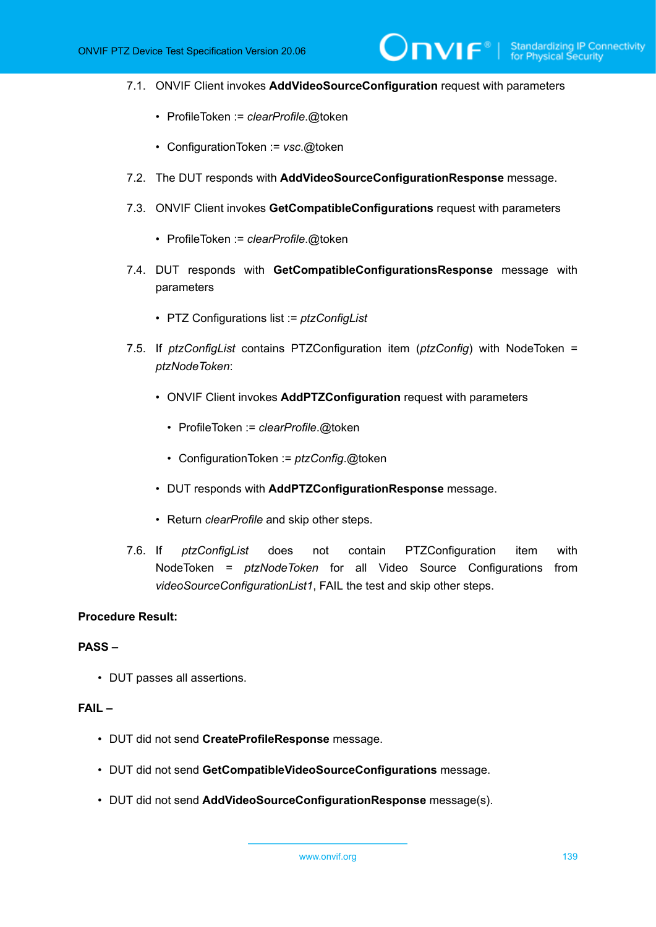7.1. ONVIF Client invokes **AddVideoSourceConfiguration** request with parameters

 $\mathsf{D}\mathbf{N}\mathsf{I}\mathsf{F}^\ast$ l

- ProfileToken := *clearProfile*.@token
- ConfigurationToken := *vsc*.@token
- 7.2. The DUT responds with **AddVideoSourceConfigurationResponse** message.
- 7.3. ONVIF Client invokes **GetCompatibleConfigurations** request with parameters
	- ProfileToken := *clearProfile*.@token
- 7.4. DUT responds with **GetCompatibleConfigurationsResponse** message with parameters
	- PTZ Configurations list := *ptzConfigList*
- 7.5. If *ptzConfigList* contains PTZConfiguration item (*ptzConfig*) with NodeToken = *ptzNodeToken*:
	- ONVIF Client invokes **AddPTZConfiguration** request with parameters
		- ProfileToken := *clearProfile*.@token
		- ConfigurationToken := *ptzConfig*.@token
	- DUT responds with **AddPTZConfigurationResponse** message.
	- Return *clearProfile* and skip other steps.
- 7.6. If *ptzConfigList* does not contain PTZConfiguration item with NodeToken = *ptzNodeToken* for all Video Source Configurations from *videoSourceConfigurationList1*, FAIL the test and skip other steps.

#### **Procedure Result:**

#### **PASS –**

• DUT passes all assertions.

#### **FAIL –**

- DUT did not send **CreateProfileResponse** message.
- DUT did not send **GetCompatibleVideoSourceConfigurations** message.
- DUT did not send **AddVideoSourceConfigurationResponse** message(s).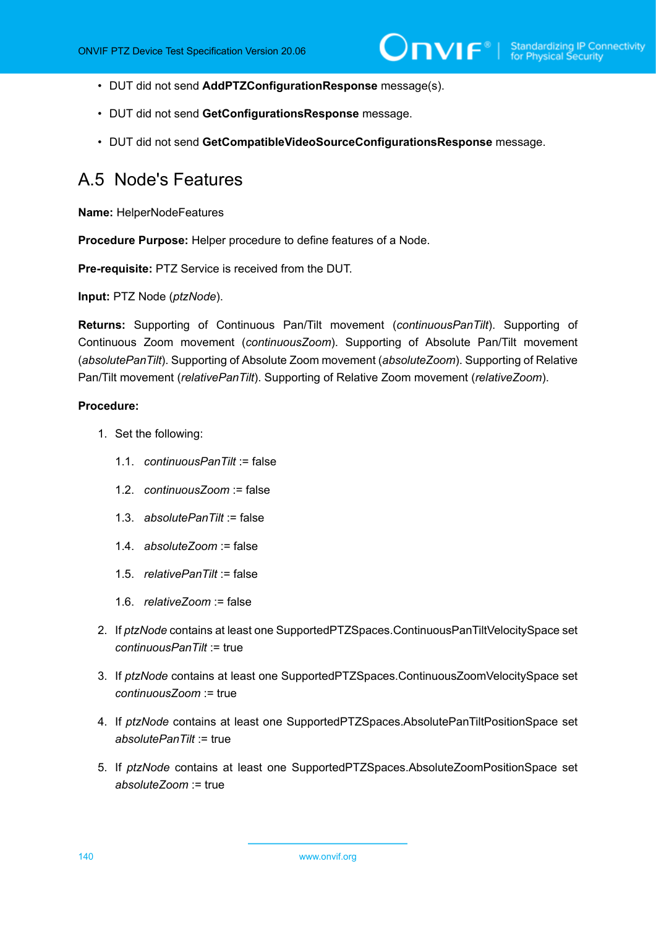- DUT did not send **AddPTZConfigurationResponse** message(s).
- DUT did not send **GetConfigurationsResponse** message.
- DUT did not send **GetCompatibleVideoSourceConfigurationsResponse** message.

### <span id="page-139-0"></span>A.5 Node's Features

**Name:** HelperNodeFeatures

**Procedure Purpose:** Helper procedure to define features of a Node.

**Pre-requisite:** PTZ Service is received from the DUT.

**Input:** PTZ Node (*ptzNode*).

**Returns:** Supporting of Continuous Pan/Tilt movement (*continuousPanTilt*). Supporting of Continuous Zoom movement (*continuousZoom*). Supporting of Absolute Pan/Tilt movement (*absolutePanTilt*). Supporting of Absolute Zoom movement (*absoluteZoom*). Supporting of Relative Pan/Tilt movement (*relativePanTilt*). Supporting of Relative Zoom movement (*relativeZoom*).

#### **Procedure:**

- 1. Set the following:
	- 1.1. *continuousPanTilt* := false
	- 1.2. *continuousZoom* := false
	- 1.3. *absolutePanTilt* := false
	- 1.4. *absoluteZoom* := false
	- 1.5. *relativePanTilt* := false
	- 1.6. *relativeZoom* := false
- 2. If *ptzNode* contains at least one SupportedPTZSpaces.ContinuousPanTiltVelocitySpace set *continuousPanTilt* := true
- 3. If *ptzNode* contains at least one SupportedPTZSpaces.ContinuousZoomVelocitySpace set *continuousZoom* := true
- 4. If *ptzNode* contains at least one SupportedPTZSpaces.AbsolutePanTiltPositionSpace set *absolutePanTilt* := true
- 5. If *ptzNode* contains at least one SupportedPTZSpaces.AbsoluteZoomPositionSpace set *absoluteZoom* := true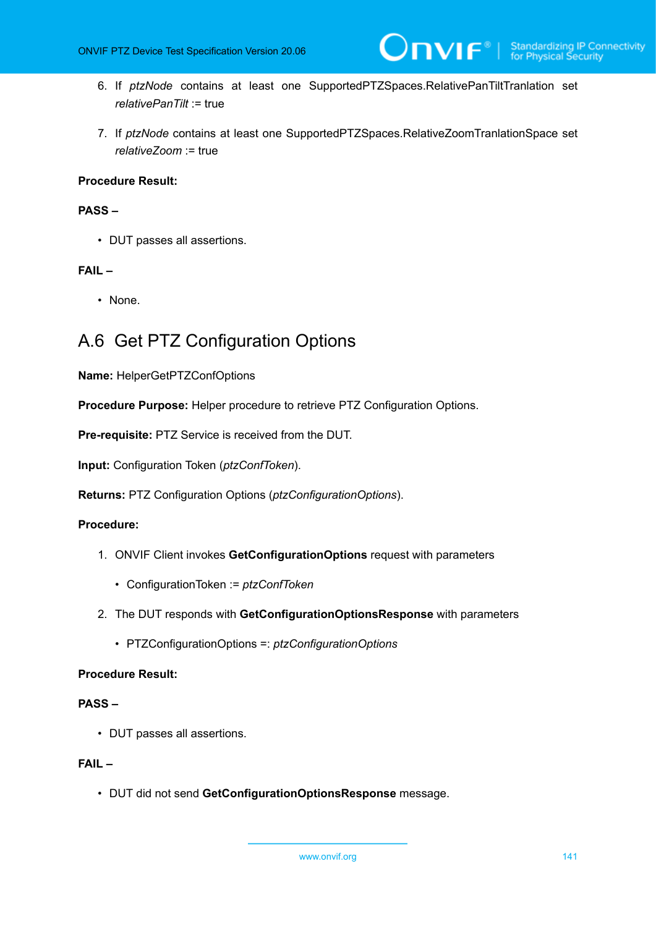- 6. If *ptzNode* contains at least one SupportedPTZSpaces.RelativePanTiltTranlation set *relativePanTilt* := true
- 7. If *ptzNode* contains at least one SupportedPTZSpaces.RelativeZoomTranlationSpace set *relativeZoom* := true

#### **Procedure Result:**

#### **PASS –**

• DUT passes all assertions.

#### **FAIL –**

• None.

## <span id="page-140-0"></span>A.6 Get PTZ Configuration Options

**Name:** HelperGetPTZConfOptions

**Procedure Purpose:** Helper procedure to retrieve PTZ Configuration Options.

**Pre-requisite:** PTZ Service is received from the DUT.

**Input:** Configuration Token (*ptzConfToken*).

**Returns:** PTZ Configuration Options (*ptzConfigurationOptions*).

#### **Procedure:**

- 1. ONVIF Client invokes **GetConfigurationOptions** request with parameters
	- ConfigurationToken := *ptzConfToken*
- 2. The DUT responds with **GetConfigurationOptionsResponse** with parameters
	- PTZConfigurationOptions =: *ptzConfigurationOptions*

#### **Procedure Result:**

#### **PASS –**

• DUT passes all assertions.

#### **FAIL –**

• DUT did not send **GetConfigurationOptionsResponse** message.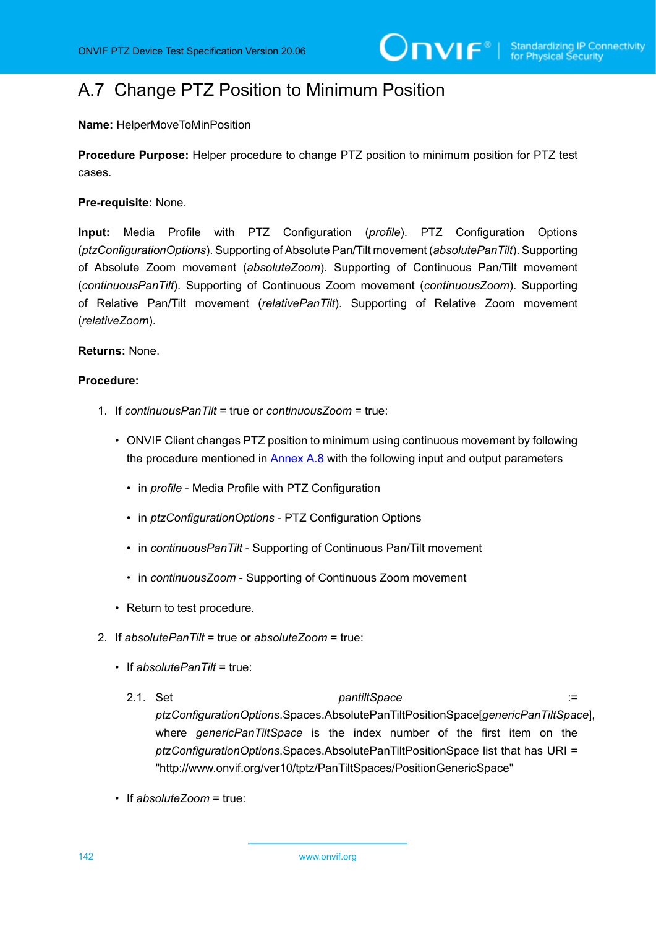## <span id="page-141-0"></span>A.7 Change PTZ Position to Minimum Position

**Name:** HelperMoveToMinPosition

**Procedure Purpose:** Helper procedure to change PTZ position to minimum position for PTZ test cases.

**Pre-requisite:** None.

**Input:** Media Profile with PTZ Configuration (*profile*). PTZ Configuration Options (*ptzConfigurationOptions*). Supporting of Absolute Pan/Tilt movement (*absolutePanTilt*). Supporting of Absolute Zoom movement (*absoluteZoom*). Supporting of Continuous Pan/Tilt movement (*continuousPanTilt*). Supporting of Continuous Zoom movement (*continuousZoom*). Supporting of Relative Pan/Tilt movement (*relativePanTilt*). Supporting of Relative Zoom movement (*relativeZoom*).

#### **Returns:** None.

#### **Procedure:**

- 1. If *continuousPanTilt* = true or *continuousZoom* = true:
	- ONVIF Client changes PTZ position to minimum using continuous movement by following the procedure mentioned in [Annex A.8](#page-143-0) with the following input and output parameters
		- in *profile* Media Profile with PTZ Configuration
		- in *ptzConfigurationOptions* PTZ Configuration Options
		- in *continuousPanTilt* Supporting of Continuous Pan/Tilt movement
		- in *continuousZoom* Supporting of Continuous Zoom movement
	- Return to test procedure.
- 2. If *absolutePanTilt* = true or *absoluteZoom* = true:
	- If *absolutePanTilt* = true:
		- 2.1. Set *pantiltSpace* := *ptzConfigurationOptions*.Spaces.AbsolutePanTiltPositionSpace[*genericPanTiltSpace*], where *genericPanTiltSpace* is the index number of the first item on the *ptzConfigurationOptions*.Spaces.AbsolutePanTiltPositionSpace list that has URI = "http://www.onvif.org/ver10/tptz/PanTiltSpaces/PositionGenericSpace"
	- If *absoluteZoom* = true:

142 www.onvif.org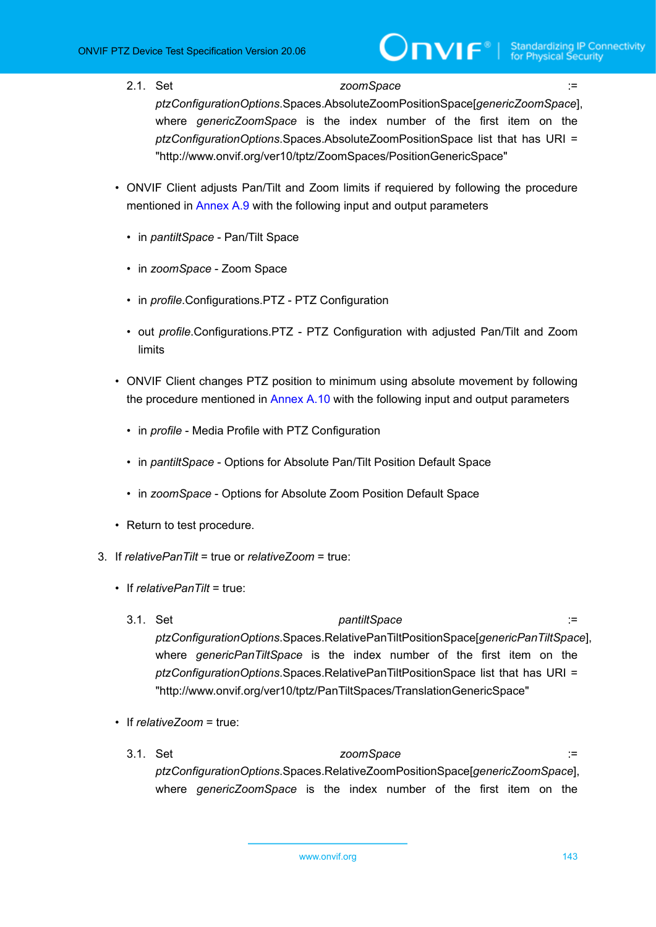2.1. Set *zoomSpace* :=

*ptzConfigurationOptions*.Spaces.AbsoluteZoomPositionSpace[*genericZoomSpace*], where *genericZoomSpace* is the index number of the first item on the *ptzConfigurationOptions*.Spaces.AbsoluteZoomPositionSpace list that has URI = "http://www.onvif.org/ver10/tptz/ZoomSpaces/PositionGenericSpace"

- ONVIF Client adjusts Pan/Tilt and Zoom limits if requiered by following the procedure mentioned in [Annex A.9](#page-145-0) with the following input and output parameters
	- in *pantiltSpace* Pan/Tilt Space
	- in *zoomSpace* Zoom Space
	- in *profile*.Configurations.PTZ PTZ Configuration
	- out *profile*.Configurations.PTZ PTZ Configuration with adjusted Pan/Tilt and Zoom limits
- ONVIF Client changes PTZ position to minimum using absolute movement by following the procedure mentioned in [Annex A.10](#page-146-0) with the following input and output parameters
	- in *profile* Media Profile with PTZ Configuration
	- in *pantiltSpace* Options for Absolute Pan/Tilt Position Default Space
	- in *zoomSpace* Options for Absolute Zoom Position Default Space
- Return to test procedure.
- 3. If *relativePanTilt* = true or *relativeZoom* = true:
	- If *relativePanTilt* = true:
		- 3.1. Set *pantiltSpace* := *ptzConfigurationOptions*.Spaces.RelativePanTiltPositionSpace[*genericPanTiltSpace*], where *genericPanTiltSpace* is the index number of the first item on the *ptzConfigurationOptions*.Spaces.RelativePanTiltPositionSpace list that has URI = "http://www.onvif.org/ver10/tptz/PanTiltSpaces/TranslationGenericSpace"
	- If *relativeZoom* = true:
		- 3.1. Set *zoomSpace* := *ptzConfigurationOptions*.Spaces.RelativeZoomPositionSpace[*genericZoomSpace*], where *genericZoomSpace* is the index number of the first item on the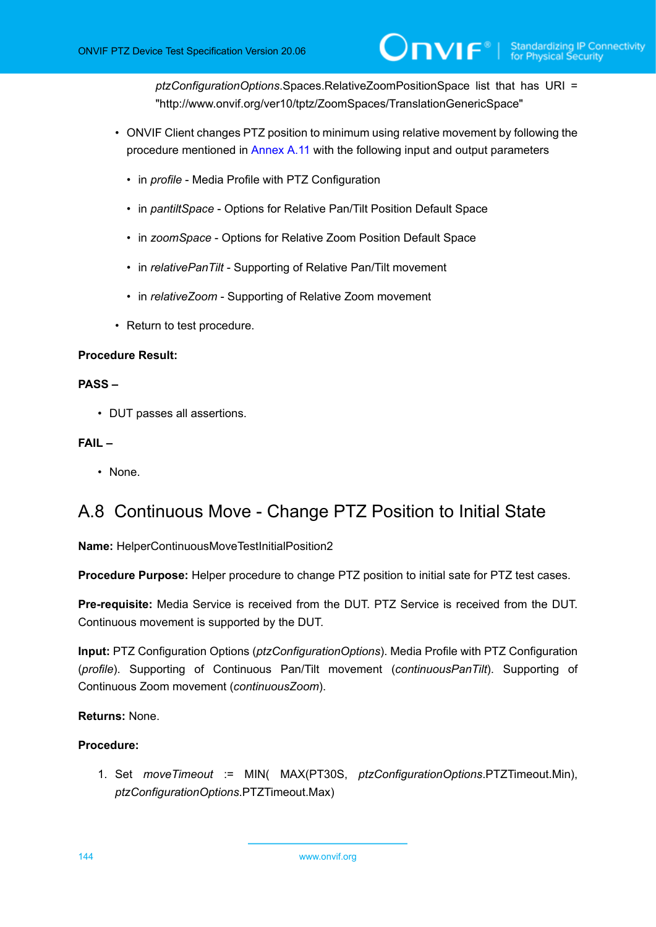*ptzConfigurationOptions*.Spaces.RelativeZoomPositionSpace list that has URI = "http://www.onvif.org/ver10/tptz/ZoomSpaces/TranslationGenericSpace"

- ONVIF Client changes PTZ position to minimum using relative movement by following the procedure mentioned in [Annex](#page-148-0) A.11 with the following input and output parameters
	- in *profile* Media Profile with PTZ Configuration
	- in *pantiltSpace* Options for Relative Pan/Tilt Position Default Space
	- in *zoomSpace* Options for Relative Zoom Position Default Space
	- in *relativePanTilt* Supporting of Relative Pan/Tilt movement
	- in *relativeZoom* Supporting of Relative Zoom movement
- Return to test procedure.

#### **Procedure Result:**

#### **PASS –**

• DUT passes all assertions.

#### **FAIL –**

• None.

## <span id="page-143-0"></span>A.8 Continuous Move - Change PTZ Position to Initial State

**Name:** HelperContinuousMoveTestInitialPosition2

**Procedure Purpose:** Helper procedure to change PTZ position to initial sate for PTZ test cases.

**Pre-requisite:** Media Service is received from the DUT. PTZ Service is received from the DUT. Continuous movement is supported by the DUT.

**Input:** PTZ Configuration Options (*ptzConfigurationOptions*). Media Profile with PTZ Configuration (*profile*). Supporting of Continuous Pan/Tilt movement (*continuousPanTilt*). Supporting of Continuous Zoom movement (*continuousZoom*).

#### **Returns:** None.

#### **Procedure:**

1. Set *moveTimeout* := MIN( MAX(PT30S, *ptzConfigurationOptions*.PTZTimeout.Min), *ptzConfigurationOptions*.PTZTimeout.Max)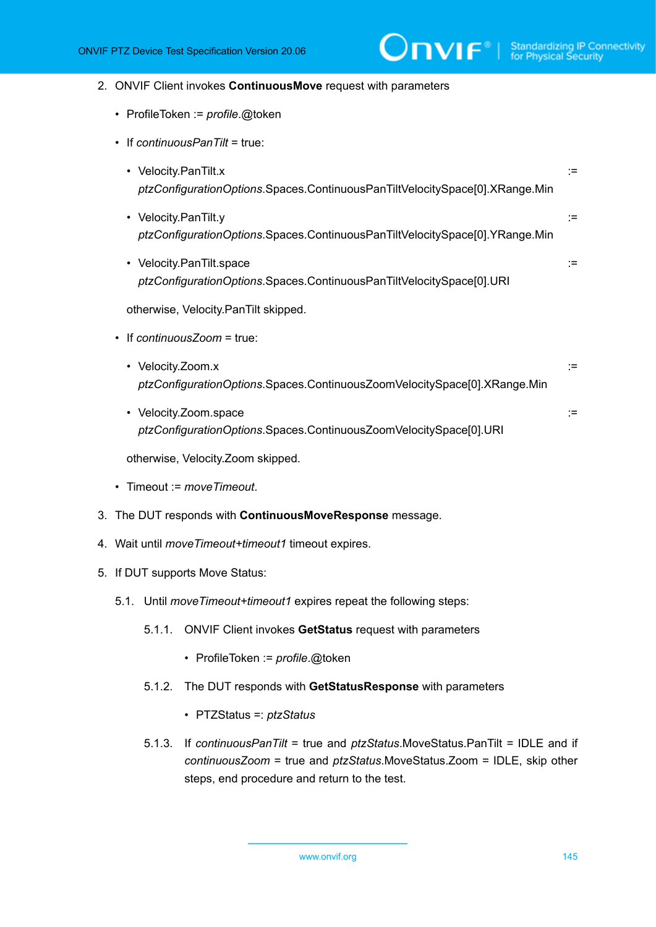#### 2. ONVIF Client invokes **ContinuousMove** request with parameters

- ProfileToken := *profile*.@token
- If *continuousPanTilt* = true:
	- Velocity.PanTilt.x := *ptzConfigurationOptions*.Spaces.ContinuousPanTiltVelocitySpace[0].XRange.Min
	- Velocity.PanTilt.y := *ptzConfigurationOptions*.Spaces.ContinuousPanTiltVelocitySpace[0].YRange.Min
	- Velocity.PanTilt.space := *ptzConfigurationOptions*.Spaces.ContinuousPanTiltVelocitySpace[0].URI

otherwise, Velocity.PanTilt skipped.

- If *continuousZoom* = true:
	- Velocity.Zoom.x := *ptzConfigurationOptions*.Spaces.ContinuousZoomVelocitySpace[0].XRange.Min
	- Velocity.Zoom.space := *ptzConfigurationOptions*.Spaces.ContinuousZoomVelocitySpace[0].URI

otherwise, Velocity.Zoom skipped.

- Timeout := *moveTimeout*.
- 3. The DUT responds with **ContinuousMoveResponse** message.
- 4. Wait until *moveTimeout+timeout1* timeout expires.
- <span id="page-144-0"></span>5. If DUT supports Move Status:
	- 5.1. Until *moveTimeout+timeout1* expires repeat the following steps:
		- 5.1.1. ONVIF Client invokes **GetStatus** request with parameters
			- ProfileToken := *profile*.@token
		- 5.1.2. The DUT responds with **GetStatusResponse** with parameters
			- PTZStatus =: *ptzStatus*
		- 5.1.3. If *continuousPanTilt* = true and *ptzStatus*.MoveStatus.PanTilt = IDLE and if *continuousZoom* = true and *ptzStatus*.MoveStatus.Zoom = IDLE, skip other steps, end procedure and return to the test.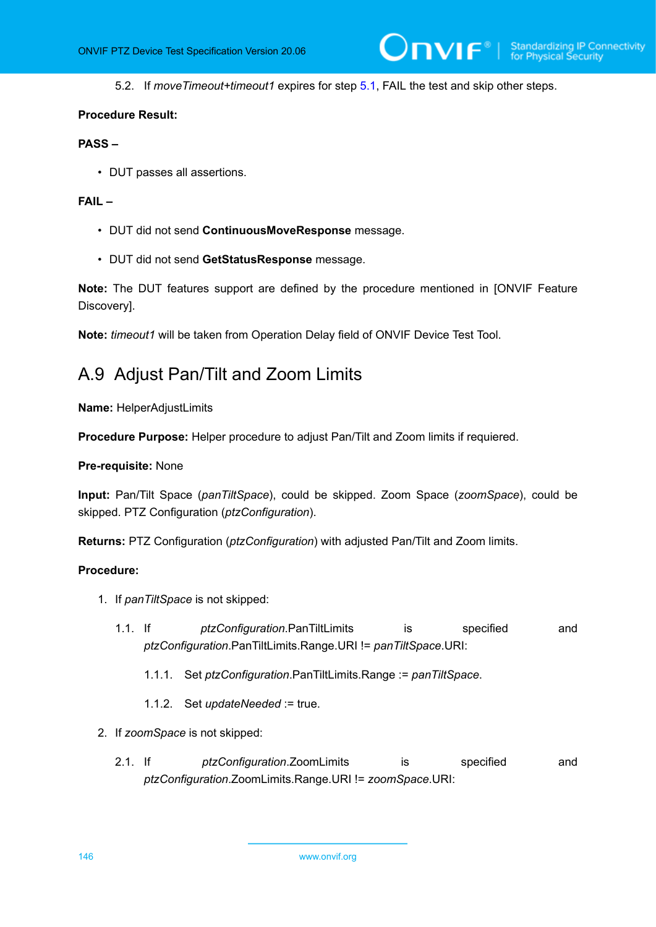5.2. If *moveTimeout+timeout1* expires for step [5.1](#page-144-0), FAIL the test and skip other steps.

 $\mathsf{J}\mathsf{D}\mathsf{V}\mathsf{I}\mathsf{F}^\ast$ 

#### **Procedure Result:**

# **PASS –**

• DUT passes all assertions.

## **FAIL –**

- DUT did not send **ContinuousMoveResponse** message.
- DUT did not send **GetStatusResponse** message.

**Note:** The DUT features support are defined by the procedure mentioned in [ONVIF Feature Discovery].

<span id="page-145-0"></span>**Note:** *timeout1* will be taken from Operation Delay field of ONVIF Device Test Tool.

# A.9 Adjust Pan/Tilt and Zoom Limits

**Name:** HelperAdjustLimits

**Procedure Purpose:** Helper procedure to adjust Pan/Tilt and Zoom limits if requiered.

#### **Pre-requisite:** None

**Input:** Pan/Tilt Space (*panTiltSpace*), could be skipped. Zoom Space (*zoomSpace*), could be skipped. PTZ Configuration (*ptzConfiguration*).

**Returns:** PTZ Configuration (*ptzConfiguration*) with adjusted Pan/Tilt and Zoom limits.

- 1. If *panTiltSpace* is not skipped:
	- 1.1. If *ptzConfiguration*.PanTiltLimits is specified and *ptzConfiguration*.PanTiltLimits.Range.URI != *panTiltSpace*.URI:
		- 1.1.1. Set *ptzConfiguration*.PanTiltLimits.Range := *panTiltSpace*.
		- 1.1.2. Set *updateNeeded* := true.
- 2. If *zoomSpace* is not skipped:
	- 2.1. If *ptzConfiguration*.ZoomLimits is specified and *ptzConfiguration*.ZoomLimits.Range.URI != *zoomSpace*.URI: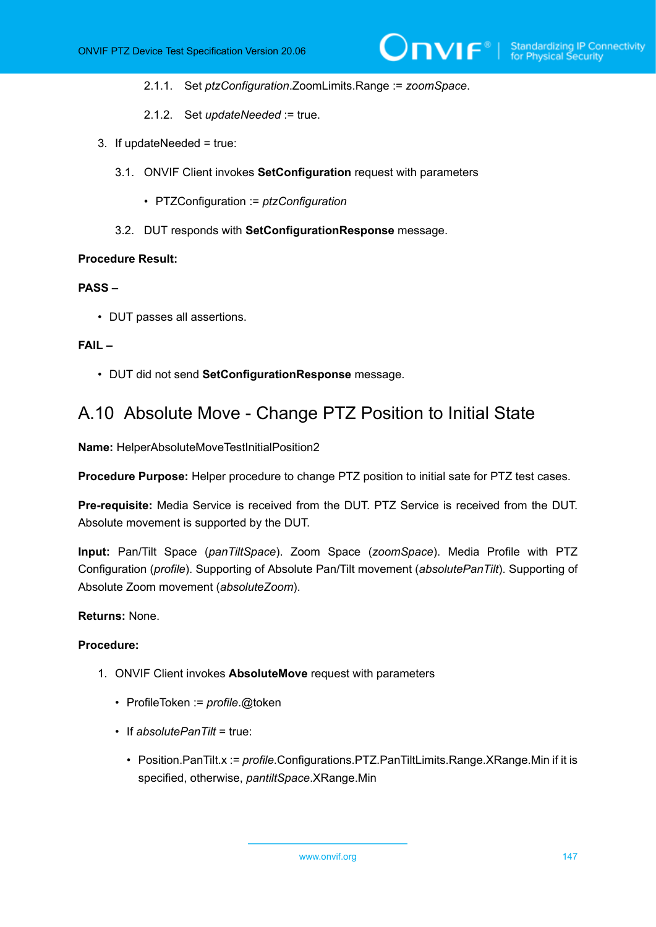- 2.1.1. Set *ptzConfiguration*.ZoomLimits.Range := *zoomSpace*.
- 2.1.2. Set *updateNeeded* := true.
- 3. If updateNeeded = true:
	- 3.1. ONVIF Client invokes **SetConfiguration** request with parameters
		- PTZConfiguration := *ptzConfiguration*
	- 3.2. DUT responds with **SetConfigurationResponse** message.

## **PASS –**

• DUT passes all assertions.

#### **FAIL –**

• DUT did not send **SetConfigurationResponse** message.

# A.10 Absolute Move - Change PTZ Position to Initial State

**Name:** HelperAbsoluteMoveTestInitialPosition2

**Procedure Purpose:** Helper procedure to change PTZ position to initial sate for PTZ test cases.

**Pre-requisite:** Media Service is received from the DUT. PTZ Service is received from the DUT. Absolute movement is supported by the DUT.

**Input:** Pan/Tilt Space (*panTiltSpace*). Zoom Space (*zoomSpace*). Media Profile with PTZ Configuration (*profile*). Supporting of Absolute Pan/Tilt movement (*absolutePanTilt*). Supporting of Absolute Zoom movement (*absoluteZoom*).

# **Returns:** None.

- 1. ONVIF Client invokes **AbsoluteMove** request with parameters
	- ProfileToken := *profile*.@token
	- If *absolutePanTilt* = true:
		- Position.PanTilt.x := *profile*.Configurations.PTZ.PanTiltLimits.Range.XRange.Min if it is specified, otherwise, *pantiltSpace*.XRange.Min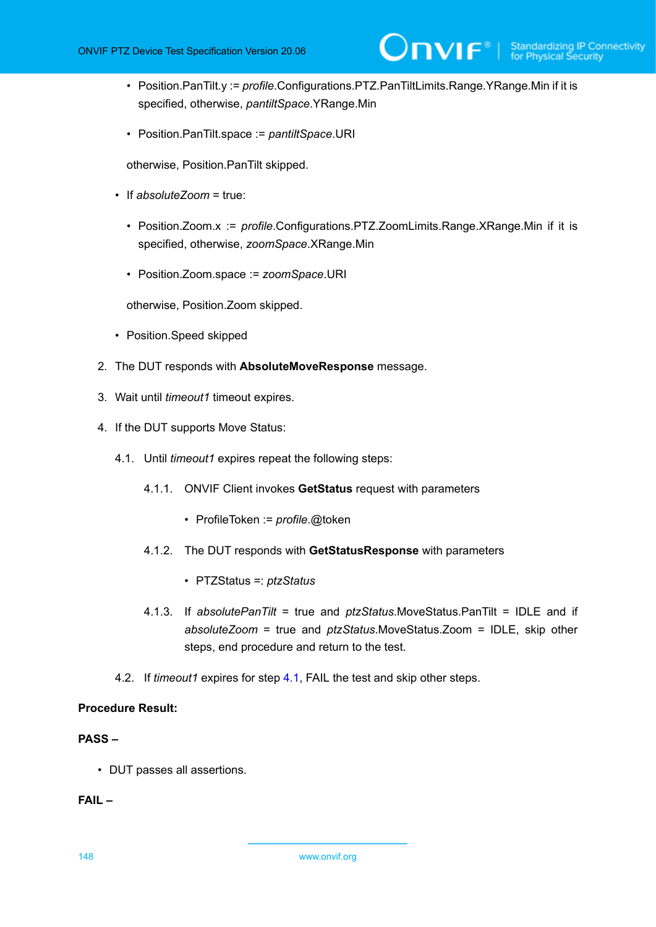- Position.PanTilt.y := *profile*.Configurations.PTZ.PanTiltLimits.Range.YRange.Min if it is specified, otherwise, *pantiltSpace*.YRange.Min
- Position.PanTilt.space := *pantiltSpace*.URI

otherwise, Position.PanTilt skipped.

- If *absoluteZoom* = true:
	- Position.Zoom.x := *profile*.Configurations.PTZ.ZoomLimits.Range.XRange.Min if it is specified, otherwise, *zoomSpace*.XRange.Min
	- Position.Zoom.space := *zoomSpace*.URI

otherwise, Position.Zoom skipped.

- Position.Speed skipped
- 2. The DUT responds with **AbsoluteMoveResponse** message.
- 3. Wait until *timeout1* timeout expires.
- <span id="page-147-0"></span>4. If the DUT supports Move Status:
	- 4.1. Until *timeout1* expires repeat the following steps:
		- 4.1.1. ONVIF Client invokes **GetStatus** request with parameters
			- ProfileToken := *profile*.@token
		- 4.1.2. The DUT responds with **GetStatusResponse** with parameters
			- PTZStatus =: *ptzStatus*
		- 4.1.3. If *absolutePanTilt* = true and *ptzStatus*.MoveStatus.PanTilt = IDLE and if *absoluteZoom* = true and *ptzStatus*.MoveStatus.Zoom = IDLE, skip other steps, end procedure and return to the test.
	- 4.2. If *timeout1* expires for step [4.1,](#page-147-0) FAIL the test and skip other steps.

# **Procedure Result:**

# **PASS –**

• DUT passes all assertions.

**FAIL –**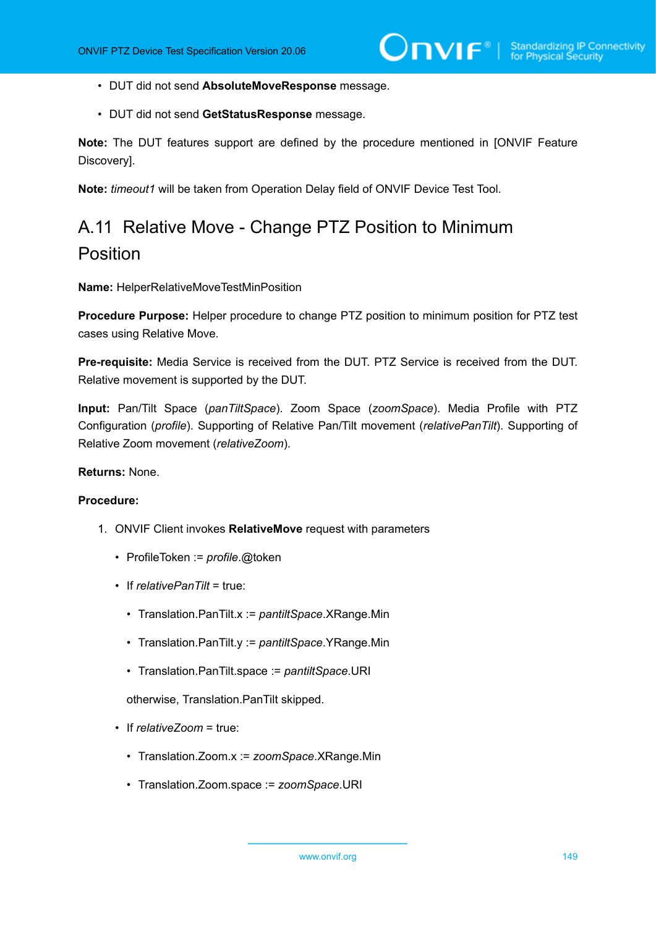- DUT did not send **AbsoluteMoveResponse** message.
- DUT did not send **GetStatusResponse** message.

**Note:** The DUT features support are defined by the procedure mentioned in [ONVIF Feature Discovery].

**Note:** *timeout1* will be taken from Operation Delay field of ONVIF Device Test Tool.

# A.11 Relative Move - Change PTZ Position to Minimum Position

**Name:** HelperRelativeMoveTestMinPosition

**Procedure Purpose:** Helper procedure to change PTZ position to minimum position for PTZ test cases using Relative Move.

**Pre-requisite:** Media Service is received from the DUT. PTZ Service is received from the DUT. Relative movement is supported by the DUT.

**Input:** Pan/Tilt Space (*panTiltSpace*). Zoom Space (*zoomSpace*). Media Profile with PTZ Configuration (*profile*). Supporting of Relative Pan/Tilt movement (*relativePanTilt*). Supporting of Relative Zoom movement (*relativeZoom*).

**Returns:** None.

#### **Procedure:**

- 1. ONVIF Client invokes **RelativeMove** request with parameters
	- ProfileToken := *profile*.@token
	- If *relativePanTilt* = true:
		- Translation.PanTilt.x := *pantiltSpace*.XRange.Min
		- Translation.PanTilt.y := *pantiltSpace*.YRange.Min
		- Translation.PanTilt.space := *pantiltSpace*.URI

otherwise, Translation.PanTilt skipped.

- If *relativeZoom* = true:
	- Translation.Zoom.x := *zoomSpace*.XRange.Min
	- Translation.Zoom.space := *zoomSpace*.URI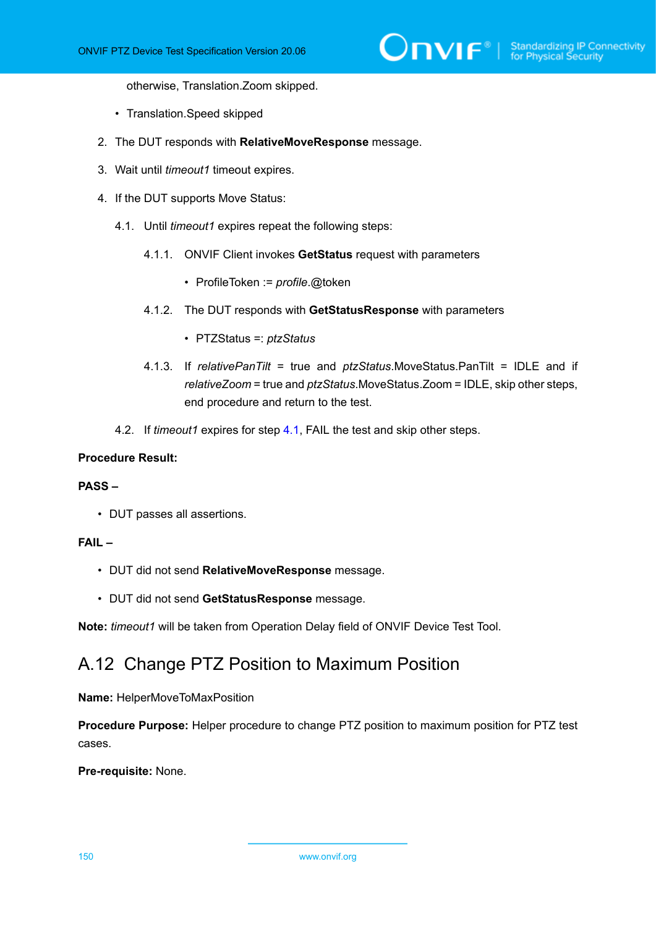otherwise, Translation.Zoom skipped.

- Translation.Speed skipped
- 2. The DUT responds with **RelativeMoveResponse** message.
- 3. Wait until *timeout1* timeout expires.
- <span id="page-149-0"></span>4. If the DUT supports Move Status:
	- 4.1. Until *timeout1* expires repeat the following steps:
		- 4.1.1. ONVIF Client invokes **GetStatus** request with parameters
			- ProfileToken := *profile*.@token
		- 4.1.2. The DUT responds with **GetStatusResponse** with parameters
			- PTZStatus =: *ptzStatus*
		- 4.1.3. If *relativePanTilt* = true and *ptzStatus*.MoveStatus.PanTilt = IDLE and if *relativeZoom* = true and *ptzStatus*.MoveStatus.Zoom = IDLE, skip other steps, end procedure and return to the test.
	- 4.2. If *timeout1* expires for step [4.1,](#page-149-0) FAIL the test and skip other steps.

#### **Procedure Result:**

#### **PASS –**

• DUT passes all assertions.

### **FAIL –**

- DUT did not send **RelativeMoveResponse** message.
- DUT did not send **GetStatusResponse** message.

**Note:** *timeout1* will be taken from Operation Delay field of ONVIF Device Test Tool.

# A.12 Change PTZ Position to Maximum Position

**Name:** HelperMoveToMaxPosition

**Procedure Purpose:** Helper procedure to change PTZ position to maximum position for PTZ test cases.

**Pre-requisite:** None.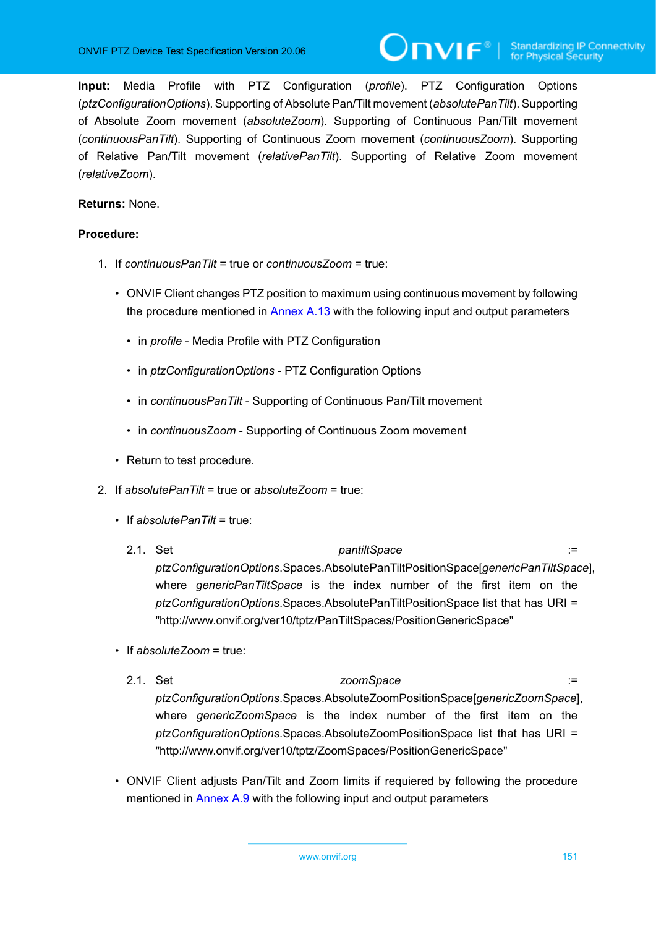**Input:** Media Profile with PTZ Configuration (*profile*). PTZ Configuration Options (*ptzConfigurationOptions*). Supporting of Absolute Pan/Tilt movement (*absolutePanTilt*). Supporting of Absolute Zoom movement (*absoluteZoom*). Supporting of Continuous Pan/Tilt movement (*continuousPanTilt*). Supporting of Continuous Zoom movement (*continuousZoom*). Supporting of Relative Pan/Tilt movement (*relativePanTilt*). Supporting of Relative Zoom movement (*relativeZoom*).

# **Returns:** None.

- 1. If *continuousPanTilt* = true or *continuousZoom* = true:
	- ONVIF Client changes PTZ position to maximum using continuous movement by following the procedure mentioned in [Annex A.13](#page-152-0) with the following input and output parameters
		- in *profile* Media Profile with PTZ Configuration
		- in *ptzConfigurationOptions* PTZ Configuration Options
		- in *continuousPanTilt* Supporting of Continuous Pan/Tilt movement
		- in *continuousZoom* Supporting of Continuous Zoom movement
	- Return to test procedure.
- 2. If *absolutePanTilt* = true or *absoluteZoom* = true:
	- If *absolutePanTilt* = true:
		- 2.1. Set *pantiltSpace* := *ptzConfigurationOptions*.Spaces.AbsolutePanTiltPositionSpace[*genericPanTiltSpace*], where *genericPanTiltSpace* is the index number of the first item on the *ptzConfigurationOptions*.Spaces.AbsolutePanTiltPositionSpace list that has URI = "http://www.onvif.org/ver10/tptz/PanTiltSpaces/PositionGenericSpace"
	- If *absoluteZoom* = true:
		- 2.1. Set *zoomSpace* := *ptzConfigurationOptions*.Spaces.AbsoluteZoomPositionSpace[*genericZoomSpace*], where *genericZoomSpace* is the index number of the first item on the *ptzConfigurationOptions*.Spaces.AbsoluteZoomPositionSpace list that has URI = "http://www.onvif.org/ver10/tptz/ZoomSpaces/PositionGenericSpace"
	- ONVIF Client adjusts Pan/Tilt and Zoom limits if requiered by following the procedure mentioned in [Annex A.9](#page-145-0) with the following input and output parameters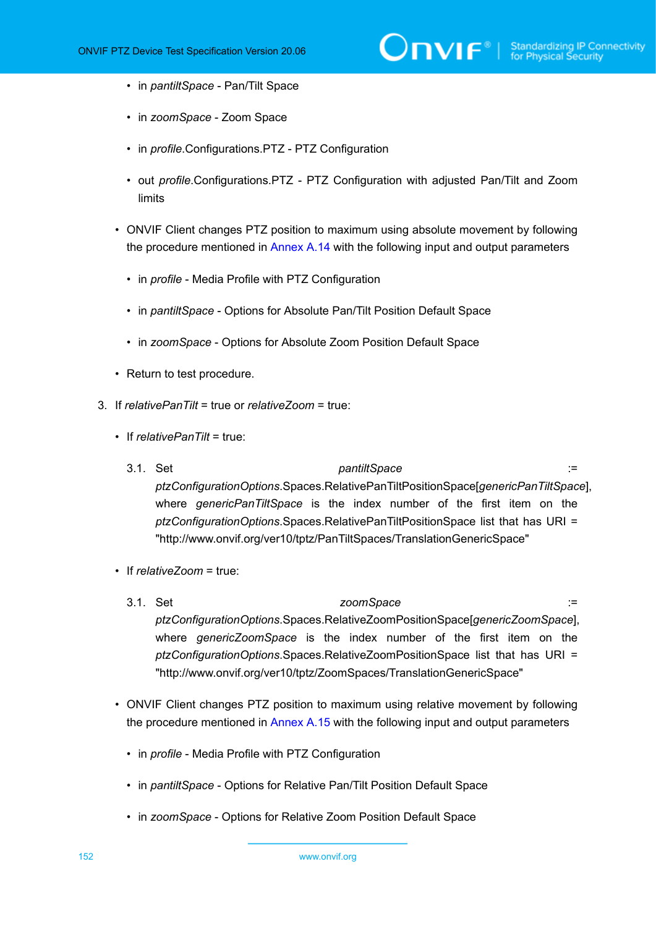- in *pantiltSpace* Pan/Tilt Space
- in *zoomSpace* Zoom Space
- in *profile*.Configurations.PTZ PTZ Configuration
- out *profile*.Configurations.PTZ PTZ Configuration with adjusted Pan/Tilt and Zoom limits
- ONVIF Client changes PTZ position to maximum using absolute movement by following the procedure mentioned in [Annex A.14](#page-154-0) with the following input and output parameters
	- in *profile* Media Profile with PTZ Configuration
	- in *pantiltSpace* Options for Absolute Pan/Tilt Position Default Space
	- in *zoomSpace* Options for Absolute Zoom Position Default Space
- Return to test procedure.
- 3. If *relativePanTilt* = true or *relativeZoom* = true:
	- If *relativePanTilt* = true:
		- 3.1. Set *pantiltSpace* := *ptzConfigurationOptions*.Spaces.RelativePanTiltPositionSpace[*genericPanTiltSpace*], where *genericPanTiltSpace* is the index number of the first item on the *ptzConfigurationOptions*.Spaces.RelativePanTiltPositionSpace list that has URI = "http://www.onvif.org/ver10/tptz/PanTiltSpaces/TranslationGenericSpace"
	- If *relativeZoom* = true:
		- 3.1. Set *zoomSpace* := *ptzConfigurationOptions*.Spaces.RelativeZoomPositionSpace[*genericZoomSpace*], where *genericZoomSpace* is the index number of the first item on the *ptzConfigurationOptions*.Spaces.RelativeZoomPositionSpace list that has URI = "http://www.onvif.org/ver10/tptz/ZoomSpaces/TranslationGenericSpace"
	- ONVIF Client changes PTZ position to maximum using relative movement by following the procedure mentioned in [Annex A.15](#page-156-0) with the following input and output parameters
		- in *profile* Media Profile with PTZ Configuration
		- in *pantiltSpace* Options for Relative Pan/Tilt Position Default Space
		- in *zoomSpace* Options for Relative Zoom Position Default Space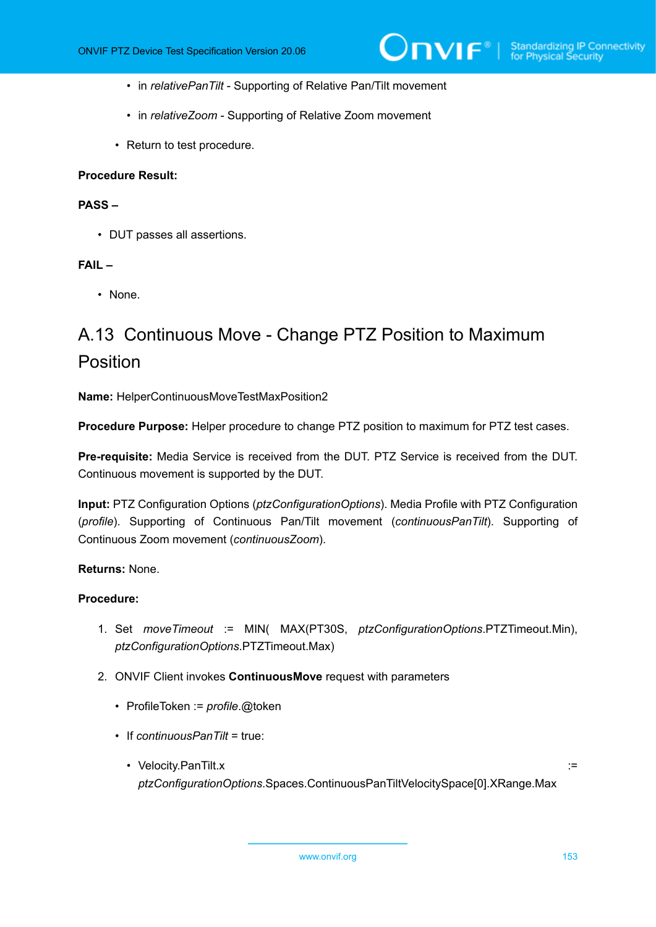- in *relativePanTilt* Supporting of Relative Pan/Tilt movement
- in *relativeZoom* Supporting of Relative Zoom movement
- Return to test procedure.

## **PASS –**

• DUT passes all assertions.

# **FAIL –**

• None.

# <span id="page-152-0"></span>A.13 Continuous Move - Change PTZ Position to Maximum Position

**Name:** HelperContinuousMoveTestMaxPosition2

**Procedure Purpose:** Helper procedure to change PTZ position to maximum for PTZ test cases.

**Pre-requisite:** Media Service is received from the DUT. PTZ Service is received from the DUT. Continuous movement is supported by the DUT.

**Input:** PTZ Configuration Options (*ptzConfigurationOptions*). Media Profile with PTZ Configuration (*profile*). Supporting of Continuous Pan/Tilt movement (*continuousPanTilt*). Supporting of Continuous Zoom movement (*continuousZoom*).

#### **Returns:** None.

- 1. Set *moveTimeout* := MIN( MAX(PT30S, *ptzConfigurationOptions*.PTZTimeout.Min), *ptzConfigurationOptions*.PTZTimeout.Max)
- 2. ONVIF Client invokes **ContinuousMove** request with parameters
	- ProfileToken := *profile*.@token
	- If *continuousPanTilt* = true:
		- Velocity.PanTilt.x := *ptzConfigurationOptions*.Spaces.ContinuousPanTiltVelocitySpace[0].XRange.Max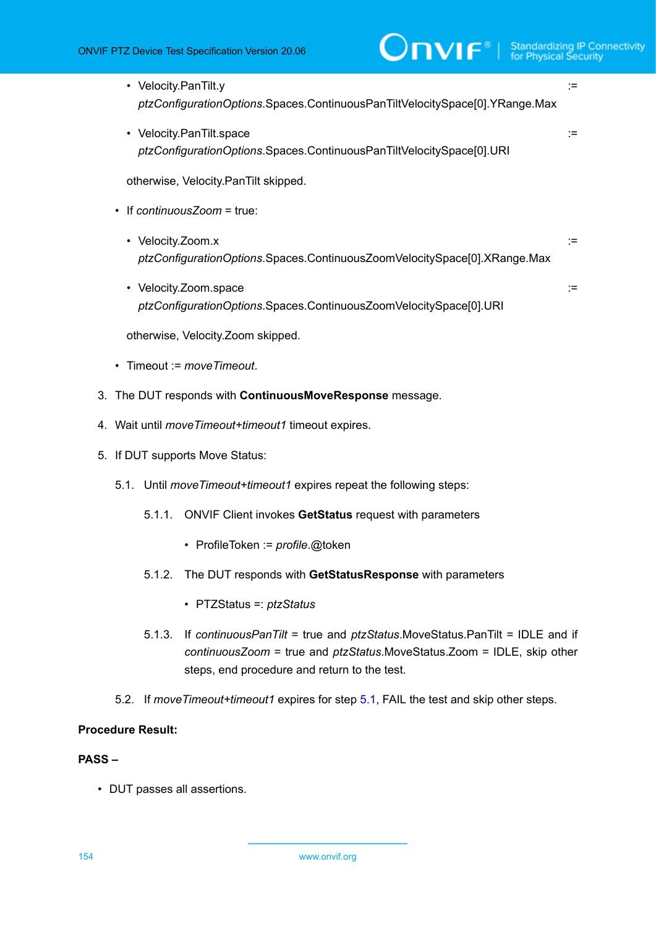| • Velocity.PanTilt.y                                                        |  |
|-----------------------------------------------------------------------------|--|
| ptzConfigurationOptions.Spaces.ContinuousPanTiltVelocitySpace[0].YRange.Max |  |

• Velocity.PanTilt.space := *ptzConfigurationOptions*.Spaces.ContinuousPanTiltVelocitySpace[0].URI

otherwise, Velocity.PanTilt skipped.

- If *continuousZoom* = true:
	- Velocity.Zoom.x := *ptzConfigurationOptions*.Spaces.ContinuousZoomVelocitySpace[0].XRange.Max
	- Velocity.Zoom.space := *ptzConfigurationOptions*.Spaces.ContinuousZoomVelocitySpace[0].URI

otherwise, Velocity.Zoom skipped.

- Timeout := *moveTimeout*.
- 3. The DUT responds with **ContinuousMoveResponse** message.
- 4. Wait until *moveTimeout+timeout1* timeout expires.
- <span id="page-153-0"></span>5. If DUT supports Move Status:
	- 5.1. Until *moveTimeout+timeout1* expires repeat the following steps:
		- 5.1.1. ONVIF Client invokes **GetStatus** request with parameters
			- ProfileToken := *profile*.@token
		- 5.1.2. The DUT responds with **GetStatusResponse** with parameters
			- PTZStatus =: *ptzStatus*
		- 5.1.3. If *continuousPanTilt* = true and *ptzStatus*.MoveStatus.PanTilt = IDLE and if *continuousZoom* = true and *ptzStatus*.MoveStatus.Zoom = IDLE, skip other steps, end procedure and return to the test.
	- 5.2. If *moveTimeout+timeout1* expires for step [5.1](#page-153-0), FAIL the test and skip other steps.

# **Procedure Result:**

# **PASS –**

• DUT passes all assertions.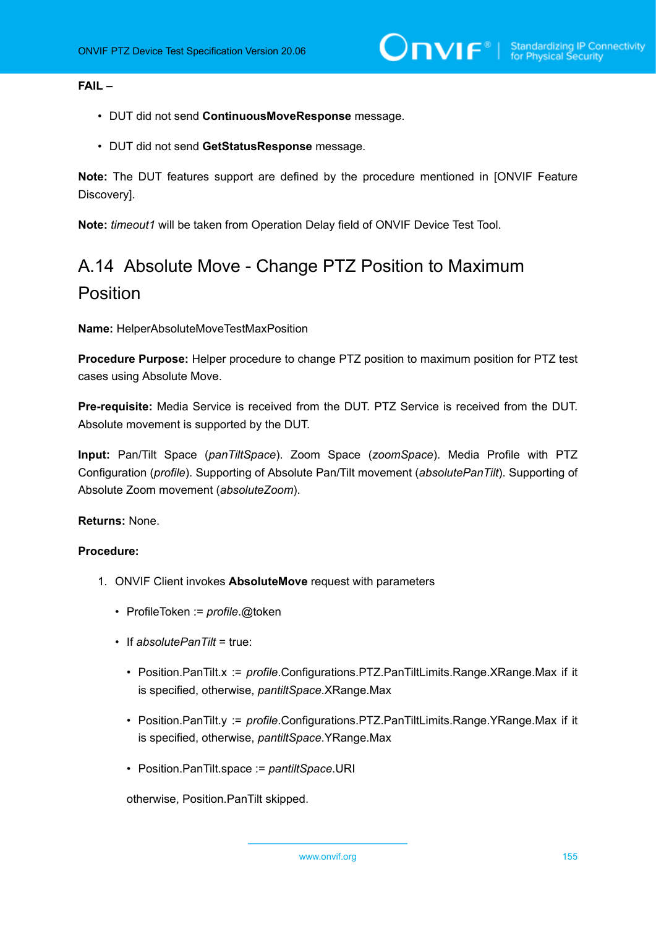# **FAIL –**

- DUT did not send **ContinuousMoveResponse** message.
- DUT did not send **GetStatusResponse** message.

**Note:** The DUT features support are defined by the procedure mentioned in [ONVIF Feature Discovery].

<span id="page-154-0"></span>**Note:** *timeout1* will be taken from Operation Delay field of ONVIF Device Test Tool.

# A.14 Absolute Move - Change PTZ Position to Maximum Position

**Name:** HelperAbsoluteMoveTestMaxPosition

**Procedure Purpose:** Helper procedure to change PTZ position to maximum position for PTZ test cases using Absolute Move.

**Pre-requisite:** Media Service is received from the DUT. PTZ Service is received from the DUT. Absolute movement is supported by the DUT.

**Input:** Pan/Tilt Space (*panTiltSpace*). Zoom Space (*zoomSpace*). Media Profile with PTZ Configuration (*profile*). Supporting of Absolute Pan/Tilt movement (*absolutePanTilt*). Supporting of Absolute Zoom movement (*absoluteZoom*).

#### **Returns:** None.

### **Procedure:**

- 1. ONVIF Client invokes **AbsoluteMove** request with parameters
	- ProfileToken := *profile*.@token
	- If *absolutePanTilt* = true:
		- Position.PanTilt.x := *profile*.Configurations.PTZ.PanTiltLimits.Range.XRange.Max if it is specified, otherwise, *pantiltSpace*.XRange.Max
		- Position.PanTilt.y := *profile*.Configurations.PTZ.PanTiltLimits.Range.YRange.Max if it is specified, otherwise, *pantiltSpace*.YRange.Max
		- Position.PanTilt.space := *pantiltSpace*.URI

otherwise, Position.PanTilt skipped.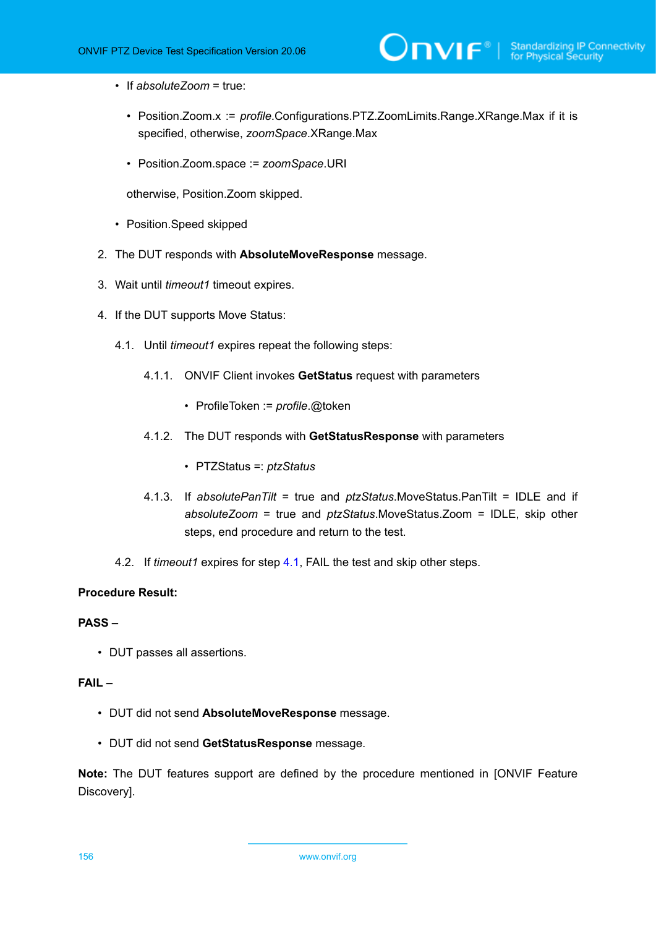- If *absoluteZoom* = true:
	- Position.Zoom.x := *profile*.Configurations.PTZ.ZoomLimits.Range.XRange.Max if it is specified, otherwise, *zoomSpace*.XRange.Max
	- Position.Zoom.space := *zoomSpace*.URI

otherwise, Position.Zoom skipped.

- Position.Speed skipped
- 2. The DUT responds with **AbsoluteMoveResponse** message.
- 3. Wait until *timeout1* timeout expires.
- <span id="page-155-0"></span>4. If the DUT supports Move Status:
	- 4.1. Until *timeout1* expires repeat the following steps:
		- 4.1.1. ONVIF Client invokes **GetStatus** request with parameters
			- ProfileToken := *profile*.@token
		- 4.1.2. The DUT responds with **GetStatusResponse** with parameters
			- PTZStatus =: *ptzStatus*
		- 4.1.3. If *absolutePanTilt* = true and *ptzStatus*.MoveStatus.PanTilt = IDLE and if *absoluteZoom* = true and *ptzStatus*.MoveStatus.Zoom = IDLE, skip other steps, end procedure and return to the test.
	- 4.2. If *timeout1* expires for step [4.1,](#page-155-0) FAIL the test and skip other steps.

# **Procedure Result:**

# **PASS –**

• DUT passes all assertions.

# **FAIL –**

- DUT did not send **AbsoluteMoveResponse** message.
- DUT did not send **GetStatusResponse** message.

**Note:** The DUT features support are defined by the procedure mentioned in [ONVIF Feature Discovery].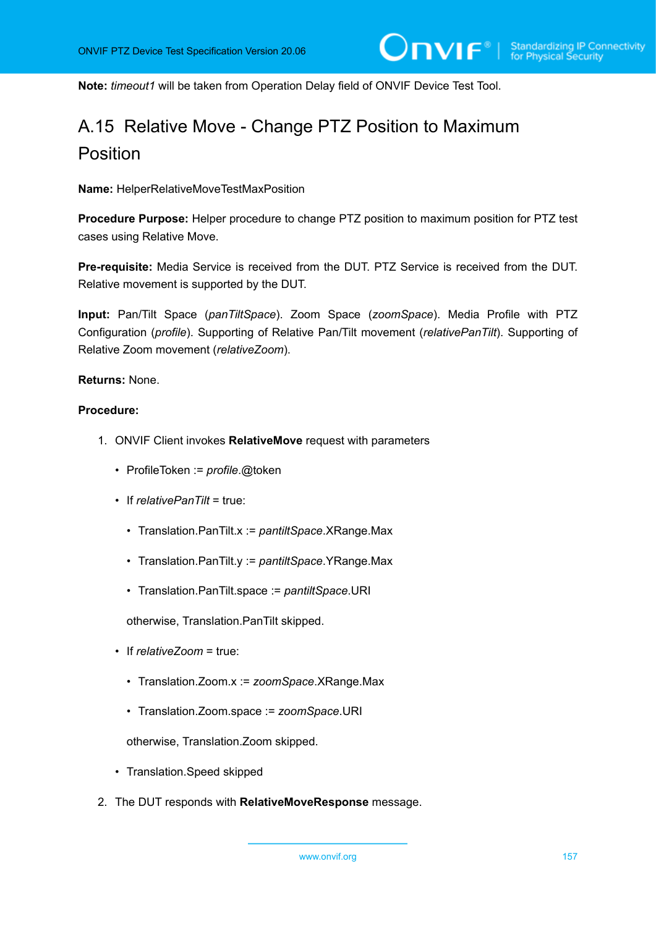<span id="page-156-0"></span>**Note:** *timeout1* will be taken from Operation Delay field of ONVIF Device Test Tool.

# A.15 Relative Move - Change PTZ Position to Maximum Position

**Name:** HelperRelativeMoveTestMaxPosition

**Procedure Purpose:** Helper procedure to change PTZ position to maximum position for PTZ test cases using Relative Move.

**Pre-requisite:** Media Service is received from the DUT. PTZ Service is received from the DUT. Relative movement is supported by the DUT.

**Input:** Pan/Tilt Space (*panTiltSpace*). Zoom Space (*zoomSpace*). Media Profile with PTZ Configuration (*profile*). Supporting of Relative Pan/Tilt movement (*relativePanTilt*). Supporting of Relative Zoom movement (*relativeZoom*).

# **Returns:** None.

# **Procedure:**

- 1. ONVIF Client invokes **RelativeMove** request with parameters
	- ProfileToken := *profile*.@token
	- If *relativePanTilt* = true:
		- Translation.PanTilt.x := *pantiltSpace*.XRange.Max
		- Translation.PanTilt.y := *pantiltSpace*.YRange.Max
		- Translation.PanTilt.space := *pantiltSpace*.URI

otherwise, Translation.PanTilt skipped.

- If *relativeZoom* = true:
	- Translation.Zoom.x := *zoomSpace*.XRange.Max
	- Translation.Zoom.space := *zoomSpace*.URI

otherwise, Translation.Zoom skipped.

- Translation.Speed skipped
- 2. The DUT responds with **RelativeMoveResponse** message.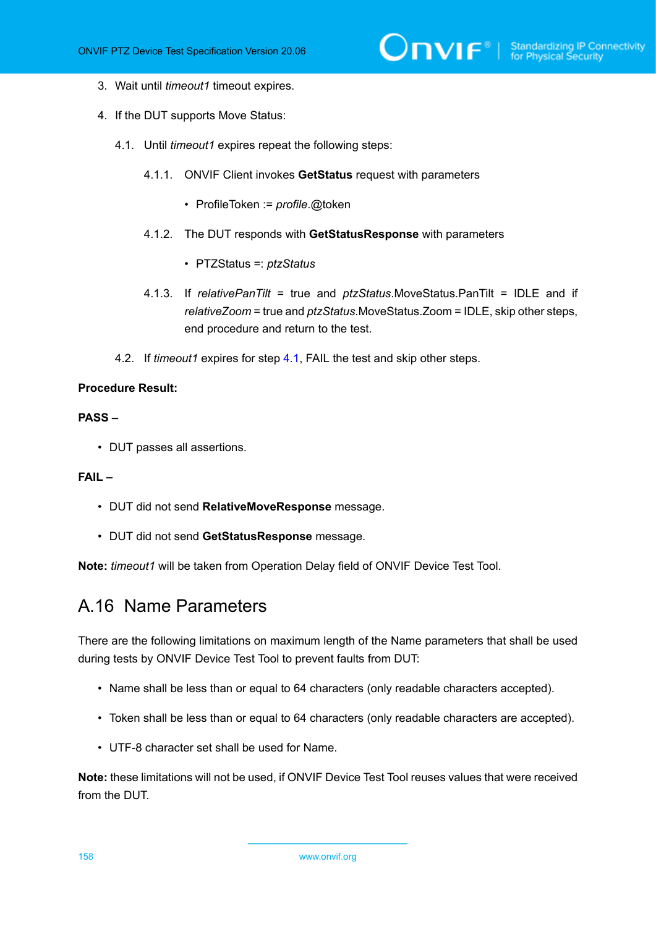- 3. Wait until *timeout1* timeout expires.
- <span id="page-157-0"></span>4. If the DUT supports Move Status:
	- 4.1. Until *timeout1* expires repeat the following steps:
		- 4.1.1. ONVIF Client invokes **GetStatus** request with parameters
			- ProfileToken := *profile*.@token
		- 4.1.2. The DUT responds with **GetStatusResponse** with parameters
			- PTZStatus =: *ptzStatus*
		- 4.1.3. If *relativePanTilt* = true and *ptzStatus*.MoveStatus.PanTilt = IDLE and if *relativeZoom* = true and *ptzStatus*.MoveStatus.Zoom = IDLE, skip other steps, end procedure and return to the test.
	- 4.2. If *timeout1* expires for step [4.1,](#page-157-0) FAIL the test and skip other steps.

#### **PASS –**

• DUT passes all assertions.

# **FAIL –**

- DUT did not send **RelativeMoveResponse** message.
- DUT did not send **GetStatusResponse** message.

**Note:** *timeout1* will be taken from Operation Delay field of ONVIF Device Test Tool.

# A.16 Name Parameters

There are the following limitations on maximum length of the Name parameters that shall be used during tests by ONVIF Device Test Tool to prevent faults from DUT:

- Name shall be less than or equal to 64 characters (only readable characters accepted).
- Token shall be less than or equal to 64 characters (only readable characters are accepted).
- UTF-8 character set shall be used for Name.

**Note:** these limitations will not be used, if ONVIF Device Test Tool reuses values that were received from the DUT.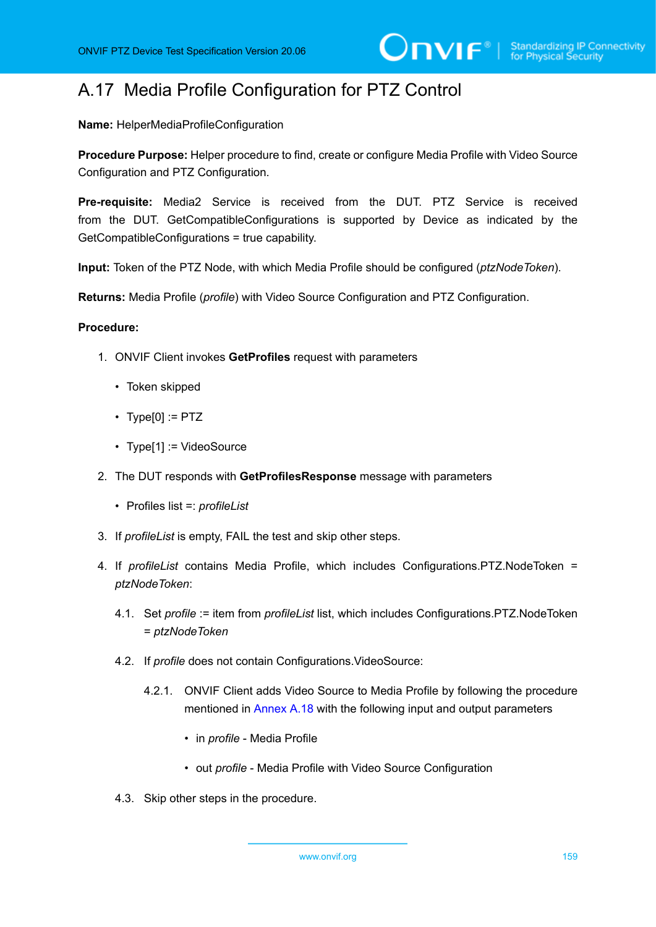# A.17 Media Profile Configuration for PTZ Control

**Name:** HelperMediaProfileConfiguration

**Procedure Purpose:** Helper procedure to find, create or configure Media Profile with Video Source Configuration and PTZ Configuration.

**Pre-requisite:** Media2 Service is received from the DUT. PTZ Service is received from the DUT. GetCompatibleConfigurations is supported by Device as indicated by the GetCompatibleConfigurations = true capability.

**Input:** Token of the PTZ Node, with which Media Profile should be configured (*ptzNodeToken*).

**Returns:** Media Profile (*profile*) with Video Source Configuration and PTZ Configuration.

# **Procedure:**

- 1. ONVIF Client invokes **GetProfiles** request with parameters
	- Token skipped
	- $\cdot$  Type[0] := PTZ
	- Type[1] := VideoSource
- 2. The DUT responds with **GetProfilesResponse** message with parameters
	- Profiles list =: *profileList*
- 3. If *profileList* is empty, FAIL the test and skip other steps.
- 4. If *profileList* contains Media Profile, which includes Configurations.PTZ.NodeToken = *ptzNodeToken*:
	- 4.1. Set *profile* := item from *profileList* list, which includes Configurations.PTZ.NodeToken = *ptzNodeToken*
	- 4.2. If *profile* does not contain Configurations.VideoSource:
		- 4.2.1. ONVIF Client adds Video Source to Media Profile by following the procedure mentioned in [Annex A.18](#page-159-0) with the following input and output parameters
			- in *profile* Media Profile
			- out *profile* Media Profile with Video Source Configuration
	- 4.3. Skip other steps in the procedure.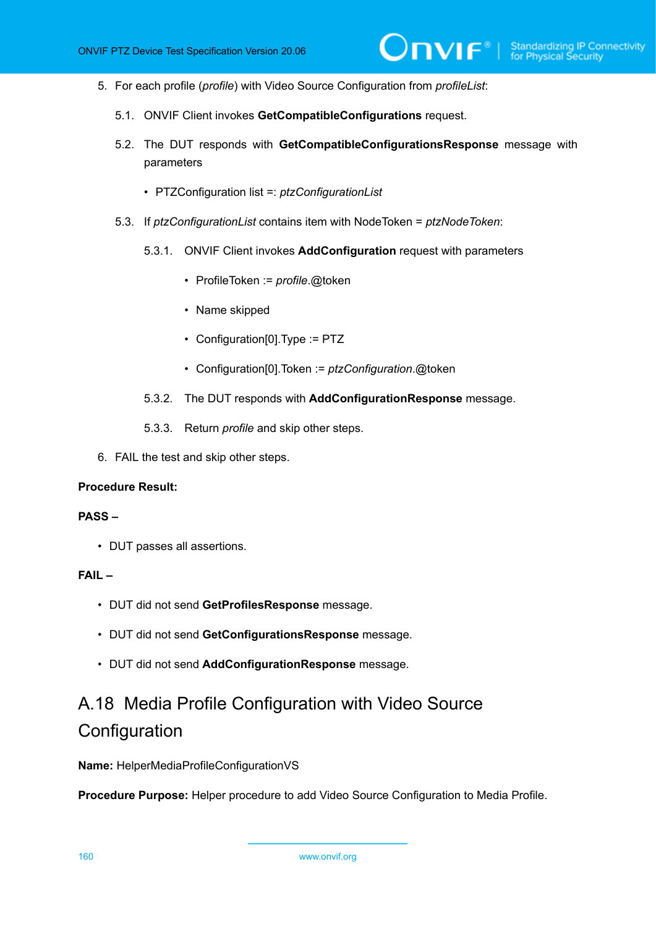- 5. For each profile (*profile*) with Video Source Configuration from *profileList*:
	- 5.1. ONVIF Client invokes **GetCompatibleConfigurations** request.
	- 5.2. The DUT responds with **GetCompatibleConfigurationsResponse** message with parameters
		- PTZConfiguration list =: *ptzConfigurationList*
	- 5.3. If *ptzConfigurationList* contains item with NodeToken = *ptzNodeToken*:
		- 5.3.1. ONVIF Client invokes **AddConfiguration** request with parameters
			- ProfileToken := *profile*.@token
			- Name skipped
			- Configuration[0].Type := PTZ
			- Configuration[0].Token := *ptzConfiguration*.@token
		- 5.3.2. The DUT responds with **AddConfigurationResponse** message.
		- 5.3.3. Return *profile* and skip other steps.
- 6. FAIL the test and skip other steps.

#### **PASS –**

• DUT passes all assertions.

# **FAIL –**

- DUT did not send **GetProfilesResponse** message.
- DUT did not send **GetConfigurationsResponse** message.
- DUT did not send **AddConfigurationResponse** message.

# <span id="page-159-0"></span>A.18 Media Profile Configuration with Video Source **Configuration**

**Name:** HelperMediaProfileConfigurationVS

**Procedure Purpose:** Helper procedure to add Video Source Configuration to Media Profile.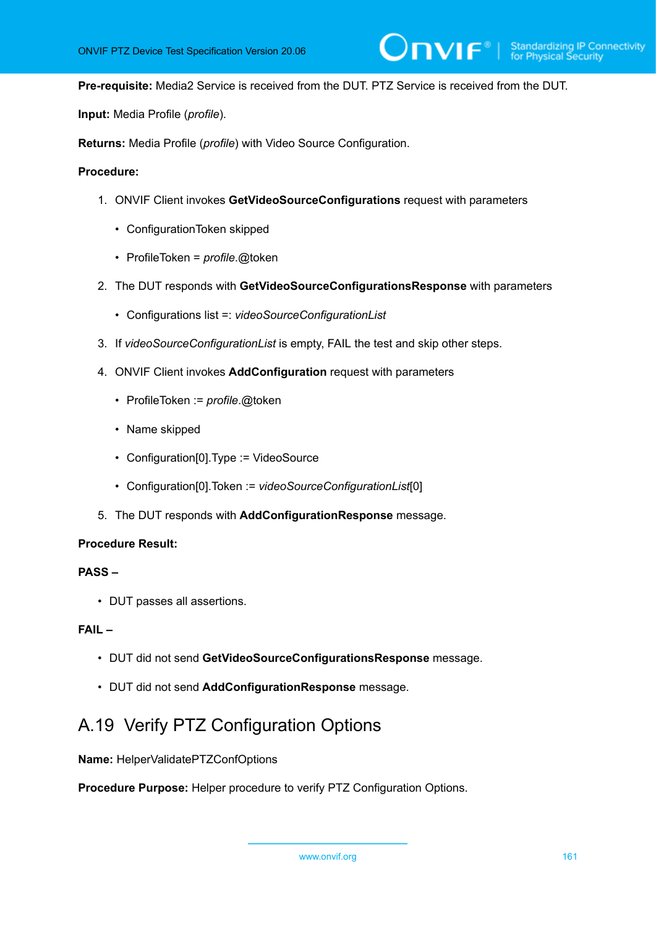**Pre-requisite:** Media2 Service is received from the DUT. PTZ Service is received from the DUT.

**Input:** Media Profile (*profile*).

**Returns:** Media Profile (*profile*) with Video Source Configuration.

#### **Procedure:**

- 1. ONVIF Client invokes **GetVideoSourceConfigurations** request with parameters
	- ConfigurationToken skipped
	- ProfileToken = *profile*.@token
- 2. The DUT responds with **GetVideoSourceConfigurationsResponse** with parameters
	- Configurations list =: *videoSourceConfigurationList*
- 3. If *videoSourceConfigurationList* is empty, FAIL the test and skip other steps.
- 4. ONVIF Client invokes **AddConfiguration** request with parameters
	- ProfileToken := *profile*.@token
	- Name skipped
	- Configuration[0].Type := VideoSource
	- Configuration[0].Token := *videoSourceConfigurationList*[0]
- 5. The DUT responds with **AddConfigurationResponse** message.

#### **Procedure Result:**

# **PASS –**

• DUT passes all assertions.

#### **FAIL –**

- DUT did not send **GetVideoSourceConfigurationsResponse** message.
- DUT did not send **AddConfigurationResponse** message.

# <span id="page-160-0"></span>A.19 Verify PTZ Configuration Options

**Name:** HelperValidatePTZConfOptions

**Procedure Purpose:** Helper procedure to verify PTZ Configuration Options.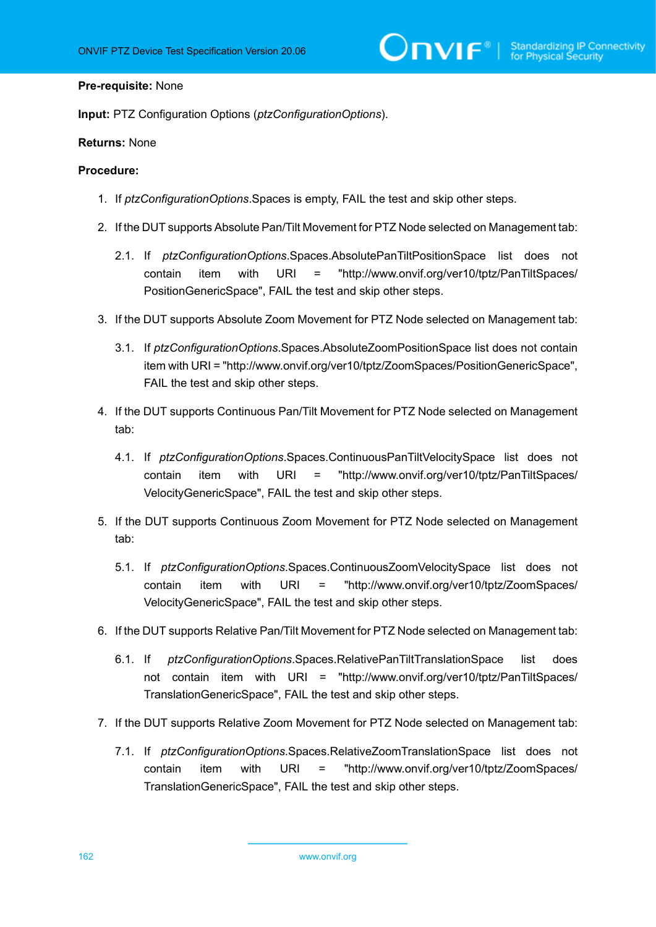#### **Pre-requisite:** None

**Input:** PTZ Configuration Options (*ptzConfigurationOptions*).

#### **Returns:** None

- 1. If *ptzConfigurationOptions*.Spaces is empty, FAIL the test and skip other steps.
- 2. If the DUT supports Absolute Pan/Tilt Movement for PTZ Node selected on Management tab:
	- 2.1. If *ptzConfigurationOptions*.Spaces.AbsolutePanTiltPositionSpace list does not contain item with URI = "http://www.onvif.org/ver10/tptz/PanTiltSpaces/ PositionGenericSpace", FAIL the test and skip other steps.
- 3. If the DUT supports Absolute Zoom Movement for PTZ Node selected on Management tab:
	- 3.1. If *ptzConfigurationOptions*.Spaces.AbsoluteZoomPositionSpace list does not contain item with URI = "http://www.onvif.org/ver10/tptz/ZoomSpaces/PositionGenericSpace", FAIL the test and skip other steps.
- 4. If the DUT supports Continuous Pan/Tilt Movement for PTZ Node selected on Management tab:
	- 4.1. If *ptzConfigurationOptions*.Spaces.ContinuousPanTiltVelocitySpace list does not contain item with URI = "http://www.onvif.org/ver10/tptz/PanTiltSpaces/ VelocityGenericSpace", FAIL the test and skip other steps.
- 5. If the DUT supports Continuous Zoom Movement for PTZ Node selected on Management tab:
	- 5.1. If *ptzConfigurationOptions*.Spaces.ContinuousZoomVelocitySpace list does not contain item with URI = "http://www.onvif.org/ver10/tptz/ZoomSpaces/ VelocityGenericSpace", FAIL the test and skip other steps.
- 6. If the DUT supports Relative Pan/Tilt Movement for PTZ Node selected on Management tab:
	- 6.1. If *ptzConfigurationOptions*.Spaces.RelativePanTiltTranslationSpace list does not contain item with URI = "http://www.onvif.org/ver10/tptz/PanTiltSpaces/ TranslationGenericSpace", FAIL the test and skip other steps.
- 7. If the DUT supports Relative Zoom Movement for PTZ Node selected on Management tab:
	- 7.1. If *ptzConfigurationOptions*.Spaces.RelativeZoomTranslationSpace list does not contain item with URI = "http://www.onvif.org/ver10/tptz/ZoomSpaces/ TranslationGenericSpace", FAIL the test and skip other steps.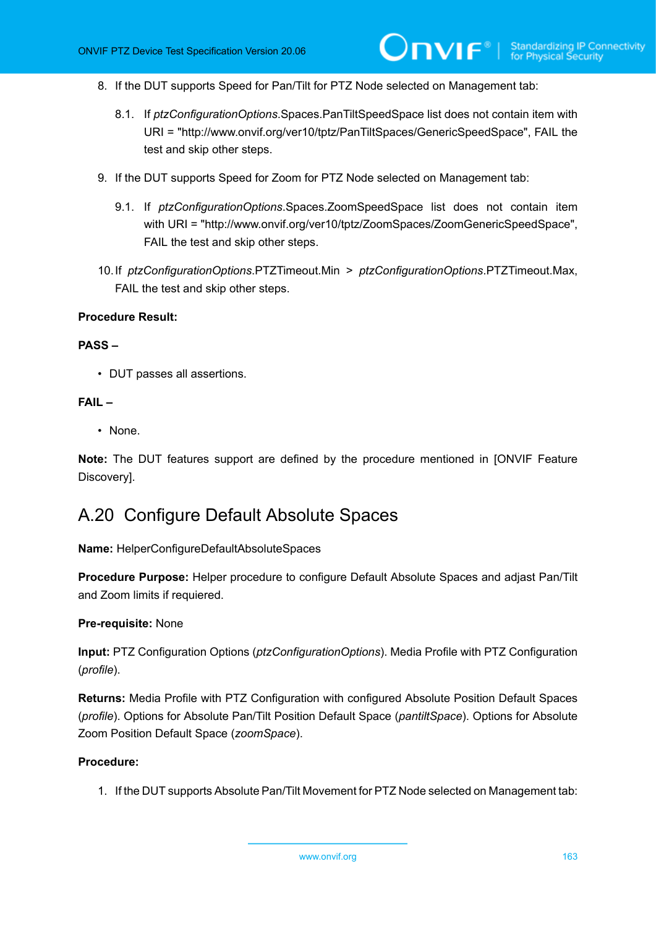- 8. If the DUT supports Speed for Pan/Tilt for PTZ Node selected on Management tab:
	- 8.1. If *ptzConfigurationOptions*.Spaces.PanTiltSpeedSpace list does not contain item with URI = "http://www.onvif.org/ver10/tptz/PanTiltSpaces/GenericSpeedSpace", FAIL the test and skip other steps.
- 9. If the DUT supports Speed for Zoom for PTZ Node selected on Management tab:
	- 9.1. If *ptzConfigurationOptions*.Spaces.ZoomSpeedSpace list does not contain item with URI = "http://www.onvif.org/ver10/tptz/ZoomSpaces/ZoomGenericSpeedSpace", FAIL the test and skip other steps.
- 10.If *ptzConfigurationOptions*.PTZTimeout.Min > *ptzConfigurationOptions*.PTZTimeout.Max, FAIL the test and skip other steps.

### **PASS –**

• DUT passes all assertions.

#### **FAIL –**

• None.

**Note:** The DUT features support are defined by the procedure mentioned in [ONVIF Feature Discovery].

# A.20 Configure Default Absolute Spaces

**Name:** HelperConfigureDefaultAbsoluteSpaces

**Procedure Purpose:** Helper procedure to configure Default Absolute Spaces and adjast Pan/Tilt and Zoom limits if requiered.

#### **Pre-requisite:** None

**Input:** PTZ Configuration Options (*ptzConfigurationOptions*). Media Profile with PTZ Configuration (*profile*).

**Returns:** Media Profile with PTZ Configuration with configured Absolute Position Default Spaces (*profile*). Options for Absolute Pan/Tilt Position Default Space (*pantiltSpace*). Options for Absolute Zoom Position Default Space (*zoomSpace*).

#### **Procedure:**

1. If the DUT supports Absolute Pan/Tilt Movement for PTZ Node selected on Management tab: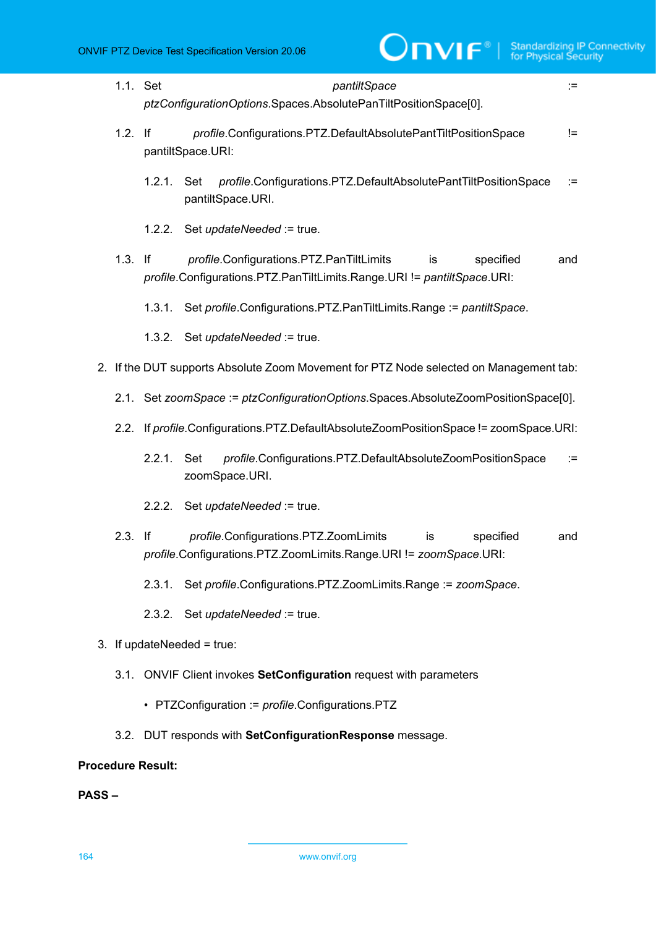| 1.1. Set                 | pantiltSpace<br>$:=$<br>ptzConfigurationOptions.Spaces.AbsolutePanTiltPositionSpace[0].                                                       |  |  |
|--------------------------|-----------------------------------------------------------------------------------------------------------------------------------------------|--|--|
| $1.2.$ If                | profile.Configurations.PTZ.DefaultAbsolutePantTiltPositionSpace<br>$!=$<br>pantiltSpace.URI:                                                  |  |  |
|                          | profile.Configurations.PTZ.DefaultAbsolutePantTiltPositionSpace<br>1.2.1. Set<br>$:=$<br>pantiltSpace.URI.                                    |  |  |
|                          | 1.2.2. Set updateNeeded := true.                                                                                                              |  |  |
| $1.3.$ If                | profile.Configurations.PTZ.PanTiltLimits<br>specified<br>is<br>and<br>profile.Configurations.PTZ.PanTiltLimits.Range.URI != pantiltSpace.URI: |  |  |
|                          | Set profile.Configurations.PTZ.PanTiltLimits.Range := pantiltSpace.<br>1.3.1.                                                                 |  |  |
|                          | 1.3.2. Set updateNeeded := true.                                                                                                              |  |  |
|                          | 2. If the DUT supports Absolute Zoom Movement for PTZ Node selected on Management tab:                                                        |  |  |
|                          | 2.1. Set zoomSpace := ptzConfigurationOptions.Spaces.AbsoluteZoomPositionSpace[0].                                                            |  |  |
|                          | 2.2. If profile.Configurations.PTZ.DefaultAbsoluteZoomPositionSpace != zoomSpace.URI:                                                         |  |  |
|                          | profile.Configurations.PTZ.DefaultAbsoluteZoomPositionSpace<br>2.2.1. Set<br>$:=$<br>zoomSpace.URI.                                           |  |  |
|                          | Set <i>updateNeeded</i> := true.<br>2.2.2.                                                                                                    |  |  |
| $2.3.$ If                | profile.Configurations.PTZ.ZoomLimits<br>is<br>specified<br>and<br>profile.Configurations.PTZ.ZoomLimits.Range.URI != zoomSpace.URI:          |  |  |
|                          | Set profile.Configurations.PTZ.ZoomLimits.Range := zoomSpace.<br>2.3.1.                                                                       |  |  |
|                          | 2.3.2. Set updateNeeded := true.                                                                                                              |  |  |
|                          | 3. If updateNeeded = $true$ :                                                                                                                 |  |  |
|                          | 3.1. ONVIF Client invokes SetConfiguration request with parameters                                                                            |  |  |
|                          | • PTZConfiguration := profile.Configurations.PTZ                                                                                              |  |  |
|                          | 3.2. DUT responds with SetConfigurationResponse message.                                                                                      |  |  |
| <b>Procedure Result:</b> |                                                                                                                                               |  |  |

**PASS –**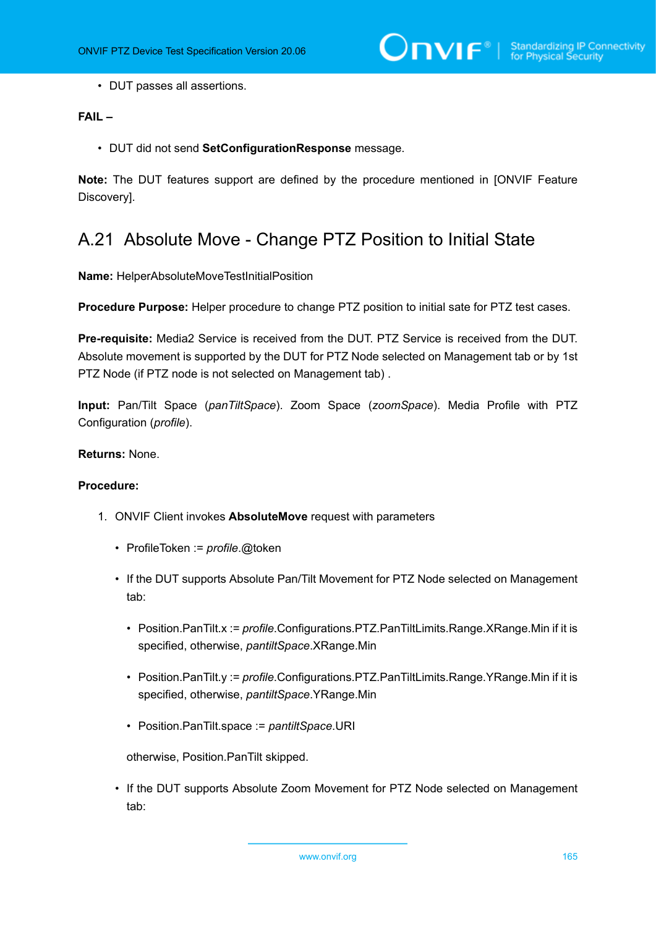• DUT passes all assertions.

# **FAIL –**

• DUT did not send **SetConfigurationResponse** message.

**Note:** The DUT features support are defined by the procedure mentioned in [ONVIF Feature Discovery].

# A.21 Absolute Move - Change PTZ Position to Initial State

**Name:** HelperAbsoluteMoveTestInitialPosition

**Procedure Purpose:** Helper procedure to change PTZ position to initial sate for PTZ test cases.

**Pre-requisite:** Media2 Service is received from the DUT. PTZ Service is received from the DUT. Absolute movement is supported by the DUT for PTZ Node selected on Management tab or by 1st PTZ Node (if PTZ node is not selected on Management tab) .

**Input:** Pan/Tilt Space (*panTiltSpace*). Zoom Space (*zoomSpace*). Media Profile with PTZ Configuration (*profile*).

# **Returns:** None.

# **Procedure:**

- 1. ONVIF Client invokes **AbsoluteMove** request with parameters
	- ProfileToken := *profile*.@token
	- If the DUT supports Absolute Pan/Tilt Movement for PTZ Node selected on Management tab:
		- Position.PanTilt.x := *profile*.Configurations.PTZ.PanTiltLimits.Range.XRange.Min if it is specified, otherwise, *pantiltSpace*.XRange.Min
		- Position.PanTilt.y := *profile*.Configurations.PTZ.PanTiltLimits.Range.YRange.Min if it is specified, otherwise, *pantiltSpace*.YRange.Min
		- Position.PanTilt.space := *pantiltSpace*.URI

otherwise, Position.PanTilt skipped.

• If the DUT supports Absolute Zoom Movement for PTZ Node selected on Management tab: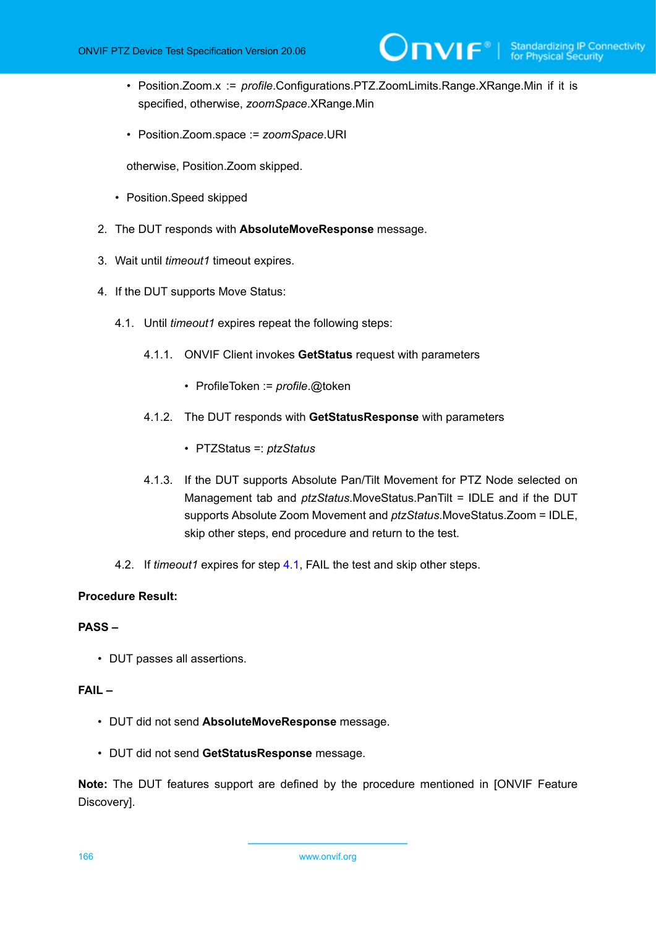- Position.Zoom.x := *profile*.Configurations.PTZ.ZoomLimits.Range.XRange.Min if it is specified, otherwise, *zoomSpace*.XRange.Min
- Position.Zoom.space := *zoomSpace*.URI

otherwise, Position.Zoom skipped.

- Position.Speed skipped
- 2. The DUT responds with **AbsoluteMoveResponse** message.
- 3. Wait until *timeout1* timeout expires.
- <span id="page-165-0"></span>4. If the DUT supports Move Status:
	- 4.1. Until *timeout1* expires repeat the following steps:
		- 4.1.1. ONVIF Client invokes **GetStatus** request with parameters
			- ProfileToken := *profile*.@token
		- 4.1.2. The DUT responds with **GetStatusResponse** with parameters
			- PTZStatus =: *ptzStatus*
		- 4.1.3. If the DUT supports Absolute Pan/Tilt Movement for PTZ Node selected on Management tab and *ptzStatus*.MoveStatus.PanTilt = IDLE and if the DUT supports Absolute Zoom Movement and *ptzStatus*.MoveStatus.Zoom = IDLE, skip other steps, end procedure and return to the test.
	- 4.2. If *timeout1* expires for step [4.1,](#page-165-0) FAIL the test and skip other steps.

# **Procedure Result:**

# **PASS –**

• DUT passes all assertions.

# **FAIL –**

- DUT did not send **AbsoluteMoveResponse** message.
- DUT did not send **GetStatusResponse** message.

**Note:** The DUT features support are defined by the procedure mentioned in [ONVIF Feature Discovery].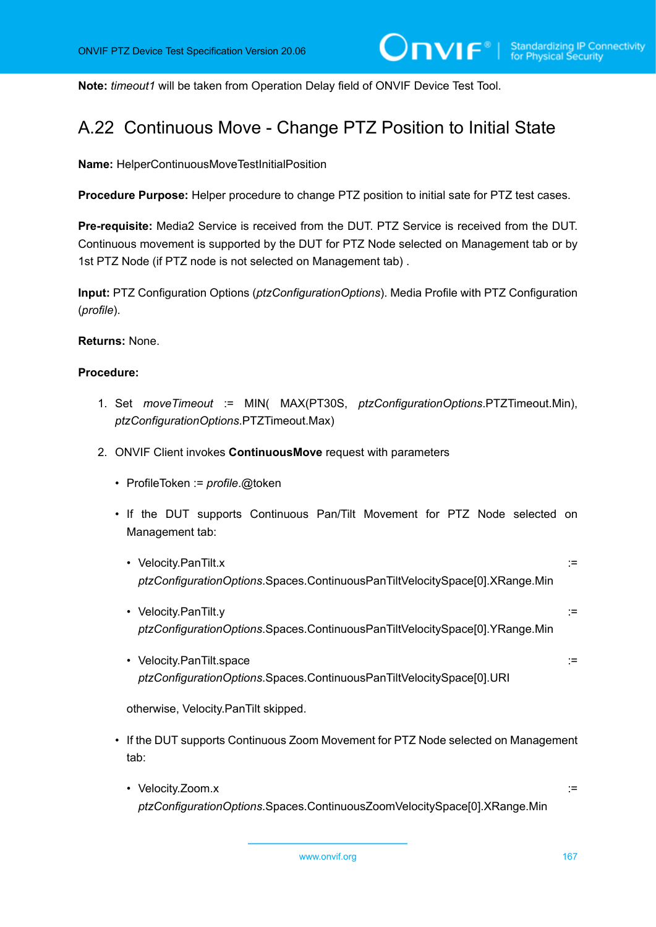**Note:** *timeout1* will be taken from Operation Delay field of ONVIF Device Test Tool.

# A.22 Continuous Move - Change PTZ Position to Initial State

**Name:** HelperContinuousMoveTestInitialPosition

**Procedure Purpose:** Helper procedure to change PTZ position to initial sate for PTZ test cases.

**Pre-requisite:** Media2 Service is received from the DUT. PTZ Service is received from the DUT. Continuous movement is supported by the DUT for PTZ Node selected on Management tab or by 1st PTZ Node (if PTZ node is not selected on Management tab) .

**Input:** PTZ Configuration Options (*ptzConfigurationOptions*). Media Profile with PTZ Configuration (*profile*).

**Returns:** None.

# **Procedure:**

- 1. Set *moveTimeout* := MIN( MAX(PT30S, *ptzConfigurationOptions*.PTZTimeout.Min), *ptzConfigurationOptions*.PTZTimeout.Max)
- 2. ONVIF Client invokes **ContinuousMove** request with parameters
	- ProfileToken := *profile*.@token
	- If the DUT supports Continuous Pan/Tilt Movement for PTZ Node selected on Management tab:
		- Velocity.PanTilt.x := *ptzConfigurationOptions*.Spaces.ContinuousPanTiltVelocitySpace[0].XRange.Min
		- Velocity.PanTilt.y := *ptzConfigurationOptions*.Spaces.ContinuousPanTiltVelocitySpace[0].YRange.Min
		- Velocity.PanTilt.space := *ptzConfigurationOptions*.Spaces.ContinuousPanTiltVelocitySpace[0].URI

otherwise, Velocity.PanTilt skipped.

- If the DUT supports Continuous Zoom Movement for PTZ Node selected on Management tab:
	- Velocity.Zoom.x ::= *ptzConfigurationOptions*.Spaces.ContinuousZoomVelocitySpace[0].XRange.Min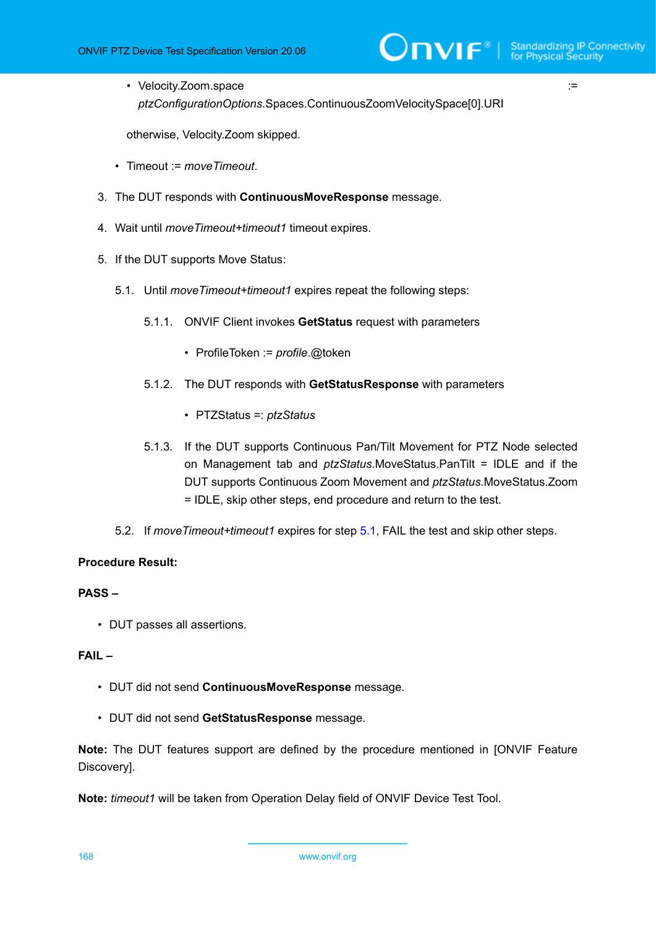• Velocity.Zoom.space := *ptzConfigurationOptions*.Spaces.ContinuousZoomVelocitySpace[0].URI

otherwise, Velocity.Zoom skipped.

- Timeout := *moveTimeout*.
- 3. The DUT responds with **ContinuousMoveResponse** message.
- 4. Wait until *moveTimeout+timeout1* timeout expires.
- <span id="page-167-0"></span>5. If the DUT supports Move Status:
	- 5.1. Until *moveTimeout+timeout1* expires repeat the following steps:
		- 5.1.1. ONVIF Client invokes **GetStatus** request with parameters
			- ProfileToken := *profile*.@token
		- 5.1.2. The DUT responds with **GetStatusResponse** with parameters
			- PTZStatus =: *ptzStatus*
		- 5.1.3. If the DUT supports Continuous Pan/Tilt Movement for PTZ Node selected on Management tab and *ptzStatus*.MoveStatus.PanTilt = IDLE and if the DUT supports Continuous Zoom Movement and *ptzStatus*.MoveStatus.Zoom = IDLE, skip other steps, end procedure and return to the test.
	- 5.2. If *moveTimeout+timeout1* expires for step [5.1](#page-167-0), FAIL the test and skip other steps.

# **Procedure Result:**

# **PASS –**

• DUT passes all assertions.

# **FAIL –**

- DUT did not send **ContinuousMoveResponse** message.
- DUT did not send **GetStatusResponse** message.

**Note:** The DUT features support are defined by the procedure mentioned in [ONVIF Feature Discovery].

**Note:** *timeout1* will be taken from Operation Delay field of ONVIF Device Test Tool.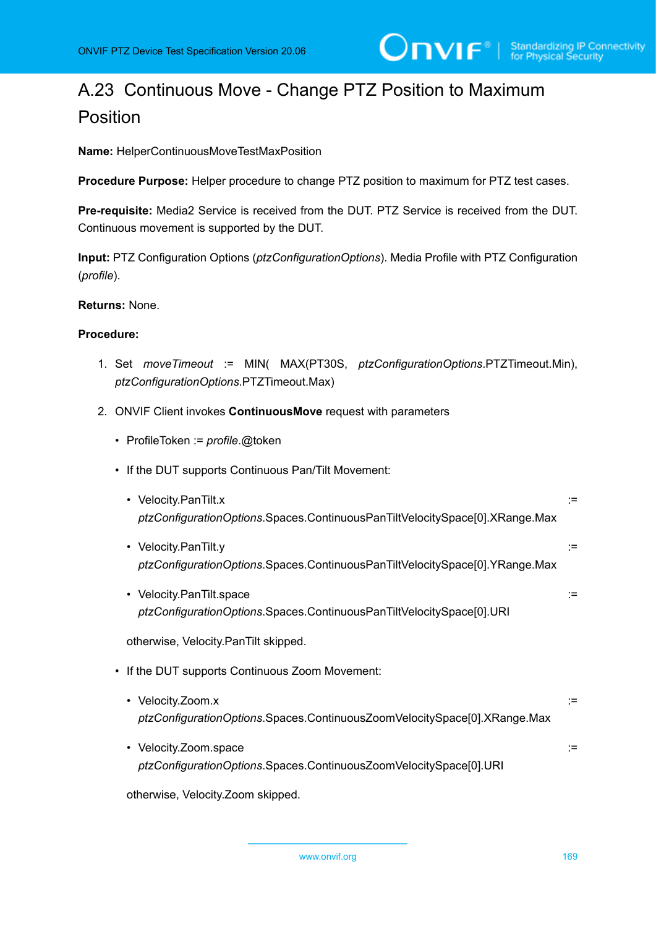# A.23 Continuous Move - Change PTZ Position to Maximum Position

**Name:** HelperContinuousMoveTestMaxPosition

**Procedure Purpose:** Helper procedure to change PTZ position to maximum for PTZ test cases.

**Pre-requisite:** Media2 Service is received from the DUT. PTZ Service is received from the DUT. Continuous movement is supported by the DUT.

**Input:** PTZ Configuration Options (*ptzConfigurationOptions*). Media Profile with PTZ Configuration (*profile*).

### **Returns:** None.

## **Procedure:**

- 1. Set *moveTimeout* := MIN( MAX(PT30S, *ptzConfigurationOptions*.PTZTimeout.Min), *ptzConfigurationOptions*.PTZTimeout.Max)
- 2. ONVIF Client invokes **ContinuousMove** request with parameters
	- ProfileToken := *profile*.@token
	- If the DUT supports Continuous Pan/Tilt Movement:
		- Velocity.PanTilt.x := *ptzConfigurationOptions*.Spaces.ContinuousPanTiltVelocitySpace[0].XRange.Max
		- Velocity.PanTilt.y := *ptzConfigurationOptions*.Spaces.ContinuousPanTiltVelocitySpace[0].YRange.Max
		- Velocity.PanTilt.space := *ptzConfigurationOptions*.Spaces.ContinuousPanTiltVelocitySpace[0].URI

otherwise, Velocity.PanTilt skipped.

- If the DUT supports Continuous Zoom Movement:
	- Velocity.Zoom.x := *ptzConfigurationOptions*.Spaces.ContinuousZoomVelocitySpace[0].XRange.Max
	- Velocity.Zoom.space := *ptzConfigurationOptions*.Spaces.ContinuousZoomVelocitySpace[0].URI

otherwise, Velocity.Zoom skipped.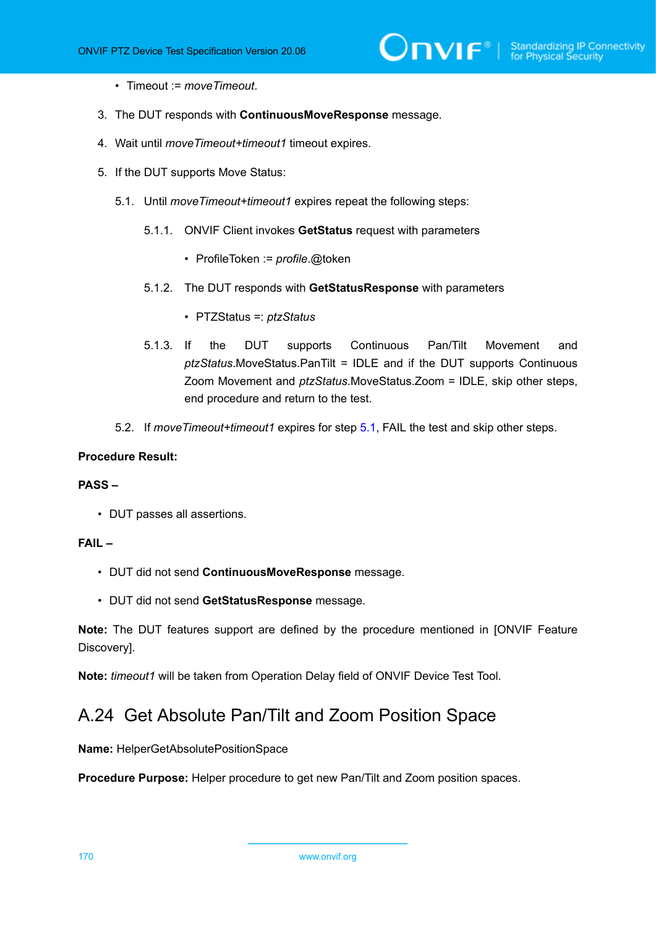- Timeout := *moveTimeout*.
- 3. The DUT responds with **ContinuousMoveResponse** message.
- 4. Wait until *moveTimeout+timeout1* timeout expires.
- <span id="page-169-0"></span>5. If the DUT supports Move Status:
	- 5.1. Until *moveTimeout+timeout1* expires repeat the following steps:
		- 5.1.1. ONVIF Client invokes **GetStatus** request with parameters
			- ProfileToken := *profile*.@token
		- 5.1.2. The DUT responds with **GetStatusResponse** with parameters
			- PTZStatus =: *ptzStatus*
		- 5.1.3. If the DUT supports Continuous Pan/Tilt Movement and *ptzStatus*.MoveStatus.PanTilt = IDLE and if the DUT supports Continuous Zoom Movement and *ptzStatus*.MoveStatus.Zoom = IDLE, skip other steps, end procedure and return to the test.
	- 5.2. If *moveTimeout+timeout1* expires for step [5.1](#page-169-0), FAIL the test and skip other steps.

#### **PASS –**

• DUT passes all assertions.

## **FAIL –**

- DUT did not send **ContinuousMoveResponse** message.
- DUT did not send **GetStatusResponse** message.

**Note:** The DUT features support are defined by the procedure mentioned in [ONVIF Feature Discovery].

**Note:** *timeout1* will be taken from Operation Delay field of ONVIF Device Test Tool.

# A.24 Get Absolute Pan/Tilt and Zoom Position Space

**Name:** HelperGetAbsolutePositionSpace

**Procedure Purpose:** Helper procedure to get new Pan/Tilt and Zoom position spaces.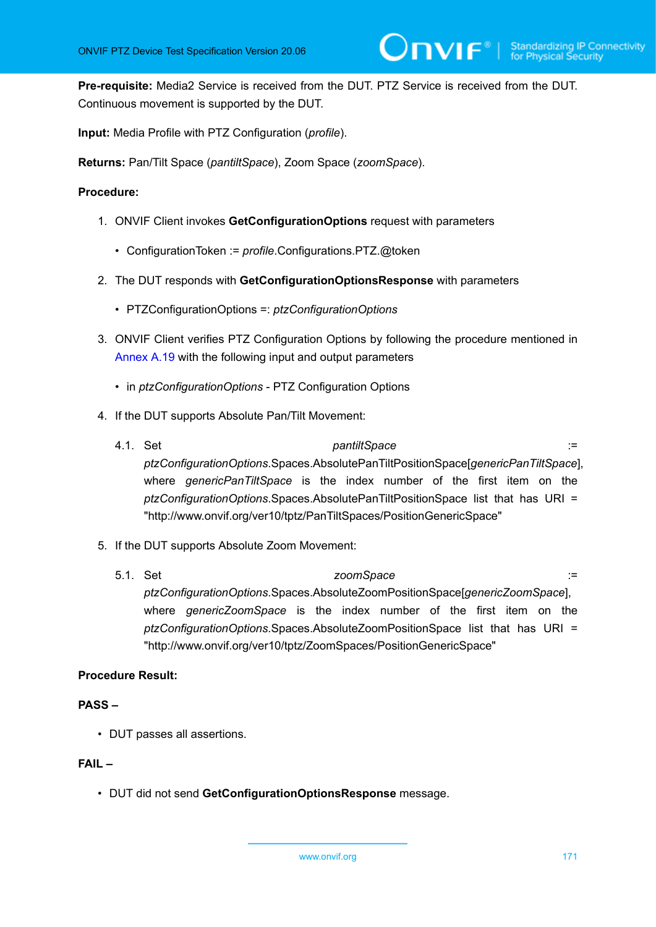**Pre-requisite:** Media2 Service is received from the DUT. PTZ Service is received from the DUT. Continuous movement is supported by the DUT.

**Input:** Media Profile with PTZ Configuration (*profile*).

**Returns:** Pan/Tilt Space (*pantiltSpace*), Zoom Space (*zoomSpace*).

### **Procedure:**

- 1. ONVIF Client invokes **GetConfigurationOptions** request with parameters
	- ConfigurationToken := *profile*.Configurations.PTZ.@token
- 2. The DUT responds with **GetConfigurationOptionsResponse** with parameters
	- PTZConfigurationOptions =: *ptzConfigurationOptions*
- 3. ONVIF Client verifies PTZ Configuration Options by following the procedure mentioned in [Annex A.19](#page-160-0) with the following input and output parameters
	- in *ptzConfigurationOptions* PTZ Configuration Options
- 4. If the DUT supports Absolute Pan/Tilt Movement:
	- 4.1. Set *pantiltSpace* := *ptzConfigurationOptions*.Spaces.AbsolutePanTiltPositionSpace[*genericPanTiltSpace*], where *genericPanTiltSpace* is the index number of the first item on the *ptzConfigurationOptions*.Spaces.AbsolutePanTiltPositionSpace list that has URI = "http://www.onvif.org/ver10/tptz/PanTiltSpaces/PositionGenericSpace"
- 5. If the DUT supports Absolute Zoom Movement:
	- 5.1. Set *zoomSpace* := *ptzConfigurationOptions*.Spaces.AbsoluteZoomPositionSpace[*genericZoomSpace*], where *genericZoomSpace* is the index number of the first item on the *ptzConfigurationOptions*.Spaces.AbsoluteZoomPositionSpace list that has URI = "http://www.onvif.org/ver10/tptz/ZoomSpaces/PositionGenericSpace"

# **Procedure Result:**

### **PASS –**

• DUT passes all assertions.

## **FAIL –**

• DUT did not send **GetConfigurationOptionsResponse** message.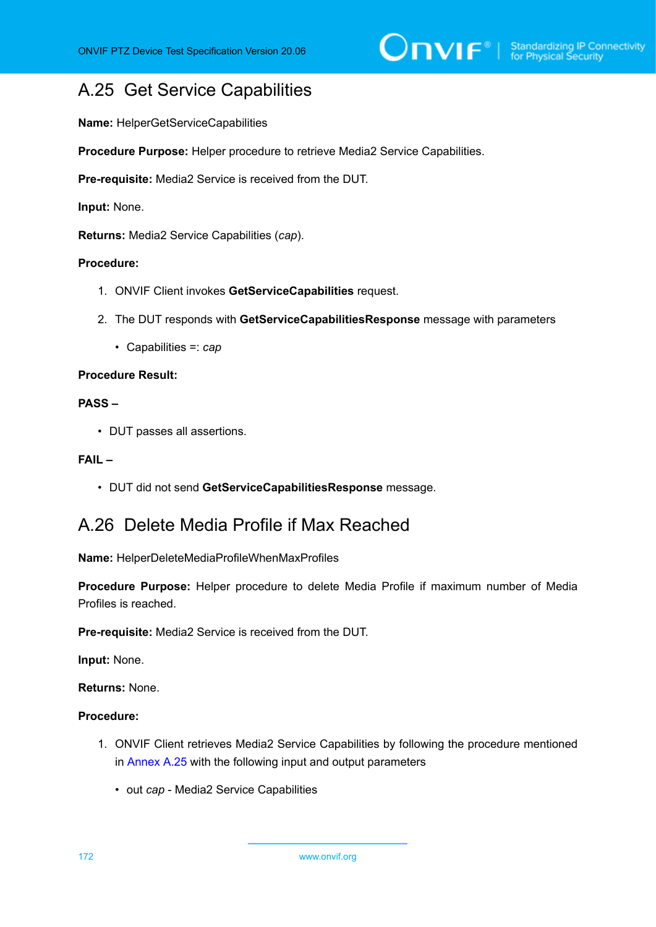# <span id="page-171-0"></span>A.25 Get Service Capabilities

**Name:** HelperGetServiceCapabilities

**Procedure Purpose:** Helper procedure to retrieve Media2 Service Capabilities.

**Pre-requisite:** Media2 Service is received from the DUT.

**Input:** None.

**Returns:** Media2 Service Capabilities (*cap*).

#### **Procedure:**

- 1. ONVIF Client invokes **GetServiceCapabilities** request.
- 2. The DUT responds with **GetServiceCapabilitiesResponse** message with parameters
	- Capabilities =: *cap*

# **Procedure Result:**

# **PASS –**

• DUT passes all assertions.

#### **FAIL –**

• DUT did not send **GetServiceCapabilitiesResponse** message.

# <span id="page-171-1"></span>A.26 Delete Media Profile if Max Reached

**Name:** HelperDeleteMediaProfileWhenMaxProfiles

**Procedure Purpose:** Helper procedure to delete Media Profile if maximum number of Media Profiles is reached.

**Pre-requisite:** Media2 Service is received from the DUT.

**Input:** None.

**Returns:** None.

- 1. ONVIF Client retrieves Media2 Service Capabilities by following the procedure mentioned in [Annex A.25](#page-171-0) with the following input and output parameters
	- out *cap* Media2 Service Capabilities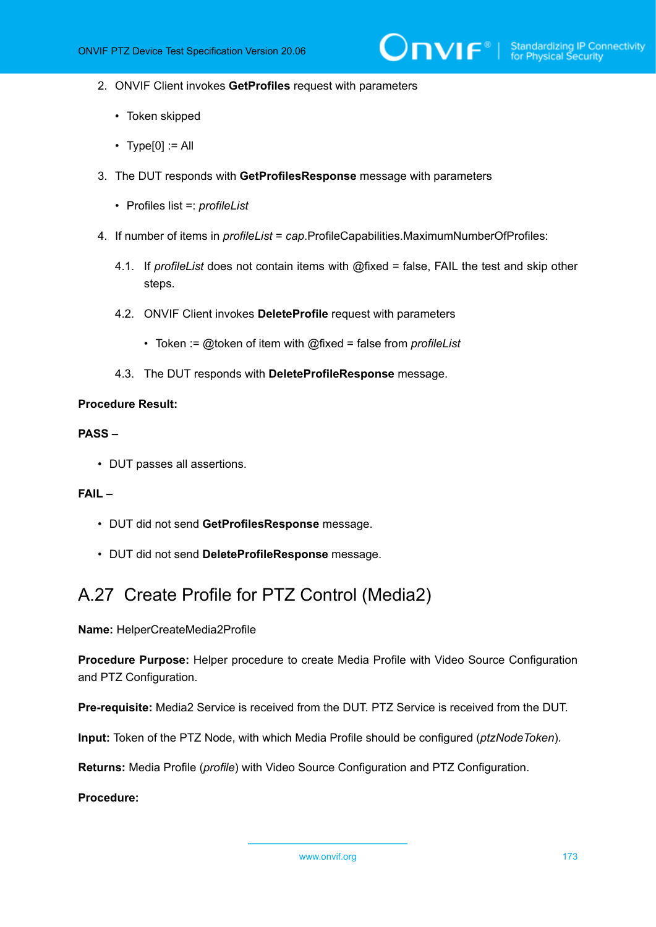- 2. ONVIF Client invokes **GetProfiles** request with parameters
	- Token skipped
	- Type $[0] :=$  All
- 3. The DUT responds with **GetProfilesResponse** message with parameters
	- Profiles list =: *profileList*
- 4. If number of items in *profileList* = *cap*.ProfileCapabilities.MaximumNumberOfProfiles:
	- 4.1. If *profileList* does not contain items with @fixed = false, FAIL the test and skip other steps.
	- 4.2. ONVIF Client invokes **DeleteProfile** request with parameters
		- Token := @token of item with @fixed = false from *profileList*
	- 4.3. The DUT responds with **DeleteProfileResponse** message.

#### **PASS –**

• DUT passes all assertions.

#### **FAIL –**

- DUT did not send **GetProfilesResponse** message.
- DUT did not send **DeleteProfileResponse** message.

# A.27 Create Profile for PTZ Control (Media2)

**Name:** HelperCreateMedia2Profile

**Procedure Purpose:** Helper procedure to create Media Profile with Video Source Configuration and PTZ Configuration.

**Pre-requisite:** Media2 Service is received from the DUT. PTZ Service is received from the DUT.

**Input:** Token of the PTZ Node, with which Media Profile should be configured (*ptzNodeToken*).

**Returns:** Media Profile (*profile*) with Video Source Configuration and PTZ Configuration.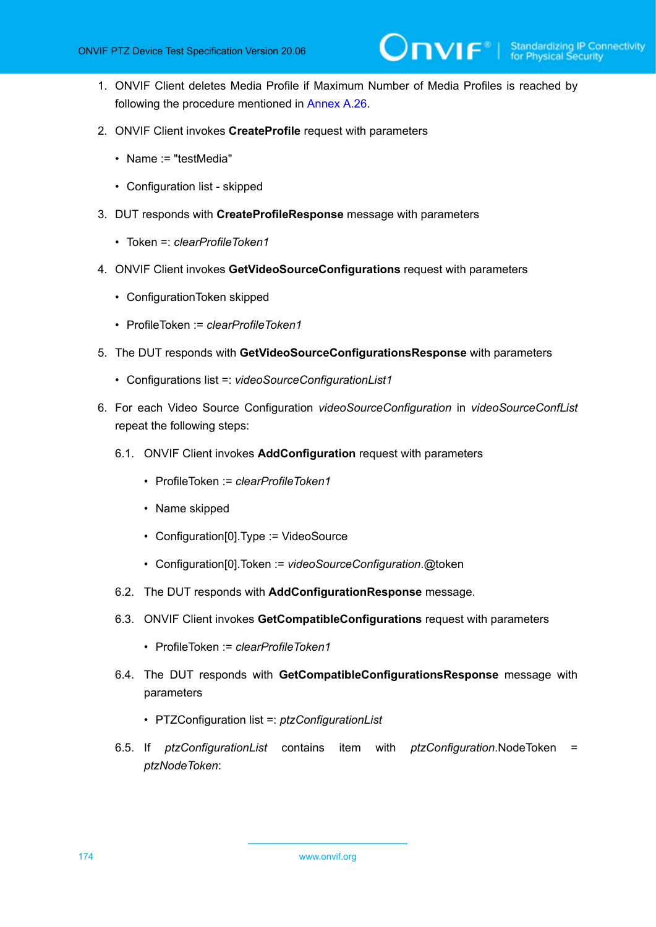- 1. ONVIF Client deletes Media Profile if Maximum Number of Media Profiles is reached by following the procedure mentioned in [Annex A.26](#page-171-1).
- 2. ONVIF Client invokes **CreateProfile** request with parameters
	- Name := "testMedia"
	- Configuration list skipped
- 3. DUT responds with **CreateProfileResponse** message with parameters
	- Token =: *clearProfileToken1*
- 4. ONVIF Client invokes **GetVideoSourceConfigurations** request with parameters
	- ConfigurationToken skipped
	- ProfileToken := *clearProfileToken1*
- 5. The DUT responds with **GetVideoSourceConfigurationsResponse** with parameters
	- Configurations list =: *videoSourceConfigurationList1*
- 6. For each Video Source Configuration *videoSourceConfiguration* in *videoSourceConfList* repeat the following steps:
	- 6.1. ONVIF Client invokes **AddConfiguration** request with parameters
		- ProfileToken := *clearProfileToken1*
		- Name skipped
		- Configuration[0].Type := VideoSource
		- Configuration[0].Token := *videoSourceConfiguration*.@token
	- 6.2. The DUT responds with **AddConfigurationResponse** message.
	- 6.3. ONVIF Client invokes **GetCompatibleConfigurations** request with parameters
		- ProfileToken := *clearProfileToken1*
	- 6.4. The DUT responds with **GetCompatibleConfigurationsResponse** message with parameters
		- PTZConfiguration list =: *ptzConfigurationList*
	- 6.5. If *ptzConfigurationList* contains item with *ptzConfiguration*.NodeToken = *ptzNodeToken*: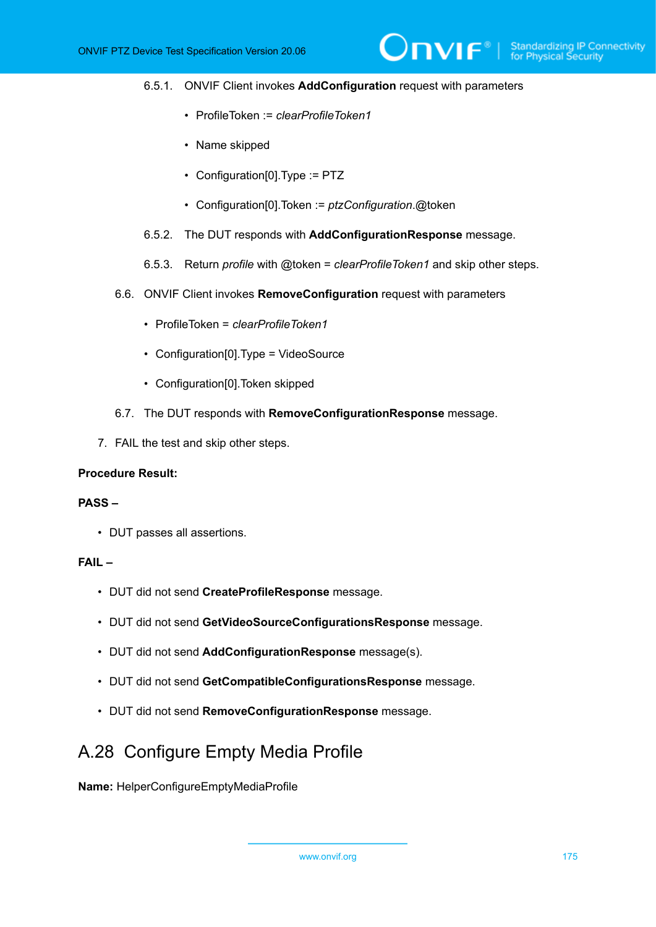#### 6.5.1. ONVIF Client invokes **AddConfiguration** request with parameters

 $\mathsf{D}\mathbf{N}\mathsf{H}^*$ 

- ProfileToken := *clearProfileToken1*
- Name skipped
- Configuration[0].Type := PTZ
- Configuration[0].Token := *ptzConfiguration*.@token
- 6.5.2. The DUT responds with **AddConfigurationResponse** message.
- 6.5.3. Return *profile* with @token = *clearProfileToken1* and skip other steps.
- 6.6. ONVIF Client invokes **RemoveConfiguration** request with parameters
	- ProfileToken = *clearProfileToken1*
	- Configuration[0].Type = VideoSource
	- Configuration[0].Token skipped
- 6.7. The DUT responds with **RemoveConfigurationResponse** message.
- 7. FAIL the test and skip other steps.

#### **Procedure Result:**

### **PASS –**

• DUT passes all assertions.

#### **FAIL –**

- DUT did not send **CreateProfileResponse** message.
- DUT did not send **GetVideoSourceConfigurationsResponse** message.
- DUT did not send **AddConfigurationResponse** message(s).
- DUT did not send **GetCompatibleConfigurationsResponse** message.
- DUT did not send **RemoveConfigurationResponse** message.

# A.28 Configure Empty Media Profile

**Name:** HelperConfigureEmptyMediaProfile